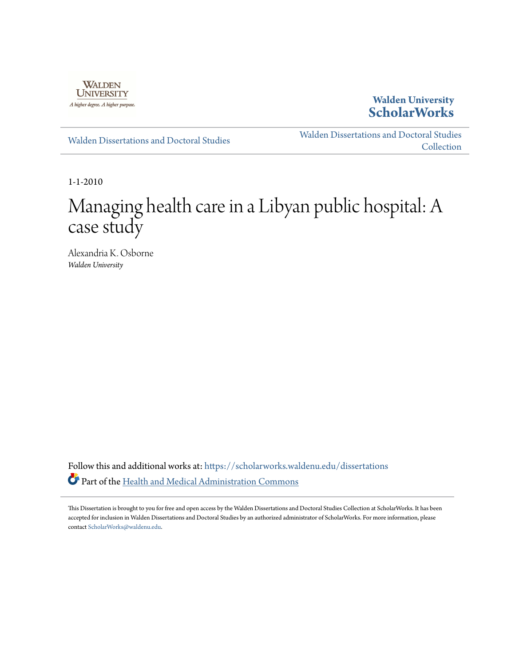

**Walden University [ScholarWorks](https://scholarworks.waldenu.edu?utm_source=scholarworks.waldenu.edu%2Fdissertations%2F730&utm_medium=PDF&utm_campaign=PDFCoverPages)**

[Walden Dissertations and Doctoral Studies](https://scholarworks.waldenu.edu/dissertations?utm_source=scholarworks.waldenu.edu%2Fdissertations%2F730&utm_medium=PDF&utm_campaign=PDFCoverPages)

[Walden Dissertations and Doctoral Studies](https://scholarworks.waldenu.edu/dissanddoc?utm_source=scholarworks.waldenu.edu%2Fdissertations%2F730&utm_medium=PDF&utm_campaign=PDFCoverPages) [Collection](https://scholarworks.waldenu.edu/dissanddoc?utm_source=scholarworks.waldenu.edu%2Fdissertations%2F730&utm_medium=PDF&utm_campaign=PDFCoverPages)

1-1-2010

# Managing health care in a Libyan public hospital: A case study

Alexandria K. Osborne *Walden University*

Follow this and additional works at: [https://scholarworks.waldenu.edu/dissertations](https://scholarworks.waldenu.edu/dissertations?utm_source=scholarworks.waldenu.edu%2Fdissertations%2F730&utm_medium=PDF&utm_campaign=PDFCoverPages) Part of the [Health and Medical Administration Commons](http://network.bepress.com/hgg/discipline/663?utm_source=scholarworks.waldenu.edu%2Fdissertations%2F730&utm_medium=PDF&utm_campaign=PDFCoverPages)

This Dissertation is brought to you for free and open access by the Walden Dissertations and Doctoral Studies Collection at ScholarWorks. It has been accepted for inclusion in Walden Dissertations and Doctoral Studies by an authorized administrator of ScholarWorks. For more information, please contact [ScholarWorks@waldenu.edu](mailto:ScholarWorks@waldenu.edu).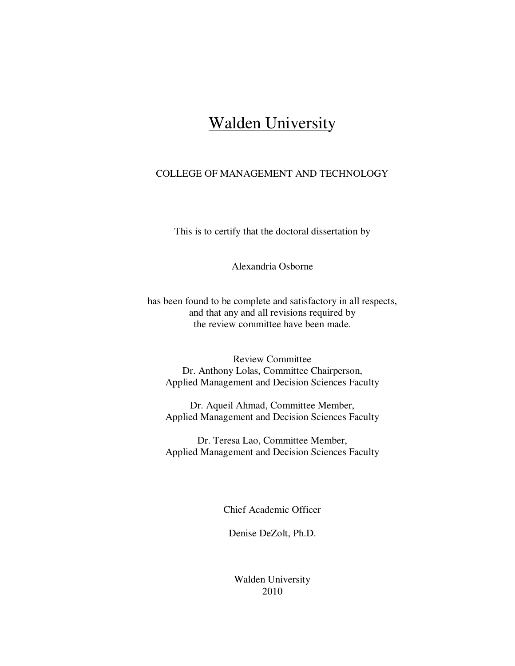## Walden University

## COLLEGE OF MANAGEMENT AND TECHNOLOGY

This is to certify that the doctoral dissertation by

Alexandria Osborne

has been found to be complete and satisfactory in all respects, and that any and all revisions required by the review committee have been made.

Review Committee Dr. Anthony Lolas, Committee Chairperson, Applied Management and Decision Sciences Faculty

Dr. Aqueil Ahmad, Committee Member, Applied Management and Decision Sciences Faculty

Dr. Teresa Lao, Committee Member, Applied Management and Decision Sciences Faculty

Chief Academic Officer

Denise DeZolt, Ph.D.

Walden University 2010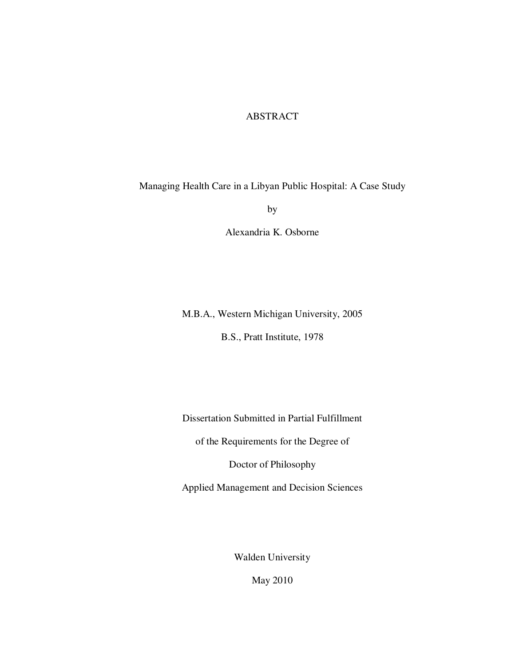## ABSTRACT

Managing Health Care in a Libyan Public Hospital: A Case Study

by

Alexandria K. Osborne

M.B.A., Western Michigan University, 2005

B.S., Pratt Institute, 1978

Dissertation Submitted in Partial Fulfillment

of the Requirements for the Degree of

Doctor of Philosophy

Applied Management and Decision Sciences

Walden University

May 2010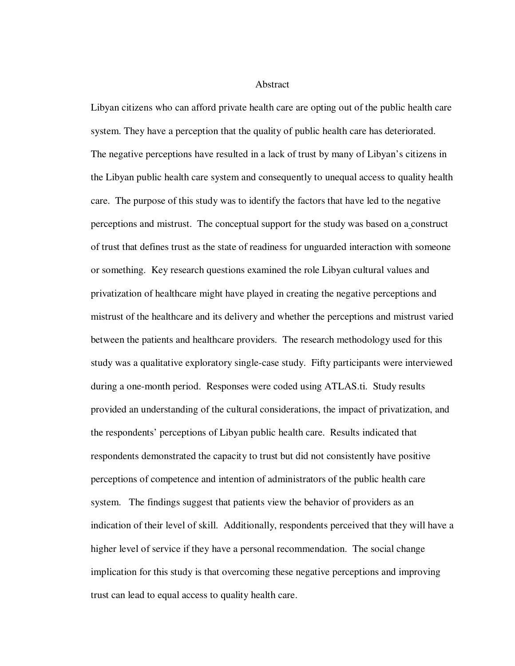Abstract

Libyan citizens who can afford private health care are opting out of the public health care system. They have a perception that the quality of public health care has deteriorated. The negative perceptions have resulted in a lack of trust by many of Libyan's citizens in the Libyan public health care system and consequently to unequal access to quality health care. The purpose of this study was to identify the factors that have led to the negative perceptions and mistrust. The conceptual support for the study was based on a construct of trust that defines trust as the state of readiness for unguarded interaction with someone or something. Key research questions examined the role Libyan cultural values and privatization of healthcare might have played in creating the negative perceptions and mistrust of the healthcare and its delivery and whether the perceptions and mistrust varied between the patients and healthcare providers. The research methodology used for this study was a qualitative exploratory single-case study. Fifty participants were interviewed during a one-month period. Responses were coded using ATLAS.ti. Study results provided an understanding of the cultural considerations, the impact of privatization, and the respondents' perceptions of Libyan public health care. Results indicated that respondents demonstrated the capacity to trust but did not consistently have positive perceptions of competence and intention of administrators of the public health care system. The findings suggest that patients view the behavior of providers as an indication of their level of skill. Additionally, respondents perceived that they will have a higher level of service if they have a personal recommendation. The social change implication for this study is that overcoming these negative perceptions and improving trust can lead to equal access to quality health care.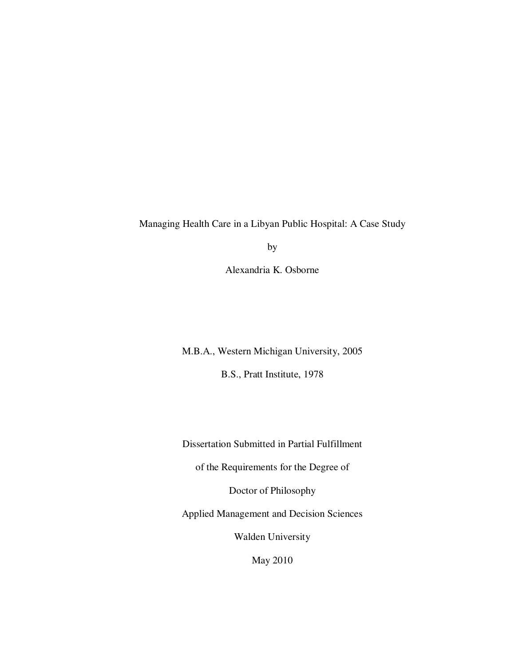Managing Health Care in a Libyan Public Hospital: A Case Study

by

Alexandria K. Osborne

M.B.A., Western Michigan University, 2005

B.S., Pratt Institute, 1978

Dissertation Submitted in Partial Fulfillment

of the Requirements for the Degree of

Doctor of Philosophy

Applied Management and Decision Sciences

Walden University

May 2010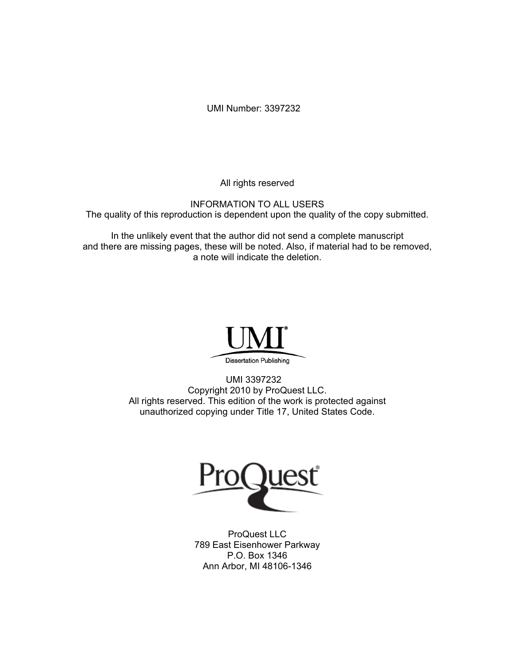UMI Number: 3397232

All rights reserved

INFORMATION TO ALL USERS The quality of this reproduction is dependent upon the quality of the copy submitted.

In the unlikely event that the author did not send a complete manuscript and there are missing pages, these will be noted. Also, if material had to be removed, a note will indicate the deletion.



UMI 3397232 Copyright 2010 by ProQuest LLC. All rights reserved. This edition of the work is protected against unauthorized copying under Title 17, United States Code.



ProQuest LLC 789 East Eisenhower Parkway P.O. Box 1346 Ann Arbor, MI 48106-1346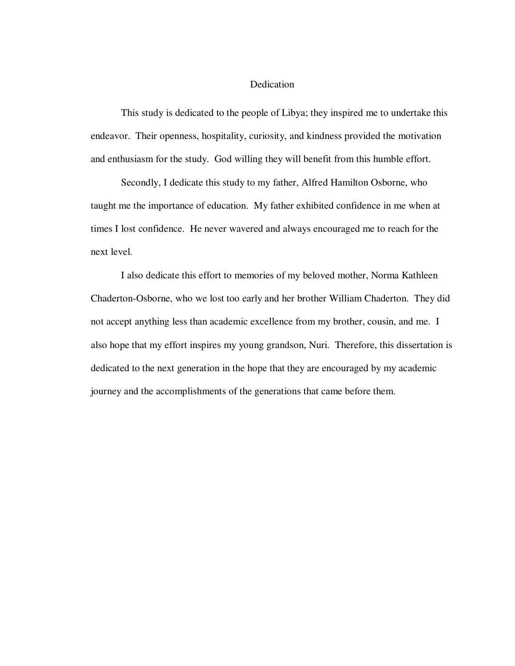## Dedication

This study is dedicated to the people of Libya; they inspired me to undertake this endeavor. Their openness, hospitality, curiosity, and kindness provided the motivation and enthusiasm for the study. God willing they will benefit from this humble effort.

Secondly, I dedicate this study to my father, Alfred Hamilton Osborne, who taught me the importance of education. My father exhibited confidence in me when at times I lost confidence. He never wavered and always encouraged me to reach for the next level.

I also dedicate this effort to memories of my beloved mother, Norma Kathleen Chaderton-Osborne, who we lost too early and her brother William Chaderton. They did not accept anything less than academic excellence from my brother, cousin, and me. I also hope that my effort inspires my young grandson, Nuri. Therefore, this dissertation is dedicated to the next generation in the hope that they are encouraged by my academic journey and the accomplishments of the generations that came before them.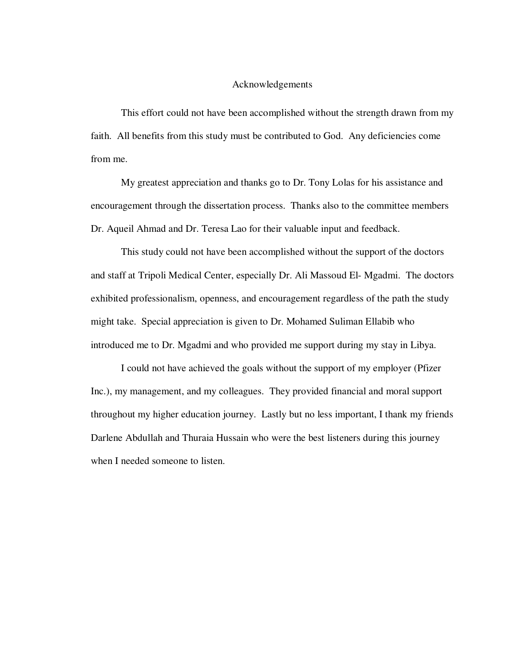## Acknowledgements

This effort could not have been accomplished without the strength drawn from my faith. All benefits from this study must be contributed to God. Any deficiencies come from me.

My greatest appreciation and thanks go to Dr. Tony Lolas for his assistance and encouragement through the dissertation process. Thanks also to the committee members Dr. Aqueil Ahmad and Dr. Teresa Lao for their valuable input and feedback.

This study could not have been accomplished without the support of the doctors and staff at Tripoli Medical Center, especially Dr. Ali Massoud El- Mgadmi. The doctors exhibited professionalism, openness, and encouragement regardless of the path the study might take. Special appreciation is given to Dr. Mohamed Suliman Ellabib who introduced me to Dr. Mgadmi and who provided me support during my stay in Libya.

I could not have achieved the goals without the support of my employer (Pfizer Inc.), my management, and my colleagues. They provided financial and moral support throughout my higher education journey. Lastly but no less important, I thank my friends Darlene Abdullah and Thuraia Hussain who were the best listeners during this journey when I needed someone to listen.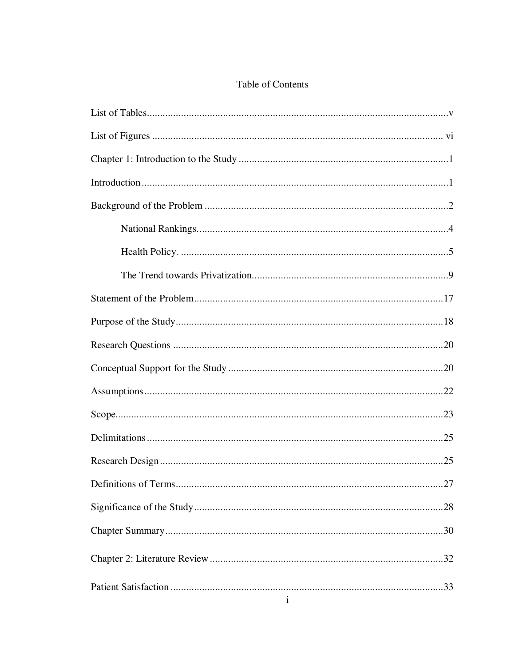## Table of Contents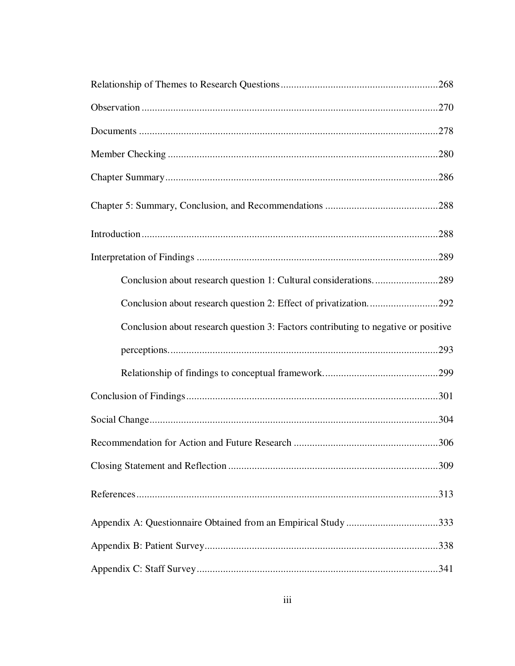| Conclusion about research question 1: Cultural considerations289                   |  |
|------------------------------------------------------------------------------------|--|
| Conclusion about research question 2: Effect of privatization292                   |  |
| Conclusion about research question 3: Factors contributing to negative or positive |  |
|                                                                                    |  |
|                                                                                    |  |
|                                                                                    |  |
|                                                                                    |  |
|                                                                                    |  |
|                                                                                    |  |
|                                                                                    |  |
| Appendix A: Questionnaire Obtained from an Empirical Study 333                     |  |
|                                                                                    |  |
|                                                                                    |  |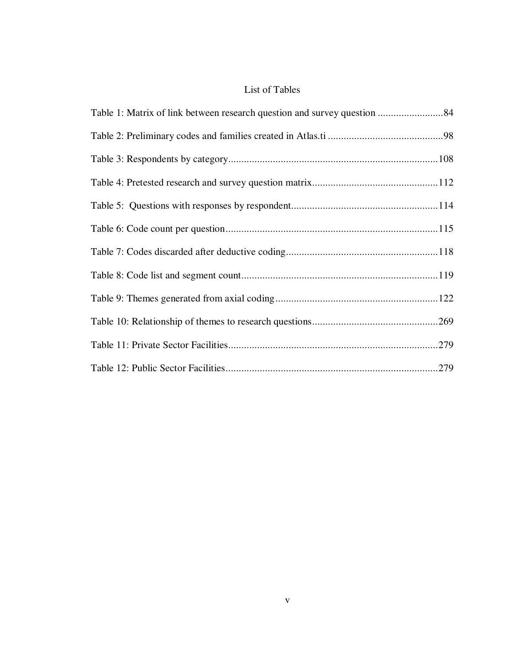## List of Tables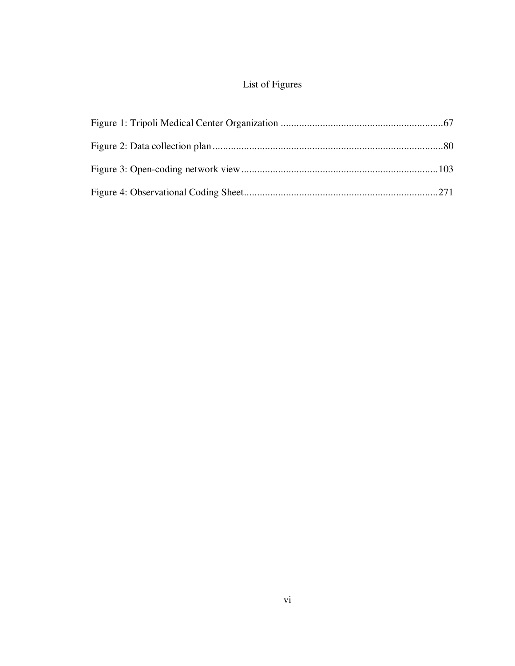## List of Figures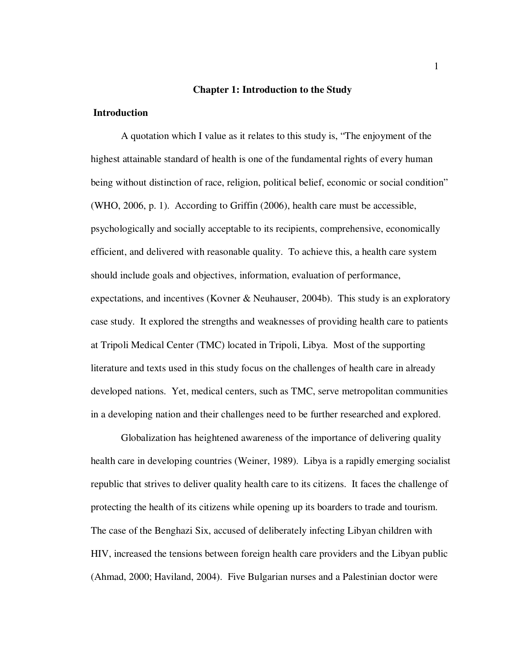### **Chapter 1: Introduction to the Study**

## **Introduction**

A quotation which I value as it relates to this study is, "The enjoyment of the highest attainable standard of health is one of the fundamental rights of every human being without distinction of race, religion, political belief, economic or social condition" (WHO, 2006, p. 1). According to Griffin (2006), health care must be accessible, psychologically and socially acceptable to its recipients, comprehensive, economically efficient, and delivered with reasonable quality. To achieve this, a health care system should include goals and objectives, information, evaluation of performance, expectations, and incentives (Kovner & Neuhauser, 2004b). This study is an exploratory case study. It explored the strengths and weaknesses of providing health care to patients at Tripoli Medical Center (TMC) located in Tripoli, Libya. Most of the supporting literature and texts used in this study focus on the challenges of health care in already developed nations. Yet, medical centers, such as TMC, serve metropolitan communities in a developing nation and their challenges need to be further researched and explored.

Globalization has heightened awareness of the importance of delivering quality health care in developing countries (Weiner, 1989). Libya is a rapidly emerging socialist republic that strives to deliver quality health care to its citizens. It faces the challenge of protecting the health of its citizens while opening up its boarders to trade and tourism. The case of the Benghazi Six, accused of deliberately infecting Libyan children with HIV, increased the tensions between foreign health care providers and the Libyan public (Ahmad, 2000; Haviland, 2004). Five Bulgarian nurses and a Palestinian doctor were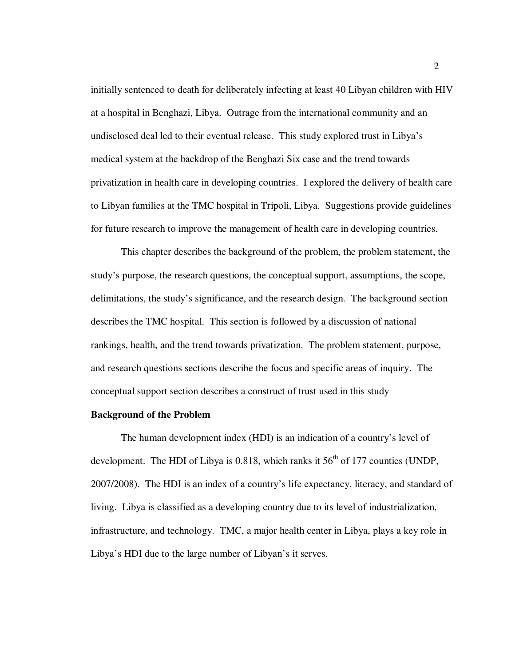initially sentenced to death for deliberately infecting at least 40 Libyan children with HIV at a hospital in Benghazi, Libya. Outrage from the international community and an undisclosed deal led to their eventual release. This study explored trust in Libya's medical system at the backdrop of the Benghazi Six case and the trend towards privatization in health care in developing countries. I explored the delivery of health care to Libyan families at the TMC hospital in Tripoli, Libya. Suggestions provide guidelines for future research to improve the management of health care in developing countries.

This chapter describes the background of the problem, the problem statement, the study's purpose, the research questions, the conceptual support, assumptions, the scope, delimitations, the study's significance, and the research design. The background section describes the TMC hospital. This section is followed by a discussion of national rankings, health, and the trend towards privatization. The problem statement, purpose, and research questions sections describe the focus and specific areas of inquiry. The conceptual support section describes a construct of trust used in this study

### **Background of the Problem**

 The human development index (HDI) is an indication of a country's level of development. The HDI of Libya is 0.818, which ranks it  $56<sup>th</sup>$  of 177 counties (UNDP, 2007/2008). The HDI is an index of a country's life expectancy, literacy, and standard of living. Libya is classified as a developing country due to its level of industrialization, infrastructure, and technology. TMC, a major health center in Libya, plays a key role in Libya's HDI due to the large number of Libyan's it serves.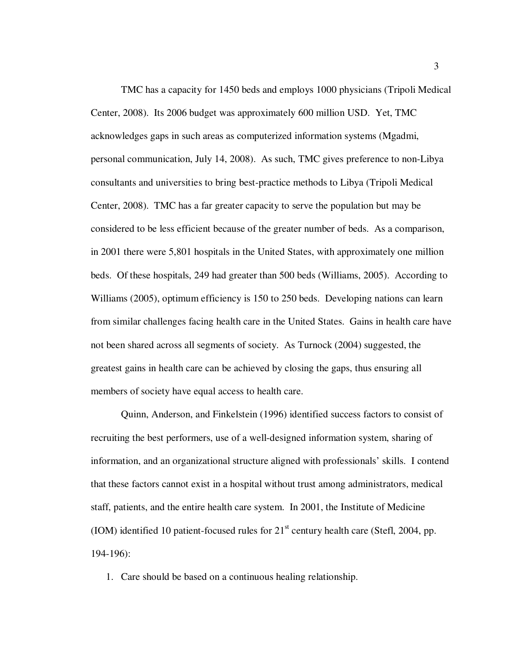TMC has a capacity for 1450 beds and employs 1000 physicians (Tripoli Medical Center, 2008). Its 2006 budget was approximately 600 million USD. Yet, TMC acknowledges gaps in such areas as computerized information systems (Mgadmi, personal communication, July 14, 2008). As such, TMC gives preference to non-Libya consultants and universities to bring best-practice methods to Libya (Tripoli Medical Center, 2008). TMC has a far greater capacity to serve the population but may be considered to be less efficient because of the greater number of beds. As a comparison, in 2001 there were 5,801 hospitals in the United States, with approximately one million beds. Of these hospitals, 249 had greater than 500 beds (Williams, 2005). According to Williams (2005), optimum efficiency is 150 to 250 beds. Developing nations can learn from similar challenges facing health care in the United States. Gains in health care have not been shared across all segments of society. As Turnock (2004) suggested, the greatest gains in health care can be achieved by closing the gaps, thus ensuring all members of society have equal access to health care.

Quinn, Anderson, and Finkelstein (1996) identified success factors to consist of recruiting the best performers, use of a well-designed information system, sharing of information, and an organizational structure aligned with professionals' skills. I contend that these factors cannot exist in a hospital without trust among administrators, medical staff, patients, and the entire health care system. In 2001, the Institute of Medicine (IOM) identified 10 patient-focused rules for  $21<sup>st</sup>$  century health care (Stefl, 2004, pp. 194-196):

1. Care should be based on a continuous healing relationship.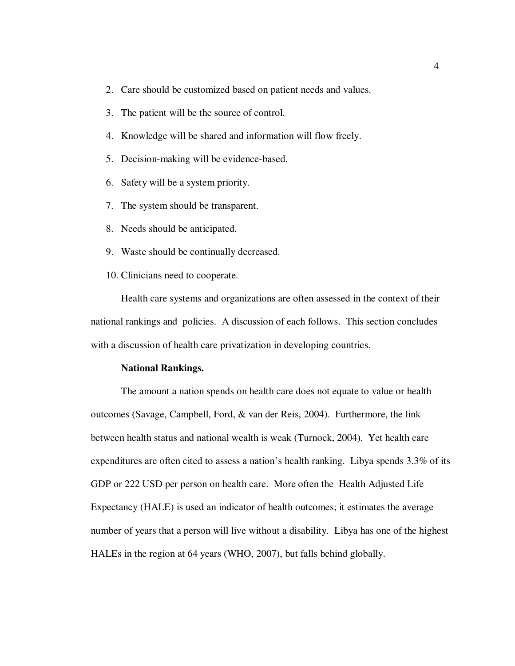- 2. Care should be customized based on patient needs and values.
- 3. The patient will be the source of control.
- 4. Knowledge will be shared and information will flow freely.
- 5. Decision-making will be evidence-based.
- 6. Safety will be a system priority.
- 7. The system should be transparent.
- 8. Needs should be anticipated.
- 9. Waste should be continually decreased.
- 10. Clinicians need to cooperate.

Health care systems and organizations are often assessed in the context of their national rankings and policies. A discussion of each follows. This section concludes with a discussion of health care privatization in developing countries.

#### **National Rankings.**

The amount a nation spends on health care does not equate to value or health outcomes (Savage, Campbell, Ford, & van der Reis, 2004). Furthermore, the link between health status and national wealth is weak (Turnock, 2004). Yet health care expenditures are often cited to assess a nation's health ranking. Libya spends 3.3% of its GDP or 222 USD per person on health care. More often the Health Adjusted Life Expectancy (HALE) is used an indicator of health outcomes; it estimates the average number of years that a person will live without a disability. Libya has one of the highest HALEs in the region at 64 years (WHO, 2007), but falls behind globally.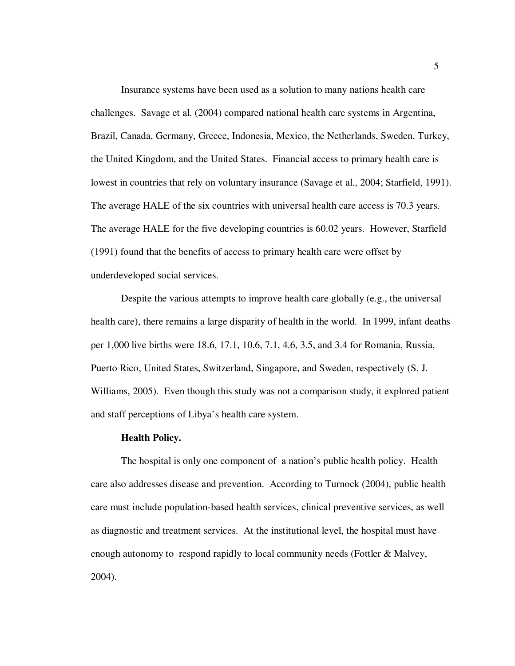Insurance systems have been used as a solution to many nations health care challenges. Savage et al. (2004) compared national health care systems in Argentina, Brazil, Canada, Germany, Greece, Indonesia, Mexico, the Netherlands, Sweden, Turkey, the United Kingdom, and the United States. Financial access to primary health care is lowest in countries that rely on voluntary insurance (Savage et al., 2004; Starfield, 1991). The average HALE of the six countries with universal health care access is 70.3 years. The average HALE for the five developing countries is 60.02 years. However, Starfield (1991) found that the benefits of access to primary health care were offset by underdeveloped social services.

Despite the various attempts to improve health care globally (e.g., the universal health care), there remains a large disparity of health in the world. In 1999, infant deaths per 1,000 live births were 18.6, 17.1, 10.6, 7.1, 4.6, 3.5, and 3.4 for Romania, Russia, Puerto Rico, United States, Switzerland, Singapore, and Sweden, respectively (S. J. Williams, 2005). Even though this study was not a comparison study, it explored patient and staff perceptions of Libya's health care system.

#### **Health Policy.**

The hospital is only one component of a nation's public health policy. Health care also addresses disease and prevention. According to Turnock (2004), public health care must include population-based health services, clinical preventive services, as well as diagnostic and treatment services. At the institutional level, the hospital must have enough autonomy to respond rapidly to local community needs (Fottler & Malvey, 2004).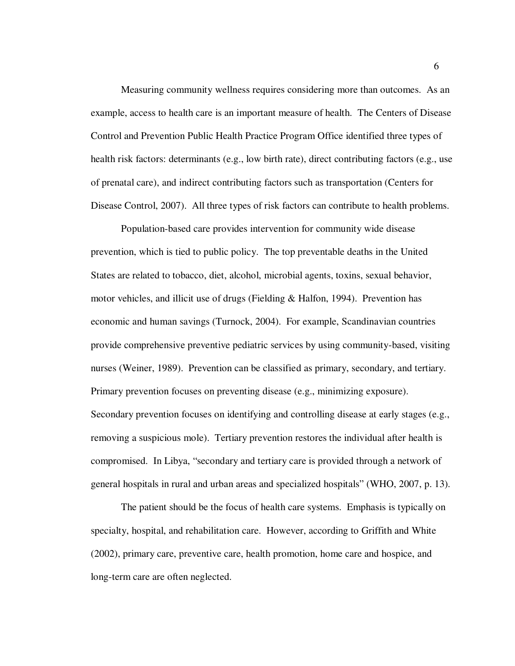Measuring community wellness requires considering more than outcomes. As an example, access to health care is an important measure of health. The Centers of Disease Control and Prevention Public Health Practice Program Office identified three types of health risk factors: determinants (e.g., low birth rate), direct contributing factors (e.g., use of prenatal care), and indirect contributing factors such as transportation (Centers for Disease Control, 2007). All three types of risk factors can contribute to health problems.

Population-based care provides intervention for community wide disease prevention, which is tied to public policy. The top preventable deaths in the United States are related to tobacco, diet, alcohol, microbial agents, toxins, sexual behavior, motor vehicles, and illicit use of drugs (Fielding & Halfon, 1994). Prevention has economic and human savings (Turnock, 2004). For example, Scandinavian countries provide comprehensive preventive pediatric services by using community-based, visiting nurses (Weiner, 1989). Prevention can be classified as primary, secondary, and tertiary. Primary prevention focuses on preventing disease (e.g., minimizing exposure). Secondary prevention focuses on identifying and controlling disease at early stages (e.g., removing a suspicious mole). Tertiary prevention restores the individual after health is compromised. In Libya, "secondary and tertiary care is provided through a network of general hospitals in rural and urban areas and specialized hospitals" (WHO, 2007, p. 13).

The patient should be the focus of health care systems. Emphasis is typically on specialty, hospital, and rehabilitation care. However, according to Griffith and White (2002), primary care, preventive care, health promotion, home care and hospice, and long-term care are often neglected.

6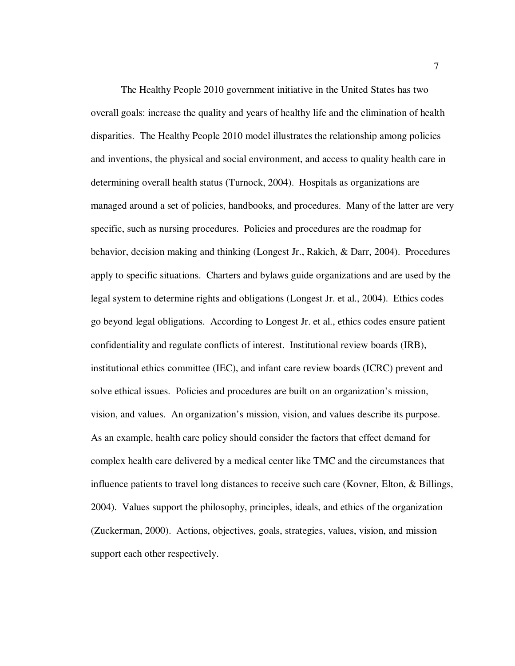The Healthy People 2010 government initiative in the United States has two overall goals: increase the quality and years of healthy life and the elimination of health disparities. The Healthy People 2010 model illustrates the relationship among policies and inventions, the physical and social environment, and access to quality health care in determining overall health status (Turnock, 2004). Hospitals as organizations are managed around a set of policies, handbooks, and procedures. Many of the latter are very specific, such as nursing procedures. Policies and procedures are the roadmap for behavior, decision making and thinking (Longest Jr., Rakich, & Darr, 2004). Procedures apply to specific situations. Charters and bylaws guide organizations and are used by the legal system to determine rights and obligations (Longest Jr. et al., 2004). Ethics codes go beyond legal obligations. According to Longest Jr. et al., ethics codes ensure patient confidentiality and regulate conflicts of interest. Institutional review boards (IRB), institutional ethics committee (IEC), and infant care review boards (ICRC) prevent and solve ethical issues. Policies and procedures are built on an organization's mission, vision, and values. An organization's mission, vision, and values describe its purpose. As an example, health care policy should consider the factors that effect demand for complex health care delivered by a medical center like TMC and the circumstances that influence patients to travel long distances to receive such care (Kovner, Elton, & Billings, 2004). Values support the philosophy, principles, ideals, and ethics of the organization (Zuckerman, 2000). Actions, objectives, goals, strategies, values, vision, and mission support each other respectively.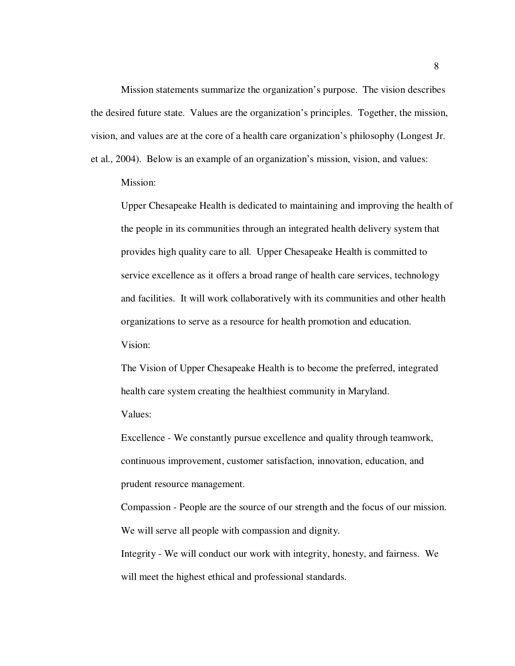Mission statements summarize the organization's purpose. The vision describes the desired future state. Values are the organization's principles. Together, the mission, vision, and values are at the core of a health care organization's philosophy (Longest Jr. et al., 2004). Below is an example of an organization's mission, vision, and values:

Mission:

Upper Chesapeake Health is dedicated to maintaining and improving the health of the people in its communities through an integrated health delivery system that provides high quality care to all. Upper Chesapeake Health is committed to service excellence as it offers a broad range of health care services, technology and facilities. It will work collaboratively with its communities and other health organizations to serve as a resource for health promotion and education.

Vision:

The Vision of Upper Chesapeake Health is to become the preferred, integrated health care system creating the healthiest community in Maryland.

Values:

Excellence - We constantly pursue excellence and quality through teamwork, continuous improvement, customer satisfaction, innovation, education, and prudent resource management.

Compassion - People are the source of our strength and the focus of our mission. We will serve all people with compassion and dignity.

Integrity - We will conduct our work with integrity, honesty, and fairness. We will meet the highest ethical and professional standards.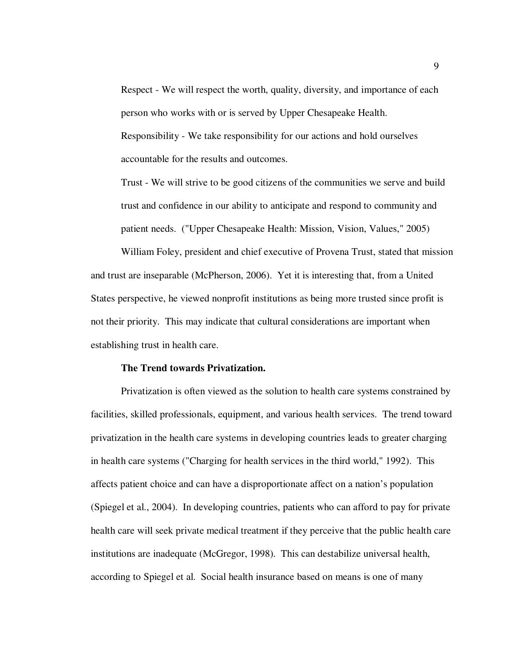Respect - We will respect the worth, quality, diversity, and importance of each person who works with or is served by Upper Chesapeake Health. Responsibility - We take responsibility for our actions and hold ourselves accountable for the results and outcomes.

Trust - We will strive to be good citizens of the communities we serve and build trust and confidence in our ability to anticipate and respond to community and patient needs. ("Upper Chesapeake Health: Mission, Vision, Values," 2005)

William Foley, president and chief executive of Provena Trust, stated that mission and trust are inseparable (McPherson, 2006). Yet it is interesting that, from a United States perspective, he viewed nonprofit institutions as being more trusted since profit is not their priority. This may indicate that cultural considerations are important when establishing trust in health care.

## **The Trend towards Privatization.**

Privatization is often viewed as the solution to health care systems constrained by facilities, skilled professionals, equipment, and various health services. The trend toward privatization in the health care systems in developing countries leads to greater charging in health care systems ("Charging for health services in the third world," 1992). This affects patient choice and can have a disproportionate affect on a nation's population (Spiegel et al., 2004). In developing countries, patients who can afford to pay for private health care will seek private medical treatment if they perceive that the public health care institutions are inadequate (McGregor, 1998). This can destabilize universal health, according to Spiegel et al. Social health insurance based on means is one of many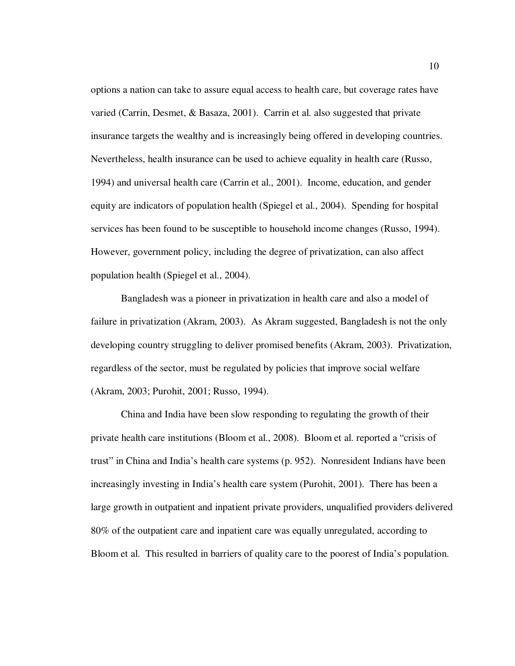options a nation can take to assure equal access to health care, but coverage rates have varied (Carrin, Desmet, & Basaza, 2001). Carrin et al. also suggested that private insurance targets the wealthy and is increasingly being offered in developing countries. Nevertheless, health insurance can be used to achieve equality in health care (Russo, 1994) and universal health care (Carrin et al., 2001). Income, education, and gender equity are indicators of population health (Spiegel et al., 2004). Spending for hospital services has been found to be susceptible to household income changes (Russo, 1994). However, government policy, including the degree of privatization, can also affect population health (Spiegel et al., 2004).

Bangladesh was a pioneer in privatization in health care and also a model of failure in privatization (Akram, 2003). As Akram suggested, Bangladesh is not the only developing country struggling to deliver promised benefits (Akram, 2003). Privatization, regardless of the sector, must be regulated by policies that improve social welfare (Akram, 2003; Purohit, 2001; Russo, 1994).

China and India have been slow responding to regulating the growth of their private health care institutions (Bloom et al., 2008). Bloom et al. reported a "crisis of trust" in China and India's health care systems (p. 952). Nonresident Indians have been increasingly investing in India's health care system (Purohit, 2001). There has been a large growth in outpatient and inpatient private providers, unqualified providers delivered 80% of the outpatient care and inpatient care was equally unregulated, according to Bloom et al. This resulted in barriers of quality care to the poorest of India's population.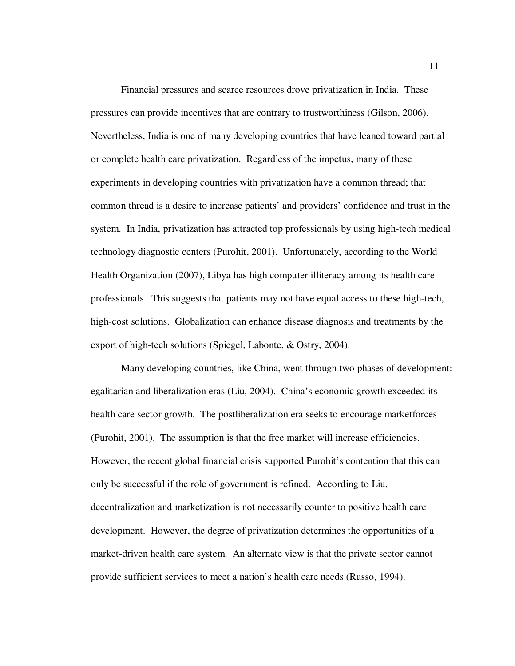Financial pressures and scarce resources drove privatization in India. These pressures can provide incentives that are contrary to trustworthiness (Gilson, 2006). Nevertheless, India is one of many developing countries that have leaned toward partial or complete health care privatization. Regardless of the impetus, many of these experiments in developing countries with privatization have a common thread; that common thread is a desire to increase patients' and providers' confidence and trust in the system. In India, privatization has attracted top professionals by using high-tech medical technology diagnostic centers (Purohit, 2001). Unfortunately, according to the World Health Organization (2007), Libya has high computer illiteracy among its health care professionals. This suggests that patients may not have equal access to these high-tech, high-cost solutions. Globalization can enhance disease diagnosis and treatments by the export of high-tech solutions (Spiegel, Labonte, & Ostry, 2004).

Many developing countries, like China, went through two phases of development: egalitarian and liberalization eras (Liu, 2004). China's economic growth exceeded its health care sector growth. The postliberalization era seeks to encourage marketforces (Purohit, 2001). The assumption is that the free market will increase efficiencies. However, the recent global financial crisis supported Purohit's contention that this can only be successful if the role of government is refined. According to Liu, decentralization and marketization is not necessarily counter to positive health care development. However, the degree of privatization determines the opportunities of a market-driven health care system. An alternate view is that the private sector cannot provide sufficient services to meet a nation's health care needs (Russo, 1994).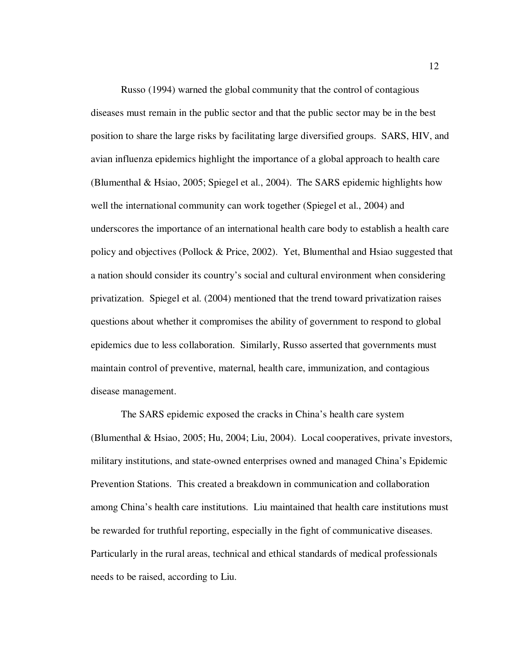Russo (1994) warned the global community that the control of contagious diseases must remain in the public sector and that the public sector may be in the best position to share the large risks by facilitating large diversified groups. SARS, HIV, and avian influenza epidemics highlight the importance of a global approach to health care (Blumenthal & Hsiao, 2005; Spiegel et al., 2004). The SARS epidemic highlights how well the international community can work together (Spiegel et al., 2004) and underscores the importance of an international health care body to establish a health care policy and objectives (Pollock & Price, 2002). Yet, Blumenthal and Hsiao suggested that a nation should consider its country's social and cultural environment when considering privatization. Spiegel et al. (2004) mentioned that the trend toward privatization raises questions about whether it compromises the ability of government to respond to global epidemics due to less collaboration. Similarly, Russo asserted that governments must maintain control of preventive, maternal, health care, immunization, and contagious disease management.

The SARS epidemic exposed the cracks in China's health care system (Blumenthal & Hsiao, 2005; Hu, 2004; Liu, 2004). Local cooperatives, private investors, military institutions, and state-owned enterprises owned and managed China's Epidemic Prevention Stations. This created a breakdown in communication and collaboration among China's health care institutions. Liu maintained that health care institutions must be rewarded for truthful reporting, especially in the fight of communicative diseases. Particularly in the rural areas, technical and ethical standards of medical professionals needs to be raised, according to Liu.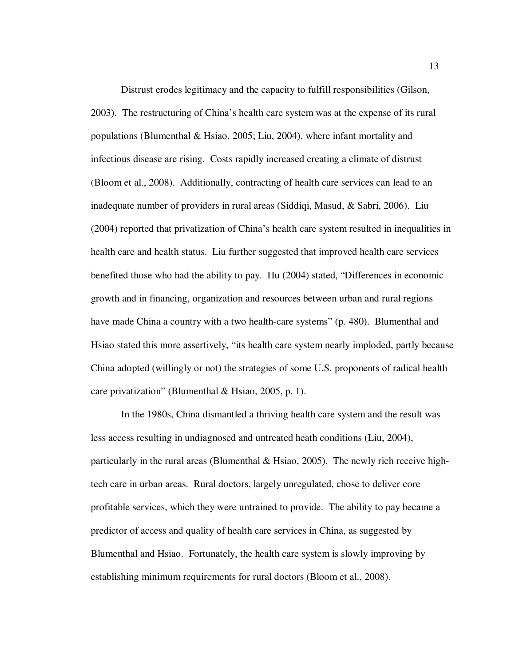Distrust erodes legitimacy and the capacity to fulfill responsibilities (Gilson, 2003). The restructuring of China's health care system was at the expense of its rural populations (Blumenthal & Hsiao, 2005; Liu, 2004), where infant mortality and infectious disease are rising. Costs rapidly increased creating a climate of distrust (Bloom et al., 2008). Additionally, contracting of health care services can lead to an inadequate number of providers in rural areas (Siddiqi, Masud, & Sabri, 2006). Liu (2004) reported that privatization of China's health care system resulted in inequalities in health care and health status. Liu further suggested that improved health care services benefited those who had the ability to pay. Hu (2004) stated, "Differences in economic growth and in financing, organization and resources between urban and rural regions have made China a country with a two health-care systems" (p. 480). Blumenthal and Hsiao stated this more assertively, "its health care system nearly imploded, partly because China adopted (willingly or not) the strategies of some U.S. proponents of radical health care privatization" (Blumenthal & Hsiao, 2005, p. 1).

In the 1980s, China dismantled a thriving health care system and the result was less access resulting in undiagnosed and untreated heath conditions (Liu, 2004), particularly in the rural areas (Blumenthal & Hsiao, 2005). The newly rich receive hightech care in urban areas. Rural doctors, largely unregulated, chose to deliver core profitable services, which they were untrained to provide. The ability to pay became a predictor of access and quality of health care services in China, as suggested by Blumenthal and Hsiao. Fortunately, the health care system is slowly improving by establishing minimum requirements for rural doctors (Bloom et al., 2008).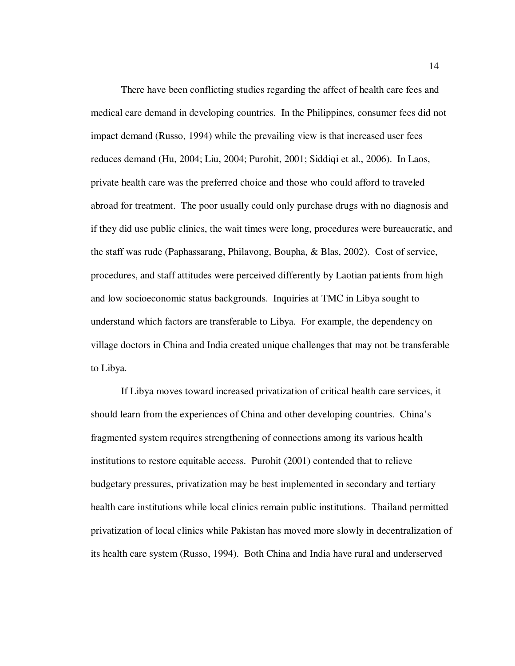There have been conflicting studies regarding the affect of health care fees and medical care demand in developing countries. In the Philippines, consumer fees did not impact demand (Russo, 1994) while the prevailing view is that increased user fees reduces demand (Hu, 2004; Liu, 2004; Purohit, 2001; Siddiqi et al., 2006). In Laos, private health care was the preferred choice and those who could afford to traveled abroad for treatment. The poor usually could only purchase drugs with no diagnosis and if they did use public clinics, the wait times were long, procedures were bureaucratic, and the staff was rude (Paphassarang, Philavong, Boupha, & Blas, 2002). Cost of service, procedures, and staff attitudes were perceived differently by Laotian patients from high and low socioeconomic status backgrounds. Inquiries at TMC in Libya sought to understand which factors are transferable to Libya. For example, the dependency on village doctors in China and India created unique challenges that may not be transferable to Libya.

If Libya moves toward increased privatization of critical health care services, it should learn from the experiences of China and other developing countries. China's fragmented system requires strengthening of connections among its various health institutions to restore equitable access. Purohit (2001) contended that to relieve budgetary pressures, privatization may be best implemented in secondary and tertiary health care institutions while local clinics remain public institutions. Thailand permitted privatization of local clinics while Pakistan has moved more slowly in decentralization of its health care system (Russo, 1994). Both China and India have rural and underserved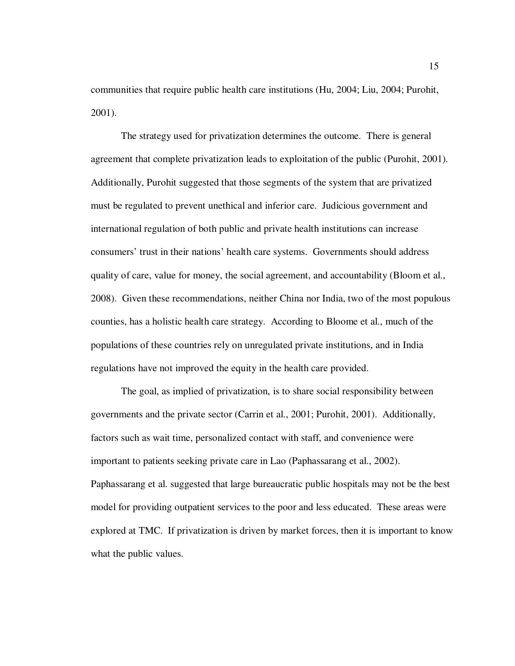communities that require public health care institutions (Hu, 2004; Liu, 2004; Purohit, 2001).

The strategy used for privatization determines the outcome. There is general agreement that complete privatization leads to exploitation of the public (Purohit, 2001). Additionally, Purohit suggested that those segments of the system that are privatized must be regulated to prevent unethical and inferior care. Judicious government and international regulation of both public and private health institutions can increase consumers' trust in their nations' health care systems. Governments should address quality of care, value for money, the social agreement, and accountability (Bloom et al., 2008). Given these recommendations, neither China nor India, two of the most populous counties, has a holistic health care strategy. According to Bloome et al., much of the populations of these countries rely on unregulated private institutions, and in India regulations have not improved the equity in the health care provided.

The goal, as implied of privatization, is to share social responsibility between governments and the private sector (Carrin et al., 2001; Purohit, 2001). Additionally, factors such as wait time, personalized contact with staff, and convenience were important to patients seeking private care in Lao (Paphassarang et al., 2002). Paphassarang et al. suggested that large bureaucratic public hospitals may not be the best model for providing outpatient services to the poor and less educated. These areas were explored at TMC. If privatization is driven by market forces, then it is important to know what the public values.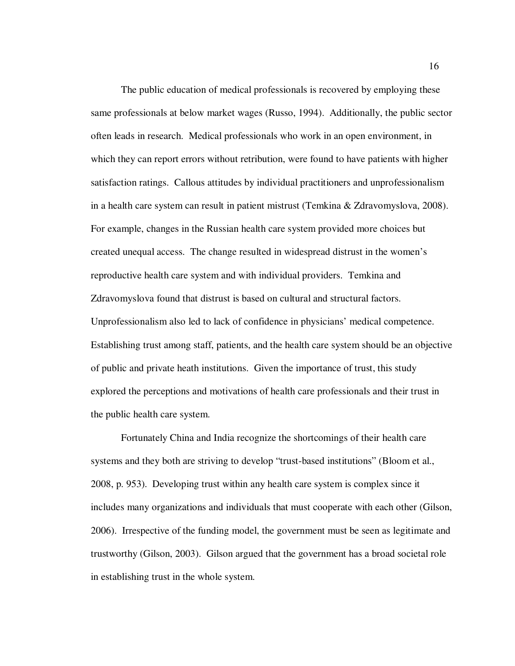The public education of medical professionals is recovered by employing these same professionals at below market wages (Russo, 1994). Additionally, the public sector often leads in research. Medical professionals who work in an open environment, in which they can report errors without retribution, were found to have patients with higher satisfaction ratings. Callous attitudes by individual practitioners and unprofessionalism in a health care system can result in patient mistrust (Temkina & Zdravomyslova, 2008). For example, changes in the Russian health care system provided more choices but created unequal access. The change resulted in widespread distrust in the women's reproductive health care system and with individual providers. Temkina and Zdravomyslova found that distrust is based on cultural and structural factors. Unprofessionalism also led to lack of confidence in physicians' medical competence. Establishing trust among staff, patients, and the health care system should be an objective of public and private heath institutions. Given the importance of trust, this study explored the perceptions and motivations of health care professionals and their trust in the public health care system.

Fortunately China and India recognize the shortcomings of their health care systems and they both are striving to develop "trust-based institutions" (Bloom et al., 2008, p. 953). Developing trust within any health care system is complex since it includes many organizations and individuals that must cooperate with each other (Gilson, 2006). Irrespective of the funding model, the government must be seen as legitimate and trustworthy (Gilson, 2003). Gilson argued that the government has a broad societal role in establishing trust in the whole system.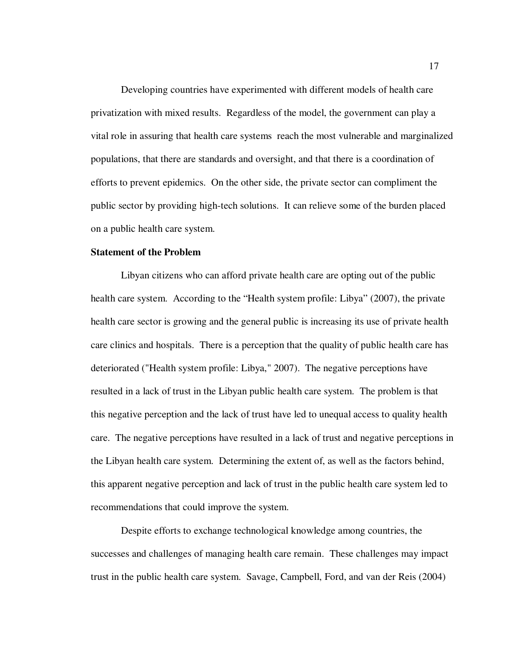Developing countries have experimented with different models of health care privatization with mixed results. Regardless of the model, the government can play a vital role in assuring that health care systems reach the most vulnerable and marginalized populations, that there are standards and oversight, and that there is a coordination of efforts to prevent epidemics. On the other side, the private sector can compliment the public sector by providing high-tech solutions. It can relieve some of the burden placed on a public health care system.

## **Statement of the Problem**

Libyan citizens who can afford private health care are opting out of the public health care system. According to the "Health system profile: Libya" (2007), the private health care sector is growing and the general public is increasing its use of private health care clinics and hospitals. There is a perception that the quality of public health care has deteriorated ("Health system profile: Libya," 2007). The negative perceptions have resulted in a lack of trust in the Libyan public health care system. The problem is that this negative perception and the lack of trust have led to unequal access to quality health care. The negative perceptions have resulted in a lack of trust and negative perceptions in the Libyan health care system. Determining the extent of, as well as the factors behind, this apparent negative perception and lack of trust in the public health care system led to recommendations that could improve the system.

Despite efforts to exchange technological knowledge among countries, the successes and challenges of managing health care remain. These challenges may impact trust in the public health care system. Savage, Campbell, Ford, and van der Reis (2004)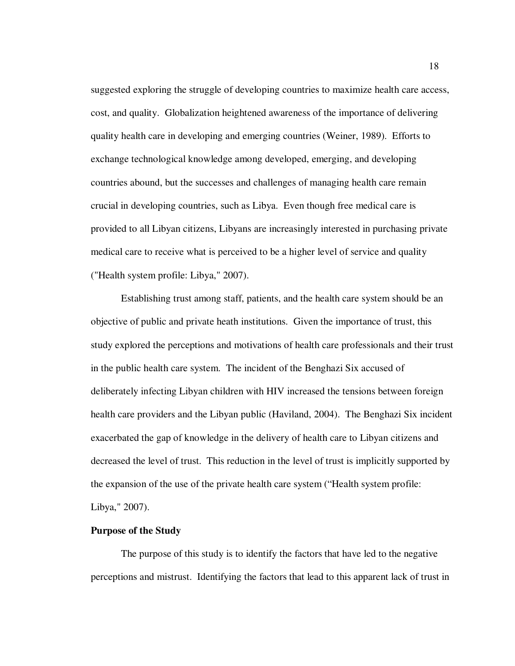suggested exploring the struggle of developing countries to maximize health care access, cost, and quality. Globalization heightened awareness of the importance of delivering quality health care in developing and emerging countries (Weiner, 1989). Efforts to exchange technological knowledge among developed, emerging, and developing countries abound, but the successes and challenges of managing health care remain crucial in developing countries, such as Libya. Even though free medical care is provided to all Libyan citizens, Libyans are increasingly interested in purchasing private medical care to receive what is perceived to be a higher level of service and quality ("Health system profile: Libya," 2007).

Establishing trust among staff, patients, and the health care system should be an objective of public and private heath institutions. Given the importance of trust, this study explored the perceptions and motivations of health care professionals and their trust in the public health care system. The incident of the Benghazi Six accused of deliberately infecting Libyan children with HIV increased the tensions between foreign health care providers and the Libyan public (Haviland, 2004). The Benghazi Six incident exacerbated the gap of knowledge in the delivery of health care to Libyan citizens and decreased the level of trust. This reduction in the level of trust is implicitly supported by the expansion of the use of the private health care system ("Health system profile: Libya," 2007).

### **Purpose of the Study**

The purpose of this study is to identify the factors that have led to the negative perceptions and mistrust. Identifying the factors that lead to this apparent lack of trust in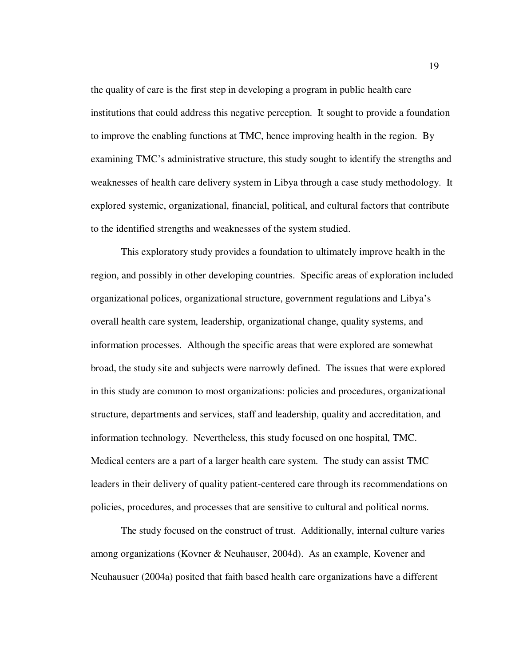the quality of care is the first step in developing a program in public health care institutions that could address this negative perception. It sought to provide a foundation to improve the enabling functions at TMC, hence improving health in the region. By examining TMC's administrative structure, this study sought to identify the strengths and weaknesses of health care delivery system in Libya through a case study methodology. It explored systemic, organizational, financial, political, and cultural factors that contribute to the identified strengths and weaknesses of the system studied.

This exploratory study provides a foundation to ultimately improve health in the region, and possibly in other developing countries. Specific areas of exploration included organizational polices, organizational structure, government regulations and Libya's overall health care system, leadership, organizational change, quality systems, and information processes. Although the specific areas that were explored are somewhat broad, the study site and subjects were narrowly defined. The issues that were explored in this study are common to most organizations: policies and procedures, organizational structure, departments and services, staff and leadership, quality and accreditation, and information technology. Nevertheless, this study focused on one hospital, TMC. Medical centers are a part of a larger health care system. The study can assist TMC leaders in their delivery of quality patient-centered care through its recommendations on policies, procedures, and processes that are sensitive to cultural and political norms.

The study focused on the construct of trust. Additionally, internal culture varies among organizations (Kovner & Neuhauser, 2004d). As an example, Kovener and Neuhausuer (2004a) posited that faith based health care organizations have a different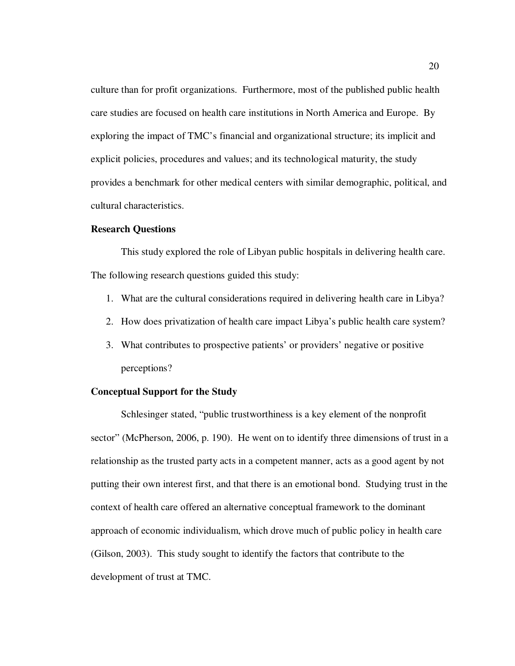culture than for profit organizations. Furthermore, most of the published public health care studies are focused on health care institutions in North America and Europe. By exploring the impact of TMC's financial and organizational structure; its implicit and explicit policies, procedures and values; and its technological maturity, the study provides a benchmark for other medical centers with similar demographic, political, and cultural characteristics.

## **Research Questions**

This study explored the role of Libyan public hospitals in delivering health care. The following research questions guided this study:

- 1. What are the cultural considerations required in delivering health care in Libya?
- 2. How does privatization of health care impact Libya's public health care system?
- 3. What contributes to prospective patients' or providers' negative or positive perceptions?

## **Conceptual Support for the Study**

Schlesinger stated, "public trustworthiness is a key element of the nonprofit sector" (McPherson, 2006, p. 190). He went on to identify three dimensions of trust in a relationship as the trusted party acts in a competent manner, acts as a good agent by not putting their own interest first, and that there is an emotional bond. Studying trust in the context of health care offered an alternative conceptual framework to the dominant approach of economic individualism, which drove much of public policy in health care (Gilson, 2003). This study sought to identify the factors that contribute to the development of trust at TMC.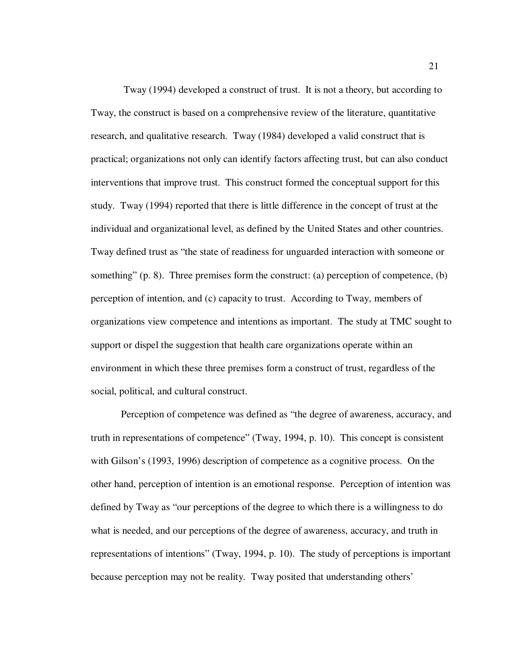Tway (1994) developed a construct of trust. It is not a theory, but according to Tway, the construct is based on a comprehensive review of the literature, quantitative research, and qualitative research. Tway (1984) developed a valid construct that is practical; organizations not only can identify factors affecting trust, but can also conduct interventions that improve trust. This construct formed the conceptual support for this study. Tway (1994) reported that there is little difference in the concept of trust at the individual and organizational level, as defined by the United States and other countries. Tway defined trust as "the state of readiness for unguarded interaction with someone or something" (p. 8). Three premises form the construct: (a) perception of competence, (b) perception of intention, and (c) capacity to trust. According to Tway, members of organizations view competence and intentions as important. The study at TMC sought to support or dispel the suggestion that health care organizations operate within an environment in which these three premises form a construct of trust, regardless of the social, political, and cultural construct.

Perception of competence was defined as "the degree of awareness, accuracy, and truth in representations of competence" (Tway, 1994, p. 10). This concept is consistent with Gilson's (1993, 1996) description of competence as a cognitive process. On the other hand, perception of intention is an emotional response. Perception of intention was defined by Tway as "our perceptions of the degree to which there is a willingness to do what is needed, and our perceptions of the degree of awareness, accuracy, and truth in representations of intentions" (Tway, 1994, p. 10). The study of perceptions is important because perception may not be reality. Tway posited that understanding others'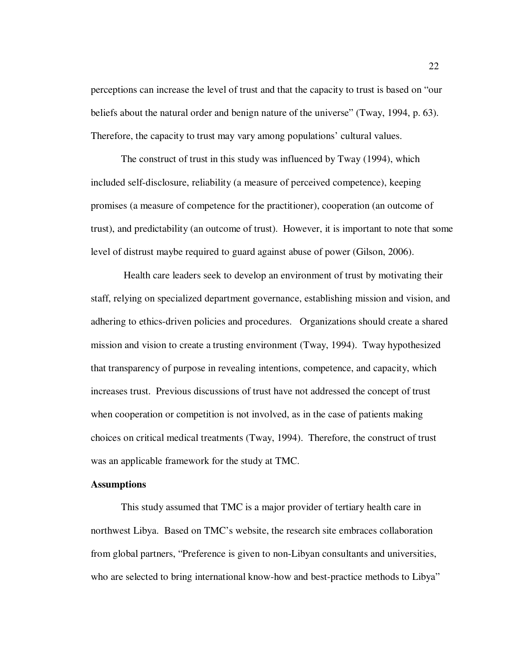perceptions can increase the level of trust and that the capacity to trust is based on "our beliefs about the natural order and benign nature of the universe" (Tway, 1994, p. 63). Therefore, the capacity to trust may vary among populations' cultural values.

The construct of trust in this study was influenced by Tway (1994), which included self-disclosure, reliability (a measure of perceived competence), keeping promises (a measure of competence for the practitioner), cooperation (an outcome of trust), and predictability (an outcome of trust). However, it is important to note that some level of distrust maybe required to guard against abuse of power (Gilson, 2006).

 Health care leaders seek to develop an environment of trust by motivating their staff, relying on specialized department governance, establishing mission and vision, and adhering to ethics-driven policies and procedures. Organizations should create a shared mission and vision to create a trusting environment (Tway, 1994). Tway hypothesized that transparency of purpose in revealing intentions, competence, and capacity, which increases trust. Previous discussions of trust have not addressed the concept of trust when cooperation or competition is not involved, as in the case of patients making choices on critical medical treatments (Tway, 1994). Therefore, the construct of trust was an applicable framework for the study at TMC.

# **Assumptions**

This study assumed that TMC is a major provider of tertiary health care in northwest Libya. Based on TMC's website, the research site embraces collaboration from global partners, "Preference is given to non-Libyan consultants and universities, who are selected to bring international know-how and best-practice methods to Libya"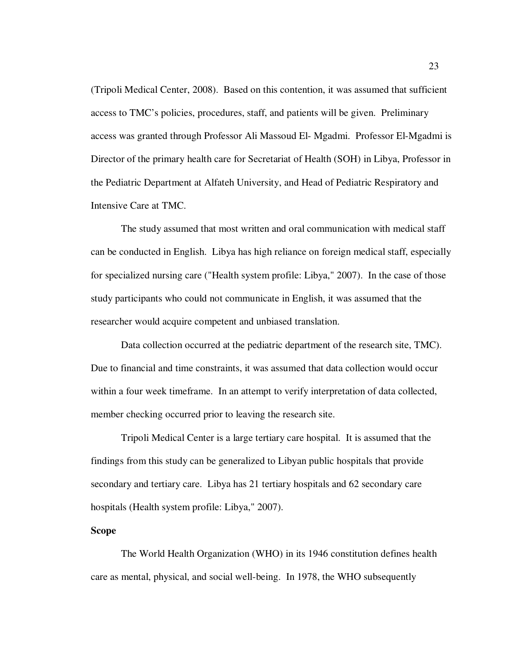(Tripoli Medical Center, 2008). Based on this contention, it was assumed that sufficient access to TMC's policies, procedures, staff, and patients will be given. Preliminary access was granted through Professor Ali Massoud El- Mgadmi. Professor El-Mgadmi is Director of the primary health care for Secretariat of Health (SOH) in Libya, Professor in the Pediatric Department at Alfateh University, and Head of Pediatric Respiratory and Intensive Care at TMC.

The study assumed that most written and oral communication with medical staff can be conducted in English. Libya has high reliance on foreign medical staff, especially for specialized nursing care ("Health system profile: Libya," 2007). In the case of those study participants who could not communicate in English, it was assumed that the researcher would acquire competent and unbiased translation.

Data collection occurred at the pediatric department of the research site, TMC). Due to financial and time constraints, it was assumed that data collection would occur within a four week timeframe. In an attempt to verify interpretation of data collected, member checking occurred prior to leaving the research site.

Tripoli Medical Center is a large tertiary care hospital. It is assumed that the findings from this study can be generalized to Libyan public hospitals that provide secondary and tertiary care. Libya has 21 tertiary hospitals and 62 secondary care hospitals (Health system profile: Libya," 2007).

### **Scope**

The World Health Organization (WHO) in its 1946 constitution defines health care as mental, physical, and social well-being. In 1978, the WHO subsequently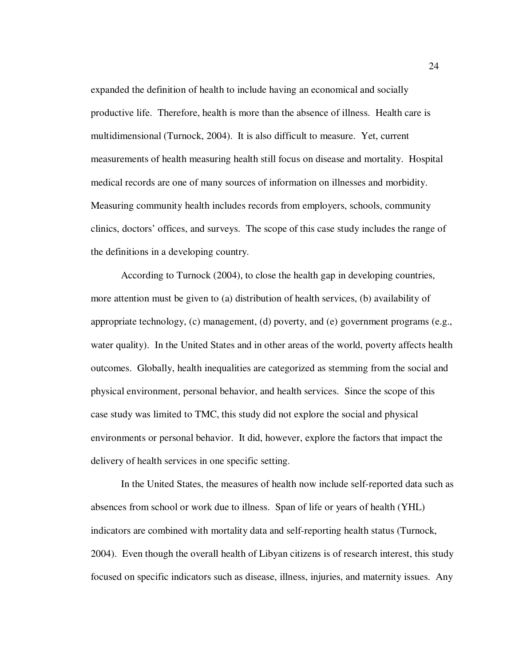expanded the definition of health to include having an economical and socially productive life. Therefore, health is more than the absence of illness. Health care is multidimensional (Turnock, 2004). It is also difficult to measure. Yet, current measurements of health measuring health still focus on disease and mortality. Hospital medical records are one of many sources of information on illnesses and morbidity. Measuring community health includes records from employers, schools, community clinics, doctors' offices, and surveys. The scope of this case study includes the range of the definitions in a developing country.

According to Turnock (2004), to close the health gap in developing countries, more attention must be given to (a) distribution of health services, (b) availability of appropriate technology, (c) management, (d) poverty, and (e) government programs (e.g., water quality). In the United States and in other areas of the world, poverty affects health outcomes. Globally, health inequalities are categorized as stemming from the social and physical environment, personal behavior, and health services. Since the scope of this case study was limited to TMC, this study did not explore the social and physical environments or personal behavior. It did, however, explore the factors that impact the delivery of health services in one specific setting.

In the United States, the measures of health now include self-reported data such as absences from school or work due to illness. Span of life or years of health (YHL) indicators are combined with mortality data and self-reporting health status (Turnock, 2004). Even though the overall health of Libyan citizens is of research interest, this study focused on specific indicators such as disease, illness, injuries, and maternity issues. Any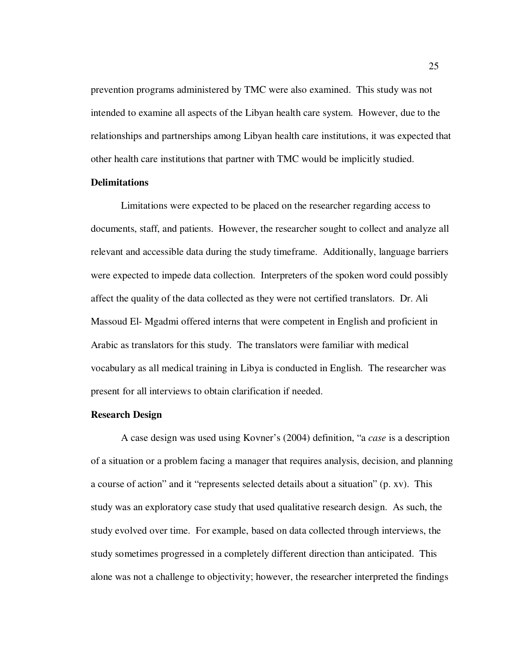prevention programs administered by TMC were also examined. This study was not intended to examine all aspects of the Libyan health care system. However, due to the relationships and partnerships among Libyan health care institutions, it was expected that other health care institutions that partner with TMC would be implicitly studied.

## **Delimitations**

Limitations were expected to be placed on the researcher regarding access to documents, staff, and patients. However, the researcher sought to collect and analyze all relevant and accessible data during the study timeframe. Additionally, language barriers were expected to impede data collection. Interpreters of the spoken word could possibly affect the quality of the data collected as they were not certified translators. Dr. Ali Massoud El- Mgadmi offered interns that were competent in English and proficient in Arabic as translators for this study. The translators were familiar with medical vocabulary as all medical training in Libya is conducted in English. The researcher was present for all interviews to obtain clarification if needed.

### **Research Design**

A case design was used using Kovner's (2004) definition, "a *case* is a description of a situation or a problem facing a manager that requires analysis, decision, and planning a course of action" and it "represents selected details about a situation" (p. xv). This study was an exploratory case study that used qualitative research design. As such, the study evolved over time. For example, based on data collected through interviews, the study sometimes progressed in a completely different direction than anticipated. This alone was not a challenge to objectivity; however, the researcher interpreted the findings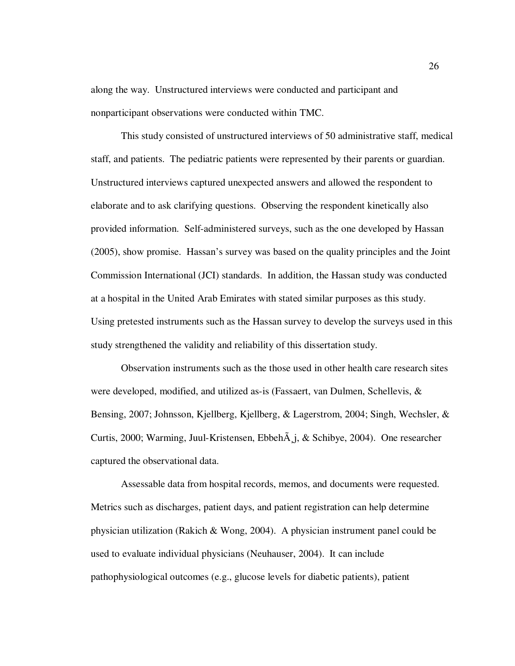along the way. Unstructured interviews were conducted and participant and nonparticipant observations were conducted within TMC.

This study consisted of unstructured interviews of 50 administrative staff, medical staff, and patients. The pediatric patients were represented by their parents or guardian. Unstructured interviews captured unexpected answers and allowed the respondent to elaborate and to ask clarifying questions. Observing the respondent kinetically also provided information. Self-administered surveys, such as the one developed by Hassan (2005), show promise. Hassan's survey was based on the quality principles and the Joint Commission International (JCI) standards. In addition, the Hassan study was conducted at a hospital in the United Arab Emirates with stated similar purposes as this study. Using pretested instruments such as the Hassan survey to develop the surveys used in this study strengthened the validity and reliability of this dissertation study.

Observation instruments such as the those used in other health care research sites were developed, modified, and utilized as-is (Fassaert, van Dulmen, Schellevis, & Bensing, 2007; Johnsson, Kjellberg, Kjellberg, & Lagerstrom, 2004; Singh, Wechsler, & Curtis, 2000; Warming, Juul-Kristensen, Ebbeh $\tilde{A}$ ,  $\tilde{A}$ , & Schibye, 2004). One researcher captured the observational data.

Assessable data from hospital records, memos, and documents were requested. Metrics such as discharges, patient days, and patient registration can help determine physician utilization (Rakich & Wong, 2004). A physician instrument panel could be used to evaluate individual physicians (Neuhauser, 2004). It can include pathophysiological outcomes (e.g., glucose levels for diabetic patients), patient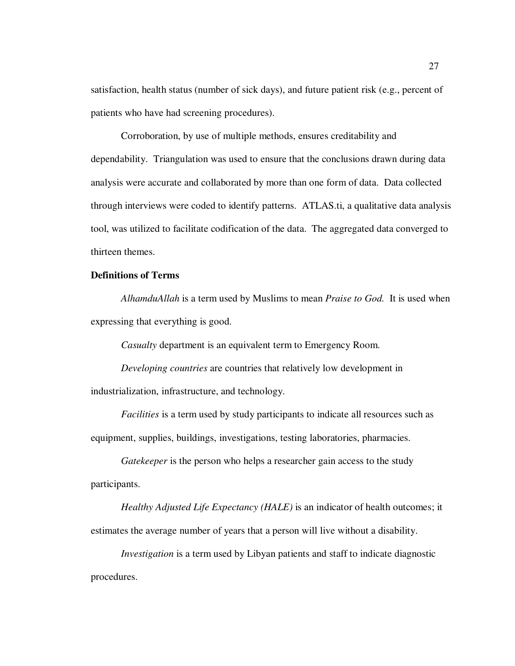satisfaction, health status (number of sick days), and future patient risk (e.g., percent of patients who have had screening procedures).

Corroboration, by use of multiple methods, ensures creditability and dependability. Triangulation was used to ensure that the conclusions drawn during data analysis were accurate and collaborated by more than one form of data. Data collected through interviews were coded to identify patterns. ATLAS.ti, a qualitative data analysis tool, was utilized to facilitate codification of the data. The aggregated data converged to thirteen themes.

# **Definitions of Terms**

*AlhamduAllah* is a term used by Muslims to mean *Praise to God.* It is used when expressing that everything is good.

*Casualty* department is an equivalent term to Emergency Room.

*Developing countries* are countries that relatively low development in industrialization, infrastructure, and technology.

*Facilities* is a term used by study participants to indicate all resources such as equipment, supplies, buildings, investigations, testing laboratories, pharmacies.

*Gatekeeper* is the person who helps a researcher gain access to the study participants.

*Healthy Adjusted Life Expectancy (HALE)* is an indicator of health outcomes; it estimates the average number of years that a person will live without a disability.

*Investigation* is a term used by Libyan patients and staff to indicate diagnostic procedures.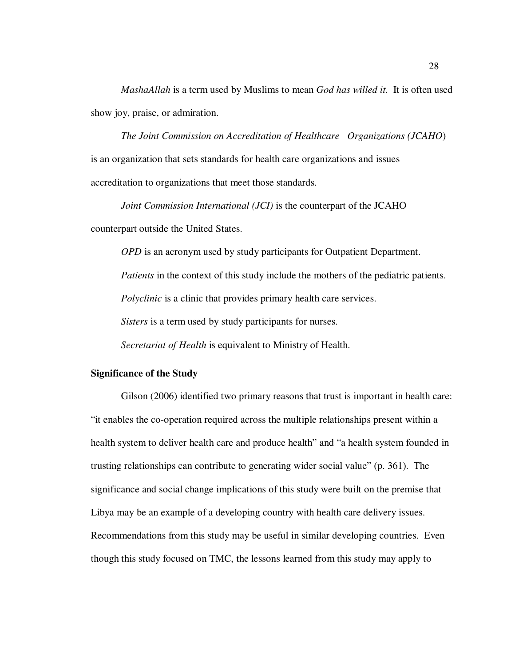*MashaAllah* is a term used by Muslims to mean *God has willed it.* It is often used show joy, praise, or admiration.

*The Joint Commission on Accreditation of Healthcare Organizations (JCAHO*) is an organization that sets standards for health care organizations and issues accreditation to organizations that meet those standards.

*Joint Commission International (JCI)* is the counterpart of the JCAHO counterpart outside the United States.

*OPD* is an acronym used by study participants for Outpatient Department.

*Patients* in the context of this study include the mothers of the pediatric patients.

*Polyclinic* is a clinic that provides primary health care services.

*Sisters* is a term used by study participants for nurses.

*Secretariat of Health* is equivalent to Ministry of Health.

## **Significance of the Study**

Gilson (2006) identified two primary reasons that trust is important in health care: "it enables the co-operation required across the multiple relationships present within a health system to deliver health care and produce health" and "a health system founded in trusting relationships can contribute to generating wider social value" (p. 361). The significance and social change implications of this study were built on the premise that Libya may be an example of a developing country with health care delivery issues. Recommendations from this study may be useful in similar developing countries. Even though this study focused on TMC, the lessons learned from this study may apply to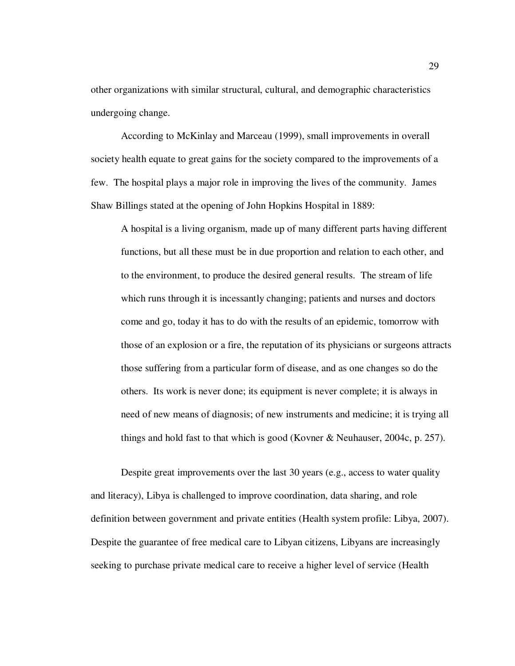other organizations with similar structural, cultural, and demographic characteristics undergoing change.

According to McKinlay and Marceau (1999), small improvements in overall society health equate to great gains for the society compared to the improvements of a few. The hospital plays a major role in improving the lives of the community. James Shaw Billings stated at the opening of John Hopkins Hospital in 1889:

A hospital is a living organism, made up of many different parts having different functions, but all these must be in due proportion and relation to each other, and to the environment, to produce the desired general results. The stream of life which runs through it is incessantly changing; patients and nurses and doctors come and go, today it has to do with the results of an epidemic, tomorrow with those of an explosion or a fire, the reputation of its physicians or surgeons attracts those suffering from a particular form of disease, and as one changes so do the others. Its work is never done; its equipment is never complete; it is always in need of new means of diagnosis; of new instruments and medicine; it is trying all things and hold fast to that which is good (Kovner & Neuhauser, 2004c, p. 257).

Despite great improvements over the last 30 years (e.g., access to water quality and literacy), Libya is challenged to improve coordination, data sharing, and role definition between government and private entities (Health system profile: Libya, 2007). Despite the guarantee of free medical care to Libyan citizens, Libyans are increasingly seeking to purchase private medical care to receive a higher level of service (Health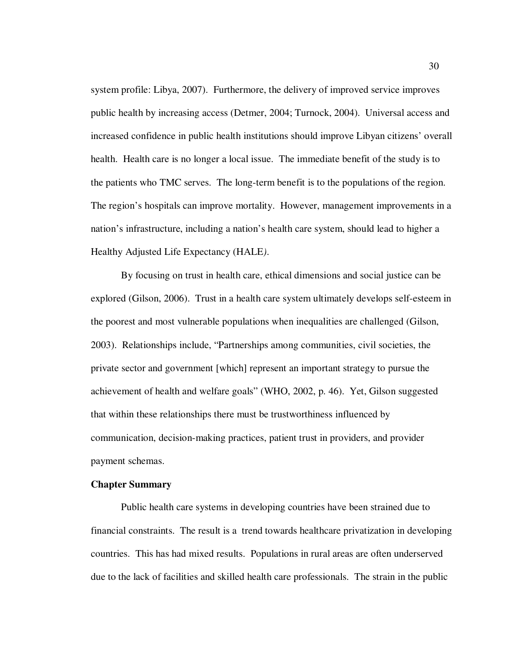system profile: Libya, 2007). Furthermore, the delivery of improved service improves public health by increasing access (Detmer, 2004; Turnock, 2004). Universal access and increased confidence in public health institutions should improve Libyan citizens' overall health. Health care is no longer a local issue. The immediate benefit of the study is to the patients who TMC serves. The long-term benefit is to the populations of the region. The region's hospitals can improve mortality. However, management improvements in a nation's infrastructure, including a nation's health care system, should lead to higher a Healthy Adjusted Life Expectancy (HALE*)*.

By focusing on trust in health care, ethical dimensions and social justice can be explored (Gilson, 2006). Trust in a health care system ultimately develops self-esteem in the poorest and most vulnerable populations when inequalities are challenged (Gilson, 2003). Relationships include, "Partnerships among communities, civil societies, the private sector and government [which] represent an important strategy to pursue the achievement of health and welfare goals" (WHO, 2002, p. 46). Yet, Gilson suggested that within these relationships there must be trustworthiness influenced by communication, decision-making practices, patient trust in providers, and provider payment schemas.

#### **Chapter Summary**

Public health care systems in developing countries have been strained due to financial constraints. The result is a trend towards healthcare privatization in developing countries. This has had mixed results. Populations in rural areas are often underserved due to the lack of facilities and skilled health care professionals. The strain in the public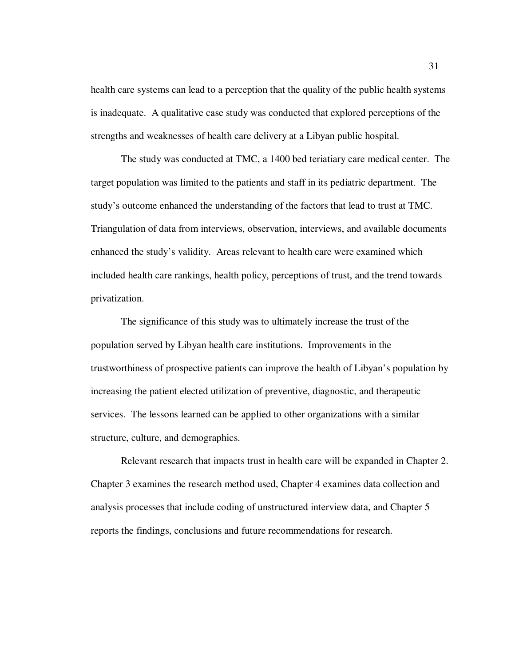health care systems can lead to a perception that the quality of the public health systems is inadequate. A qualitative case study was conducted that explored perceptions of the strengths and weaknesses of health care delivery at a Libyan public hospital.

The study was conducted at TMC, a 1400 bed teriatiary care medical center. The target population was limited to the patients and staff in its pediatric department. The study's outcome enhanced the understanding of the factors that lead to trust at TMC. Triangulation of data from interviews, observation, interviews, and available documents enhanced the study's validity. Areas relevant to health care were examined which included health care rankings, health policy, perceptions of trust, and the trend towards privatization.

The significance of this study was to ultimately increase the trust of the population served by Libyan health care institutions. Improvements in the trustworthiness of prospective patients can improve the health of Libyan's population by increasing the patient elected utilization of preventive, diagnostic, and therapeutic services. The lessons learned can be applied to other organizations with a similar structure, culture, and demographics.

Relevant research that impacts trust in health care will be expanded in Chapter 2. Chapter 3 examines the research method used, Chapter 4 examines data collection and analysis processes that include coding of unstructured interview data, and Chapter 5 reports the findings, conclusions and future recommendations for research.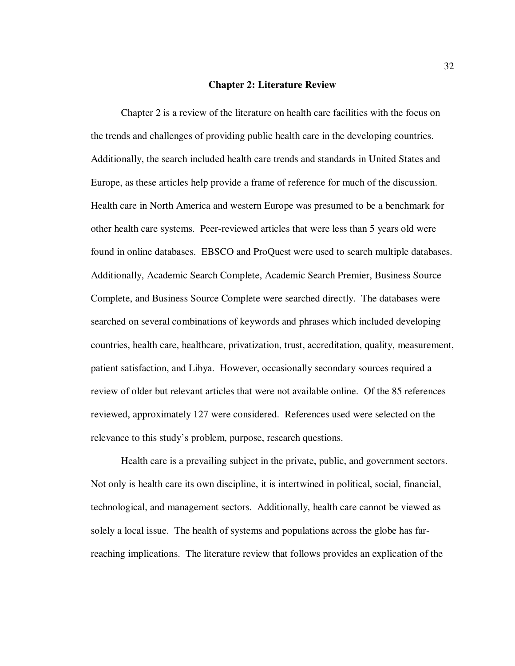#### **Chapter 2: Literature Review**

Chapter 2 is a review of the literature on health care facilities with the focus on the trends and challenges of providing public health care in the developing countries. Additionally, the search included health care trends and standards in United States and Europe, as these articles help provide a frame of reference for much of the discussion. Health care in North America and western Europe was presumed to be a benchmark for other health care systems. Peer-reviewed articles that were less than 5 years old were found in online databases. EBSCO and ProQuest were used to search multiple databases. Additionally, Academic Search Complete, Academic Search Premier, Business Source Complete, and Business Source Complete were searched directly. The databases were searched on several combinations of keywords and phrases which included developing countries, health care, healthcare, privatization, trust, accreditation, quality, measurement, patient satisfaction, and Libya. However, occasionally secondary sources required a review of older but relevant articles that were not available online. Of the 85 references reviewed, approximately 127 were considered. References used were selected on the relevance to this study's problem, purpose, research questions.

Health care is a prevailing subject in the private, public, and government sectors. Not only is health care its own discipline, it is intertwined in political, social, financial, technological, and management sectors. Additionally, health care cannot be viewed as solely a local issue. The health of systems and populations across the globe has farreaching implications. The literature review that follows provides an explication of the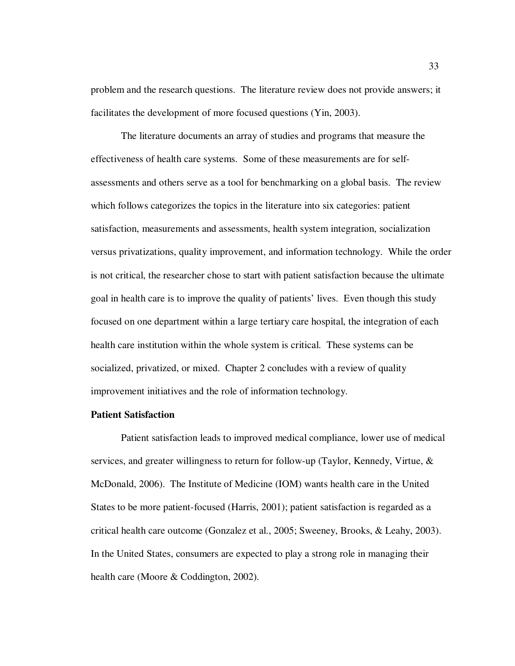problem and the research questions. The literature review does not provide answers; it facilitates the development of more focused questions (Yin, 2003).

The literature documents an array of studies and programs that measure the effectiveness of health care systems. Some of these measurements are for selfassessments and others serve as a tool for benchmarking on a global basis. The review which follows categorizes the topics in the literature into six categories: patient satisfaction, measurements and assessments, health system integration, socialization versus privatizations, quality improvement, and information technology. While the order is not critical, the researcher chose to start with patient satisfaction because the ultimate goal in health care is to improve the quality of patients' lives. Even though this study focused on one department within a large tertiary care hospital, the integration of each health care institution within the whole system is critical. These systems can be socialized, privatized, or mixed. Chapter 2 concludes with a review of quality improvement initiatives and the role of information technology.

# **Patient Satisfaction**

Patient satisfaction leads to improved medical compliance, lower use of medical services, and greater willingness to return for follow-up (Taylor, Kennedy, Virtue, & McDonald, 2006). The Institute of Medicine (IOM) wants health care in the United States to be more patient-focused (Harris, 2001); patient satisfaction is regarded as a critical health care outcome (Gonzalez et al., 2005; Sweeney, Brooks, & Leahy, 2003). In the United States, consumers are expected to play a strong role in managing their health care (Moore & Coddington, 2002).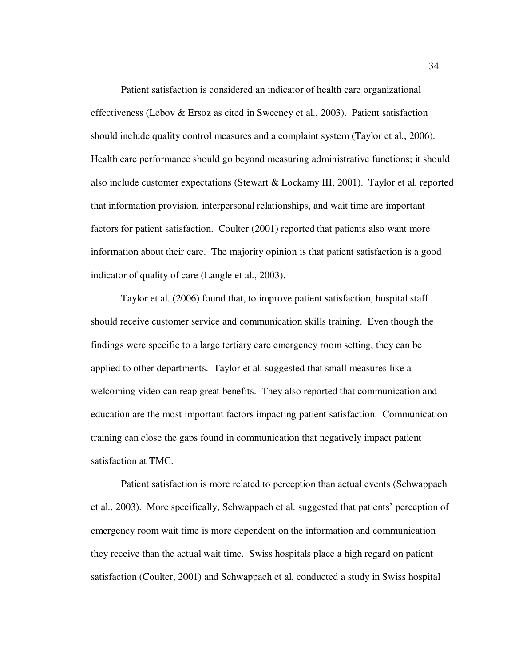Patient satisfaction is considered an indicator of health care organizational effectiveness (Lebov & Ersoz as cited in Sweeney et al., 2003). Patient satisfaction should include quality control measures and a complaint system (Taylor et al., 2006). Health care performance should go beyond measuring administrative functions; it should also include customer expectations (Stewart & Lockamy III, 2001). Taylor et al. reported that information provision, interpersonal relationships, and wait time are important factors for patient satisfaction. Coulter (2001) reported that patients also want more information about their care. The majority opinion is that patient satisfaction is a good indicator of quality of care (Langle et al., 2003).

Taylor et al. (2006) found that, to improve patient satisfaction, hospital staff should receive customer service and communication skills training. Even though the findings were specific to a large tertiary care emergency room setting, they can be applied to other departments. Taylor et al. suggested that small measures like a welcoming video can reap great benefits. They also reported that communication and education are the most important factors impacting patient satisfaction. Communication training can close the gaps found in communication that negatively impact patient satisfaction at TMC.

Patient satisfaction is more related to perception than actual events (Schwappach et al., 2003). More specifically, Schwappach et al. suggested that patients' perception of emergency room wait time is more dependent on the information and communication they receive than the actual wait time. Swiss hospitals place a high regard on patient satisfaction (Coulter, 2001) and Schwappach et al. conducted a study in Swiss hospital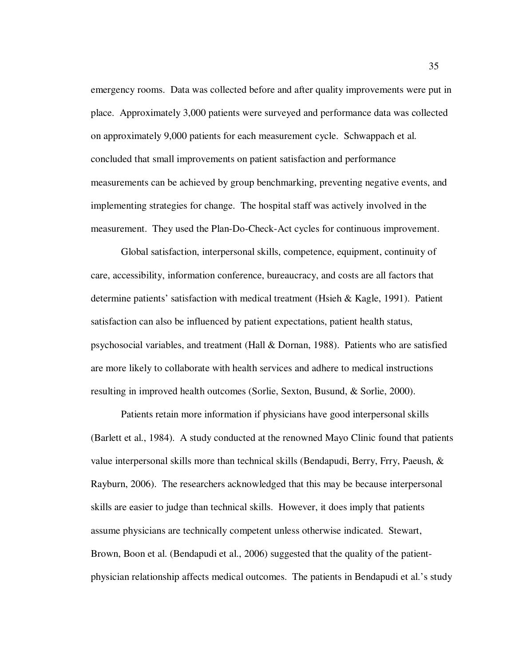emergency rooms. Data was collected before and after quality improvements were put in place. Approximately 3,000 patients were surveyed and performance data was collected on approximately 9,000 patients for each measurement cycle. Schwappach et al. concluded that small improvements on patient satisfaction and performance measurements can be achieved by group benchmarking, preventing negative events, and implementing strategies for change. The hospital staff was actively involved in the measurement. They used the Plan-Do-Check-Act cycles for continuous improvement.

Global satisfaction, interpersonal skills, competence, equipment, continuity of care, accessibility, information conference, bureaucracy, and costs are all factors that determine patients' satisfaction with medical treatment (Hsieh & Kagle, 1991). Patient satisfaction can also be influenced by patient expectations, patient health status, psychosocial variables, and treatment (Hall & Dornan, 1988). Patients who are satisfied are more likely to collaborate with health services and adhere to medical instructions resulting in improved health outcomes (Sorlie, Sexton, Busund, & Sorlie, 2000).

Patients retain more information if physicians have good interpersonal skills (Barlett et al., 1984). A study conducted at the renowned Mayo Clinic found that patients value interpersonal skills more than technical skills (Bendapudi, Berry, Frry, Paeush, & Rayburn, 2006). The researchers acknowledged that this may be because interpersonal skills are easier to judge than technical skills. However, it does imply that patients assume physicians are technically competent unless otherwise indicated. Stewart, Brown, Boon et al. (Bendapudi et al., 2006) suggested that the quality of the patientphysician relationship affects medical outcomes. The patients in Bendapudi et al.'s study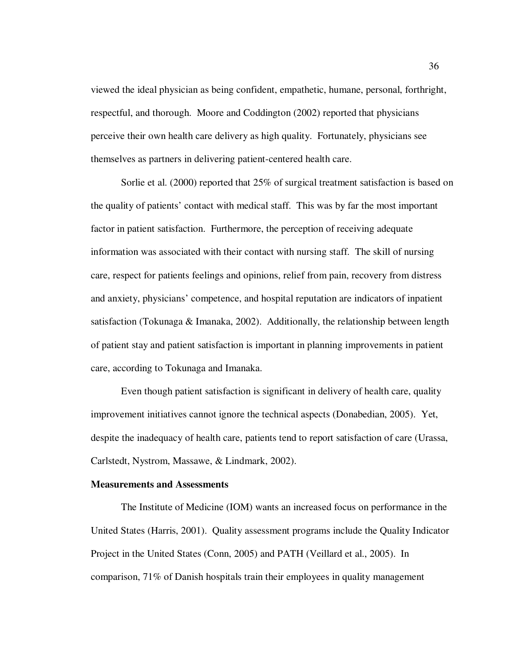viewed the ideal physician as being confident, empathetic, humane, personal, forthright, respectful, and thorough. Moore and Coddington (2002) reported that physicians perceive their own health care delivery as high quality. Fortunately, physicians see themselves as partners in delivering patient-centered health care.

Sorlie et al. (2000) reported that 25% of surgical treatment satisfaction is based on the quality of patients' contact with medical staff. This was by far the most important factor in patient satisfaction. Furthermore, the perception of receiving adequate information was associated with their contact with nursing staff. The skill of nursing care, respect for patients feelings and opinions, relief from pain, recovery from distress and anxiety, physicians' competence, and hospital reputation are indicators of inpatient satisfaction (Tokunaga & Imanaka, 2002). Additionally, the relationship between length of patient stay and patient satisfaction is important in planning improvements in patient care, according to Tokunaga and Imanaka.

Even though patient satisfaction is significant in delivery of health care, quality improvement initiatives cannot ignore the technical aspects (Donabedian, 2005). Yet, despite the inadequacy of health care, patients tend to report satisfaction of care (Urassa, Carlstedt, Nystrom, Massawe, & Lindmark, 2002).

#### **Measurements and Assessments**

The Institute of Medicine (IOM) wants an increased focus on performance in the United States (Harris, 2001). Quality assessment programs include the Quality Indicator Project in the United States (Conn, 2005) and PATH (Veillard et al., 2005). In comparison, 71% of Danish hospitals train their employees in quality management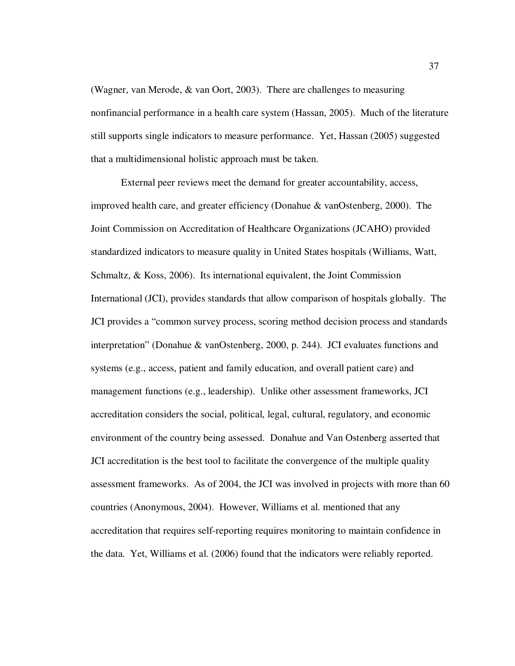(Wagner, van Merode, & van Oort, 2003). There are challenges to measuring nonfinancial performance in a health care system (Hassan, 2005). Much of the literature still supports single indicators to measure performance. Yet, Hassan (2005) suggested that a multidimensional holistic approach must be taken.

External peer reviews meet the demand for greater accountability, access, improved health care, and greater efficiency (Donahue & vanOstenberg, 2000). The Joint Commission on Accreditation of Healthcare Organizations (JCAHO) provided standardized indicators to measure quality in United States hospitals (Williams, Watt, Schmaltz, & Koss, 2006). Its international equivalent, the Joint Commission International (JCI), provides standards that allow comparison of hospitals globally. The JCI provides a "common survey process, scoring method decision process and standards interpretation" (Donahue & vanOstenberg, 2000, p. 244). JCI evaluates functions and systems (e.g., access, patient and family education, and overall patient care) and management functions (e.g., leadership). Unlike other assessment frameworks, JCI accreditation considers the social, political, legal, cultural, regulatory, and economic environment of the country being assessed. Donahue and Van Ostenberg asserted that JCI accreditation is the best tool to facilitate the convergence of the multiple quality assessment frameworks. As of 2004, the JCI was involved in projects with more than 60 countries (Anonymous, 2004). However, Williams et al. mentioned that any accreditation that requires self-reporting requires monitoring to maintain confidence in the data. Yet, Williams et al. (2006) found that the indicators were reliably reported.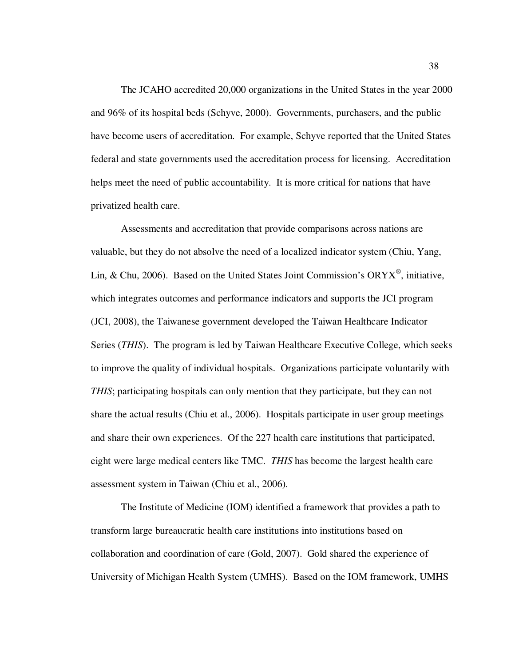The JCAHO accredited 20,000 organizations in the United States in the year 2000 and 96% of its hospital beds (Schyve, 2000). Governments, purchasers, and the public have become users of accreditation. For example, Schyve reported that the United States federal and state governments used the accreditation process for licensing. Accreditation helps meet the need of public accountability. It is more critical for nations that have privatized health care.

Assessments and accreditation that provide comparisons across nations are valuable, but they do not absolve the need of a localized indicator system (Chiu, Yang, Lin, & Chu, 2006). Based on the United States Joint Commission's ORYX<sup>®</sup>, initiative, which integrates outcomes and performance indicators and supports the JCI program (JCI, 2008), the Taiwanese government developed the Taiwan Healthcare Indicator Series (*THIS*). The program is led by Taiwan Healthcare Executive College, which seeks to improve the quality of individual hospitals. Organizations participate voluntarily with *THIS*; participating hospitals can only mention that they participate, but they can not share the actual results (Chiu et al., 2006). Hospitals participate in user group meetings and share their own experiences. Of the 227 health care institutions that participated, eight were large medical centers like TMC. *THIS* has become the largest health care assessment system in Taiwan (Chiu et al., 2006).

The Institute of Medicine (IOM) identified a framework that provides a path to transform large bureaucratic health care institutions into institutions based on collaboration and coordination of care (Gold, 2007). Gold shared the experience of University of Michigan Health System (UMHS). Based on the IOM framework, UMHS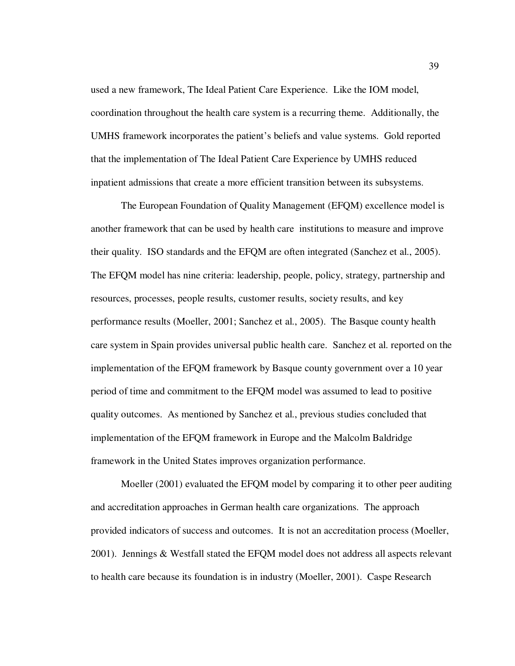used a new framework, The Ideal Patient Care Experience. Like the IOM model, coordination throughout the health care system is a recurring theme. Additionally, the UMHS framework incorporates the patient's beliefs and value systems. Gold reported that the implementation of The Ideal Patient Care Experience by UMHS reduced inpatient admissions that create a more efficient transition between its subsystems.

The European Foundation of Quality Management (EFQM) excellence model is another framework that can be used by health care institutions to measure and improve their quality. ISO standards and the EFQM are often integrated (Sanchez et al., 2005). The EFQM model has nine criteria: leadership, people, policy, strategy, partnership and resources, processes, people results, customer results, society results, and key performance results (Moeller, 2001; Sanchez et al., 2005). The Basque county health care system in Spain provides universal public health care. Sanchez et al. reported on the implementation of the EFQM framework by Basque county government over a 10 year period of time and commitment to the EFQM model was assumed to lead to positive quality outcomes. As mentioned by Sanchez et al., previous studies concluded that implementation of the EFQM framework in Europe and the Malcolm Baldridge framework in the United States improves organization performance.

Moeller (2001) evaluated the EFQM model by comparing it to other peer auditing and accreditation approaches in German health care organizations. The approach provided indicators of success and outcomes. It is not an accreditation process (Moeller, 2001). Jennings & Westfall stated the EFQM model does not address all aspects relevant to health care because its foundation is in industry (Moeller, 2001). Caspe Research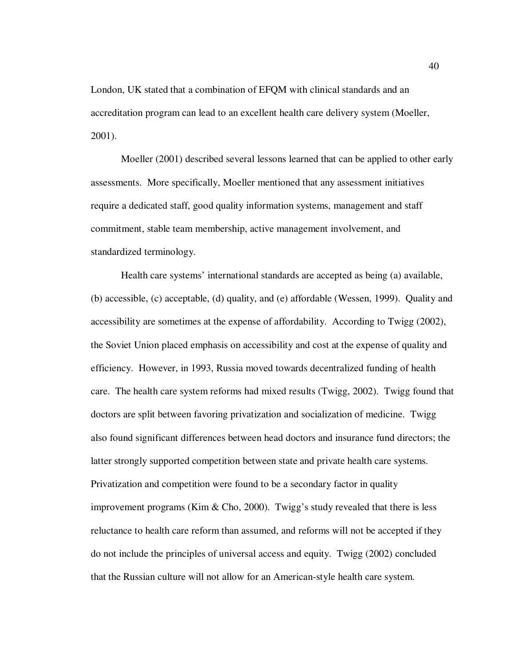London, UK stated that a combination of EFQM with clinical standards and an accreditation program can lead to an excellent health care delivery system (Moeller, 2001).

Moeller (2001) described several lessons learned that can be applied to other early assessments. More specifically, Moeller mentioned that any assessment initiatives require a dedicated staff, good quality information systems, management and staff commitment, stable team membership, active management involvement, and standardized terminology.

Health care systems' international standards are accepted as being (a) available, (b) accessible, (c) acceptable, (d) quality, and (e) affordable (Wessen, 1999). Quality and accessibility are sometimes at the expense of affordability. According to Twigg (2002), the Soviet Union placed emphasis on accessibility and cost at the expense of quality and efficiency. However, in 1993, Russia moved towards decentralized funding of health care. The health care system reforms had mixed results (Twigg, 2002). Twigg found that doctors are split between favoring privatization and socialization of medicine. Twigg also found significant differences between head doctors and insurance fund directors; the latter strongly supported competition between state and private health care systems. Privatization and competition were found to be a secondary factor in quality improvement programs (Kim & Cho, 2000). Twigg's study revealed that there is less reluctance to health care reform than assumed, and reforms will not be accepted if they do not include the principles of universal access and equity. Twigg (2002) concluded that the Russian culture will not allow for an American-style health care system.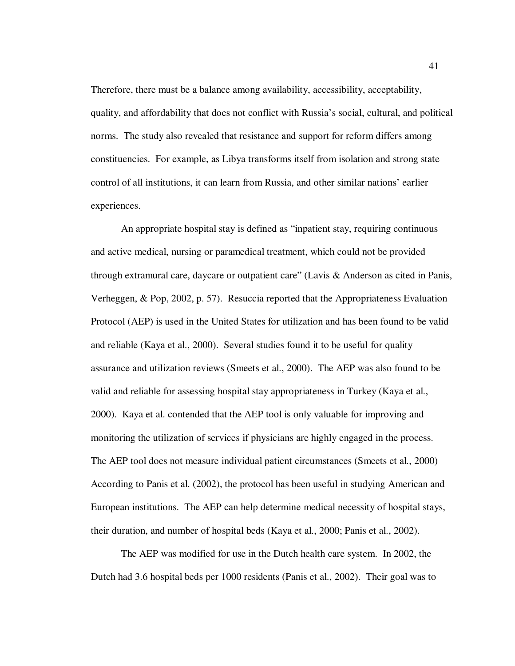Therefore, there must be a balance among availability, accessibility, acceptability, quality, and affordability that does not conflict with Russia's social, cultural, and political norms. The study also revealed that resistance and support for reform differs among constituencies. For example, as Libya transforms itself from isolation and strong state control of all institutions, it can learn from Russia, and other similar nations' earlier experiences.

An appropriate hospital stay is defined as "inpatient stay, requiring continuous and active medical, nursing or paramedical treatment, which could not be provided through extramural care, daycare or outpatient care" (Lavis & Anderson as cited in Panis, Verheggen, & Pop, 2002, p. 57). Resuccia reported that the Appropriateness Evaluation Protocol (AEP) is used in the United States for utilization and has been found to be valid and reliable (Kaya et al., 2000). Several studies found it to be useful for quality assurance and utilization reviews (Smeets et al., 2000). The AEP was also found to be valid and reliable for assessing hospital stay appropriateness in Turkey (Kaya et al., 2000). Kaya et al. contended that the AEP tool is only valuable for improving and monitoring the utilization of services if physicians are highly engaged in the process. The AEP tool does not measure individual patient circumstances (Smeets et al., 2000) According to Panis et al. (2002), the protocol has been useful in studying American and European institutions. The AEP can help determine medical necessity of hospital stays, their duration, and number of hospital beds (Kaya et al., 2000; Panis et al., 2002).

The AEP was modified for use in the Dutch health care system. In 2002, the Dutch had 3.6 hospital beds per 1000 residents (Panis et al., 2002). Their goal was to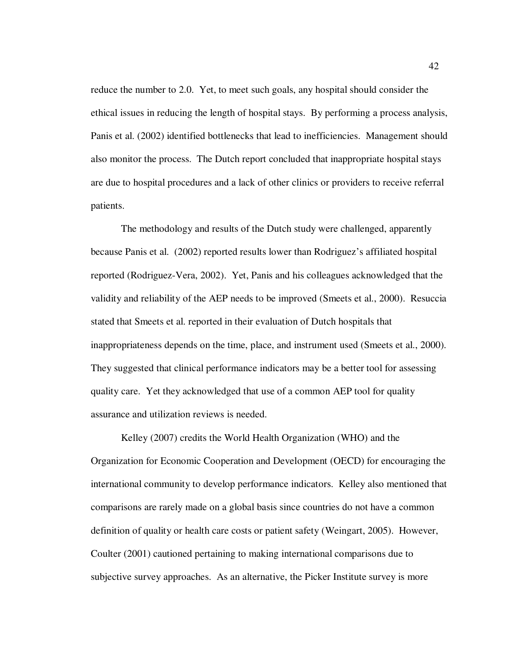reduce the number to 2.0. Yet, to meet such goals, any hospital should consider the ethical issues in reducing the length of hospital stays. By performing a process analysis, Panis et al. (2002) identified bottlenecks that lead to inefficiencies. Management should also monitor the process. The Dutch report concluded that inappropriate hospital stays are due to hospital procedures and a lack of other clinics or providers to receive referral patients.

The methodology and results of the Dutch study were challenged, apparently because Panis et al. (2002) reported results lower than Rodriguez's affiliated hospital reported (Rodriguez-Vera, 2002). Yet, Panis and his colleagues acknowledged that the validity and reliability of the AEP needs to be improved (Smeets et al., 2000). Resuccia stated that Smeets et al. reported in their evaluation of Dutch hospitals that inappropriateness depends on the time, place, and instrument used (Smeets et al., 2000). They suggested that clinical performance indicators may be a better tool for assessing quality care. Yet they acknowledged that use of a common AEP tool for quality assurance and utilization reviews is needed.

Kelley (2007) credits the World Health Organization (WHO) and the Organization for Economic Cooperation and Development (OECD) for encouraging the international community to develop performance indicators. Kelley also mentioned that comparisons are rarely made on a global basis since countries do not have a common definition of quality or health care costs or patient safety (Weingart, 2005). However, Coulter (2001) cautioned pertaining to making international comparisons due to subjective survey approaches. As an alternative, the Picker Institute survey is more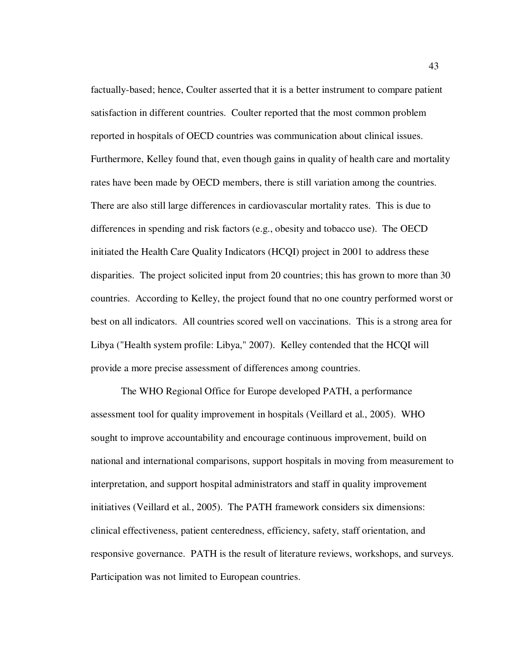factually-based; hence, Coulter asserted that it is a better instrument to compare patient satisfaction in different countries. Coulter reported that the most common problem reported in hospitals of OECD countries was communication about clinical issues. Furthermore, Kelley found that, even though gains in quality of health care and mortality rates have been made by OECD members, there is still variation among the countries. There are also still large differences in cardiovascular mortality rates. This is due to differences in spending and risk factors (e.g., obesity and tobacco use). The OECD initiated the Health Care Quality Indicators (HCQI) project in 2001 to address these disparities. The project solicited input from 20 countries; this has grown to more than 30 countries. According to Kelley, the project found that no one country performed worst or best on all indicators. All countries scored well on vaccinations. This is a strong area for Libya ("Health system profile: Libya," 2007). Kelley contended that the HCQI will provide a more precise assessment of differences among countries.

The WHO Regional Office for Europe developed PATH, a performance assessment tool for quality improvement in hospitals (Veillard et al., 2005). WHO sought to improve accountability and encourage continuous improvement, build on national and international comparisons, support hospitals in moving from measurement to interpretation, and support hospital administrators and staff in quality improvement initiatives (Veillard et al., 2005). The PATH framework considers six dimensions: clinical effectiveness, patient centeredness, efficiency, safety, staff orientation, and responsive governance. PATH is the result of literature reviews, workshops, and surveys. Participation was not limited to European countries.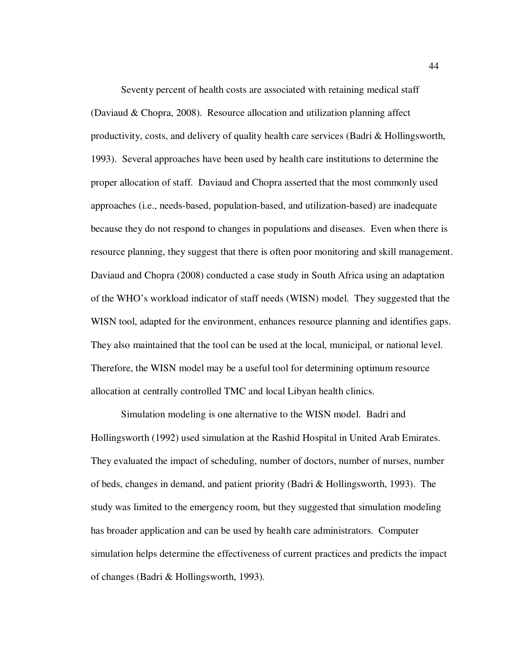Seventy percent of health costs are associated with retaining medical staff (Daviaud & Chopra, 2008). Resource allocation and utilization planning affect productivity, costs, and delivery of quality health care services (Badri & Hollingsworth, 1993). Several approaches have been used by health care institutions to determine the proper allocation of staff. Daviaud and Chopra asserted that the most commonly used approaches (i.e., needs-based, population-based, and utilization-based) are inadequate because they do not respond to changes in populations and diseases. Even when there is resource planning, they suggest that there is often poor monitoring and skill management. Daviaud and Chopra (2008) conducted a case study in South Africa using an adaptation of the WHO's workload indicator of staff needs (WISN) model. They suggested that the WISN tool, adapted for the environment, enhances resource planning and identifies gaps. They also maintained that the tool can be used at the local, municipal, or national level. Therefore, the WISN model may be a useful tool for determining optimum resource allocation at centrally controlled TMC and local Libyan health clinics.

Simulation modeling is one alternative to the WISN model. Badri and Hollingsworth (1992) used simulation at the Rashid Hospital in United Arab Emirates. They evaluated the impact of scheduling, number of doctors, number of nurses, number of beds, changes in demand, and patient priority (Badri & Hollingsworth, 1993). The study was limited to the emergency room, but they suggested that simulation modeling has broader application and can be used by health care administrators. Computer simulation helps determine the effectiveness of current practices and predicts the impact of changes (Badri & Hollingsworth, 1993).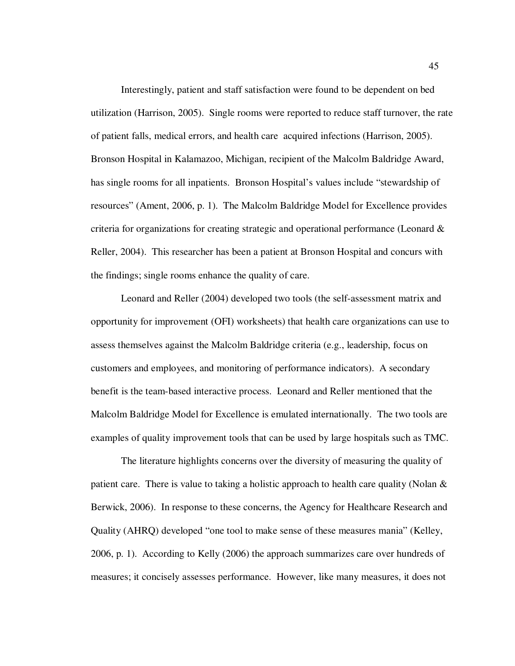Interestingly, patient and staff satisfaction were found to be dependent on bed utilization (Harrison, 2005). Single rooms were reported to reduce staff turnover, the rate of patient falls, medical errors, and health care acquired infections (Harrison, 2005). Bronson Hospital in Kalamazoo, Michigan, recipient of the Malcolm Baldridge Award, has single rooms for all inpatients. Bronson Hospital's values include "stewardship of resources" (Ament, 2006, p. 1). The Malcolm Baldridge Model for Excellence provides criteria for organizations for creating strategic and operational performance (Leonard  $\&$ Reller, 2004). This researcher has been a patient at Bronson Hospital and concurs with the findings; single rooms enhance the quality of care.

Leonard and Reller (2004) developed two tools (the self-assessment matrix and opportunity for improvement (OFI) worksheets) that health care organizations can use to assess themselves against the Malcolm Baldridge criteria (e.g., leadership, focus on customers and employees, and monitoring of performance indicators). A secondary benefit is the team-based interactive process. Leonard and Reller mentioned that the Malcolm Baldridge Model for Excellence is emulated internationally. The two tools are examples of quality improvement tools that can be used by large hospitals such as TMC.

The literature highlights concerns over the diversity of measuring the quality of patient care. There is value to taking a holistic approach to health care quality (Nolan  $\&$ Berwick, 2006). In response to these concerns, the Agency for Healthcare Research and Quality (AHRQ) developed "one tool to make sense of these measures mania" (Kelley, 2006, p. 1). According to Kelly (2006) the approach summarizes care over hundreds of measures; it concisely assesses performance. However, like many measures, it does not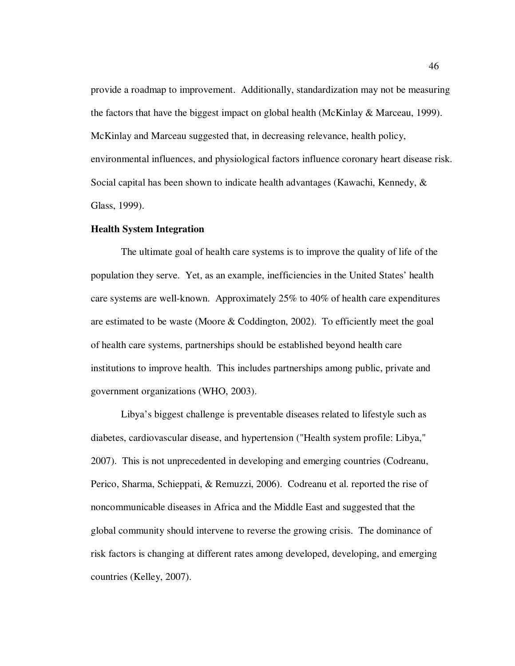provide a roadmap to improvement. Additionally, standardization may not be measuring the factors that have the biggest impact on global health (McKinlay  $\&$  Marceau, 1999). McKinlay and Marceau suggested that, in decreasing relevance, health policy, environmental influences, and physiological factors influence coronary heart disease risk. Social capital has been shown to indicate health advantages (Kawachi, Kennedy, & Glass, 1999).

#### **Health System Integration**

The ultimate goal of health care systems is to improve the quality of life of the population they serve. Yet, as an example, inefficiencies in the United States' health care systems are well-known. Approximately 25% to 40% of health care expenditures are estimated to be waste (Moore & Coddington, 2002). To efficiently meet the goal of health care systems, partnerships should be established beyond health care institutions to improve health. This includes partnerships among public, private and government organizations (WHO, 2003).

Libya's biggest challenge is preventable diseases related to lifestyle such as diabetes, cardiovascular disease, and hypertension ("Health system profile: Libya," 2007). This is not unprecedented in developing and emerging countries (Codreanu, Perico, Sharma, Schieppati, & Remuzzi, 2006). Codreanu et al. reported the rise of noncommunicable diseases in Africa and the Middle East and suggested that the global community should intervene to reverse the growing crisis. The dominance of risk factors is changing at different rates among developed, developing, and emerging countries (Kelley, 2007).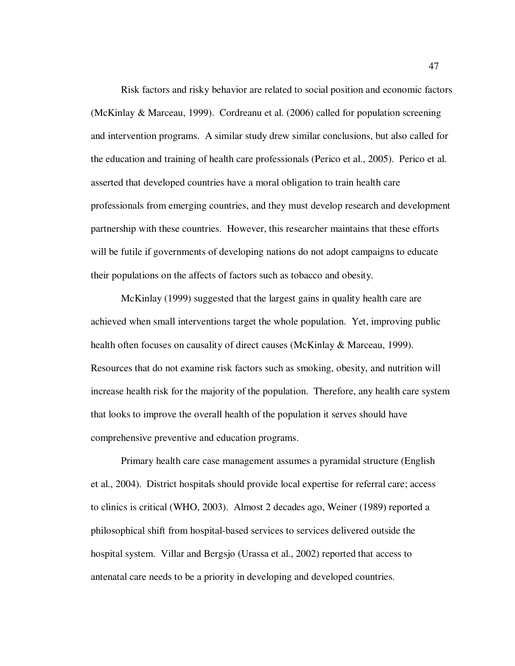Risk factors and risky behavior are related to social position and economic factors (McKinlay & Marceau, 1999). Cordreanu et al. (2006) called for population screening and intervention programs. A similar study drew similar conclusions, but also called for the education and training of health care professionals (Perico et al., 2005). Perico et al. asserted that developed countries have a moral obligation to train health care professionals from emerging countries, and they must develop research and development partnership with these countries. However, this researcher maintains that these efforts will be futile if governments of developing nations do not adopt campaigns to educate their populations on the affects of factors such as tobacco and obesity.

McKinlay (1999) suggested that the largest gains in quality health care are achieved when small interventions target the whole population. Yet, improving public health often focuses on causality of direct causes (McKinlay & Marceau, 1999). Resources that do not examine risk factors such as smoking, obesity, and nutrition will increase health risk for the majority of the population. Therefore, any health care system that looks to improve the overall health of the population it serves should have comprehensive preventive and education programs.

Primary health care case management assumes a pyramidal structure (English et al., 2004). District hospitals should provide local expertise for referral care; access to clinics is critical (WHO, 2003). Almost 2 decades ago, Weiner (1989) reported a philosophical shift from hospital-based services to services delivered outside the hospital system. Villar and Bergsjo (Urassa et al., 2002) reported that access to antenatal care needs to be a priority in developing and developed countries.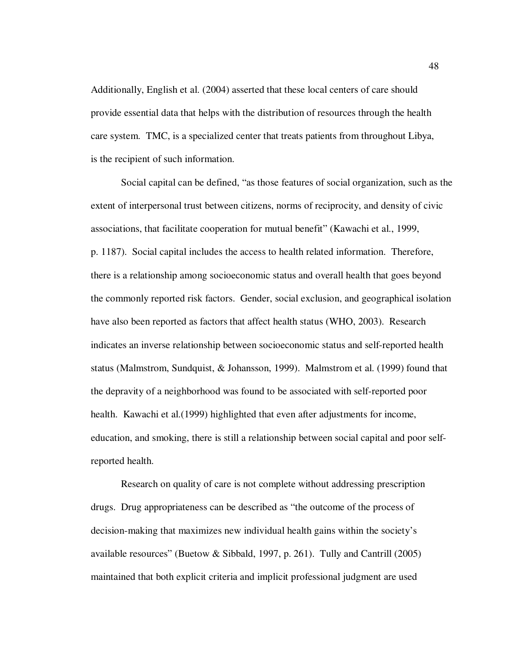Additionally, English et al. (2004) asserted that these local centers of care should provide essential data that helps with the distribution of resources through the health care system. TMC, is a specialized center that treats patients from throughout Libya, is the recipient of such information.

Social capital can be defined, "as those features of social organization, such as the extent of interpersonal trust between citizens, norms of reciprocity, and density of civic associations, that facilitate cooperation for mutual benefit" (Kawachi et al., 1999, p. 1187). Social capital includes the access to health related information. Therefore, there is a relationship among socioeconomic status and overall health that goes beyond the commonly reported risk factors. Gender, social exclusion, and geographical isolation have also been reported as factors that affect health status (WHO, 2003). Research indicates an inverse relationship between socioeconomic status and self-reported health status (Malmstrom, Sundquist, & Johansson, 1999). Malmstrom et al. (1999) found that the depravity of a neighborhood was found to be associated with self-reported poor health. Kawachi et al.(1999) highlighted that even after adjustments for income, education, and smoking, there is still a relationship between social capital and poor selfreported health.

Research on quality of care is not complete without addressing prescription drugs. Drug appropriateness can be described as "the outcome of the process of decision-making that maximizes new individual health gains within the society's available resources" (Buetow & Sibbald, 1997, p. 261). Tully and Cantrill (2005) maintained that both explicit criteria and implicit professional judgment are used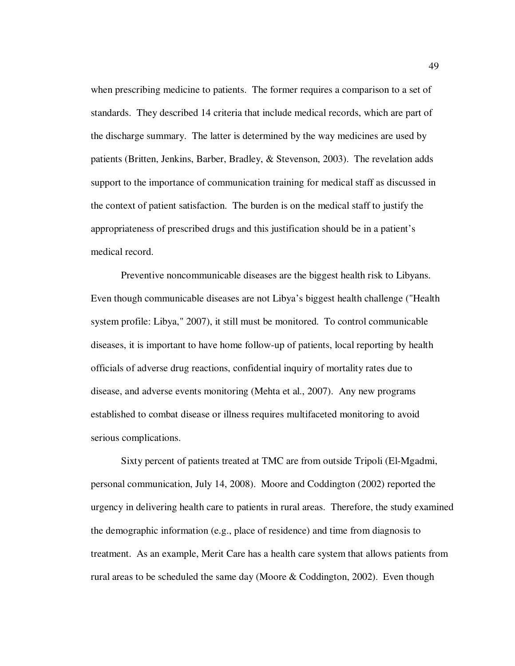when prescribing medicine to patients. The former requires a comparison to a set of standards. They described 14 criteria that include medical records, which are part of the discharge summary. The latter is determined by the way medicines are used by patients (Britten, Jenkins, Barber, Bradley, & Stevenson, 2003). The revelation adds support to the importance of communication training for medical staff as discussed in the context of patient satisfaction. The burden is on the medical staff to justify the appropriateness of prescribed drugs and this justification should be in a patient's medical record.

Preventive noncommunicable diseases are the biggest health risk to Libyans. Even though communicable diseases are not Libya's biggest health challenge ("Health system profile: Libya," 2007), it still must be monitored. To control communicable diseases, it is important to have home follow-up of patients, local reporting by health officials of adverse drug reactions, confidential inquiry of mortality rates due to disease, and adverse events monitoring (Mehta et al., 2007). Any new programs established to combat disease or illness requires multifaceted monitoring to avoid serious complications.

Sixty percent of patients treated at TMC are from outside Tripoli (El-Mgadmi, personal communication, July 14, 2008). Moore and Coddington (2002) reported the urgency in delivering health care to patients in rural areas. Therefore, the study examined the demographic information (e.g., place of residence) and time from diagnosis to treatment. As an example, Merit Care has a health care system that allows patients from rural areas to be scheduled the same day (Moore & Coddington, 2002). Even though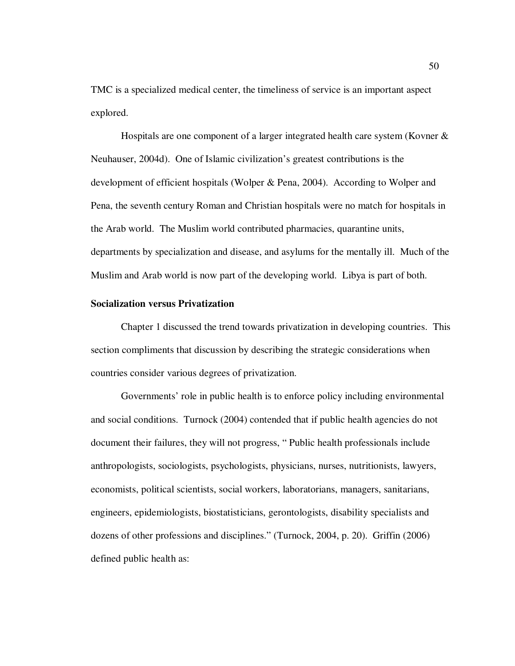TMC is a specialized medical center, the timeliness of service is an important aspect explored.

Hospitals are one component of a larger integrated health care system (Kovner & Neuhauser, 2004d). One of Islamic civilization's greatest contributions is the development of efficient hospitals (Wolper & Pena, 2004). According to Wolper and Pena, the seventh century Roman and Christian hospitals were no match for hospitals in the Arab world. The Muslim world contributed pharmacies, quarantine units, departments by specialization and disease, and asylums for the mentally ill. Much of the Muslim and Arab world is now part of the developing world. Libya is part of both.

# **Socialization versus Privatization**

Chapter 1 discussed the trend towards privatization in developing countries. This section compliments that discussion by describing the strategic considerations when countries consider various degrees of privatization.

Governments' role in public health is to enforce policy including environmental and social conditions. Turnock (2004) contended that if public health agencies do not document their failures, they will not progress, " Public health professionals include anthropologists, sociologists, psychologists, physicians, nurses, nutritionists, lawyers, economists, political scientists, social workers, laboratorians, managers, sanitarians, engineers, epidemiologists, biostatisticians, gerontologists, disability specialists and dozens of other professions and disciplines." (Turnock, 2004, p. 20). Griffin (2006) defined public health as: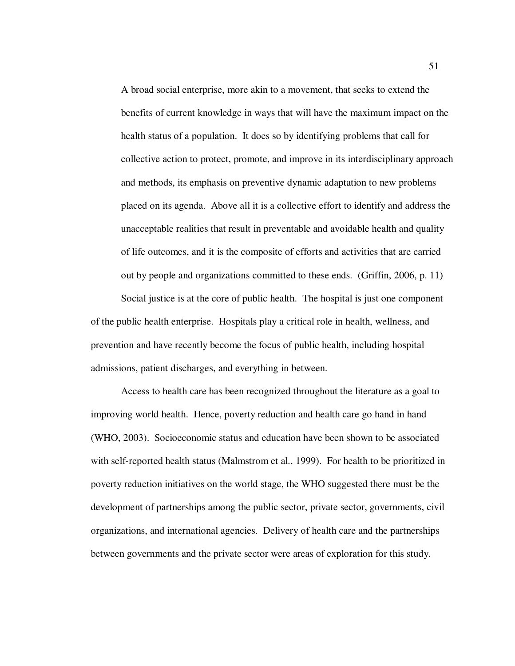A broad social enterprise, more akin to a movement, that seeks to extend the benefits of current knowledge in ways that will have the maximum impact on the health status of a population. It does so by identifying problems that call for collective action to protect, promote, and improve in its interdisciplinary approach and methods, its emphasis on preventive dynamic adaptation to new problems placed on its agenda. Above all it is a collective effort to identify and address the unacceptable realities that result in preventable and avoidable health and quality of life outcomes, and it is the composite of efforts and activities that are carried out by people and organizations committed to these ends. (Griffin, 2006, p. 11) Social justice is at the core of public health. The hospital is just one component

of the public health enterprise. Hospitals play a critical role in health, wellness, and prevention and have recently become the focus of public health, including hospital admissions, patient discharges, and everything in between.

Access to health care has been recognized throughout the literature as a goal to improving world health. Hence, poverty reduction and health care go hand in hand (WHO, 2003). Socioeconomic status and education have been shown to be associated with self-reported health status (Malmstrom et al., 1999). For health to be prioritized in poverty reduction initiatives on the world stage, the WHO suggested there must be the development of partnerships among the public sector, private sector, governments, civil organizations, and international agencies. Delivery of health care and the partnerships between governments and the private sector were areas of exploration for this study.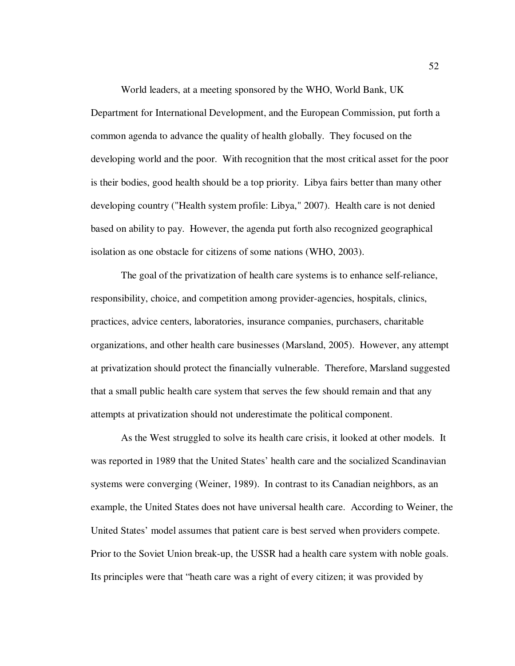World leaders, at a meeting sponsored by the WHO, World Bank, UK Department for International Development, and the European Commission, put forth a common agenda to advance the quality of health globally. They focused on the developing world and the poor. With recognition that the most critical asset for the poor is their bodies, good health should be a top priority. Libya fairs better than many other developing country ("Health system profile: Libya," 2007). Health care is not denied based on ability to pay. However, the agenda put forth also recognized geographical isolation as one obstacle for citizens of some nations (WHO, 2003).

The goal of the privatization of health care systems is to enhance self-reliance, responsibility, choice, and competition among provider-agencies, hospitals, clinics, practices, advice centers, laboratories, insurance companies, purchasers, charitable organizations, and other health care businesses (Marsland, 2005). However, any attempt at privatization should protect the financially vulnerable. Therefore, Marsland suggested that a small public health care system that serves the few should remain and that any attempts at privatization should not underestimate the political component.

As the West struggled to solve its health care crisis, it looked at other models. It was reported in 1989 that the United States' health care and the socialized Scandinavian systems were converging (Weiner, 1989). In contrast to its Canadian neighbors, as an example, the United States does not have universal health care. According to Weiner, the United States' model assumes that patient care is best served when providers compete. Prior to the Soviet Union break-up, the USSR had a health care system with noble goals. Its principles were that "heath care was a right of every citizen; it was provided by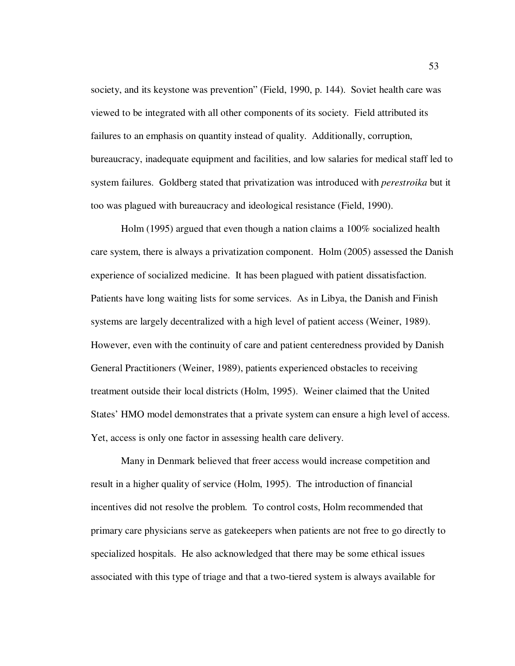society, and its keystone was prevention" (Field, 1990, p. 144). Soviet health care was viewed to be integrated with all other components of its society. Field attributed its failures to an emphasis on quantity instead of quality. Additionally, corruption, bureaucracy, inadequate equipment and facilities, and low salaries for medical staff led to system failures. Goldberg stated that privatization was introduced with *perestroika* but it too was plagued with bureaucracy and ideological resistance (Field, 1990).

Holm (1995) argued that even though a nation claims a 100% socialized health care system, there is always a privatization component. Holm (2005) assessed the Danish experience of socialized medicine. It has been plagued with patient dissatisfaction. Patients have long waiting lists for some services. As in Libya, the Danish and Finish systems are largely decentralized with a high level of patient access (Weiner, 1989). However, even with the continuity of care and patient centeredness provided by Danish General Practitioners (Weiner, 1989), patients experienced obstacles to receiving treatment outside their local districts (Holm, 1995). Weiner claimed that the United States' HMO model demonstrates that a private system can ensure a high level of access. Yet, access is only one factor in assessing health care delivery.

Many in Denmark believed that freer access would increase competition and result in a higher quality of service (Holm, 1995). The introduction of financial incentives did not resolve the problem. To control costs, Holm recommended that primary care physicians serve as gatekeepers when patients are not free to go directly to specialized hospitals. He also acknowledged that there may be some ethical issues associated with this type of triage and that a two-tiered system is always available for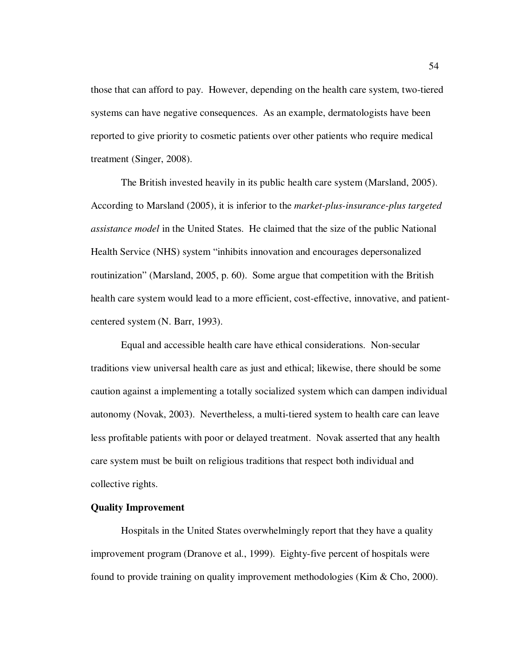those that can afford to pay. However, depending on the health care system, two-tiered systems can have negative consequences. As an example, dermatologists have been reported to give priority to cosmetic patients over other patients who require medical treatment (Singer, 2008).

The British invested heavily in its public health care system (Marsland, 2005). According to Marsland (2005), it is inferior to the *market-plus-insurance-plus targeted assistance model* in the United States. He claimed that the size of the public National Health Service (NHS) system "inhibits innovation and encourages depersonalized routinization" (Marsland, 2005, p. 60). Some argue that competition with the British health care system would lead to a more efficient, cost-effective, innovative, and patientcentered system (N. Barr, 1993).

Equal and accessible health care have ethical considerations. Non-secular traditions view universal health care as just and ethical; likewise, there should be some caution against a implementing a totally socialized system which can dampen individual autonomy (Novak, 2003). Nevertheless, a multi-tiered system to health care can leave less profitable patients with poor or delayed treatment. Novak asserted that any health care system must be built on religious traditions that respect both individual and collective rights.

# **Quality Improvement**

Hospitals in the United States overwhelmingly report that they have a quality improvement program (Dranove et al., 1999). Eighty-five percent of hospitals were found to provide training on quality improvement methodologies (Kim & Cho, 2000).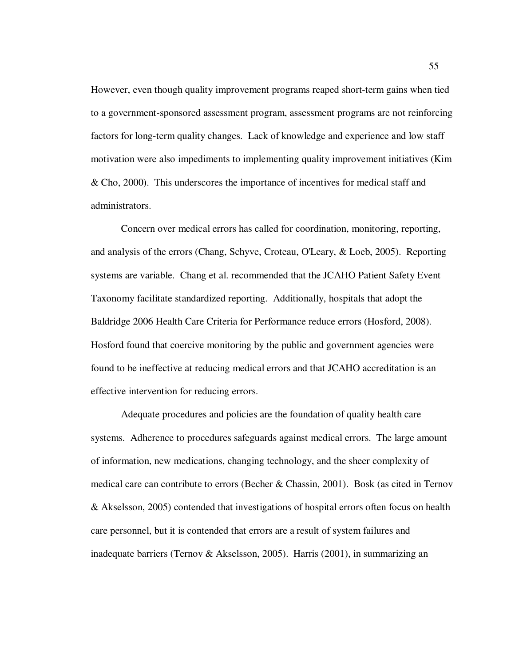However, even though quality improvement programs reaped short-term gains when tied to a government-sponsored assessment program, assessment programs are not reinforcing factors for long-term quality changes. Lack of knowledge and experience and low staff motivation were also impediments to implementing quality improvement initiatives (Kim & Cho, 2000). This underscores the importance of incentives for medical staff and administrators.

Concern over medical errors has called for coordination, monitoring, reporting, and analysis of the errors (Chang, Schyve, Croteau, O'Leary, & Loeb, 2005). Reporting systems are variable. Chang et al. recommended that the JCAHO Patient Safety Event Taxonomy facilitate standardized reporting. Additionally, hospitals that adopt the Baldridge 2006 Health Care Criteria for Performance reduce errors (Hosford, 2008). Hosford found that coercive monitoring by the public and government agencies were found to be ineffective at reducing medical errors and that JCAHO accreditation is an effective intervention for reducing errors.

Adequate procedures and policies are the foundation of quality health care systems. Adherence to procedures safeguards against medical errors. The large amount of information, new medications, changing technology, and the sheer complexity of medical care can contribute to errors (Becher  $\&$  Chassin, 2001). Bosk (as cited in Ternov & Akselsson, 2005) contended that investigations of hospital errors often focus on health care personnel, but it is contended that errors are a result of system failures and inadequate barriers (Ternov & Akselsson, 2005). Harris (2001), in summarizing an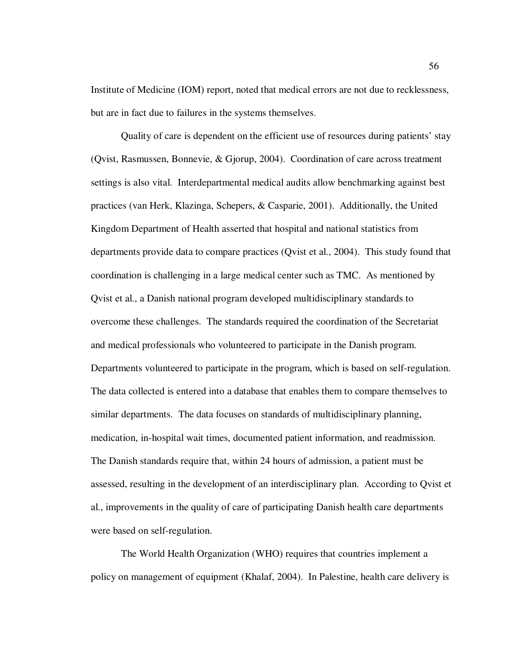Institute of Medicine (IOM) report, noted that medical errors are not due to recklessness, but are in fact due to failures in the systems themselves.

Quality of care is dependent on the efficient use of resources during patients' stay (Qvist, Rasmussen, Bonnevie, & Gjorup, 2004). Coordination of care across treatment settings is also vital. Interdepartmental medical audits allow benchmarking against best practices (van Herk, Klazinga, Schepers, & Casparie, 2001). Additionally, the United Kingdom Department of Health asserted that hospital and national statistics from departments provide data to compare practices (Qvist et al., 2004). This study found that coordination is challenging in a large medical center such as TMC. As mentioned by Qvist et al., a Danish national program developed multidisciplinary standards to overcome these challenges. The standards required the coordination of the Secretariat and medical professionals who volunteered to participate in the Danish program. Departments volunteered to participate in the program, which is based on self-regulation. The data collected is entered into a database that enables them to compare themselves to similar departments. The data focuses on standards of multidisciplinary planning, medication, in-hospital wait times, documented patient information, and readmission. The Danish standards require that, within 24 hours of admission, a patient must be assessed, resulting in the development of an interdisciplinary plan. According to Qvist et al., improvements in the quality of care of participating Danish health care departments were based on self-regulation.

The World Health Organization (WHO) requires that countries implement a policy on management of equipment (Khalaf, 2004). In Palestine, health care delivery is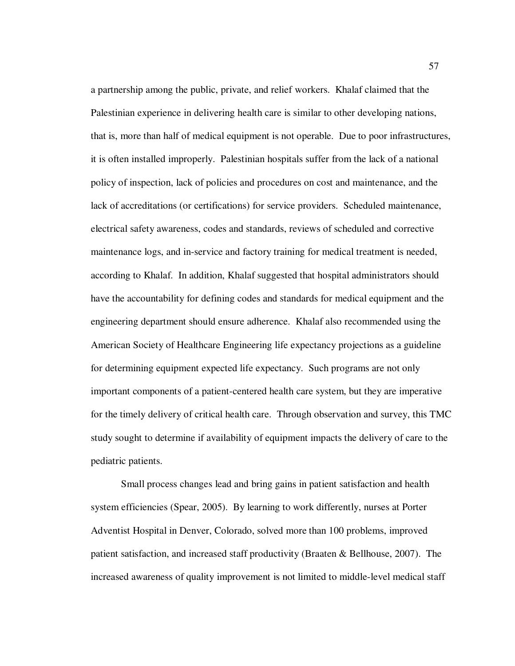a partnership among the public, private, and relief workers. Khalaf claimed that the Palestinian experience in delivering health care is similar to other developing nations, that is, more than half of medical equipment is not operable. Due to poor infrastructures, it is often installed improperly. Palestinian hospitals suffer from the lack of a national policy of inspection, lack of policies and procedures on cost and maintenance, and the lack of accreditations (or certifications) for service providers. Scheduled maintenance, electrical safety awareness, codes and standards, reviews of scheduled and corrective maintenance logs, and in-service and factory training for medical treatment is needed, according to Khalaf. In addition, Khalaf suggested that hospital administrators should have the accountability for defining codes and standards for medical equipment and the engineering department should ensure adherence. Khalaf also recommended using the American Society of Healthcare Engineering life expectancy projections as a guideline for determining equipment expected life expectancy. Such programs are not only important components of a patient-centered health care system, but they are imperative for the timely delivery of critical health care. Through observation and survey, this TMC study sought to determine if availability of equipment impacts the delivery of care to the pediatric patients.

Small process changes lead and bring gains in patient satisfaction and health system efficiencies (Spear, 2005). By learning to work differently, nurses at Porter Adventist Hospital in Denver, Colorado, solved more than 100 problems, improved patient satisfaction, and increased staff productivity (Braaten & Bellhouse, 2007). The increased awareness of quality improvement is not limited to middle-level medical staff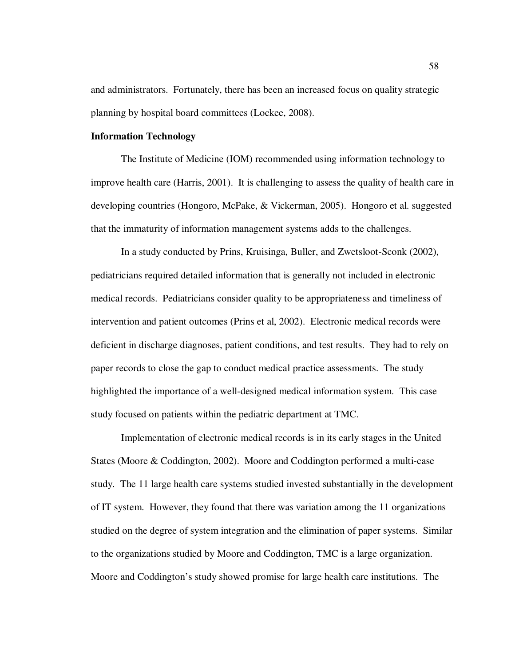and administrators. Fortunately, there has been an increased focus on quality strategic planning by hospital board committees (Lockee, 2008).

## **Information Technology**

The Institute of Medicine (IOM) recommended using information technology to improve health care (Harris, 2001). It is challenging to assess the quality of health care in developing countries (Hongoro, McPake, & Vickerman, 2005). Hongoro et al. suggested that the immaturity of information management systems adds to the challenges.

In a study conducted by Prins, Kruisinga, Buller, and Zwetsloot-Sconk (2002), pediatricians required detailed information that is generally not included in electronic medical records. Pediatricians consider quality to be appropriateness and timeliness of intervention and patient outcomes (Prins et al, 2002). Electronic medical records were deficient in discharge diagnoses, patient conditions, and test results. They had to rely on paper records to close the gap to conduct medical practice assessments. The study highlighted the importance of a well-designed medical information system. This case study focused on patients within the pediatric department at TMC.

Implementation of electronic medical records is in its early stages in the United States (Moore & Coddington, 2002). Moore and Coddington performed a multi-case study. The 11 large health care systems studied invested substantially in the development of IT system. However, they found that there was variation among the 11 organizations studied on the degree of system integration and the elimination of paper systems. Similar to the organizations studied by Moore and Coddington, TMC is a large organization. Moore and Coddington's study showed promise for large health care institutions. The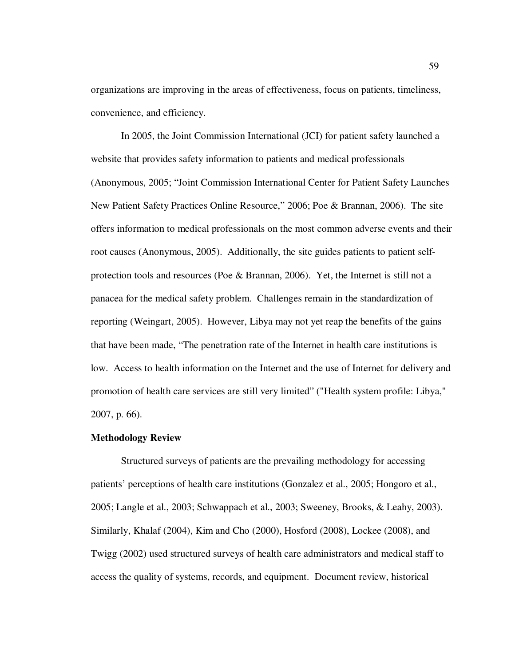organizations are improving in the areas of effectiveness, focus on patients, timeliness, convenience, and efficiency.

In 2005, the Joint Commission International (JCI) for patient safety launched a website that provides safety information to patients and medical professionals (Anonymous, 2005; "Joint Commission International Center for Patient Safety Launches New Patient Safety Practices Online Resource," 2006; Poe & Brannan, 2006). The site offers information to medical professionals on the most common adverse events and their root causes (Anonymous, 2005). Additionally, the site guides patients to patient selfprotection tools and resources (Poe & Brannan, 2006). Yet, the Internet is still not a panacea for the medical safety problem. Challenges remain in the standardization of reporting (Weingart, 2005). However, Libya may not yet reap the benefits of the gains that have been made, "The penetration rate of the Internet in health care institutions is low. Access to health information on the Internet and the use of Internet for delivery and promotion of health care services are still very limited" ("Health system profile: Libya," 2007, p. 66).

## **Methodology Review**

Structured surveys of patients are the prevailing methodology for accessing patients' perceptions of health care institutions (Gonzalez et al., 2005; Hongoro et al., 2005; Langle et al., 2003; Schwappach et al., 2003; Sweeney, Brooks, & Leahy, 2003). Similarly, Khalaf (2004), Kim and Cho (2000), Hosford (2008), Lockee (2008), and Twigg (2002) used structured surveys of health care administrators and medical staff to access the quality of systems, records, and equipment. Document review, historical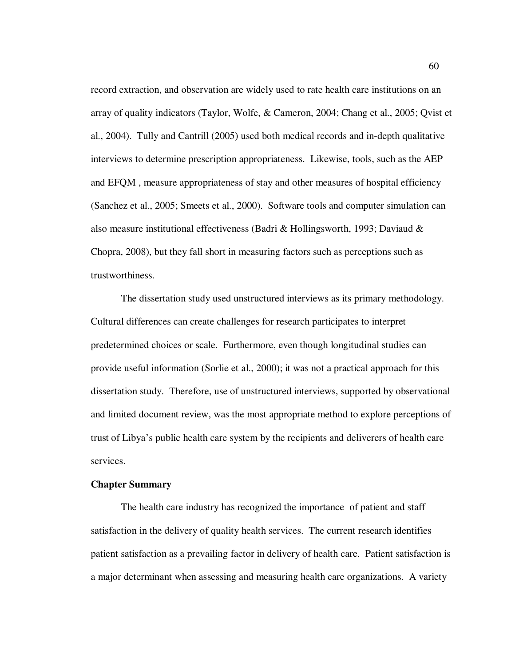record extraction, and observation are widely used to rate health care institutions on an array of quality indicators (Taylor, Wolfe, & Cameron, 2004; Chang et al., 2005; Qvist et al., 2004). Tully and Cantrill (2005) used both medical records and in-depth qualitative interviews to determine prescription appropriateness. Likewise, tools, such as the AEP and EFQM , measure appropriateness of stay and other measures of hospital efficiency (Sanchez et al., 2005; Smeets et al., 2000). Software tools and computer simulation can also measure institutional effectiveness (Badri & Hollingsworth, 1993; Daviaud & Chopra, 2008), but they fall short in measuring factors such as perceptions such as trustworthiness.

The dissertation study used unstructured interviews as its primary methodology. Cultural differences can create challenges for research participates to interpret predetermined choices or scale. Furthermore, even though longitudinal studies can provide useful information (Sorlie et al., 2000); it was not a practical approach for this dissertation study. Therefore, use of unstructured interviews, supported by observational and limited document review, was the most appropriate method to explore perceptions of trust of Libya's public health care system by the recipients and deliverers of health care services.

#### **Chapter Summary**

The health care industry has recognized the importance of patient and staff satisfaction in the delivery of quality health services. The current research identifies patient satisfaction as a prevailing factor in delivery of health care. Patient satisfaction is a major determinant when assessing and measuring health care organizations. A variety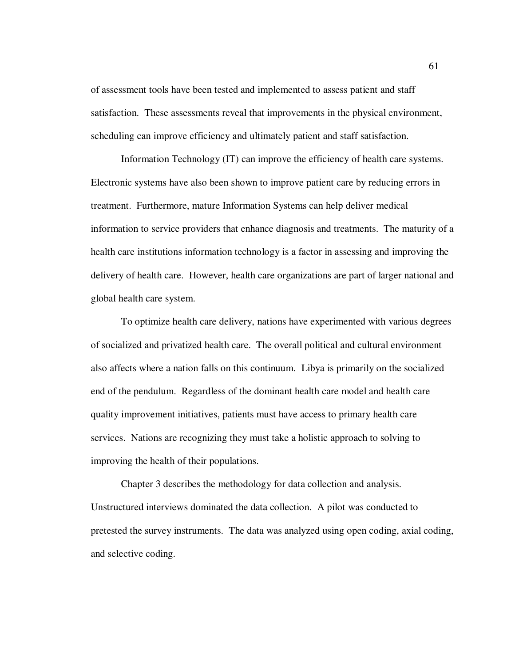of assessment tools have been tested and implemented to assess patient and staff satisfaction. These assessments reveal that improvements in the physical environment, scheduling can improve efficiency and ultimately patient and staff satisfaction.

Information Technology (IT) can improve the efficiency of health care systems. Electronic systems have also been shown to improve patient care by reducing errors in treatment. Furthermore, mature Information Systems can help deliver medical information to service providers that enhance diagnosis and treatments. The maturity of a health care institutions information technology is a factor in assessing and improving the delivery of health care. However, health care organizations are part of larger national and global health care system.

To optimize health care delivery, nations have experimented with various degrees of socialized and privatized health care. The overall political and cultural environment also affects where a nation falls on this continuum. Libya is primarily on the socialized end of the pendulum. Regardless of the dominant health care model and health care quality improvement initiatives, patients must have access to primary health care services. Nations are recognizing they must take a holistic approach to solving to improving the health of their populations.

Chapter 3 describes the methodology for data collection and analysis. Unstructured interviews dominated the data collection. A pilot was conducted to pretested the survey instruments. The data was analyzed using open coding, axial coding, and selective coding.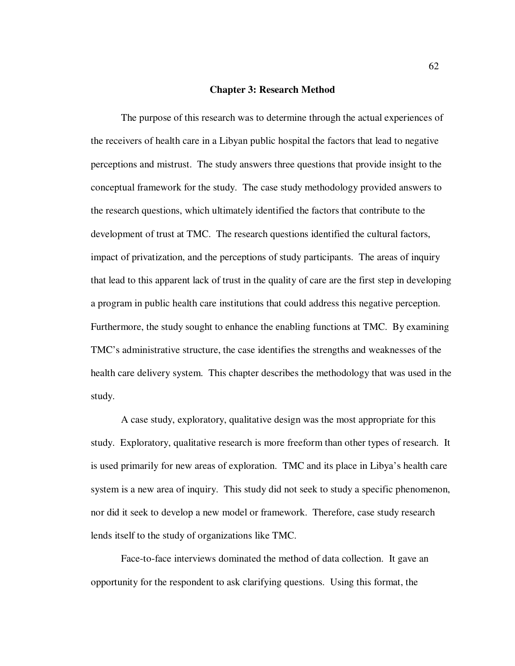### **Chapter 3: Research Method**

The purpose of this research was to determine through the actual experiences of the receivers of health care in a Libyan public hospital the factors that lead to negative perceptions and mistrust. The study answers three questions that provide insight to the conceptual framework for the study. The case study methodology provided answers to the research questions, which ultimately identified the factors that contribute to the development of trust at TMC. The research questions identified the cultural factors, impact of privatization, and the perceptions of study participants. The areas of inquiry that lead to this apparent lack of trust in the quality of care are the first step in developing a program in public health care institutions that could address this negative perception. Furthermore, the study sought to enhance the enabling functions at TMC. By examining TMC's administrative structure, the case identifies the strengths and weaknesses of the health care delivery system. This chapter describes the methodology that was used in the study.

A case study, exploratory, qualitative design was the most appropriate for this study. Exploratory, qualitative research is more freeform than other types of research. It is used primarily for new areas of exploration. TMC and its place in Libya's health care system is a new area of inquiry. This study did not seek to study a specific phenomenon, nor did it seek to develop a new model or framework. Therefore, case study research lends itself to the study of organizations like TMC.

Face-to-face interviews dominated the method of data collection. It gave an opportunity for the respondent to ask clarifying questions. Using this format, the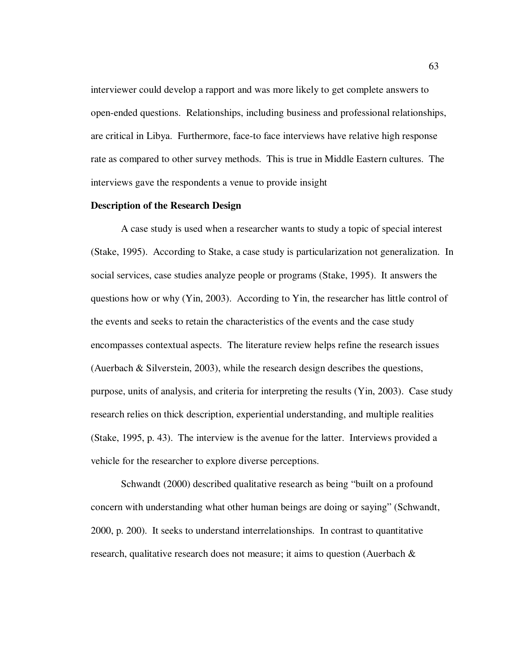interviewer could develop a rapport and was more likely to get complete answers to open-ended questions. Relationships, including business and professional relationships, are critical in Libya. Furthermore, face-to face interviews have relative high response rate as compared to other survey methods. This is true in Middle Eastern cultures. The interviews gave the respondents a venue to provide insight

## **Description of the Research Design**

A case study is used when a researcher wants to study a topic of special interest (Stake, 1995). According to Stake, a case study is particularization not generalization. In social services, case studies analyze people or programs (Stake, 1995). It answers the questions how or why (Yin, 2003). According to Yin, the researcher has little control of the events and seeks to retain the characteristics of the events and the case study encompasses contextual aspects. The literature review helps refine the research issues (Auerbach  $\&$  Silverstein, 2003), while the research design describes the questions, purpose, units of analysis, and criteria for interpreting the results (Yin, 2003). Case study research relies on thick description, experiential understanding, and multiple realities (Stake, 1995, p. 43). The interview is the avenue for the latter. Interviews provided a vehicle for the researcher to explore diverse perceptions.

Schwandt (2000) described qualitative research as being "built on a profound concern with understanding what other human beings are doing or saying" (Schwandt, 2000, p. 200). It seeks to understand interrelationships. In contrast to quantitative research, qualitative research does not measure; it aims to question (Auerbach  $\&$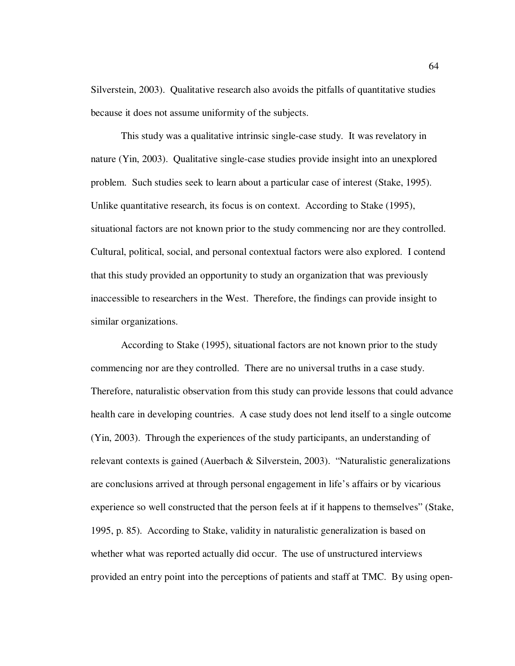Silverstein, 2003). Qualitative research also avoids the pitfalls of quantitative studies because it does not assume uniformity of the subjects.

This study was a qualitative intrinsic single-case study. It was revelatory in nature (Yin, 2003). Qualitative single-case studies provide insight into an unexplored problem. Such studies seek to learn about a particular case of interest (Stake, 1995). Unlike quantitative research, its focus is on context. According to Stake (1995), situational factors are not known prior to the study commencing nor are they controlled. Cultural, political, social, and personal contextual factors were also explored. I contend that this study provided an opportunity to study an organization that was previously inaccessible to researchers in the West. Therefore, the findings can provide insight to similar organizations.

According to Stake (1995), situational factors are not known prior to the study commencing nor are they controlled. There are no universal truths in a case study. Therefore, naturalistic observation from this study can provide lessons that could advance health care in developing countries. A case study does not lend itself to a single outcome (Yin, 2003). Through the experiences of the study participants, an understanding of relevant contexts is gained (Auerbach & Silverstein, 2003). "Naturalistic generalizations are conclusions arrived at through personal engagement in life's affairs or by vicarious experience so well constructed that the person feels at if it happens to themselves" (Stake, 1995, p. 85). According to Stake, validity in naturalistic generalization is based on whether what was reported actually did occur. The use of unstructured interviews provided an entry point into the perceptions of patients and staff at TMC. By using open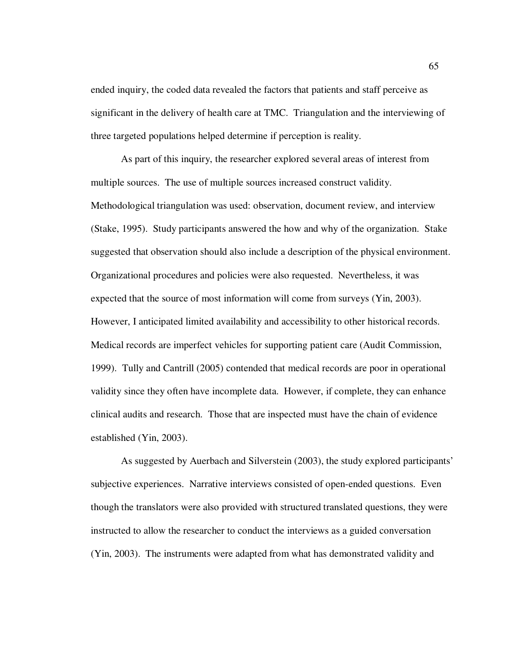ended inquiry, the coded data revealed the factors that patients and staff perceive as significant in the delivery of health care at TMC. Triangulation and the interviewing of three targeted populations helped determine if perception is reality.

As part of this inquiry, the researcher explored several areas of interest from multiple sources. The use of multiple sources increased construct validity. Methodological triangulation was used: observation, document review, and interview (Stake, 1995). Study participants answered the how and why of the organization. Stake suggested that observation should also include a description of the physical environment. Organizational procedures and policies were also requested. Nevertheless, it was expected that the source of most information will come from surveys (Yin, 2003). However, I anticipated limited availability and accessibility to other historical records. Medical records are imperfect vehicles for supporting patient care (Audit Commission, 1999). Tully and Cantrill (2005) contended that medical records are poor in operational validity since they often have incomplete data. However, if complete, they can enhance clinical audits and research. Those that are inspected must have the chain of evidence established (Yin, 2003).

As suggested by Auerbach and Silverstein (2003), the study explored participants' subjective experiences. Narrative interviews consisted of open-ended questions. Even though the translators were also provided with structured translated questions, they were instructed to allow the researcher to conduct the interviews as a guided conversation (Yin, 2003). The instruments were adapted from what has demonstrated validity and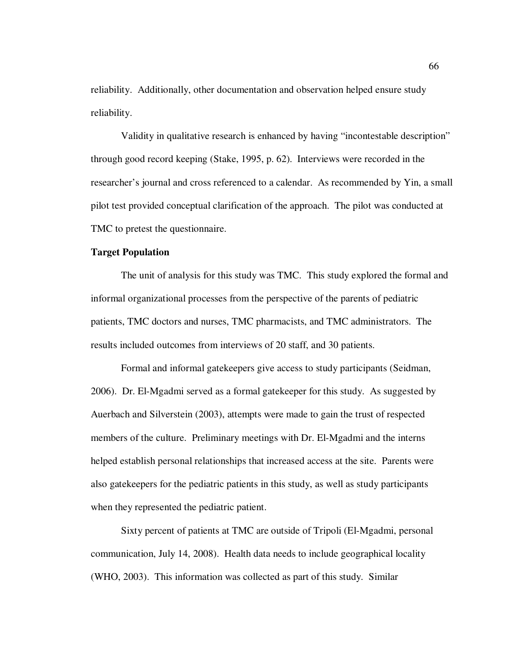reliability. Additionally, other documentation and observation helped ensure study reliability.

Validity in qualitative research is enhanced by having "incontestable description" through good record keeping (Stake, 1995, p. 62). Interviews were recorded in the researcher's journal and cross referenced to a calendar. As recommended by Yin, a small pilot test provided conceptual clarification of the approach. The pilot was conducted at TMC to pretest the questionnaire.

## **Target Population**

The unit of analysis for this study was TMC. This study explored the formal and informal organizational processes from the perspective of the parents of pediatric patients, TMC doctors and nurses, TMC pharmacists, and TMC administrators. The results included outcomes from interviews of 20 staff, and 30 patients.

Formal and informal gatekeepers give access to study participants (Seidman, 2006). Dr. El-Mgadmi served as a formal gatekeeper for this study. As suggested by Auerbach and Silverstein (2003), attempts were made to gain the trust of respected members of the culture. Preliminary meetings with Dr. El-Mgadmi and the interns helped establish personal relationships that increased access at the site. Parents were also gatekeepers for the pediatric patients in this study, as well as study participants when they represented the pediatric patient.

Sixty percent of patients at TMC are outside of Tripoli (El-Mgadmi, personal communication, July 14, 2008). Health data needs to include geographical locality (WHO, 2003). This information was collected as part of this study. Similar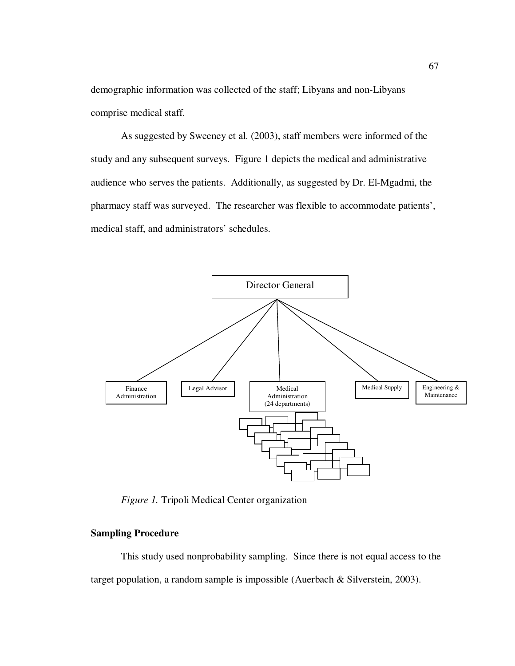demographic information was collected of the staff; Libyans and non-Libyans comprise medical staff.

As suggested by Sweeney et al. (2003), staff members were informed of the study and any subsequent surveys. Figure 1 depicts the medical and administrative audience who serves the patients. Additionally, as suggested by Dr. El-Mgadmi, the pharmacy staff was surveyed. The researcher was flexible to accommodate patients', medical staff, and administrators' schedules.



*Figure 1.* Tripoli Medical Center organization

## **Sampling Procedure**

This study used nonprobability sampling. Since there is not equal access to the target population, a random sample is impossible (Auerbach & Silverstein, 2003).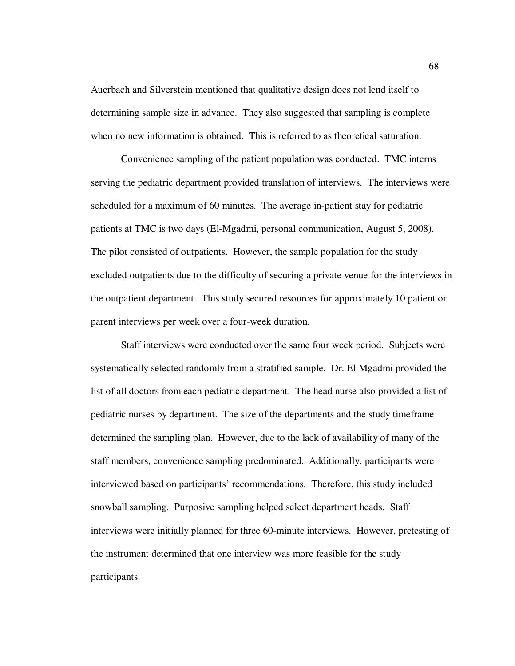Auerbach and Silverstein mentioned that qualitative design does not lend itself to determining sample size in advance. They also suggested that sampling is complete when no new information is obtained. This is referred to as theoretical saturation.

Convenience sampling of the patient population was conducted. TMC interns serving the pediatric department provided translation of interviews. The interviews were scheduled for a maximum of 60 minutes. The average in-patient stay for pediatric patients at TMC is two days (El-Mgadmi, personal communication, August 5, 2008). The pilot consisted of outpatients. However, the sample population for the study excluded outpatients due to the difficulty of securing a private venue for the interviews in the outpatient department. This study secured resources for approximately 10 patient or parent interviews per week over a four-week duration.

Staff interviews were conducted over the same four week period. Subjects were systematically selected randomly from a stratified sample. Dr. El-Mgadmi provided the list of all doctors from each pediatric department. The head nurse also provided a list of pediatric nurses by department. The size of the departments and the study timeframe determined the sampling plan. However, due to the lack of availability of many of the staff members, convenience sampling predominated. Additionally, participants were interviewed based on participants' recommendations. Therefore, this study included snowball sampling. Purposive sampling helped select department heads. Staff interviews were initially planned for three 60-minute interviews. However, pretesting of the instrument determined that one interview was more feasible for the study participants.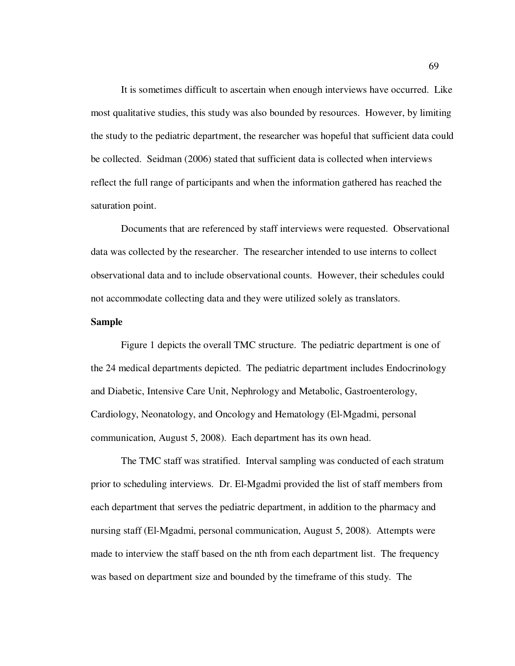It is sometimes difficult to ascertain when enough interviews have occurred. Like most qualitative studies, this study was also bounded by resources. However, by limiting the study to the pediatric department, the researcher was hopeful that sufficient data could be collected. Seidman (2006) stated that sufficient data is collected when interviews reflect the full range of participants and when the information gathered has reached the saturation point.

Documents that are referenced by staff interviews were requested. Observational data was collected by the researcher. The researcher intended to use interns to collect observational data and to include observational counts. However, their schedules could not accommodate collecting data and they were utilized solely as translators.

## **Sample**

Figure 1 depicts the overall TMC structure. The pediatric department is one of the 24 medical departments depicted. The pediatric department includes Endocrinology and Diabetic, Intensive Care Unit, Nephrology and Metabolic, Gastroenterology, Cardiology, Neonatology, and Oncology and Hematology (El-Mgadmi, personal communication, August 5, 2008). Each department has its own head.

 The TMC staff was stratified. Interval sampling was conducted of each stratum prior to scheduling interviews. Dr. El-Mgadmi provided the list of staff members from each department that serves the pediatric department, in addition to the pharmacy and nursing staff (El-Mgadmi, personal communication, August 5, 2008). Attempts were made to interview the staff based on the nth from each department list. The frequency was based on department size and bounded by the timeframe of this study. The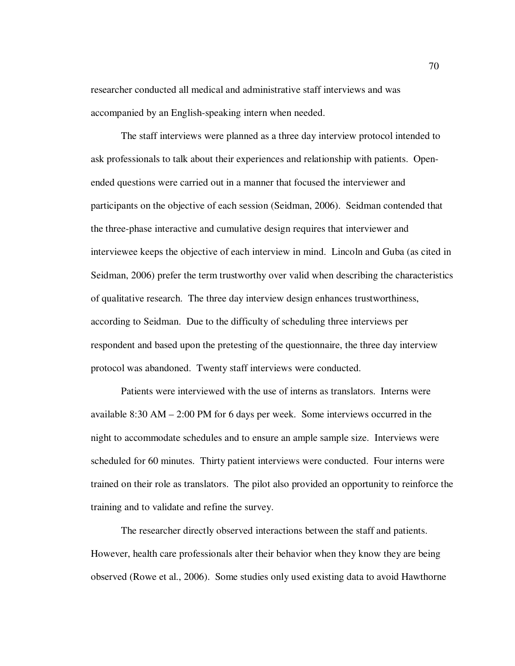researcher conducted all medical and administrative staff interviews and was accompanied by an English-speaking intern when needed.

The staff interviews were planned as a three day interview protocol intended to ask professionals to talk about their experiences and relationship with patients. Openended questions were carried out in a manner that focused the interviewer and participants on the objective of each session (Seidman, 2006). Seidman contended that the three-phase interactive and cumulative design requires that interviewer and interviewee keeps the objective of each interview in mind. Lincoln and Guba (as cited in Seidman, 2006) prefer the term trustworthy over valid when describing the characteristics of qualitative research. The three day interview design enhances trustworthiness, according to Seidman. Due to the difficulty of scheduling three interviews per respondent and based upon the pretesting of the questionnaire, the three day interview protocol was abandoned. Twenty staff interviews were conducted.

Patients were interviewed with the use of interns as translators. Interns were available  $8:30$  AM  $-2:00$  PM for 6 days per week. Some interviews occurred in the night to accommodate schedules and to ensure an ample sample size. Interviews were scheduled for 60 minutes. Thirty patient interviews were conducted. Four interns were trained on their role as translators. The pilot also provided an opportunity to reinforce the training and to validate and refine the survey.

The researcher directly observed interactions between the staff and patients. However, health care professionals alter their behavior when they know they are being observed (Rowe et al., 2006). Some studies only used existing data to avoid Hawthorne

70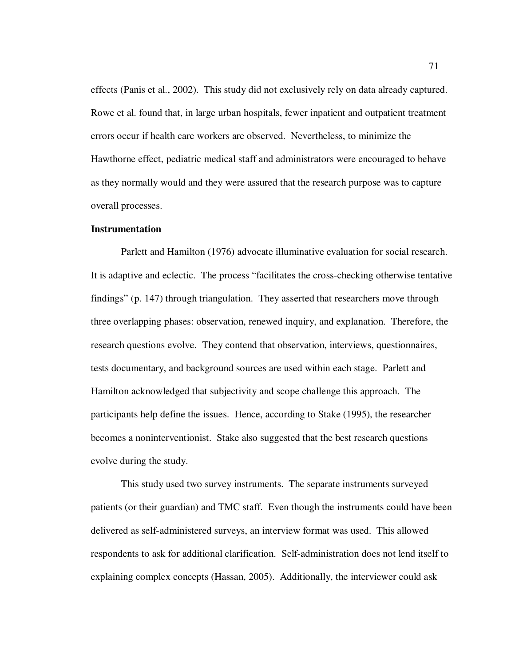effects (Panis et al., 2002). This study did not exclusively rely on data already captured. Rowe et al. found that, in large urban hospitals, fewer inpatient and outpatient treatment errors occur if health care workers are observed. Nevertheless, to minimize the Hawthorne effect, pediatric medical staff and administrators were encouraged to behave as they normally would and they were assured that the research purpose was to capture overall processes.

### **Instrumentation**

Parlett and Hamilton (1976) advocate illuminative evaluation for social research. It is adaptive and eclectic. The process "facilitates the cross-checking otherwise tentative findings" (p. 147) through triangulation. They asserted that researchers move through three overlapping phases: observation, renewed inquiry, and explanation. Therefore, the research questions evolve. They contend that observation, interviews, questionnaires, tests documentary, and background sources are used within each stage. Parlett and Hamilton acknowledged that subjectivity and scope challenge this approach. The participants help define the issues. Hence, according to Stake (1995), the researcher becomes a noninterventionist. Stake also suggested that the best research questions evolve during the study.

This study used two survey instruments. The separate instruments surveyed patients (or their guardian) and TMC staff. Even though the instruments could have been delivered as self-administered surveys, an interview format was used. This allowed respondents to ask for additional clarification. Self-administration does not lend itself to explaining complex concepts (Hassan, 2005). Additionally, the interviewer could ask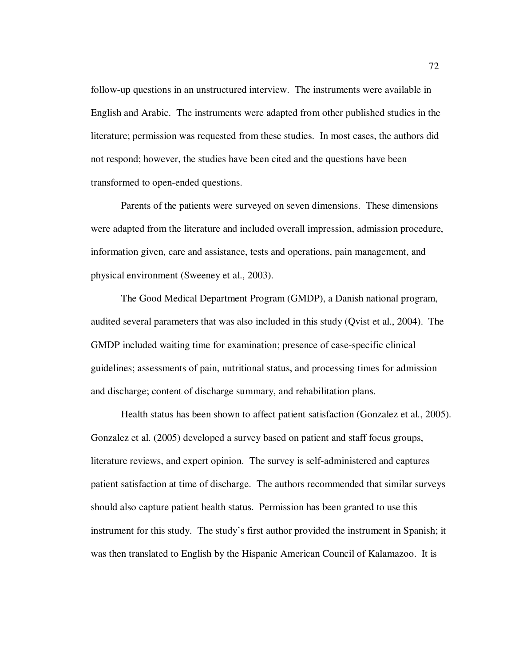follow-up questions in an unstructured interview. The instruments were available in English and Arabic. The instruments were adapted from other published studies in the literature; permission was requested from these studies. In most cases, the authors did not respond; however, the studies have been cited and the questions have been transformed to open-ended questions.

Parents of the patients were surveyed on seven dimensions. These dimensions were adapted from the literature and included overall impression, admission procedure, information given, care and assistance, tests and operations, pain management, and physical environment (Sweeney et al., 2003).

The Good Medical Department Program (GMDP), a Danish national program, audited several parameters that was also included in this study (Qvist et al., 2004). The GMDP included waiting time for examination; presence of case-specific clinical guidelines; assessments of pain, nutritional status, and processing times for admission and discharge; content of discharge summary, and rehabilitation plans.

Health status has been shown to affect patient satisfaction (Gonzalez et al., 2005). Gonzalez et al. (2005) developed a survey based on patient and staff focus groups, literature reviews, and expert opinion. The survey is self-administered and captures patient satisfaction at time of discharge. The authors recommended that similar surveys should also capture patient health status. Permission has been granted to use this instrument for this study. The study's first author provided the instrument in Spanish; it was then translated to English by the Hispanic American Council of Kalamazoo. It is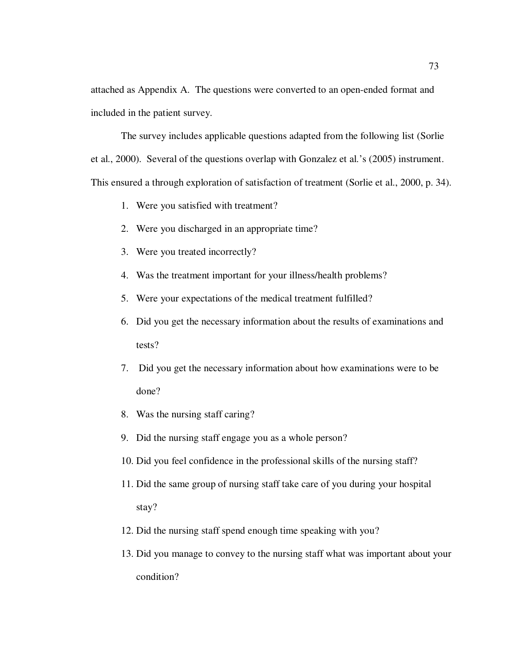attached as Appendix A. The questions were converted to an open-ended format and included in the patient survey.

The survey includes applicable questions adapted from the following list (Sorlie et al., 2000). Several of the questions overlap with Gonzalez et al.'s (2005) instrument. This ensured a through exploration of satisfaction of treatment (Sorlie et al., 2000, p. 34).

- 1. Were you satisfied with treatment?
- 2. Were you discharged in an appropriate time?
- 3. Were you treated incorrectly?
- 4. Was the treatment important for your illness/health problems?
- 5. Were your expectations of the medical treatment fulfilled?
- 6. Did you get the necessary information about the results of examinations and tests?
- 7. Did you get the necessary information about how examinations were to be done?
- 8. Was the nursing staff caring?
- 9. Did the nursing staff engage you as a whole person?
- 10. Did you feel confidence in the professional skills of the nursing staff?
- 11. Did the same group of nursing staff take care of you during your hospital stay?
- 12. Did the nursing staff spend enough time speaking with you?
- 13. Did you manage to convey to the nursing staff what was important about your condition?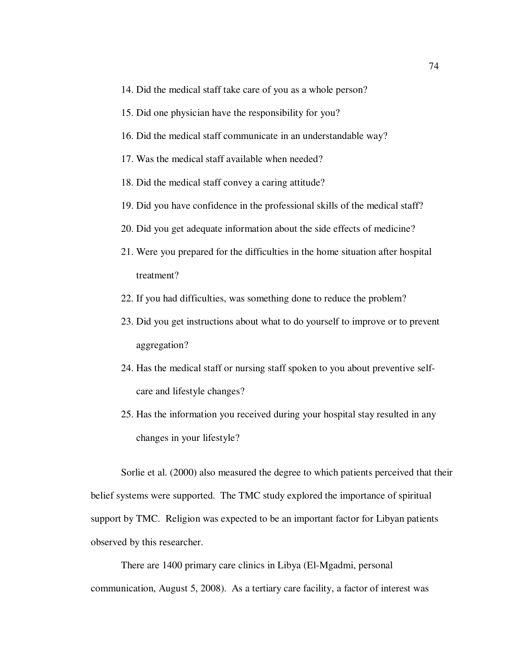- 14. Did the medical staff take care of you as a whole person?
- 15. Did one physician have the responsibility for you?
- 16. Did the medical staff communicate in an understandable way?
- 17. Was the medical staff available when needed?
- 18. Did the medical staff convey a caring attitude?
- 19. Did you have confidence in the professional skills of the medical staff?
- 20. Did you get adequate information about the side effects of medicine?
- 21. Were you prepared for the difficulties in the home situation after hospital treatment?
- 22. If you had difficulties, was something done to reduce the problem?
- 23. Did you get instructions about what to do yourself to improve or to prevent aggregation?
- 24. Has the medical staff or nursing staff spoken to you about preventive selfcare and lifestyle changes?
- 25. Has the information you received during your hospital stay resulted in any changes in your lifestyle?

Sorlie et al. (2000) also measured the degree to which patients perceived that their belief systems were supported. The TMC study explored the importance of spiritual support by TMC. Religion was expected to be an important factor for Libyan patients observed by this researcher.

There are 1400 primary care clinics in Libya (El-Mgadmi, personal communication, August 5, 2008). As a tertiary care facility, a factor of interest was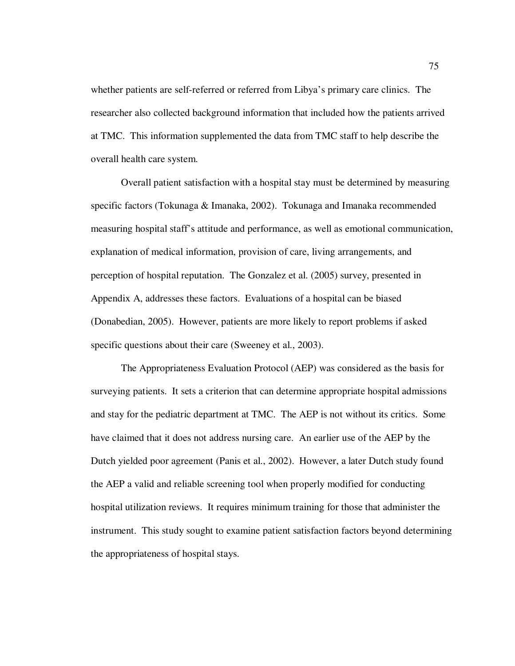whether patients are self-referred or referred from Libya's primary care clinics. The researcher also collected background information that included how the patients arrived at TMC. This information supplemented the data from TMC staff to help describe the overall health care system.

Overall patient satisfaction with a hospital stay must be determined by measuring specific factors (Tokunaga & Imanaka, 2002). Tokunaga and Imanaka recommended measuring hospital staff's attitude and performance, as well as emotional communication, explanation of medical information, provision of care, living arrangements, and perception of hospital reputation. The Gonzalez et al. (2005) survey, presented in Appendix A, addresses these factors. Evaluations of a hospital can be biased (Donabedian, 2005). However, patients are more likely to report problems if asked specific questions about their care (Sweeney et al., 2003).

The Appropriateness Evaluation Protocol (AEP) was considered as the basis for surveying patients. It sets a criterion that can determine appropriate hospital admissions and stay for the pediatric department at TMC. The AEP is not without its critics. Some have claimed that it does not address nursing care. An earlier use of the AEP by the Dutch yielded poor agreement (Panis et al., 2002). However, a later Dutch study found the AEP a valid and reliable screening tool when properly modified for conducting hospital utilization reviews. It requires minimum training for those that administer the instrument. This study sought to examine patient satisfaction factors beyond determining the appropriateness of hospital stays.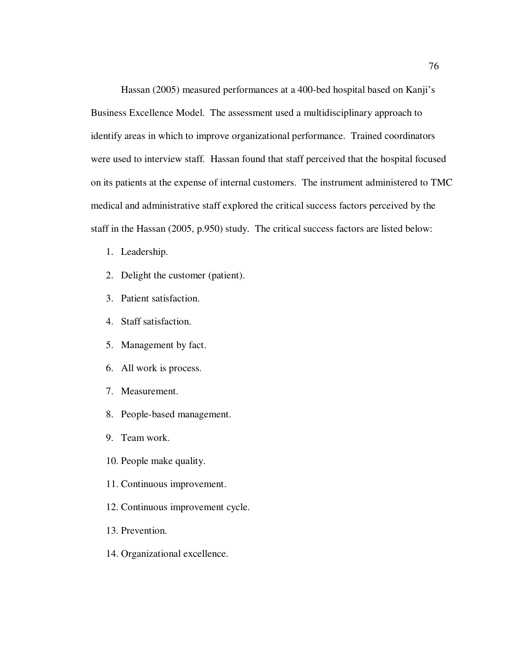Hassan (2005) measured performances at a 400-bed hospital based on Kanji's Business Excellence Model. The assessment used a multidisciplinary approach to identify areas in which to improve organizational performance. Trained coordinators were used to interview staff. Hassan found that staff perceived that the hospital focused on its patients at the expense of internal customers. The instrument administered to TMC medical and administrative staff explored the critical success factors perceived by the staff in the Hassan (2005, p.950) study. The critical success factors are listed below:

- 1. Leadership.
- 2. Delight the customer (patient).
- 3. Patient satisfaction.
- 4. Staff satisfaction.
- 5. Management by fact.
- 6. All work is process.
- 7. Measurement.
- 8. People-based management.
- 9. Team work.
- 10. People make quality.
- 11. Continuous improvement.
- 12. Continuous improvement cycle.
- 13. Prevention.
- 14. Organizational excellence.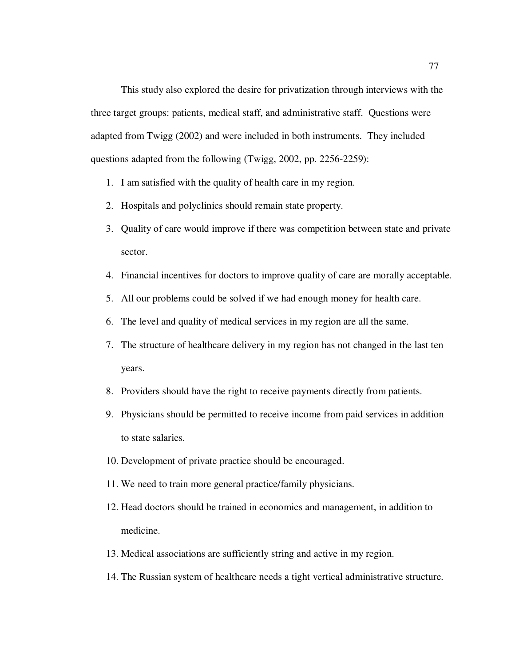This study also explored the desire for privatization through interviews with the three target groups: patients, medical staff, and administrative staff. Questions were adapted from Twigg (2002) and were included in both instruments. They included questions adapted from the following (Twigg, 2002, pp. 2256-2259):

- 1. I am satisfied with the quality of health care in my region.
- 2. Hospitals and polyclinics should remain state property.
- 3. Quality of care would improve if there was competition between state and private sector.
- 4. Financial incentives for doctors to improve quality of care are morally acceptable.
- 5. All our problems could be solved if we had enough money for health care.
- 6. The level and quality of medical services in my region are all the same.
- 7. The structure of healthcare delivery in my region has not changed in the last ten years.
- 8. Providers should have the right to receive payments directly from patients.
- 9. Physicians should be permitted to receive income from paid services in addition to state salaries.
- 10. Development of private practice should be encouraged.
- 11. We need to train more general practice/family physicians.
- 12. Head doctors should be trained in economics and management, in addition to medicine.
- 13. Medical associations are sufficiently string and active in my region.
- 14. The Russian system of healthcare needs a tight vertical administrative structure.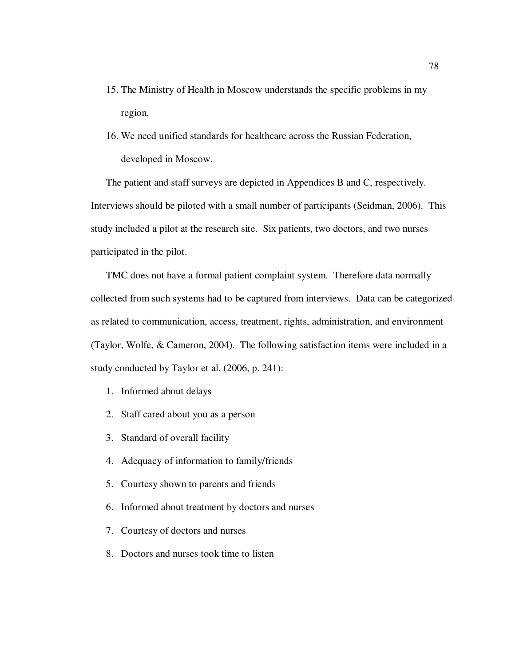- 15. The Ministry of Health in Moscow understands the specific problems in my region.
- 16. We need unified standards for healthcare across the Russian Federation, developed in Moscow.

The patient and staff surveys are depicted in Appendices B and C, respectively. Interviews should be piloted with a small number of participants (Seidman, 2006). This study included a pilot at the research site. Six patients, two doctors, and two nurses participated in the pilot.

TMC does not have a formal patient complaint system. Therefore data normally collected from such systems had to be captured from interviews. Data can be categorized as related to communication, access, treatment, rights, administration, and environment (Taylor, Wolfe, & Cameron, 2004). The following satisfaction items were included in a study conducted by Taylor et al. (2006, p. 241):

- 1. Informed about delays
- 2. Staff cared about you as a person
- 3. Standard of overall facility
- 4. Adequacy of information to family/friends
- 5. Courtesy shown to parents and friends
- 6. Informed about treatment by doctors and nurses
- 7. Courtesy of doctors and nurses
- 8. Doctors and nurses took time to listen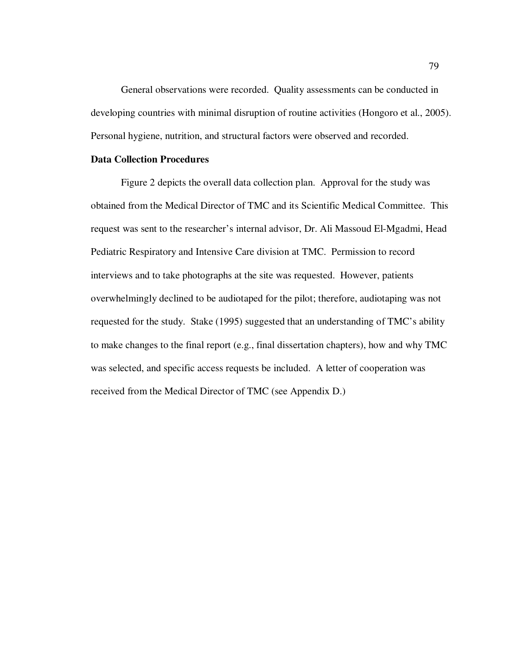General observations were recorded. Quality assessments can be conducted in developing countries with minimal disruption of routine activities (Hongoro et al., 2005). Personal hygiene, nutrition, and structural factors were observed and recorded.

## **Data Collection Procedures**

Figure 2 depicts the overall data collection plan. Approval for the study was obtained from the Medical Director of TMC and its Scientific Medical Committee. This request was sent to the researcher's internal advisor, Dr. Ali Massoud El-Mgadmi, Head Pediatric Respiratory and Intensive Care division at TMC. Permission to record interviews and to take photographs at the site was requested. However, patients overwhelmingly declined to be audiotaped for the pilot; therefore, audiotaping was not requested for the study. Stake (1995) suggested that an understanding of TMC's ability to make changes to the final report (e.g., final dissertation chapters), how and why TMC was selected, and specific access requests be included. A letter of cooperation was received from the Medical Director of TMC (see Appendix D.)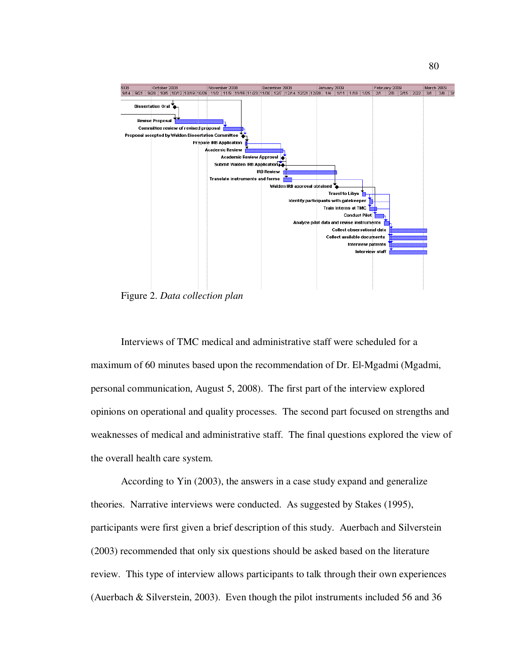

Figure 2. *Data collection plan*

Interviews of TMC medical and administrative staff were scheduled for a maximum of 60 minutes based upon the recommendation of Dr. El-Mgadmi (Mgadmi, personal communication, August 5, 2008). The first part of the interview explored opinions on operational and quality processes. The second part focused on strengths and weaknesses of medical and administrative staff. The final questions explored the view of the overall health care system.

According to Yin (2003), the answers in a case study expand and generalize theories. Narrative interviews were conducted. As suggested by Stakes (1995), participants were first given a brief description of this study. Auerbach and Silverstein (2003) recommended that only six questions should be asked based on the literature review. This type of interview allows participants to talk through their own experiences (Auerbach & Silverstein, 2003). Even though the pilot instruments included 56 and 36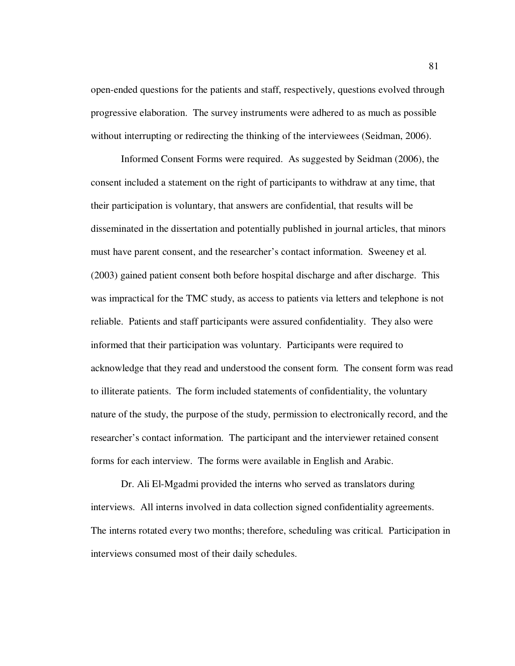open-ended questions for the patients and staff, respectively, questions evolved through progressive elaboration. The survey instruments were adhered to as much as possible without interrupting or redirecting the thinking of the interviewees (Seidman, 2006).

Informed Consent Forms were required. As suggested by Seidman (2006), the consent included a statement on the right of participants to withdraw at any time, that their participation is voluntary, that answers are confidential, that results will be disseminated in the dissertation and potentially published in journal articles, that minors must have parent consent, and the researcher's contact information. Sweeney et al. (2003) gained patient consent both before hospital discharge and after discharge. This was impractical for the TMC study, as access to patients via letters and telephone is not reliable. Patients and staff participants were assured confidentiality. They also were informed that their participation was voluntary. Participants were required to acknowledge that they read and understood the consent form. The consent form was read to illiterate patients. The form included statements of confidentiality, the voluntary nature of the study, the purpose of the study, permission to electronically record, and the researcher's contact information. The participant and the interviewer retained consent forms for each interview. The forms were available in English and Arabic.

Dr. Ali El-Mgadmi provided the interns who served as translators during interviews. All interns involved in data collection signed confidentiality agreements. The interns rotated every two months; therefore, scheduling was critical. Participation in interviews consumed most of their daily schedules.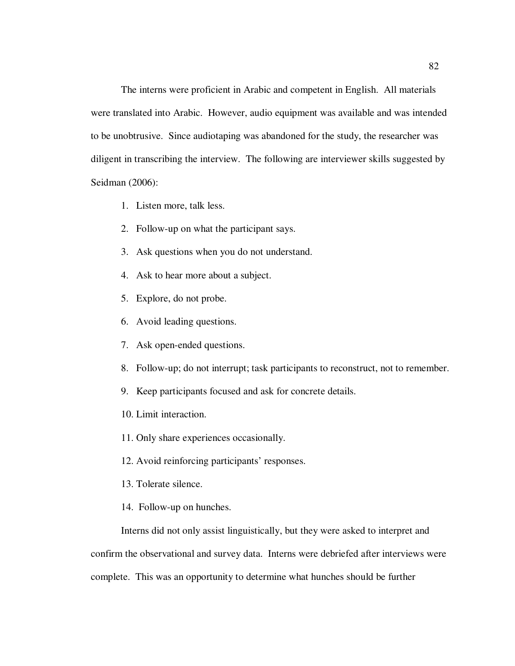The interns were proficient in Arabic and competent in English. All materials were translated into Arabic. However, audio equipment was available and was intended to be unobtrusive. Since audiotaping was abandoned for the study, the researcher was diligent in transcribing the interview. The following are interviewer skills suggested by Seidman (2006):

- 1. Listen more, talk less.
- 2. Follow-up on what the participant says.
- 3. Ask questions when you do not understand.
- 4. Ask to hear more about a subject.
- 5. Explore, do not probe.
- 6. Avoid leading questions.
- 7. Ask open-ended questions.
- 8. Follow-up; do not interrupt; task participants to reconstruct, not to remember.
- 9. Keep participants focused and ask for concrete details.
- 10. Limit interaction.
- 11. Only share experiences occasionally.
- 12. Avoid reinforcing participants' responses.
- 13. Tolerate silence.
- 14. Follow-up on hunches.

Interns did not only assist linguistically, but they were asked to interpret and

confirm the observational and survey data. Interns were debriefed after interviews were

complete. This was an opportunity to determine what hunches should be further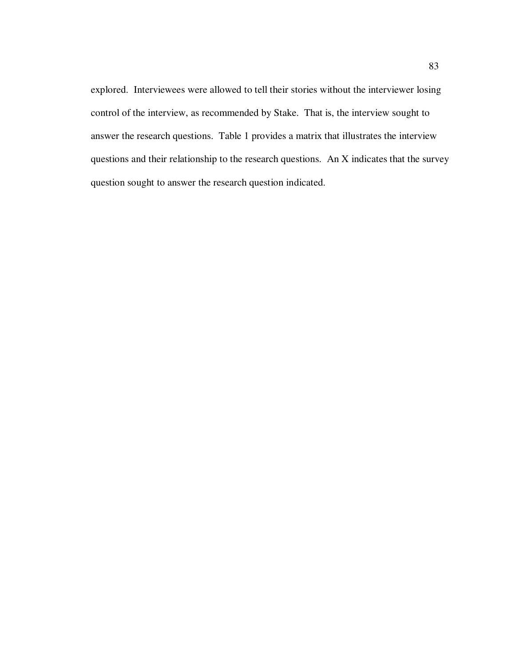explored. Interviewees were allowed to tell their stories without the interviewer losing control of the interview, as recommended by Stake. That is, the interview sought to answer the research questions. Table 1 provides a matrix that illustrates the interview questions and their relationship to the research questions. An X indicates that the survey question sought to answer the research question indicated.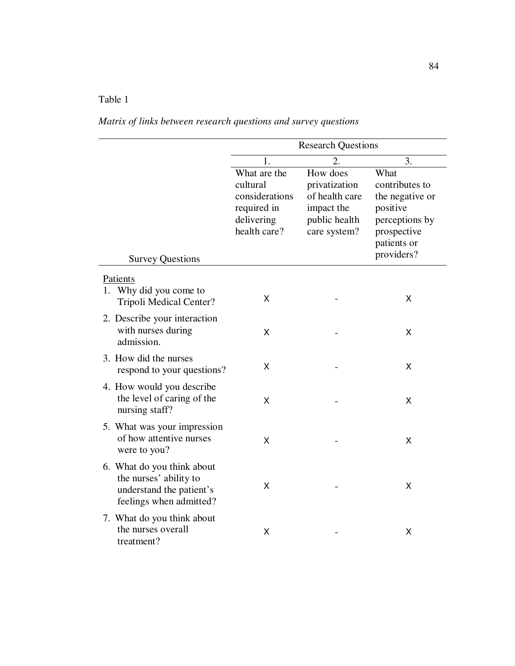# Table 1

*Matrix of links between research questions and survey questions* 

|                                                                                                             | <b>Research Questions</b>                                                               |                                                                                            |                                                                                                                     |
|-------------------------------------------------------------------------------------------------------------|-----------------------------------------------------------------------------------------|--------------------------------------------------------------------------------------------|---------------------------------------------------------------------------------------------------------------------|
|                                                                                                             | 1.                                                                                      | 2.                                                                                         | 3.                                                                                                                  |
|                                                                                                             | What are the<br>cultural<br>considerations<br>required in<br>delivering<br>health care? | How does<br>privatization<br>of health care<br>impact the<br>public health<br>care system? | What<br>contributes to<br>the negative or<br>positive<br>perceptions by<br>prospective<br>patients or<br>providers? |
| <b>Survey Questions</b>                                                                                     |                                                                                         |                                                                                            |                                                                                                                     |
| Patients<br>1. Why did you come to<br>Tripoli Medical Center?                                               | X                                                                                       |                                                                                            | X                                                                                                                   |
| 2. Describe your interaction<br>with nurses during<br>admission.                                            | X                                                                                       |                                                                                            | X                                                                                                                   |
| 3. How did the nurses<br>respond to your questions?                                                         | Χ                                                                                       |                                                                                            | X                                                                                                                   |
| 4. How would you describe<br>the level of caring of the<br>nursing staff?                                   | Χ                                                                                       |                                                                                            | X                                                                                                                   |
| 5. What was your impression<br>of how attentive nurses<br>were to you?                                      | X                                                                                       |                                                                                            | X                                                                                                                   |
| 6. What do you think about<br>the nurses' ability to<br>understand the patient's<br>feelings when admitted? | X                                                                                       |                                                                                            | X                                                                                                                   |
| 7. What do you think about<br>the nurses overall<br>treatment?                                              | X                                                                                       |                                                                                            | X                                                                                                                   |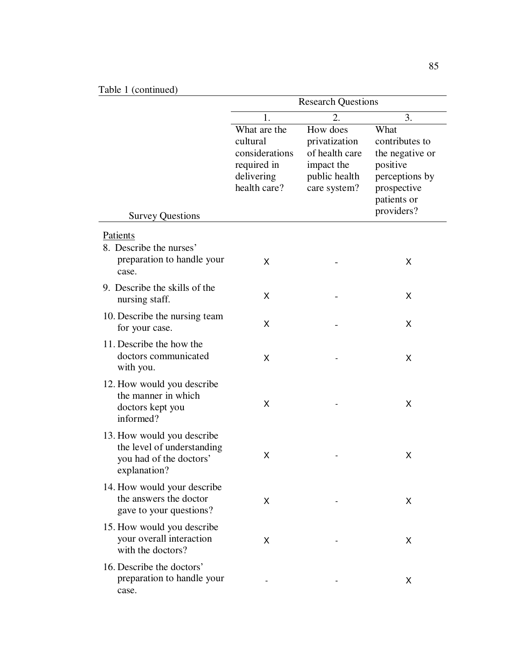|                                                                                                     | <b>Research Questions</b>                                                               |                                                                                            |                                                                                                                     |
|-----------------------------------------------------------------------------------------------------|-----------------------------------------------------------------------------------------|--------------------------------------------------------------------------------------------|---------------------------------------------------------------------------------------------------------------------|
|                                                                                                     | 1.                                                                                      | 2.                                                                                         | 3.                                                                                                                  |
| <b>Survey Questions</b>                                                                             | What are the<br>cultural<br>considerations<br>required in<br>delivering<br>health care? | How does<br>privatization<br>of health care<br>impact the<br>public health<br>care system? | What<br>contributes to<br>the negative or<br>positive<br>perceptions by<br>prospective<br>patients or<br>providers? |
| Patients                                                                                            |                                                                                         |                                                                                            |                                                                                                                     |
| 8. Describe the nurses'<br>preparation to handle your<br>case.                                      | X                                                                                       |                                                                                            | X                                                                                                                   |
| 9. Describe the skills of the<br>nursing staff.                                                     | X                                                                                       |                                                                                            | X                                                                                                                   |
| 10. Describe the nursing team<br>for your case.                                                     | X                                                                                       |                                                                                            | X                                                                                                                   |
| 11. Describe the how the<br>doctors communicated<br>with you.                                       | X                                                                                       |                                                                                            | X                                                                                                                   |
| 12. How would you describe<br>the manner in which<br>doctors kept you<br>informed?                  | X                                                                                       |                                                                                            | X                                                                                                                   |
| 13. How would you describe<br>the level of understanding<br>you had of the doctors'<br>explanation? | X                                                                                       |                                                                                            | X                                                                                                                   |
| 14. How would your describe<br>the answers the doctor<br>gave to your questions?                    | X                                                                                       |                                                                                            | X                                                                                                                   |
| 15. How would you describe<br>your overall interaction<br>with the doctors?                         | X                                                                                       |                                                                                            | X                                                                                                                   |
| 16. Describe the doctors'<br>preparation to handle your<br>case.                                    |                                                                                         |                                                                                            | X                                                                                                                   |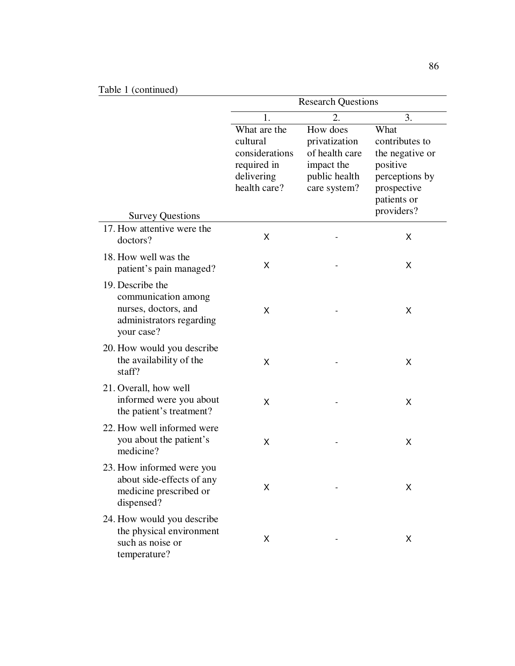| Table 1 (continued)                                                                                       |                                                                                         |                                                                                            |                                                                                                                     |
|-----------------------------------------------------------------------------------------------------------|-----------------------------------------------------------------------------------------|--------------------------------------------------------------------------------------------|---------------------------------------------------------------------------------------------------------------------|
|                                                                                                           | <b>Research Questions</b>                                                               |                                                                                            |                                                                                                                     |
|                                                                                                           | 1.                                                                                      | 2.                                                                                         | 3.                                                                                                                  |
| <b>Survey Questions</b>                                                                                   | What are the<br>cultural<br>considerations<br>required in<br>delivering<br>health care? | How does<br>privatization<br>of health care<br>impact the<br>public health<br>care system? | What<br>contributes to<br>the negative or<br>positive<br>perceptions by<br>prospective<br>patients or<br>providers? |
| 17. How attentive were the<br>doctors?                                                                    | X                                                                                       |                                                                                            | Χ                                                                                                                   |
| 18. How well was the<br>patient's pain managed?                                                           | X                                                                                       |                                                                                            | X                                                                                                                   |
| 19. Describe the<br>communication among<br>nurses, doctors, and<br>administrators regarding<br>your case? | X                                                                                       |                                                                                            | X                                                                                                                   |
| 20. How would you describe<br>the availability of the<br>staff?                                           | X                                                                                       |                                                                                            | X                                                                                                                   |
| 21. Overall, how well<br>informed were you about<br>the patient's treatment?                              | X                                                                                       |                                                                                            | X                                                                                                                   |
| 22. How well informed were<br>you about the patient's<br>medicine?                                        | X                                                                                       |                                                                                            | X                                                                                                                   |
| 23. How informed were you<br>about side-effects of any<br>medicine prescribed or<br>dispensed?            | X                                                                                       |                                                                                            | Χ                                                                                                                   |
| 24. How would you describe<br>the physical environment<br>such as noise or<br>temperature?                | X                                                                                       |                                                                                            | X                                                                                                                   |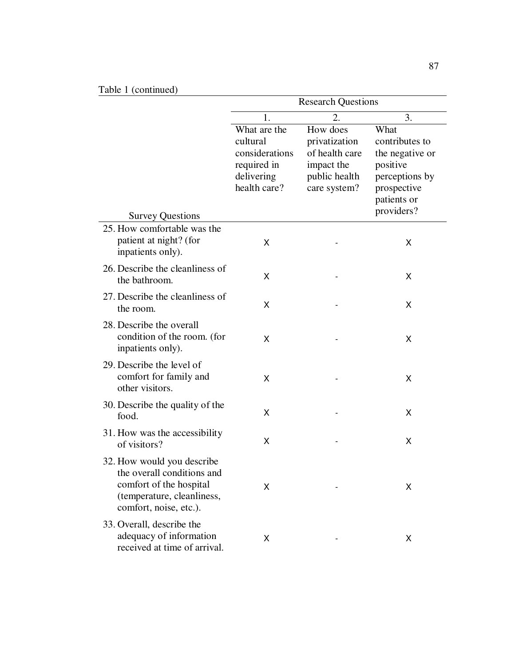| Table 1 (continued)                                                                                                                         | <b>Research Questions</b>                                                                     |                                                                                                  |                                                                                                                           |
|---------------------------------------------------------------------------------------------------------------------------------------------|-----------------------------------------------------------------------------------------------|--------------------------------------------------------------------------------------------------|---------------------------------------------------------------------------------------------------------------------------|
|                                                                                                                                             |                                                                                               |                                                                                                  |                                                                                                                           |
| <b>Survey Questions</b>                                                                                                                     | 1.<br>What are the<br>cultural<br>considerations<br>required in<br>delivering<br>health care? | 2.<br>How does<br>privatization<br>of health care<br>impact the<br>public health<br>care system? | 3.<br>What<br>contributes to<br>the negative or<br>positive<br>perceptions by<br>prospective<br>patients or<br>providers? |
| 25. How comfortable was the<br>patient at night? (for<br>inpatients only).                                                                  | X                                                                                             |                                                                                                  | X                                                                                                                         |
| 26. Describe the cleanliness of<br>the bathroom.                                                                                            | X                                                                                             |                                                                                                  | Χ                                                                                                                         |
| 27. Describe the cleanliness of<br>the room.                                                                                                | X                                                                                             |                                                                                                  | Χ                                                                                                                         |
| 28. Describe the overall<br>condition of the room. (for<br>inpatients only).                                                                | X                                                                                             |                                                                                                  | X                                                                                                                         |
| 29. Describe the level of<br>comfort for family and<br>other visitors.                                                                      | X                                                                                             |                                                                                                  | X                                                                                                                         |
| 30. Describe the quality of the<br>food.                                                                                                    | X                                                                                             |                                                                                                  | Χ                                                                                                                         |
| 31. How was the accessibility<br>of visitors?                                                                                               | X                                                                                             |                                                                                                  | X                                                                                                                         |
| 32. How would you describe<br>the overall conditions and<br>comfort of the hospital<br>(temperature, cleanliness,<br>comfort, noise, etc.). | X                                                                                             |                                                                                                  | X                                                                                                                         |
| 33. Overall, describe the<br>adequacy of information<br>received at time of arrival.                                                        | X                                                                                             |                                                                                                  | X                                                                                                                         |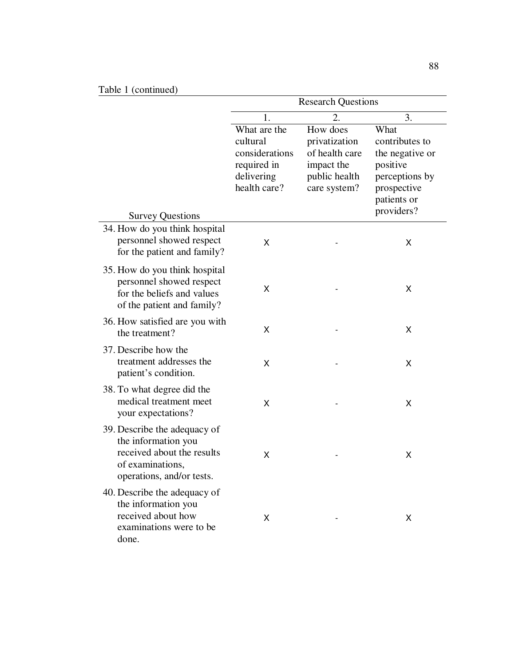|                                                                                                                                    | <b>Research Questions</b>                                                               |                                                                                            |                                                                                                                     |
|------------------------------------------------------------------------------------------------------------------------------------|-----------------------------------------------------------------------------------------|--------------------------------------------------------------------------------------------|---------------------------------------------------------------------------------------------------------------------|
|                                                                                                                                    | 1.                                                                                      | 2.                                                                                         | 3.                                                                                                                  |
|                                                                                                                                    | What are the<br>cultural<br>considerations<br>required in<br>delivering<br>health care? | How does<br>privatization<br>of health care<br>impact the<br>public health<br>care system? | What<br>contributes to<br>the negative or<br>positive<br>perceptions by<br>prospective<br>patients or<br>providers? |
| <b>Survey Questions</b>                                                                                                            |                                                                                         |                                                                                            |                                                                                                                     |
| 34. How do you think hospital<br>personnel showed respect<br>for the patient and family?                                           | X                                                                                       |                                                                                            | Χ                                                                                                                   |
| 35. How do you think hospital<br>personnel showed respect<br>for the beliefs and values<br>of the patient and family?              | X                                                                                       |                                                                                            | X                                                                                                                   |
| 36. How satisfied are you with<br>the treatment?                                                                                   | X                                                                                       |                                                                                            | X                                                                                                                   |
| 37. Describe how the<br>treatment addresses the<br>patient's condition.                                                            | х                                                                                       |                                                                                            | Χ                                                                                                                   |
| 38. To what degree did the<br>medical treatment meet<br>your expectations?                                                         | X                                                                                       |                                                                                            | X                                                                                                                   |
| 39. Describe the adequacy of<br>the information you<br>received about the results<br>of examinations,<br>operations, and/or tests. | X                                                                                       |                                                                                            | X                                                                                                                   |
| 40. Describe the adequacy of<br>the information you<br>received about how<br>examinations were to be<br>done.                      | X                                                                                       |                                                                                            | X                                                                                                                   |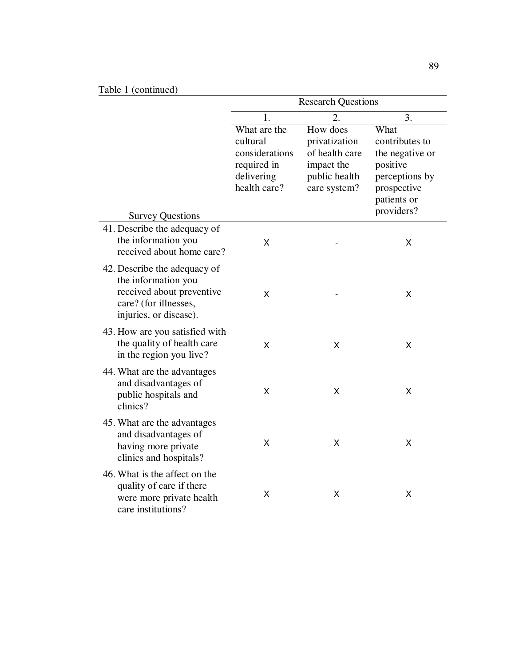|                                                                                                                                     | <b>Research Questions</b>                                                               |                                                                                            |                                                                                                                     |
|-------------------------------------------------------------------------------------------------------------------------------------|-----------------------------------------------------------------------------------------|--------------------------------------------------------------------------------------------|---------------------------------------------------------------------------------------------------------------------|
|                                                                                                                                     | 1.                                                                                      | $\overline{2}$ .                                                                           | 3.                                                                                                                  |
| <b>Survey Questions</b>                                                                                                             | What are the<br>cultural<br>considerations<br>required in<br>delivering<br>health care? | How does<br>privatization<br>of health care<br>impact the<br>public health<br>care system? | What<br>contributes to<br>the negative or<br>positive<br>perceptions by<br>prospective<br>patients or<br>providers? |
| 41. Describe the adequacy of<br>the information you<br>received about home care?                                                    | Χ                                                                                       |                                                                                            | X                                                                                                                   |
| 42. Describe the adequacy of<br>the information you<br>received about preventive<br>care? (for illnesses,<br>injuries, or disease). | X                                                                                       |                                                                                            | X                                                                                                                   |
| 43. How are you satisfied with<br>the quality of health care<br>in the region you live?                                             | X                                                                                       | X                                                                                          | X                                                                                                                   |
| 44. What are the advantages<br>and disadvantages of<br>public hospitals and<br>clinics?                                             | X                                                                                       | Χ                                                                                          | X                                                                                                                   |
| 45. What are the advantages<br>and disadvantages of<br>having more private<br>clinics and hospitals?                                | X                                                                                       | X                                                                                          | X                                                                                                                   |
| 46. What is the affect on the<br>quality of care if there<br>were more private health<br>care institutions?                         | Χ                                                                                       | Χ                                                                                          | Χ                                                                                                                   |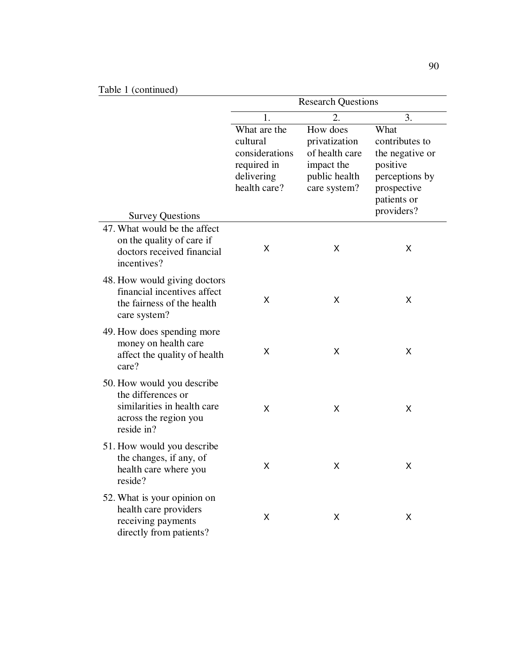| Table 1 (continued)                                                                                                    | <b>Research Questions</b>                                                               |                                                                                            |                                                                                                       |
|------------------------------------------------------------------------------------------------------------------------|-----------------------------------------------------------------------------------------|--------------------------------------------------------------------------------------------|-------------------------------------------------------------------------------------------------------|
|                                                                                                                        | 1.                                                                                      | 2.                                                                                         | 3.                                                                                                    |
|                                                                                                                        | What are the<br>cultural<br>considerations<br>required in<br>delivering<br>health care? | How does<br>privatization<br>of health care<br>impact the<br>public health<br>care system? | What<br>contributes to<br>the negative or<br>positive<br>perceptions by<br>prospective<br>patients or |
| <b>Survey Questions</b>                                                                                                |                                                                                         |                                                                                            | providers?                                                                                            |
| 47. What would be the affect<br>on the quality of care if<br>doctors received financial<br>incentives?                 | X                                                                                       | X                                                                                          | X                                                                                                     |
| 48. How would giving doctors<br>financial incentives affect<br>the fairness of the health<br>care system?              | X                                                                                       | X                                                                                          | X                                                                                                     |
| 49. How does spending more<br>money on health care<br>affect the quality of health<br>care?                            | X                                                                                       | X                                                                                          | X                                                                                                     |
| 50. How would you describe<br>the differences or<br>similarities in health care<br>across the region you<br>reside in? | X                                                                                       | X                                                                                          | Χ                                                                                                     |
| 51. How would you describe<br>the changes, if any, of<br>health care where you<br>reside?                              | Χ                                                                                       | X.                                                                                         | Χ                                                                                                     |
| 52. What is your opinion on<br>health care providers<br>receiving payments<br>directly from patients?                  | X                                                                                       | X                                                                                          | X                                                                                                     |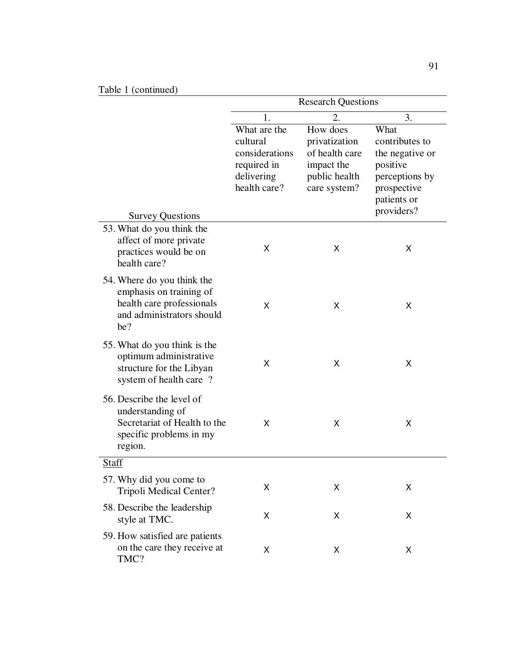|                                                                                                                        | <b>Research Questions</b>                                                               |                                                                                            |                                                                                                                     |
|------------------------------------------------------------------------------------------------------------------------|-----------------------------------------------------------------------------------------|--------------------------------------------------------------------------------------------|---------------------------------------------------------------------------------------------------------------------|
|                                                                                                                        | 1.                                                                                      | 2.                                                                                         | 3.                                                                                                                  |
| <b>Survey Questions</b>                                                                                                | What are the<br>cultural<br>considerations<br>required in<br>delivering<br>health care? | How does<br>privatization<br>of health care<br>impact the<br>public health<br>care system? | What<br>contributes to<br>the negative or<br>positive<br>perceptions by<br>prospective<br>patients or<br>providers? |
| 53. What do you think the<br>affect of more private<br>practices would be on<br>health care?                           | X                                                                                       | X                                                                                          | X                                                                                                                   |
| 54. Where do you think the<br>emphasis on training of<br>health care professionals<br>and administrators should<br>be? | X                                                                                       | X                                                                                          | X                                                                                                                   |
| 55. What do you think is the<br>optimum administrative<br>structure for the Libyan<br>system of health care ?          | X                                                                                       | X                                                                                          | X                                                                                                                   |
| 56. Describe the level of<br>understanding of<br>Secretariat of Health to the<br>specific problems in my<br>region.    | X                                                                                       | X                                                                                          | X                                                                                                                   |
| Staff                                                                                                                  |                                                                                         |                                                                                            |                                                                                                                     |
| 57. Why did you come to<br>Tripoli Medical Center?                                                                     | Χ                                                                                       | Χ                                                                                          | х                                                                                                                   |
| 58. Describe the leadership<br>style at TMC.                                                                           | X                                                                                       | X                                                                                          | X                                                                                                                   |
| 59. How satisfied are patients<br>on the care they receive at<br>TMC?                                                  | Χ                                                                                       | X                                                                                          | X                                                                                                                   |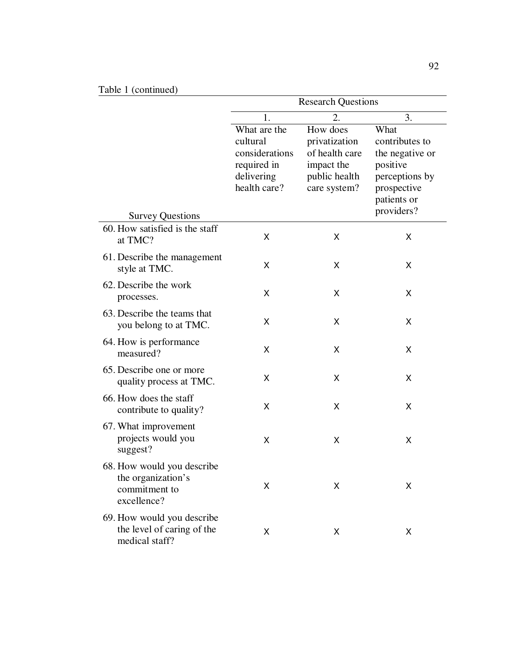| Table 1 (continued)                                                              |                                                                                         |                                                                                            |                                                                                                                     |
|----------------------------------------------------------------------------------|-----------------------------------------------------------------------------------------|--------------------------------------------------------------------------------------------|---------------------------------------------------------------------------------------------------------------------|
|                                                                                  | <b>Research Questions</b>                                                               |                                                                                            |                                                                                                                     |
|                                                                                  | 1.                                                                                      | $\overline{2}$ .                                                                           | 3.                                                                                                                  |
| <b>Survey Questions</b>                                                          | What are the<br>cultural<br>considerations<br>required in<br>delivering<br>health care? | How does<br>privatization<br>of health care<br>impact the<br>public health<br>care system? | What<br>contributes to<br>the negative or<br>positive<br>perceptions by<br>prospective<br>patients or<br>providers? |
| 60. How satisfied is the staff<br>at TMC?                                        | X                                                                                       | X                                                                                          | Χ                                                                                                                   |
| 61. Describe the management<br>style at TMC.                                     | X                                                                                       | X                                                                                          | X                                                                                                                   |
| 62. Describe the work<br>processes.                                              | X                                                                                       | X                                                                                          | X                                                                                                                   |
| 63. Describe the teams that<br>you belong to at TMC.                             | X                                                                                       | X                                                                                          | X                                                                                                                   |
| 64. How is performance<br>measured?                                              | X                                                                                       | X                                                                                          | X                                                                                                                   |
| 65. Describe one or more<br>quality process at TMC.                              | X                                                                                       | X                                                                                          | Χ                                                                                                                   |
| 66. How does the staff<br>contribute to quality?                                 | X                                                                                       | X                                                                                          | Χ                                                                                                                   |
| 67. What improvement<br>projects would you<br>suggest?                           | X                                                                                       | X                                                                                          | X                                                                                                                   |
| 68. How would you describe<br>the organization's<br>commitment to<br>excellence? | X                                                                                       | Χ                                                                                          | X                                                                                                                   |
| 69. How would you describe<br>the level of caring of the<br>medical staff?       | X                                                                                       | X                                                                                          | X                                                                                                                   |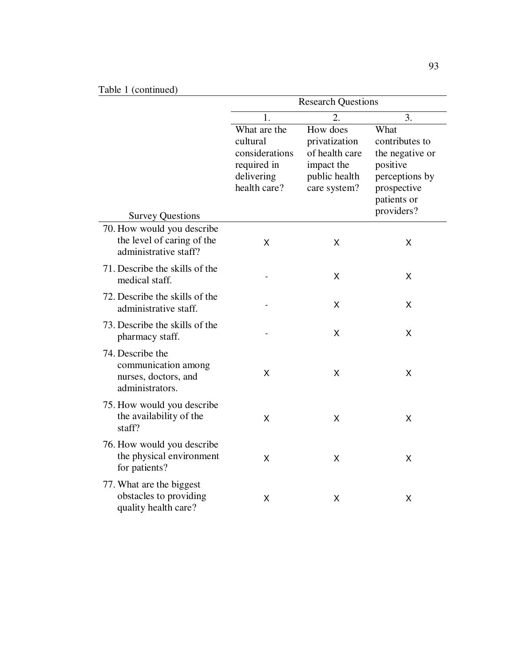| Table 1 (continued)                                                                |                                                                                         |                                                                                            |                                                                                                                     |
|------------------------------------------------------------------------------------|-----------------------------------------------------------------------------------------|--------------------------------------------------------------------------------------------|---------------------------------------------------------------------------------------------------------------------|
|                                                                                    |                                                                                         | <b>Research Questions</b>                                                                  |                                                                                                                     |
|                                                                                    | 1.                                                                                      | 2.                                                                                         | 3.                                                                                                                  |
| <b>Survey Questions</b>                                                            | What are the<br>cultural<br>considerations<br>required in<br>delivering<br>health care? | How does<br>privatization<br>of health care<br>impact the<br>public health<br>care system? | What<br>contributes to<br>the negative or<br>positive<br>perceptions by<br>prospective<br>patients or<br>providers? |
| 70. How would you describe                                                         |                                                                                         |                                                                                            |                                                                                                                     |
| the level of caring of the<br>administrative staff?                                | X                                                                                       | X                                                                                          | X                                                                                                                   |
| 71. Describe the skills of the<br>medical staff.                                   |                                                                                         | X                                                                                          | X                                                                                                                   |
| 72. Describe the skills of the<br>administrative staff.                            |                                                                                         | X                                                                                          | X                                                                                                                   |
| 73. Describe the skills of the<br>pharmacy staff.                                  |                                                                                         | X                                                                                          | X                                                                                                                   |
| 74. Describe the<br>communication among<br>nurses, doctors, and<br>administrators. | X                                                                                       | X                                                                                          | X                                                                                                                   |
| 75. How would you describe<br>the availability of the<br>staff?                    | X                                                                                       | X                                                                                          | X                                                                                                                   |
| 76. How would you describe<br>the physical environment<br>for patients?            | X                                                                                       | X                                                                                          | Χ                                                                                                                   |
| 77. What are the biggest<br>obstacles to providing<br>quality health care?         | X                                                                                       | X                                                                                          | Χ                                                                                                                   |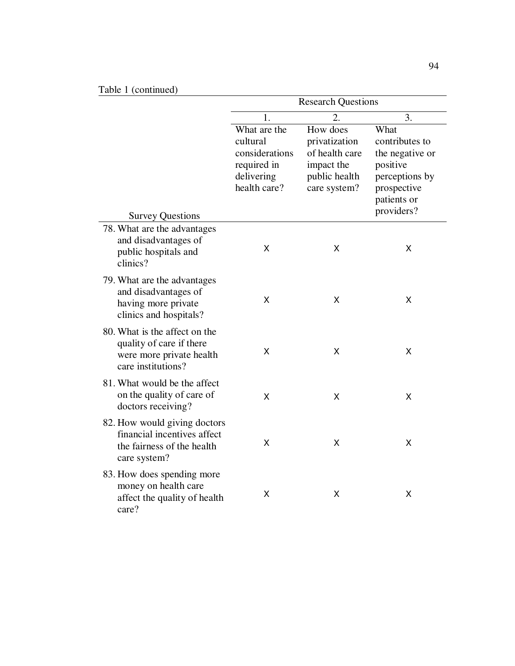# Table 1 (continued)

| Table 1 (continued)                                                                                         |                                                                                         |                                                                                            |                                                                                                                     |
|-------------------------------------------------------------------------------------------------------------|-----------------------------------------------------------------------------------------|--------------------------------------------------------------------------------------------|---------------------------------------------------------------------------------------------------------------------|
|                                                                                                             |                                                                                         | <b>Research Questions</b>                                                                  |                                                                                                                     |
|                                                                                                             | 1.                                                                                      | $\overline{2}$ .                                                                           | 3.                                                                                                                  |
| <b>Survey Questions</b>                                                                                     | What are the<br>cultural<br>considerations<br>required in<br>delivering<br>health care? | How does<br>privatization<br>of health care<br>impact the<br>public health<br>care system? | What<br>contributes to<br>the negative or<br>positive<br>perceptions by<br>prospective<br>patients or<br>providers? |
| 78. What are the advantages                                                                                 |                                                                                         |                                                                                            |                                                                                                                     |
| and disadvantages of<br>public hospitals and<br>clinics?                                                    | Χ                                                                                       | х                                                                                          | X                                                                                                                   |
| 79. What are the advantages<br>and disadvantages of<br>having more private<br>clinics and hospitals?        | X                                                                                       | X                                                                                          | X                                                                                                                   |
| 80. What is the affect on the<br>quality of care if there<br>were more private health<br>care institutions? | Χ                                                                                       | Χ                                                                                          | X                                                                                                                   |
| 81. What would be the affect<br>on the quality of care of<br>doctors receiving?                             | Χ                                                                                       | Χ                                                                                          | X                                                                                                                   |
| 82. How would giving doctors<br>financial incentives affect<br>the fairness of the health<br>care system?   | X                                                                                       | X                                                                                          | X                                                                                                                   |
| 83. How does spending more<br>money on health care<br>affect the quality of health<br>care?                 | Χ                                                                                       | Χ                                                                                          | X                                                                                                                   |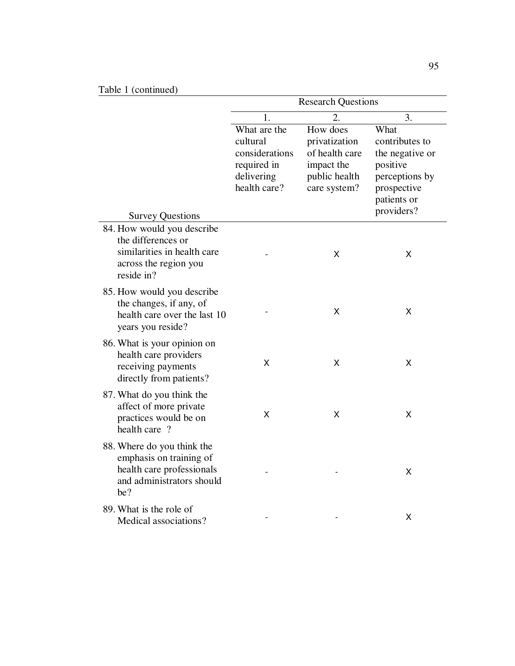| Table 1 (continued)                                                                                                    |                                                                                         | <b>Research Questions</b>                                                                  |                                                                                                                     |
|------------------------------------------------------------------------------------------------------------------------|-----------------------------------------------------------------------------------------|--------------------------------------------------------------------------------------------|---------------------------------------------------------------------------------------------------------------------|
|                                                                                                                        | 1.                                                                                      | 2.                                                                                         | 3.                                                                                                                  |
| <b>Survey Questions</b>                                                                                                | What are the<br>cultural<br>considerations<br>required in<br>delivering<br>health care? | How does<br>privatization<br>of health care<br>impact the<br>public health<br>care system? | What<br>contributes to<br>the negative or<br>positive<br>perceptions by<br>prospective<br>patients or<br>providers? |
| 84. How would you describe<br>the differences or<br>similarities in health care<br>across the region you<br>reside in? |                                                                                         | Χ                                                                                          | Χ                                                                                                                   |
| 85. How would you describe<br>the changes, if any, of<br>health care over the last 10<br>years you reside?             |                                                                                         | Χ                                                                                          | Χ                                                                                                                   |
| 86. What is your opinion on<br>health care providers<br>receiving payments<br>directly from patients?                  | X                                                                                       | х                                                                                          | Χ                                                                                                                   |
| 87. What do you think the<br>affect of more private<br>practices would be on<br>health care ?                          | Χ                                                                                       | X                                                                                          | X                                                                                                                   |
| 88. Where do you think the<br>emphasis on training of<br>health care professionals<br>and administrators should<br>be? |                                                                                         |                                                                                            | X                                                                                                                   |
| 89. What is the role of<br>Medical associations?                                                                       |                                                                                         |                                                                                            | Χ                                                                                                                   |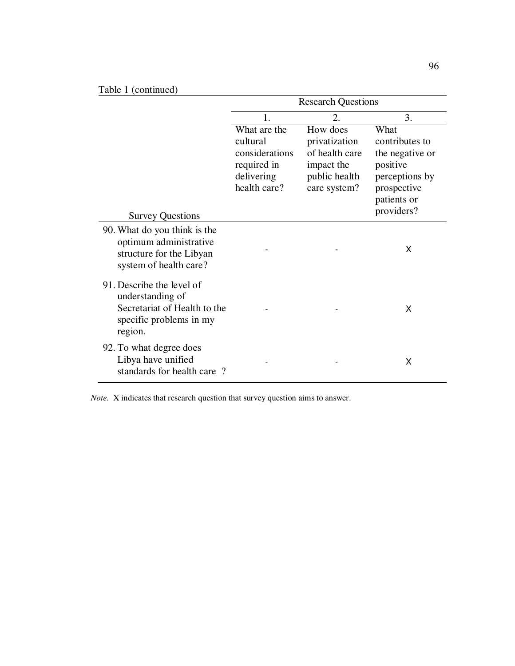| Table 1 (continued)                                                                                                 |                                                                                         |                                                                                            |                                                                                                                     |
|---------------------------------------------------------------------------------------------------------------------|-----------------------------------------------------------------------------------------|--------------------------------------------------------------------------------------------|---------------------------------------------------------------------------------------------------------------------|
|                                                                                                                     |                                                                                         | <b>Research Questions</b>                                                                  |                                                                                                                     |
|                                                                                                                     | 1.                                                                                      | 2.                                                                                         | 3.                                                                                                                  |
| <b>Survey Questions</b>                                                                                             | What are the<br>cultural<br>considerations<br>required in<br>delivering<br>health care? | How does<br>privatization<br>of health care<br>impact the<br>public health<br>care system? | What<br>contributes to<br>the negative or<br>positive<br>perceptions by<br>prospective<br>patients or<br>providers? |
| 90. What do you think is the<br>optimum administrative<br>structure for the Libyan<br>system of health care?        |                                                                                         |                                                                                            | X                                                                                                                   |
| 91. Describe the level of<br>understanding of<br>Secretariat of Health to the<br>specific problems in my<br>region. |                                                                                         |                                                                                            | X                                                                                                                   |
| 92. To what degree does<br>Libya have unified<br>standards for health care?                                         |                                                                                         |                                                                                            | X                                                                                                                   |

*Note.* X indicates that research question that survey question aims to answer.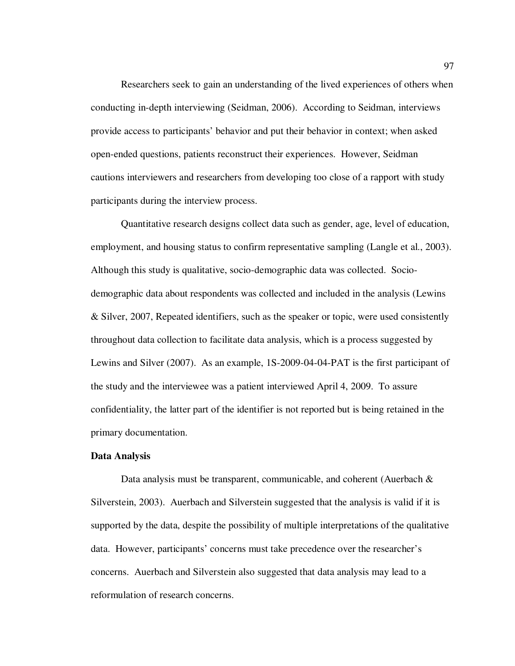Researchers seek to gain an understanding of the lived experiences of others when conducting in-depth interviewing (Seidman, 2006). According to Seidman, interviews provide access to participants' behavior and put their behavior in context; when asked open-ended questions, patients reconstruct their experiences. However, Seidman cautions interviewers and researchers from developing too close of a rapport with study participants during the interview process.

Quantitative research designs collect data such as gender, age, level of education, employment, and housing status to confirm representative sampling (Langle et al., 2003). Although this study is qualitative, socio-demographic data was collected. Sociodemographic data about respondents was collected and included in the analysis (Lewins & Silver, 2007, Repeated identifiers, such as the speaker or topic, were used consistently throughout data collection to facilitate data analysis, which is a process suggested by Lewins and Silver (2007). As an example, 1S-2009-04-04-PAT is the first participant of the study and the interviewee was a patient interviewed April 4, 2009. To assure confidentiality, the latter part of the identifier is not reported but is being retained in the primary documentation.

#### **Data Analysis**

Data analysis must be transparent, communicable, and coherent (Auerbach & Silverstein, 2003). Auerbach and Silverstein suggested that the analysis is valid if it is supported by the data, despite the possibility of multiple interpretations of the qualitative data. However, participants' concerns must take precedence over the researcher's concerns. Auerbach and Silverstein also suggested that data analysis may lead to a reformulation of research concerns.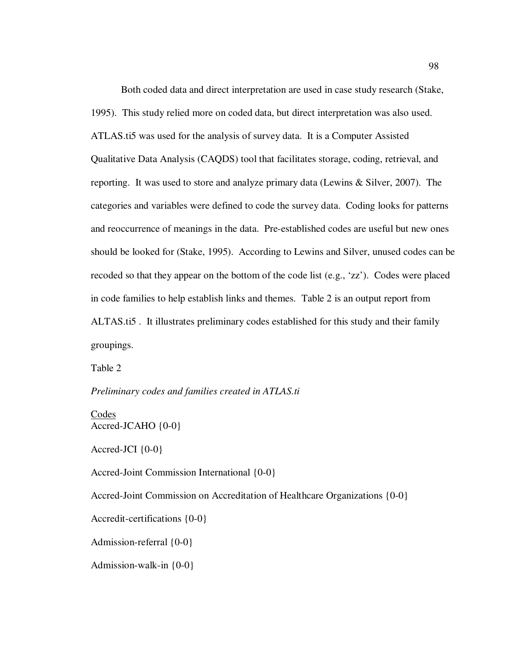Both coded data and direct interpretation are used in case study research (Stake, 1995). This study relied more on coded data, but direct interpretation was also used. ATLAS.ti5 was used for the analysis of survey data. It is a Computer Assisted Qualitative Data Analysis (CAQDS) tool that facilitates storage, coding, retrieval, and reporting. It was used to store and analyze primary data (Lewins & Silver, 2007). The categories and variables were defined to code the survey data. Coding looks for patterns and reoccurrence of meanings in the data. Pre-established codes are useful but new ones should be looked for (Stake, 1995). According to Lewins and Silver, unused codes can be recoded so that they appear on the bottom of the code list (e.g., 'zz'). Codes were placed in code families to help establish links and themes. Table 2 is an output report from ALTAS.ti5 . It illustrates preliminary codes established for this study and their family groupings.

Table 2

*Preliminary codes and families created in ATLAS.ti* 

**Codes** Accred-JCAHO {0-0}

Accred-JCI  $\{0-0\}$ 

Accred-Joint Commission International {0-0}

Accred-Joint Commission on Accreditation of Healthcare Organizations {0-0}

Accredit-certifications {0-0}

Admission-referral {0-0}

Admission-walk-in {0-0}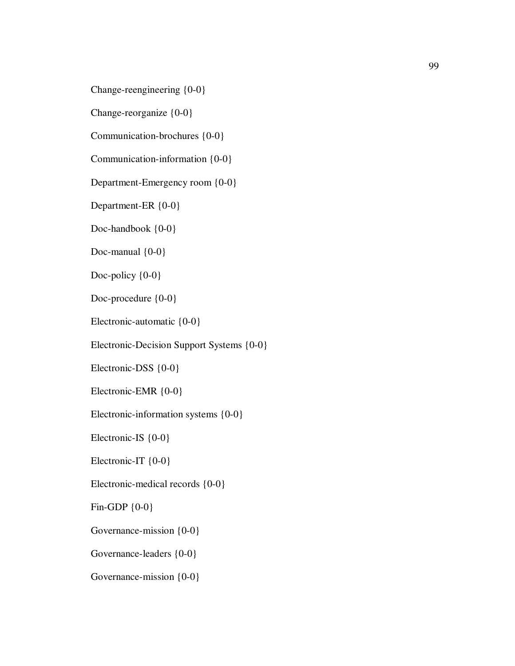Change-reengineering {0-0}

Change-reorganize {0-0}

Communication-brochures {0-0}

Communication-information {0-0}

Department-Emergency room {0-0}

Department-ER {0-0}

Doc-handbook  ${0-0}$ 

Doc-manual {0-0}

Doc-policy  ${0-0}$ 

Doc-procedure {0-0}

Electronic-automatic {0-0}

Electronic-Decision Support Systems {0-0}

Electronic-DSS {0-0}

Electronic-EMR {0-0}

Electronic-information systems {0-0}

Electronic-IS {0-0}

Electronic-IT  ${0-0}$ 

Electronic-medical records {0-0}

Fin-GDP {0-0}

Governance-mission {0-0}

Governance-leaders {0-0}

Governance-mission {0-0}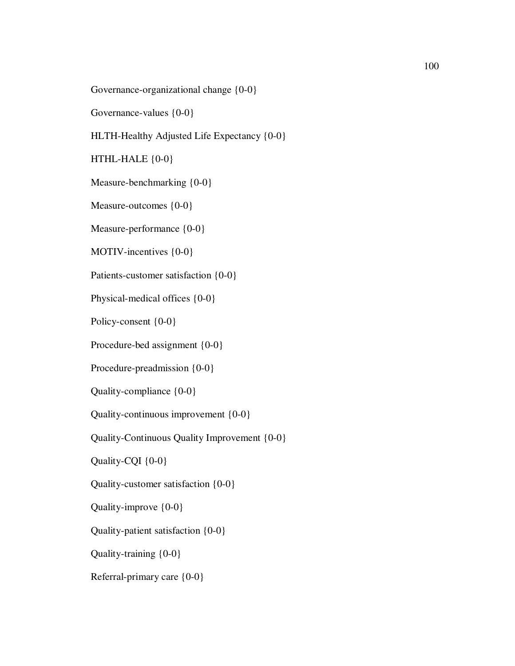Governance-organizational change {0-0}

Governance-values {0-0}

HLTH-Healthy Adjusted Life Expectancy {0-0}

HTHL-HALE {0-0}

Measure-benchmarking {0-0}

Measure-outcomes {0-0}

Measure-performance  ${0-0}$ 

MOTIV-incentives {0-0}

Patients-customer satisfaction {0-0}

Physical-medical offices {0-0}

Policy-consent {0-0}

Procedure-bed assignment {0-0}

Procedure-preadmission {0-0}

Quality-compliance {0-0}

Quality-continuous improvement {0-0}

Quality-Continuous Quality Improvement {0-0}

Quality-CQI {0-0}

Quality-customer satisfaction {0-0}

Quality-improve {0-0}

Quality-patient satisfaction {0-0}

Quality-training {0-0}

Referral-primary care {0-0}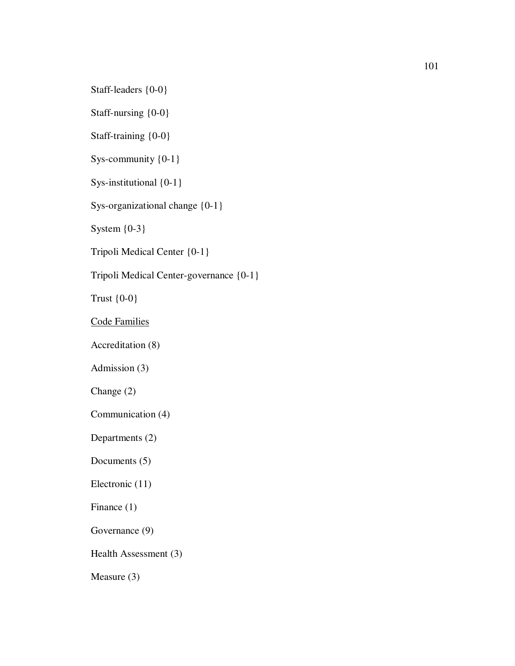Staff-leaders {0-0}

Staff-nursing {0-0}

Staff-training {0-0}

Sys-community {0-1}

Sys-institutional  ${0-1}$ 

Sys-organizational change {0-1}

System {0-3}

Tripoli Medical Center {0-1}

Tripoli Medical Center-governance {0-1}

Trust {0-0}

Code Families

Accreditation (8)

Admission (3)

Change (2)

Communication (4)

Departments (2)

Documents (5)

Electronic (11)

Finance (1)

Governance (9)

Health Assessment (3)

Measure (3)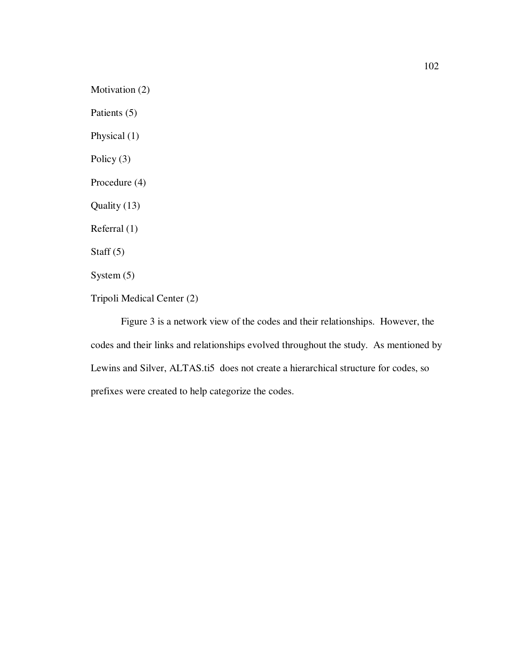Motivation (2) Patients (5) Physical (1) Policy (3) Procedure (4) Quality (13) Referral (1) Staff  $(5)$ System (5) Tripoli Medical Center (2)

Figure 3 is a network view of the codes and their relationships. However, the codes and their links and relationships evolved throughout the study. As mentioned by Lewins and Silver, ALTAS.ti5 does not create a hierarchical structure for codes, so prefixes were created to help categorize the codes.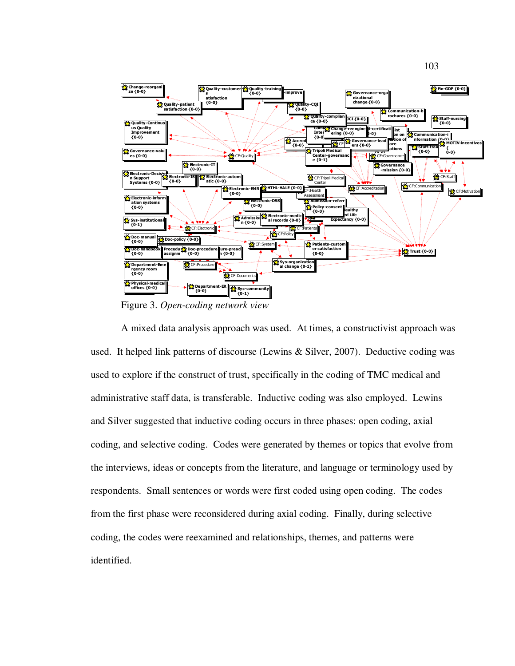

Figure 3. *Open-coding network view*

A mixed data analysis approach was used. At times, a constructivist approach was used. It helped link patterns of discourse (Lewins & Silver, 2007). Deductive coding was used to explore if the construct of trust, specifically in the coding of TMC medical and administrative staff data, is transferable. Inductive coding was also employed. Lewins and Silver suggested that inductive coding occurs in three phases: open coding, axial coding, and selective coding. Codes were generated by themes or topics that evolve from the interviews, ideas or concepts from the literature, and language or terminology used by respondents. Small sentences or words were first coded using open coding. The codes from the first phase were reconsidered during axial coding. Finally, during selective coding, the codes were reexamined and relationships, themes, and patterns were identified.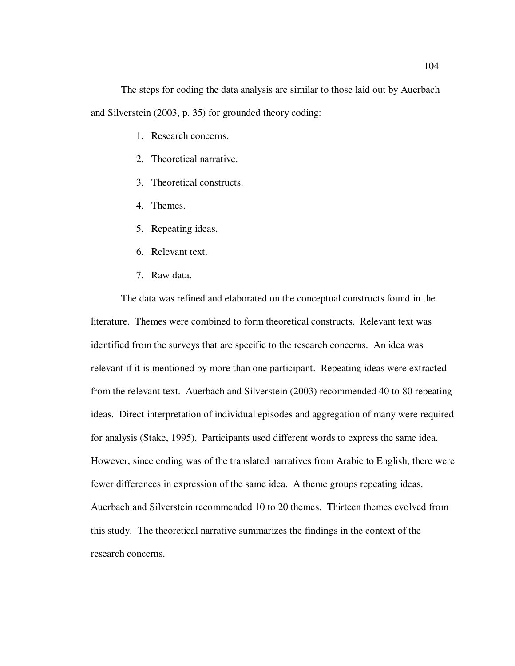The steps for coding the data analysis are similar to those laid out by Auerbach and Silverstein (2003, p. 35) for grounded theory coding:

- 1. Research concerns.
- 2. Theoretical narrative.
- 3. Theoretical constructs.
- 4. Themes.
- 5. Repeating ideas.
- 6. Relevant text.
- 7. Raw data.

The data was refined and elaborated on the conceptual constructs found in the literature. Themes were combined to form theoretical constructs. Relevant text was identified from the surveys that are specific to the research concerns. An idea was relevant if it is mentioned by more than one participant. Repeating ideas were extracted from the relevant text. Auerbach and Silverstein (2003) recommended 40 to 80 repeating ideas. Direct interpretation of individual episodes and aggregation of many were required for analysis (Stake, 1995). Participants used different words to express the same idea. However, since coding was of the translated narratives from Arabic to English, there were fewer differences in expression of the same idea. A theme groups repeating ideas. Auerbach and Silverstein recommended 10 to 20 themes. Thirteen themes evolved from this study. The theoretical narrative summarizes the findings in the context of the research concerns.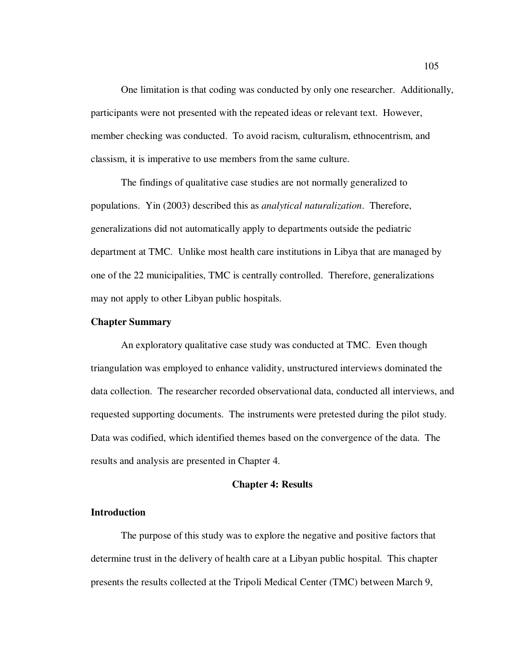One limitation is that coding was conducted by only one researcher. Additionally, participants were not presented with the repeated ideas or relevant text. However, member checking was conducted. To avoid racism, culturalism, ethnocentrism, and classism, it is imperative to use members from the same culture.

The findings of qualitative case studies are not normally generalized to populations. Yin (2003) described this as *analytical naturalization*. Therefore, generalizations did not automatically apply to departments outside the pediatric department at TMC. Unlike most health care institutions in Libya that are managed by one of the 22 municipalities, TMC is centrally controlled. Therefore, generalizations may not apply to other Libyan public hospitals.

#### **Chapter Summary**

An exploratory qualitative case study was conducted at TMC. Even though triangulation was employed to enhance validity, unstructured interviews dominated the data collection. The researcher recorded observational data, conducted all interviews, and requested supporting documents. The instruments were pretested during the pilot study. Data was codified, which identified themes based on the convergence of the data. The results and analysis are presented in Chapter 4.

#### **Chapter 4: Results**

#### **Introduction**

The purpose of this study was to explore the negative and positive factors that determine trust in the delivery of health care at a Libyan public hospital. This chapter presents the results collected at the Tripoli Medical Center (TMC) between March 9,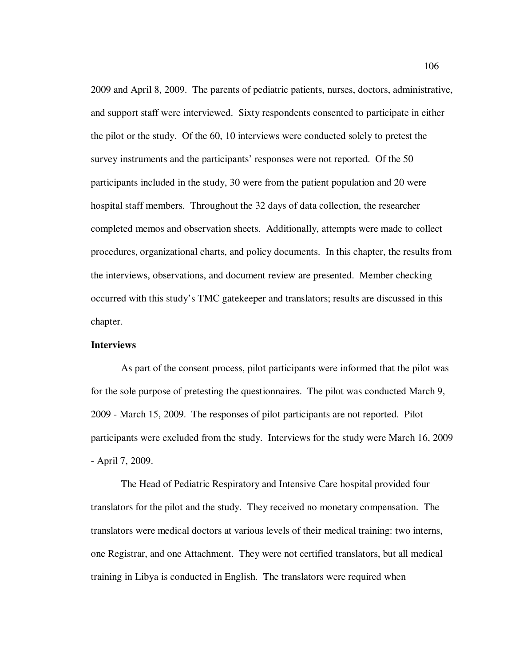2009 and April 8, 2009. The parents of pediatric patients, nurses, doctors, administrative, and support staff were interviewed. Sixty respondents consented to participate in either the pilot or the study. Of the 60, 10 interviews were conducted solely to pretest the survey instruments and the participants' responses were not reported. Of the 50 participants included in the study, 30 were from the patient population and 20 were hospital staff members. Throughout the 32 days of data collection, the researcher completed memos and observation sheets. Additionally, attempts were made to collect procedures, organizational charts, and policy documents. In this chapter, the results from the interviews, observations, and document review are presented. Member checking occurred with this study's TMC gatekeeper and translators; results are discussed in this chapter.

#### **Interviews**

As part of the consent process, pilot participants were informed that the pilot was for the sole purpose of pretesting the questionnaires. The pilot was conducted March 9, 2009 - March 15, 2009. The responses of pilot participants are not reported. Pilot participants were excluded from the study. Interviews for the study were March 16, 2009 - April 7, 2009.

The Head of Pediatric Respiratory and Intensive Care hospital provided four translators for the pilot and the study. They received no monetary compensation. The translators were medical doctors at various levels of their medical training: two interns, one Registrar, and one Attachment. They were not certified translators, but all medical training in Libya is conducted in English. The translators were required when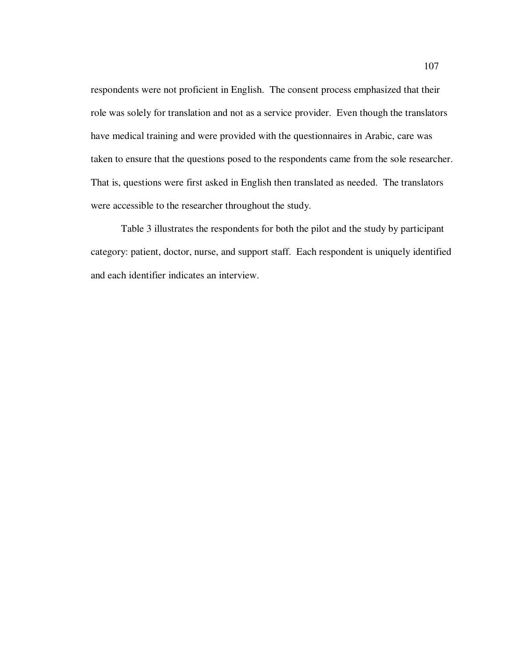respondents were not proficient in English. The consent process emphasized that their role was solely for translation and not as a service provider. Even though the translators have medical training and were provided with the questionnaires in Arabic, care was taken to ensure that the questions posed to the respondents came from the sole researcher. That is, questions were first asked in English then translated as needed. The translators were accessible to the researcher throughout the study.

Table 3 illustrates the respondents for both the pilot and the study by participant category: patient, doctor, nurse, and support staff. Each respondent is uniquely identified and each identifier indicates an interview.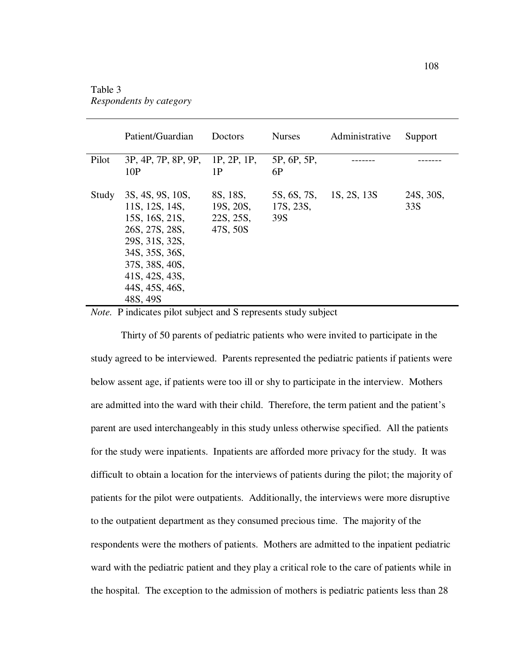## Table 3 *Respondents by category*

|       | Patient/Guardian                                                                                                                                                             | Doctors                                        | <b>Nurses</b>                   | Administrative | Support          |
|-------|------------------------------------------------------------------------------------------------------------------------------------------------------------------------------|------------------------------------------------|---------------------------------|----------------|------------------|
| Pilot | 3P, 4P, 7P, 8P, 9P,<br>10P                                                                                                                                                   | 1P, 2P, 1P,<br>1P                              | 5P, 6P, 5P,<br>6P               |                |                  |
| Study | 3S, 4S, 9S, 10S,<br>11S, 12S, 14S,<br>15S, 16S, 21S,<br>26S, 27S, 28S,<br>29S, 31S, 32S,<br>34S, 35S, 36S,<br>37S, 38S, 40S,<br>41S, 42S, 43S,<br>44S, 45S, 46S,<br>48S, 49S | 8S, 18S,<br>19S, 20S,<br>22S, 25S,<br>47S, 50S | 5S, 6S, 7S,<br>17S, 23S,<br>39S | 1S, 2S, 13S    | 24S, 30S,<br>33S |

*Note.* P indicates pilot subject and S represents study subject

Thirty of 50 parents of pediatric patients who were invited to participate in the study agreed to be interviewed. Parents represented the pediatric patients if patients were below assent age, if patients were too ill or shy to participate in the interview. Mothers are admitted into the ward with their child. Therefore, the term patient and the patient's parent are used interchangeably in this study unless otherwise specified. All the patients for the study were inpatients. Inpatients are afforded more privacy for the study. It was difficult to obtain a location for the interviews of patients during the pilot; the majority of patients for the pilot were outpatients. Additionally, the interviews were more disruptive to the outpatient department as they consumed precious time. The majority of the respondents were the mothers of patients. Mothers are admitted to the inpatient pediatric ward with the pediatric patient and they play a critical role to the care of patients while in the hospital. The exception to the admission of mothers is pediatric patients less than 28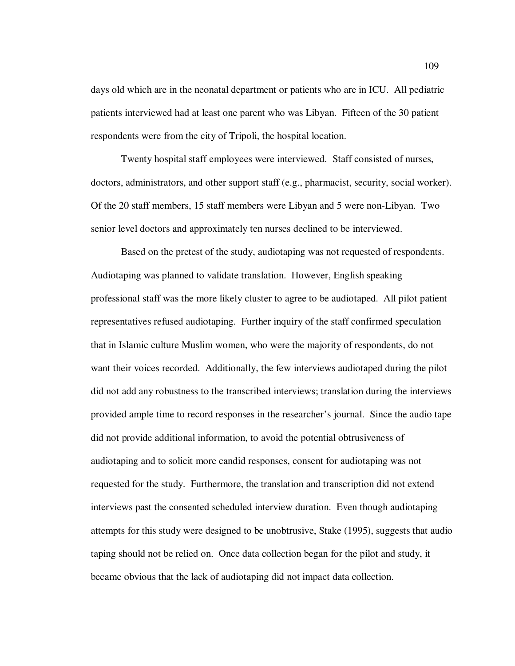days old which are in the neonatal department or patients who are in ICU. All pediatric patients interviewed had at least one parent who was Libyan. Fifteen of the 30 patient respondents were from the city of Tripoli, the hospital location.

Twenty hospital staff employees were interviewed. Staff consisted of nurses, doctors, administrators, and other support staff (e.g., pharmacist, security, social worker). Of the 20 staff members, 15 staff members were Libyan and 5 were non-Libyan. Two senior level doctors and approximately ten nurses declined to be interviewed.

Based on the pretest of the study, audiotaping was not requested of respondents. Audiotaping was planned to validate translation. However, English speaking professional staff was the more likely cluster to agree to be audiotaped. All pilot patient representatives refused audiotaping. Further inquiry of the staff confirmed speculation that in Islamic culture Muslim women, who were the majority of respondents, do not want their voices recorded. Additionally, the few interviews audiotaped during the pilot did not add any robustness to the transcribed interviews; translation during the interviews provided ample time to record responses in the researcher's journal. Since the audio tape did not provide additional information, to avoid the potential obtrusiveness of audiotaping and to solicit more candid responses, consent for audiotaping was not requested for the study. Furthermore, the translation and transcription did not extend interviews past the consented scheduled interview duration. Even though audiotaping attempts for this study were designed to be unobtrusive, Stake (1995), suggests that audio taping should not be relied on. Once data collection began for the pilot and study, it became obvious that the lack of audiotaping did not impact data collection.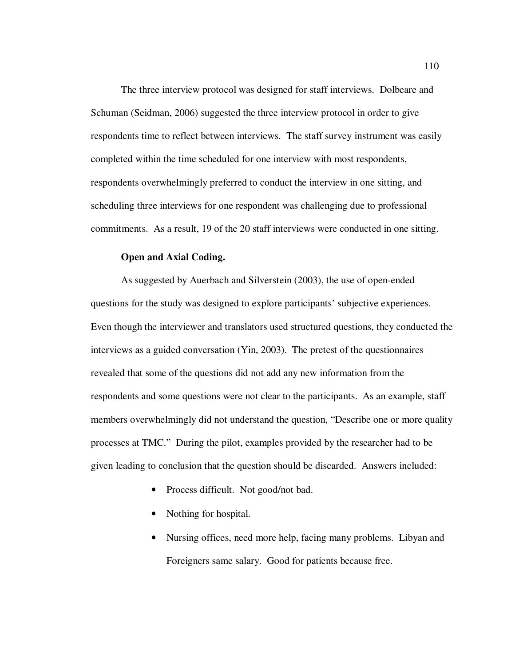The three interview protocol was designed for staff interviews. Dolbeare and Schuman (Seidman, 2006) suggested the three interview protocol in order to give respondents time to reflect between interviews. The staff survey instrument was easily completed within the time scheduled for one interview with most respondents, respondents overwhelmingly preferred to conduct the interview in one sitting, and scheduling three interviews for one respondent was challenging due to professional commitments. As a result, 19 of the 20 staff interviews were conducted in one sitting.

#### **Open and Axial Coding.**

As suggested by Auerbach and Silverstein (2003), the use of open-ended questions for the study was designed to explore participants' subjective experiences. Even though the interviewer and translators used structured questions, they conducted the interviews as a guided conversation (Yin, 2003). The pretest of the questionnaires revealed that some of the questions did not add any new information from the respondents and some questions were not clear to the participants. As an example, staff members overwhelmingly did not understand the question, "Describe one or more quality processes at TMC." During the pilot, examples provided by the researcher had to be given leading to conclusion that the question should be discarded. Answers included:

- Process difficult. Not good/not bad.
- Nothing for hospital.
- Nursing offices, need more help, facing many problems. Libyan and Foreigners same salary. Good for patients because free.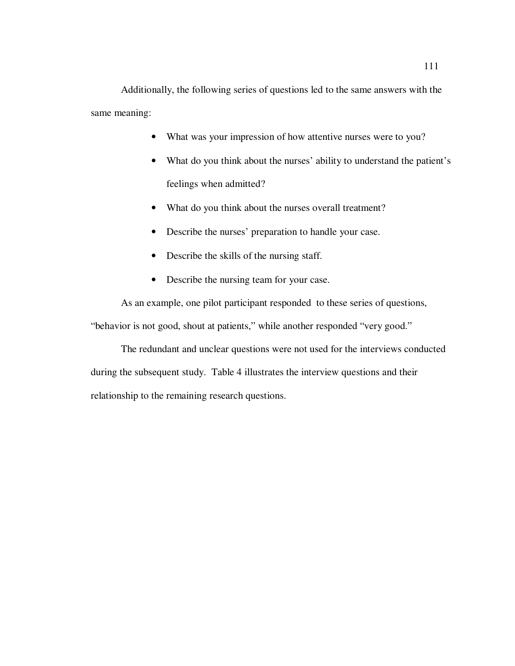Additionally, the following series of questions led to the same answers with the same meaning:

- What was your impression of how attentive nurses were to you?
- What do you think about the nurses' ability to understand the patient's feelings when admitted?
- What do you think about the nurses overall treatment?
- Describe the nurses' preparation to handle your case.
- Describe the skills of the nursing staff.
- Describe the nursing team for your case.

As an example, one pilot participant responded to these series of questions,

"behavior is not good, shout at patients," while another responded "very good."

The redundant and unclear questions were not used for the interviews conducted during the subsequent study. Table 4 illustrates the interview questions and their relationship to the remaining research questions.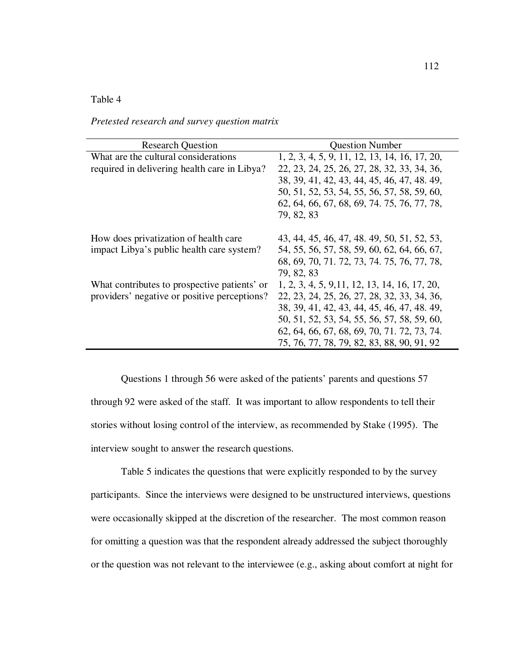### Table 4

| <b>Research Question</b>                     | <b>Question Number</b>                        |
|----------------------------------------------|-----------------------------------------------|
| What are the cultural considerations         | 1, 2, 3, 4, 5, 9, 11, 12, 13, 14, 16, 17, 20, |
| required in delivering health care in Libya? | 22, 23, 24, 25, 26, 27, 28, 32, 33, 34, 36,   |
|                                              | 38, 39, 41, 42, 43, 44, 45, 46, 47, 48, 49,   |
|                                              | 50, 51, 52, 53, 54, 55, 56, 57, 58, 59, 60,   |
|                                              | 62, 64, 66, 67, 68, 69, 74, 75, 76, 77, 78,   |
|                                              | 79, 82, 83                                    |
|                                              |                                               |
| How does privatization of health care        | 43, 44, 45, 46, 47, 48, 49, 50, 51, 52, 53,   |
| impact Libya's public health care system?    | 54, 55, 56, 57, 58, 59, 60, 62, 64, 66, 67,   |
|                                              | 68, 69, 70, 71, 72, 73, 74, 75, 76, 77, 78,   |
|                                              | 79, 82, 83                                    |
| What contributes to prospective patients' or | 1, 2, 3, 4, 5, 9, 11, 12, 13, 14, 16, 17, 20, |
| providers' negative or positive perceptions? | 22, 23, 24, 25, 26, 27, 28, 32, 33, 34, 36,   |
|                                              | 38, 39, 41, 42, 43, 44, 45, 46, 47, 48, 49,   |
|                                              | 50, 51, 52, 53, 54, 55, 56, 57, 58, 59, 60,   |
|                                              | 62, 64, 66, 67, 68, 69, 70, 71, 72, 73, 74.   |
|                                              | 75, 76, 77, 78, 79, 82, 83, 88, 90, 91, 92    |

*Pretested research and survey question matrix* 

Questions 1 through 56 were asked of the patients' parents and questions 57 through 92 were asked of the staff. It was important to allow respondents to tell their stories without losing control of the interview, as recommended by Stake (1995). The interview sought to answer the research questions.

Table 5 indicates the questions that were explicitly responded to by the survey participants. Since the interviews were designed to be unstructured interviews, questions were occasionally skipped at the discretion of the researcher. The most common reason for omitting a question was that the respondent already addressed the subject thoroughly or the question was not relevant to the interviewee (e.g., asking about comfort at night for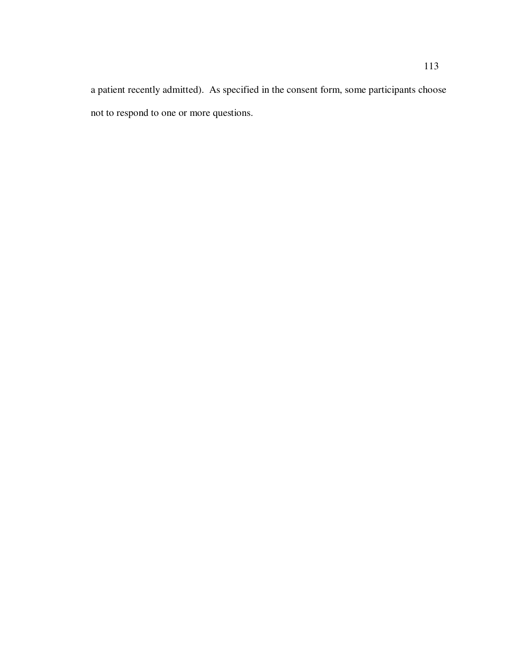a patient recently admitted). As specified in the consent form, some participants choose not to respond to one or more questions.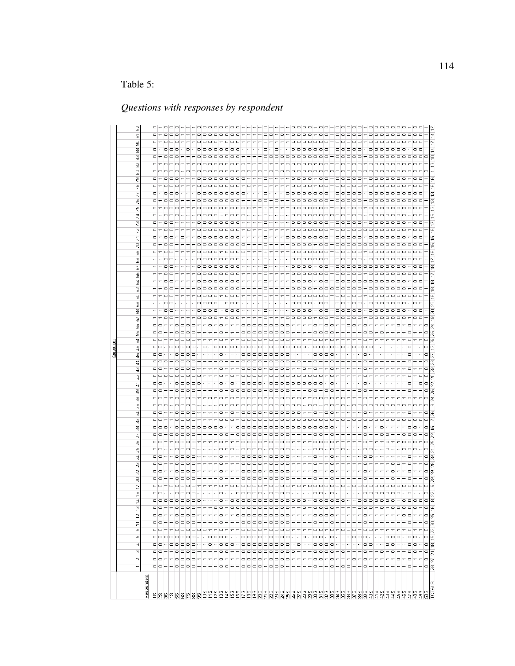# Table 5:

# *Questions with responses by respondent*

|               |                                   | $\mathbb{N}$ | $^{(2)}$                               | LO.<br>4                              | $\sigma$                                   | Ξ                                                        | 12                       | 겯<br>ë  |                         | $\overline{2}$        | $\mathbb{R}$                                  | $\overline{\mathbf{z}}$ | R                                                                               | $\mathbb{Z}$    | 25                         | $\mathcal{S}$            | N                                      | g                                      | 쿪<br>8                 | 8               | g                                       | ஐ              | 41                                   | $\overline{a}$<br>$\overline{4}$        | 4                               | $\sqrt{6}$ | $\overline{a}$           | 몮                        | 58     | G<br>8              | 8               | සි                       | $\overline{8}$ | 8              | 8<br>3        | <b>G</b>                | 8 | ඹ                                                      | N<br>R              | 2                    | R | 74 | Ю              | N<br>ξē             | <b>R</b> | P <sub>2</sub> | 8 | 8<br>8           | 8 | 8                       | 8<br>$\overline{5}$ |               |
|---------------|-----------------------------------|--------------|----------------------------------------|---------------------------------------|--------------------------------------------|----------------------------------------------------------|--------------------------|---------|-------------------------|-----------------------|-----------------------------------------------|-------------------------|---------------------------------------------------------------------------------|-----------------|----------------------------|--------------------------|----------------------------------------|----------------------------------------|------------------------|-----------------|-----------------------------------------|----------------|--------------------------------------|-----------------------------------------|---------------------------------|------------|--------------------------|--------------------------|--------|---------------------|-----------------|--------------------------|----------------|----------------|---------------|-------------------------|---|--------------------------------------------------------|---------------------|----------------------|---|----|----------------|---------------------|----------|----------------|---|------------------|---|-------------------------|---------------------|---------------|
| Respondent    |                                   |              |                                        |                                       |                                            |                                                          |                          |         |                         |                       |                                               |                         |                                                                                 |                 |                            |                          |                                        |                                        |                        |                 |                                         |                |                                      |                                         |                                 |            |                          |                          |        |                     |                 |                          |                |                |               |                         |   |                                                        |                     |                      |   |    |                |                     |          |                |   |                  |   |                         |                     |               |
|               |                                   |              |                                        |                                       |                                            |                                                          |                          |         |                         | $\circ$ $\circ$       |                                               |                         |                                                                                 |                 |                            |                          |                                        |                                        |                        | $\circ$ $\circ$ |                                         |                |                                      |                                         |                                 |            |                          |                          |        |                     |                 |                          |                |                |               |                         |   |                                                        |                     |                      |   |    |                |                     |          |                |   |                  |   |                         |                     |               |
|               | 00---0000-----00--0000-000------- |              | 00--0000----00--0000000000---0000-0-0- | 00-00000--0-000-000000000-0--0--0000- | 00--000000--0---0000-0000-----00-0-000-00- | 00 - - 00 00 - - - - 0 - - - 0 0 0 0 - 0 0 0 0 - - - - 0 |                          |         | -------                 |                       | $\circ$ $\circ$ $\circ$<br>$00 - 00000 - - -$ |                         | 00 - - 00 00 - - - - - 0 - - - 00 0 0 0 - 0 0 0 0 - - - - - 0 - - 0 - - 0 - - - |                 | $\circ$ $\circ$ $\sim$     | $00 - - 00000 - - -$     | 00-00000----00-00000-0000-----00-0---- | 000-000000000--0000000000000000000---- | $\circ$ $\circ$ $\sim$ |                 | 00---0000--0-0-0-0000-0000-0---0000-0-- |                | 00---00000----0-0-0-000-00000000000- |                                         | $\circ$ $\circ$ $\sim$          |            | $\circ$ $\circ$          |                          |        |                     |                 |                          |                |                |               | $- - 00 -$              |   | $\begin{array}{c} \circ \\ \circ \\ \circ \end{array}$ |                     | $\Box - \Box - \Box$ |   |    |                |                     |          |                |   |                  |   |                         | $0 - 000$           | $- - 000 - -$ |
|               |                                   |              |                                        |                                       |                                            |                                                          |                          |         |                         |                       |                                               |                         |                                                                                 |                 |                            |                          |                                        |                                        |                        |                 |                                         |                |                                      |                                         |                                 |            |                          |                          |        |                     |                 |                          |                |                |               |                         |   |                                                        |                     |                      |   |    |                |                     |          |                |   |                  |   |                         |                     |               |
|               |                                   |              |                                        |                                       |                                            |                                                          |                          |         |                         | $\Box$                |                                               |                         |                                                                                 |                 |                            |                          |                                        |                                        |                        |                 |                                         |                |                                      |                                         |                                 |            |                          |                          |        |                     |                 |                          |                |                |               |                         |   |                                                        |                     |                      |   |    |                |                     |          |                |   |                  |   |                         |                     |               |
|               |                                   |              |                                        |                                       |                                            |                                                          |                          |         |                         |                       | $0000 - -$                                    |                         |                                                                                 |                 |                            |                          |                                        |                                        |                        | --0000----0     |                                         |                |                                      |                                         | $-0000-$                        |            |                          |                          |        |                     |                 |                          |                |                |               |                         |   |                                                        |                     |                      |   |    |                |                     |          |                |   |                  |   |                         |                     |               |
|               |                                   |              |                                        |                                       |                                            |                                                          |                          |         |                         |                       |                                               |                         |                                                                                 |                 |                            |                          |                                        |                                        |                        |                 |                                         |                |                                      |                                         |                                 |            |                          |                          |        |                     |                 |                          |                |                |               |                         |   |                                                        |                     |                      |   |    |                |                     |          |                |   |                  |   |                         |                     |               |
|               |                                   |              |                                        |                                       |                                            |                                                          |                          |         |                         |                       |                                               |                         |                                                                                 |                 |                            |                          |                                        |                                        |                        |                 |                                         |                |                                      |                                         |                                 |            |                          |                          |        |                     |                 |                          |                |                |               |                         |   |                                                        |                     |                      |   |    |                |                     |          |                |   |                  |   |                         |                     |               |
|               |                                   |              |                                        |                                       |                                            |                                                          |                          |         |                         |                       |                                               |                         |                                                                                 |                 |                            |                          |                                        |                                        |                        |                 |                                         |                |                                      |                                         |                                 |            |                          |                          |        |                     |                 |                          |                |                |               |                         |   |                                                        |                     |                      |   |    |                |                     |          |                |   |                  |   |                         |                     |               |
|               |                                   |              |                                        |                                       |                                            |                                                          |                          |         |                         |                       |                                               |                         |                                                                                 |                 |                            |                          |                                        |                                        |                        |                 |                                         |                |                                      |                                         |                                 |            |                          |                          |        |                     |                 |                          |                |                |               |                         |   |                                                        |                     |                      |   |    |                |                     |          |                |   |                  |   |                         |                     |               |
|               |                                   |              |                                        |                                       |                                            |                                                          |                          |         |                         | $00 - - - -$          |                                               |                         |                                                                                 |                 |                            |                          |                                        |                                        |                        |                 |                                         |                |                                      |                                         |                                 |            |                          |                          |        |                     |                 |                          |                |                |               |                         |   |                                                        |                     |                      |   |    |                |                     |          |                |   |                  |   |                         |                     |               |
|               |                                   |              |                                        |                                       |                                            |                                                          |                          |         |                         | $\circ$               | $\circ$                                       |                         |                                                                                 |                 |                            |                          |                                        |                                        |                        |                 |                                         |                |                                      |                                         |                                 |            |                          |                          |        |                     |                 |                          |                |                |               |                         |   |                                                        |                     |                      |   |    |                |                     |          |                |   |                  |   |                         |                     |               |
|               |                                   |              |                                        |                                       |                                            |                                                          |                          |         |                         |                       |                                               |                         |                                                                                 |                 |                            |                          |                                        |                                        |                        |                 |                                         |                |                                      |                                         |                                 |            |                          |                          |        |                     |                 |                          |                |                |               |                         |   |                                                        |                     |                      |   |    |                |                     |          |                |   |                  |   |                         |                     |               |
|               |                                   |              |                                        |                                       |                                            |                                                          |                          |         | 0-00000000000000-       |                       |                                               |                         |                                                                                 |                 |                            |                          |                                        |                                        |                        |                 |                                         |                |                                      |                                         |                                 |            |                          |                          |        |                     |                 | 0000-000----0-           |                |                |               |                         |   |                                                        |                     |                      |   |    |                |                     |          |                |   |                  |   |                         |                     |               |
|               |                                   |              |                                        |                                       |                                            |                                                          |                          |         |                         |                       |                                               |                         |                                                                                 |                 |                            |                          |                                        |                                        |                        |                 |                                         |                |                                      |                                         |                                 |            |                          |                          |        |                     |                 |                          |                |                |               |                         |   |                                                        |                     |                      |   |    |                |                     |          |                |   |                  |   |                         |                     |               |
|               |                                   |              |                                        |                                       |                                            |                                                          |                          |         |                         |                       |                                               |                         |                                                                                 |                 |                            |                          |                                        |                                        |                        |                 |                                         |                |                                      |                                         |                                 |            |                          |                          |        |                     |                 |                          |                |                |               |                         |   |                                                        |                     |                      |   |    |                |                     |          |                |   |                  |   |                         |                     |               |
|               |                                   |              |                                        |                                       |                                            |                                                          |                          |         |                         |                       |                                               |                         |                                                                                 |                 |                            |                          |                                        |                                        |                        |                 |                                         |                |                                      |                                         |                                 |            |                          |                          |        |                     |                 |                          |                |                |               |                         |   |                                                        |                     |                      |   |    |                |                     |          |                |   |                  |   |                         |                     |               |
|               |                                   |              |                                        |                                       |                                            |                                                          |                          |         |                         |                       |                                               |                         |                                                                                 |                 |                            |                          |                                        |                                        |                        |                 |                                         |                |                                      |                                         |                                 |            |                          |                          |        |                     |                 |                          |                |                |               |                         |   |                                                        |                     |                      |   |    |                |                     |          |                |   |                  |   |                         |                     |               |
|               |                                   |              |                                        |                                       |                                            |                                                          |                          |         |                         |                       |                                               |                         |                                                                                 |                 |                            |                          |                                        |                                        |                        |                 |                                         |                |                                      |                                         |                                 |            |                          |                          |        |                     |                 |                          |                |                |               |                         |   |                                                        |                     |                      |   |    |                |                     |          |                |   |                  |   |                         |                     |               |
|               |                                   |              |                                        |                                       |                                            |                                                          |                          |         |                         |                       |                                               |                         |                                                                                 |                 |                            |                          |                                        |                                        |                        |                 |                                         |                |                                      |                                         |                                 |            |                          |                          |        |                     |                 |                          |                |                |               |                         |   |                                                        |                     |                      |   |    |                |                     |          |                |   |                  |   |                         |                     |               |
|               |                                   |              |                                        |                                       |                                            |                                                          |                          |         |                         |                       |                                               |                         |                                                                                 |                 |                            |                          |                                        |                                        |                        |                 |                                         |                |                                      |                                         |                                 |            |                          |                          |        |                     |                 |                          |                |                |               |                         |   |                                                        |                     |                      |   |    |                |                     |          |                |   |                  |   |                         |                     |               |
|               |                                   |              |                                        |                                       |                                            |                                                          |                          |         |                         |                       |                                               |                         |                                                                                 |                 |                            |                          |                                        |                                        |                        |                 |                                         |                |                                      |                                         |                                 |            |                          |                          |        |                     |                 |                          |                |                |               |                         |   |                                                        |                     |                      |   |    |                |                     |          |                |   |                  |   |                         |                     |               |
|               |                                   |              |                                        |                                       |                                            |                                                          |                          |         |                         | 00000-0000----        |                                               |                         |                                                                                 |                 |                            |                          |                                        |                                        |                        |                 |                                         |                |                                      |                                         |                                 |            |                          |                          |        |                     |                 |                          |                |                |               |                         |   |                                                        |                     |                      |   |    |                |                     |          |                |   |                  |   |                         |                     |               |
|               |                                   |              |                                        |                                       |                                            |                                                          |                          |         |                         |                       |                                               |                         |                                                                                 |                 |                            |                          |                                        |                                        |                        |                 |                                         |                |                                      |                                         |                                 |            |                          |                          |        |                     |                 |                          |                |                |               |                         |   |                                                        |                     |                      |   |    |                |                     |          |                |   |                  |   |                         |                     |               |
|               |                                   |              |                                        |                                       |                                            |                                                          |                          |         |                         |                       |                                               |                         |                                                                                 |                 |                            |                          |                                        |                                        |                        |                 |                                         |                |                                      |                                         |                                 |            |                          |                          |        |                     |                 |                          |                |                |               |                         |   |                                                        |                     |                      |   |    |                |                     |          |                |   |                  |   |                         |                     |               |
|               |                                   |              |                                        |                                       |                                            |                                                          |                          |         |                         |                       |                                               |                         |                                                                                 |                 |                            |                          |                                        |                                        |                        |                 |                                         |                |                                      |                                         |                                 |            |                          |                          |        |                     |                 |                          |                |                |               |                         |   |                                                        |                     |                      |   |    |                |                     |          |                |   |                  |   |                         |                     |               |
|               |                                   |              |                                        |                                       |                                            |                                                          |                          |         |                         |                       |                                               |                         |                                                                                 |                 |                            |                          |                                        |                                        |                        |                 |                                         |                |                                      |                                         |                                 |            |                          |                          |        |                     |                 |                          |                |                |               |                         |   |                                                        |                     |                      |   |    |                |                     |          |                |   |                  |   |                         |                     |               |
|               |                                   |              |                                        |                                       |                                            |                                                          | - 000000000000000000     |         | $\circ$ $\circ$ $\circ$ | $\circ \circ - \circ$ | -- 0000-0000----- 0--0-                       |                         |                                                                                 |                 | 000-0000-0000-----00-000-- | - 0000-0000-----0000---- |                                        |                                        |                        |                 |                                         |                |                                      | - - - - - - - - - - - - - - - - - - - - | - 0000 - 0000 - - 0 - 0 - - 0 - |            |                          |                          |        |                     |                 | ---oooo-oo-ooooo-ooooooo |                |                |               |                         |   |                                                        |                     |                      |   |    |                |                     |          |                |   |                  |   |                         |                     |               |
|               |                                   |              |                                        |                                       |                                            | $ -$                                                     |                          |         |                         |                       |                                               |                         |                                                                                 |                 |                            |                          |                                        |                                        |                        |                 |                                         |                |                                      |                                         |                                 |            |                          |                          |        |                     |                 |                          |                |                |               |                         |   |                                                        |                     |                      |   |    |                |                     |          |                |   |                  |   |                         |                     |               |
|               |                                   |              |                                        |                                       |                                            |                                                          |                          |         | ---                     |                       |                                               |                         |                                                                                 |                 |                            |                          |                                        |                                        |                        |                 |                                         |                |                                      |                                         |                                 |            |                          |                          |        |                     |                 |                          |                |                |               |                         |   |                                                        |                     |                      |   |    |                |                     |          |                |   |                  |   |                         |                     |               |
|               |                                   |              |                                        |                                       |                                            |                                                          |                          |         |                         |                       |                                               |                         |                                                                                 |                 |                            |                          |                                        |                                        |                        |                 |                                         |                |                                      |                                         |                                 |            |                          |                          |        |                     |                 |                          |                |                |               |                         |   |                                                        |                     |                      |   |    |                |                     |          |                |   |                  |   |                         |                     |               |
| 8888959       | $-0 - 0 - -$                      |              |                                        |                                       |                                            |                                                          |                          |         |                         |                       |                                               |                         |                                                                                 |                 |                            |                          |                                        |                                        |                        |                 |                                         |                |                                      |                                         |                                 |            |                          |                          |        |                     |                 |                          |                |                |               |                         |   |                                                        |                     |                      |   |    |                |                     |          |                |   |                  |   |                         |                     |               |
|               |                                   |              |                                        |                                       |                                            |                                                          |                          |         |                         |                       |                                               |                         | $ \circ$                                                                        |                 |                            |                          |                                        |                                        |                        |                 |                                         |                |                                      |                                         |                                 |            |                          |                          |        |                     |                 |                          |                |                |               |                         |   |                                                        |                     |                      |   |    |                |                     |          |                |   |                  |   |                         |                     |               |
|               |                                   | $ \circ$     | $ -$                                   | -00-                                  |                                            |                                                          |                          |         |                         | - 0                   | $\Box$                                        |                         |                                                                                 |                 |                            | $ -$                     |                                        | $ \circ$                               |                        |                 | $ -$                                    |                | - 0                                  |                                         | $\Box$                          | - 0        |                          |                          |        |                     |                 |                          |                |                |               |                         |   |                                                        |                     |                      |   |    |                |                     |          |                |   |                  |   |                         |                     |               |
|               |                                   |              |                                        |                                       |                                            |                                                          |                          |         |                         |                       |                                               |                         |                                                                                 |                 |                            |                          |                                        |                                        |                        |                 |                                         |                |                                      |                                         |                                 |            |                          |                          |        |                     |                 |                          |                |                |               |                         |   |                                                        |                     |                      |   |    |                |                     |          |                |   |                  |   |                         |                     |               |
|               |                                   |              | $ -$                                   |                                       |                                            |                                                          |                          |         |                         |                       |                                               |                         |                                                                                 |                 |                            |                          |                                        | $ -$                                   |                        |                 |                                         |                |                                      |                                         |                                 |            |                          |                          |        |                     |                 |                          |                |                |               |                         |   |                                                        |                     |                      |   |    |                |                     |          |                |   |                  |   |                         |                     |               |
|               |                                   |              |                                        | o                                     |                                            |                                                          |                          |         |                         |                       |                                               |                         |                                                                                 |                 |                            |                          | $-0 - -00 -$                           |                                        |                        |                 |                                         |                |                                      |                                         |                                 |            |                          |                          |        |                     |                 |                          |                |                |               |                         |   |                                                        |                     |                      |   |    |                |                     |          |                |   |                  |   |                         |                     |               |
|               |                                   |              |                                        |                                       |                                            |                                                          |                          |         |                         |                       |                                               |                         |                                                                                 |                 |                            |                          |                                        |                                        |                        |                 |                                         |                |                                      |                                         |                                 |            |                          |                          |        |                     |                 |                          |                |                |               |                         |   |                                                        |                     |                      |   |    |                |                     |          |                |   |                  |   |                         |                     |               |
|               |                                   |              |                                        |                                       |                                            |                                                          |                          |         |                         |                       |                                               |                         |                                                                                 |                 |                            |                          |                                        |                                        |                        |                 |                                         |                |                                      |                                         |                                 |            |                          |                          |        |                     |                 |                          |                |                |               |                         |   |                                                        |                     |                      |   |    |                |                     |          |                |   |                  |   |                         |                     |               |
|               |                                   |              |                                        |                                       |                                            |                                                          |                          |         |                         |                       |                                               | o                       |                                                                                 |                 |                            |                          | $-000$                                 |                                        |                        |                 |                                         |                |                                      |                                         |                                 |            |                          |                          |        |                     |                 |                          |                |                |               |                         |   |                                                        |                     |                      |   |    |                |                     |          |                |   |                  |   |                         |                     |               |
|               |                                   |              | o                                      | oo                                    |                                            |                                                          |                          |         |                         |                       |                                               |                         |                                                                                 |                 |                            |                          |                                        |                                        |                        |                 |                                         |                |                                      |                                         |                                 |            |                          | $\overline{\phantom{a}}$ |        |                     |                 |                          |                |                |               |                         |   |                                                        |                     |                      |   |    |                |                     |          |                |   |                  |   |                         |                     |               |
| 495           |                                   |              |                                        |                                       |                                            |                                                          |                          |         |                         |                       |                                               |                         |                                                                                 |                 |                            |                          | $-$ 0                                  |                                        |                        |                 |                                         |                |                                      | $\circ$                                 |                                 |            |                          |                          |        |                     | $\circ$ $\circ$ |                          |                |                |               |                         |   |                                                        |                     |                      |   |    |                |                     |          |                |   |                  |   | $\circ$ $\circ$ $\circ$ |                     |               |
| g             | $\Box$                            | $\Box$       | $\circ$                                | $\Box$<br>o                           | $\Box$                                     | $\hskip10mm\hskip10mm\hskip10mm\hskip10mm\hskip10mm$     | $\Box$                   | $\circ$ |                         |                       | $\Box$                                        | $\Box$                  | $\circ$                                                                         | $\Box$          |                            | $\circ$                  |                                        |                                        |                        |                 | $\Box$                                  | $\circ$        |                                      |                                         |                                 | $\circ$    |                          | $\Box$                   | $\Box$ | $\circ$             |                 |                          |                |                |               |                         |   |                                                        |                     |                      |   |    |                |                     |          |                |   |                  |   |                         |                     |               |
| <b>CIALS:</b> | 28                                | 27           | 12                                     | 巴<br>∣ഇ                               | $\overline{c}$                             | 8                                                        | $\overline{\mathcal{E}}$ | Ιcο     | R                       |                       | R<br> တ                                       | $\overline{8}$          | $\overline{8}$                                                                  | $\overline{29}$ | 21                         | 25                       | $\overline{\mathbb{C}}$                | kD                                     | Ιg                     |                 |                                         | $\overline{8}$ | Κ                                    | $\overline{c}$<br>R                     | $\overline{\mathcal{E}}$        | R          | $\overline{\phantom{a}}$ | R                        | R.     | ഉ<br>$\overline{z}$ | R               | $\mathbb{R}$             | ≌              | $\overline{2}$ | Þ<br>$\infty$ | $\overline{\mathbf{e}}$ | Þ | $\overline{\mathbf{e}}$                                | 뜨<br>$\overline{5}$ | $\overline{6}$       | Þ | 巴  | $\overline{c}$ | m<br>$\overline{c}$ | $\omega$ | $\omega$       |   | $\subseteq$<br>m | Ā | Þ                       | 본                   |               |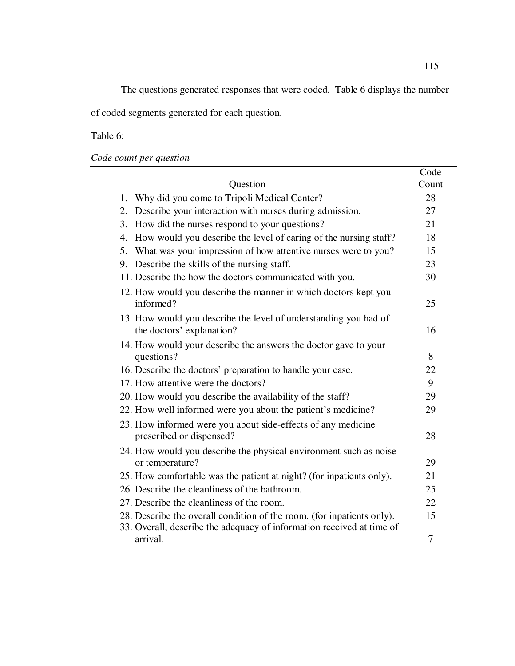The questions generated responses that were coded. Table 6 displays the number of coded segments generated for each question.

Table 6:

*Code count per question* 

|                                                                                                                                                 | Code  |
|-------------------------------------------------------------------------------------------------------------------------------------------------|-------|
| Question                                                                                                                                        | Count |
| Why did you come to Tripoli Medical Center?<br>1.                                                                                               | 28    |
| Describe your interaction with nurses during admission.<br>2.                                                                                   | 27    |
| How did the nurses respond to your questions?<br>3.                                                                                             | 21    |
| How would you describe the level of caring of the nursing staff?<br>4.                                                                          | 18    |
| What was your impression of how attentive nurses were to you?<br>5.                                                                             | 15    |
| 9. Describe the skills of the nursing staff.                                                                                                    | 23    |
| 11. Describe the how the doctors communicated with you.                                                                                         | 30    |
| 12. How would you describe the manner in which doctors kept you<br>informed?                                                                    | 25    |
| 13. How would you describe the level of understanding you had of<br>the doctors' explanation?                                                   | 16    |
| 14. How would your describe the answers the doctor gave to your                                                                                 |       |
| questions?                                                                                                                                      | 8     |
| 16. Describe the doctors' preparation to handle your case.                                                                                      | 22    |
| 17. How attentive were the doctors?                                                                                                             | 9     |
| 20. How would you describe the availability of the staff?                                                                                       | 29    |
| 22. How well informed were you about the patient's medicine?                                                                                    | 29    |
| 23. How informed were you about side-effects of any medicine<br>prescribed or dispensed?                                                        | 28    |
| 24. How would you describe the physical environment such as noise<br>or temperature?                                                            | 29    |
| 25. How comfortable was the patient at night? (for inpatients only).                                                                            | 21    |
| 26. Describe the cleanliness of the bathroom.                                                                                                   | 25    |
| 27. Describe the cleanliness of the room.                                                                                                       | 22    |
| 28. Describe the overall condition of the room. (for inpatients only).<br>33. Overall, describe the adequacy of information received at time of | 15    |
| arrival.                                                                                                                                        | 7     |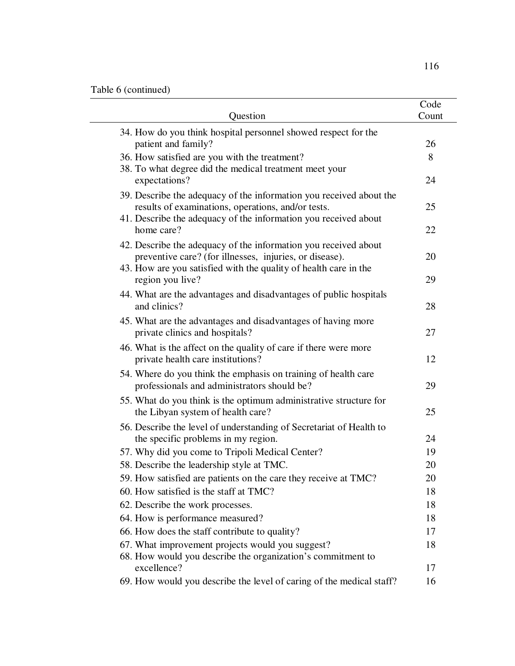| Question                                                                                                                                                                                       | Code<br>Count |
|------------------------------------------------------------------------------------------------------------------------------------------------------------------------------------------------|---------------|
| 34. How do you think hospital personnel showed respect for the<br>patient and family?                                                                                                          | 26            |
| 36. How satisfied are you with the treatment?                                                                                                                                                  | 8             |
| 38. To what degree did the medical treatment meet your<br>expectations?                                                                                                                        | 24            |
| 39. Describe the adequacy of the information you received about the<br>results of examinations, operations, and/or tests.<br>41. Describe the adequacy of the information you received about   | 25            |
| home care?                                                                                                                                                                                     | 22            |
| 42. Describe the adequacy of the information you received about<br>preventive care? (for illnesses, injuries, or disease).<br>43. How are you satisfied with the quality of health care in the | 20            |
| region you live?                                                                                                                                                                               | 29            |
| 44. What are the advantages and disadvantages of public hospitals<br>and clinics?                                                                                                              | 28            |
| 45. What are the advantages and disadvantages of having more<br>private clinics and hospitals?                                                                                                 | 27            |
| 46. What is the affect on the quality of care if there were more<br>private health care institutions?                                                                                          | 12            |
| 54. Where do you think the emphasis on training of health care<br>professionals and administrators should be?                                                                                  | 29            |
| 55. What do you think is the optimum administrative structure for<br>the Libyan system of health care?                                                                                         | 25            |
| 56. Describe the level of understanding of Secretariat of Health to<br>the specific problems in my region.                                                                                     | 24            |
| 57. Why did you come to Tripoli Medical Center?                                                                                                                                                | 19            |
| 58. Describe the leadership style at TMC.                                                                                                                                                      | 20            |
| 59. How satisfied are patients on the care they receive at TMC?                                                                                                                                | 20            |
| 60. How satisfied is the staff at TMC?                                                                                                                                                         | 18            |
| 62. Describe the work processes.                                                                                                                                                               | 18            |
| 64. How is performance measured?                                                                                                                                                               | 18            |
| 66. How does the staff contribute to quality?                                                                                                                                                  | 17            |
| 67. What improvement projects would you suggest?                                                                                                                                               | 18            |
| 68. How would you describe the organization's commitment to                                                                                                                                    |               |
| excellence?                                                                                                                                                                                    | 17            |
| 69. How would you describe the level of caring of the medical staff?                                                                                                                           | 16            |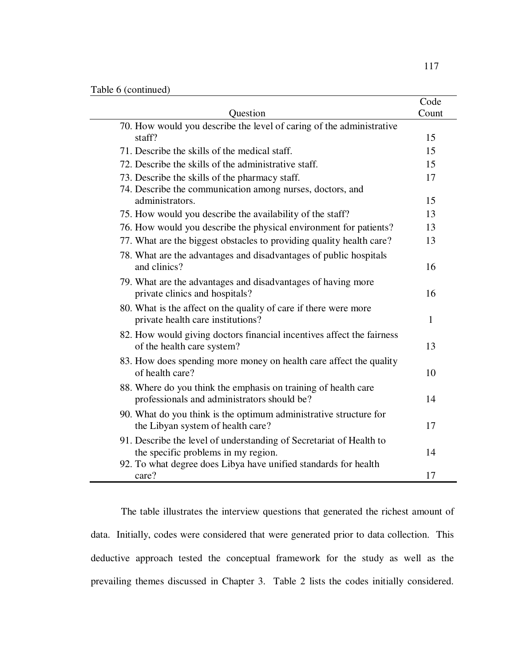|                                                                       | Code         |
|-----------------------------------------------------------------------|--------------|
| Question                                                              | Count        |
| 70. How would you describe the level of caring of the administrative  |              |
| staff?                                                                | 15           |
| 71. Describe the skills of the medical staff.                         | 15           |
| 72. Describe the skills of the administrative staff.                  | 15           |
| 73. Describe the skills of the pharmacy staff.                        | 17           |
| 74. Describe the communication among nurses, doctors, and             |              |
| administrators.                                                       | 15           |
| 75. How would you describe the availability of the staff?             | 13           |
| 76. How would you describe the physical environment for patients?     | 13           |
| 77. What are the biggest obstacles to providing quality health care?  | 13           |
| 78. What are the advantages and disadvantages of public hospitals     |              |
| and clinics?                                                          | 16           |
| 79. What are the advantages and disadvantages of having more          |              |
| private clinics and hospitals?                                        | 16           |
| 80. What is the affect on the quality of care if there were more      |              |
| private health care institutions?                                     | $\mathbf{1}$ |
| 82. How would giving doctors financial incentives affect the fairness |              |
| of the health care system?                                            | 13           |
| 83. How does spending more money on health care affect the quality    |              |
| of health care?                                                       | 10           |
| 88. Where do you think the emphasis on training of health care        |              |
| professionals and administrators should be?                           | 14           |
| 90. What do you think is the optimum administrative structure for     |              |
| the Libyan system of health care?                                     | 17           |
| 91. Describe the level of understanding of Secretariat of Health to   |              |
| the specific problems in my region.                                   | 14           |
| 92. To what degree does Libya have unified standards for health       |              |
| care?                                                                 | 17           |

The table illustrates the interview questions that generated the richest amount of data. Initially, codes were considered that were generated prior to data collection. This deductive approach tested the conceptual framework for the study as well as the prevailing themes discussed in Chapter 3. Table 2 lists the codes initially considered.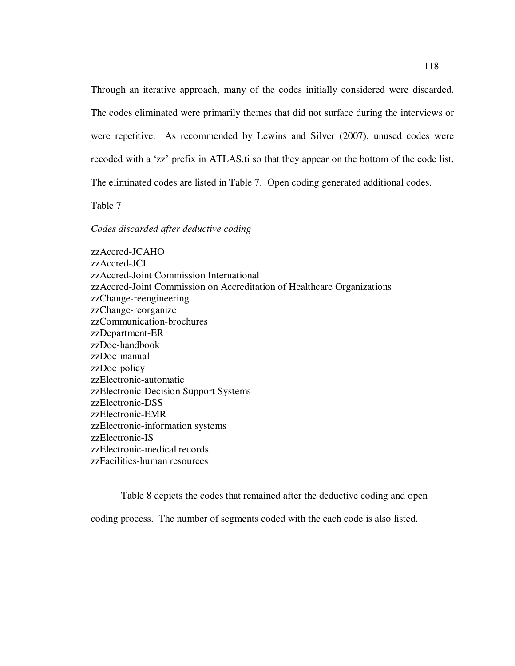Through an iterative approach, many of the codes initially considered were discarded. The codes eliminated were primarily themes that did not surface during the interviews or were repetitive. As recommended by Lewins and Silver (2007), unused codes were recoded with a 'zz' prefix in ATLAS.ti so that they appear on the bottom of the code list. The eliminated codes are listed in Table 7. Open coding generated additional codes.

Table 7

*Codes discarded after deductive coding* 

zzAccred-JCAHO zzAccred-JCI zzAccred-Joint Commission International zzAccred-Joint Commission on Accreditation of Healthcare Organizations zzChange-reengineering zzChange-reorganize zzCommunication-brochures zzDepartment-ER zzDoc-handbook zzDoc-manual zzDoc-policy zzElectronic-automatic zzElectronic-Decision Support Systems zzElectronic-DSS zzElectronic-EMR zzElectronic-information systems zzElectronic-IS zzElectronic-medical records zzFacilities-human resources

Table 8 depicts the codes that remained after the deductive coding and open coding process. The number of segments coded with the each code is also listed.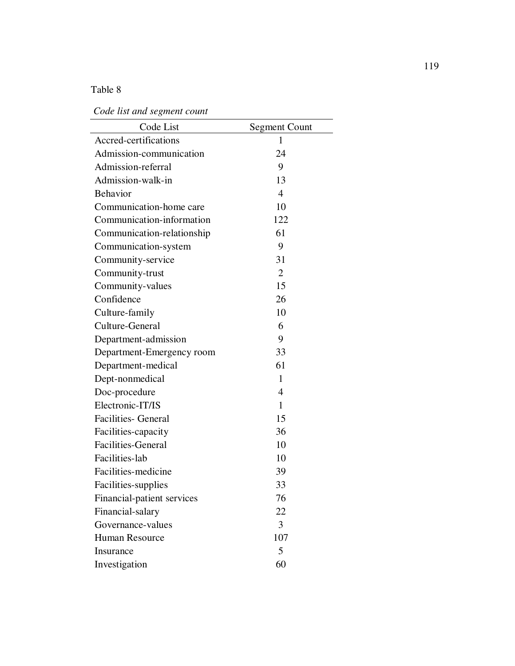# Table 8

 *Code list and segment count* 

| Code List                  | <b>Segment Count</b> |
|----------------------------|----------------------|
| Accred-certifications      | $\mathbf{1}$         |
| Admission-communication    | 24                   |
| Admission-referral         | 9                    |
| Admission-walk-in          | 13                   |
| <b>Behavior</b>            | $\overline{4}$       |
| Communication-home care    | 10                   |
| Communication-information  | 122                  |
| Communication-relationship | 61                   |
| Communication-system       | 9                    |
| Community-service          | 31                   |
| Community-trust            | $\overline{2}$       |
| Community-values           | 15                   |
| Confidence                 | 26                   |
| Culture-family             | 10                   |
| Culture-General            | 6                    |
| Department-admission       | 9                    |
| Department-Emergency room  | 33                   |
| Department-medical         | 61                   |
| Dept-nonmedical            | $\mathbf{1}$         |
| Doc-procedure              | 4                    |
| Electronic-IT/IS           | 1                    |
| <b>Facilities- General</b> | 15                   |
| Facilities-capacity        | 36                   |
| <b>Facilities-General</b>  | 10                   |
| Facilities-lab             | 10                   |
| Facilities-medicine        | 39                   |
| Facilities-supplies        | 33                   |
| Financial-patient services | 76                   |
| Financial-salary           | 22                   |
| Governance-values          | 3                    |
| Human Resource             | 107                  |
| Insurance                  | 5                    |
| Investigation              | 60                   |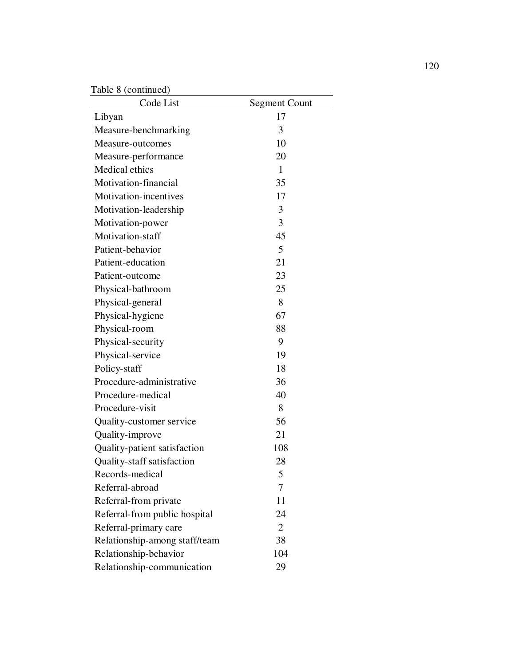Table 8 (continued)

| $1$ avic o (community)<br>Code List | <b>Segment Count</b> |
|-------------------------------------|----------------------|
| Libyan                              | 17                   |
| Measure-benchmarking                | 3                    |
| Measure-outcomes                    | 10                   |
| Measure-performance                 | 20                   |
| Medical ethics                      | $\mathbf{1}$         |
| Motivation-financial                | 35                   |
| Motivation-incentives               | 17                   |
| Motivation-leadership               | 3                    |
| Motivation-power                    | 3                    |
| Motivation-staff                    | 45                   |
| Patient-behavior                    | 5                    |
| Patient-education                   | 21                   |
| Patient-outcome                     | 23                   |
| Physical-bathroom                   | 25                   |
| Physical-general                    | 8                    |
| Physical-hygiene                    | 67                   |
| Physical-room                       | 88                   |
| Physical-security                   | 9                    |
| Physical-service                    | 19                   |
| Policy-staff                        | 18                   |
| Procedure-administrative            | 36                   |
| Procedure-medical                   | 40                   |
| Procedure-visit                     | 8                    |
| Quality-customer service            | 56                   |
| Quality-improve                     | 21                   |
| Quality-patient satisfaction        | 108                  |
| Quality-staff satisfaction          | 28                   |
| Records-medical                     | 5                    |
| Referral-abroad                     | 7                    |
| Referral-from private               | 11                   |
| Referral-from public hospital       | 24                   |
| Referral-primary care               | $\overline{2}$       |
| Relationship-among staff/team       | 38                   |
| Relationship-behavior               | 104                  |
| Relationship-communication          | 29                   |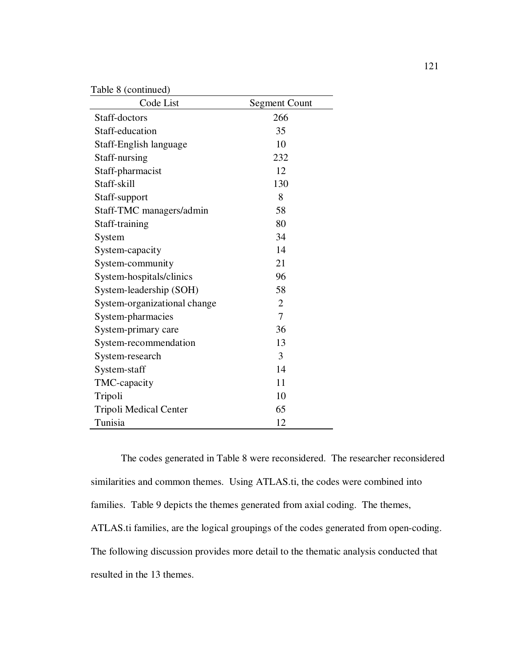Table 8 (continued)

| Code List                    | <b>Segment Count</b> |
|------------------------------|----------------------|
| Staff-doctors                | 266                  |
| Staff-education              | 35                   |
| Staff-English language       | 10                   |
| Staff-nursing                | 232                  |
| Staff-pharmacist             | 12                   |
| Staff-skill                  | 130                  |
| Staff-support                | 8                    |
| Staff-TMC managers/admin     | 58                   |
| Staff-training               | 80                   |
| System                       | 34                   |
| System-capacity              | 14                   |
| System-community             | 21                   |
| System-hospitals/clinics     | 96                   |
| System-leadership (SOH)      | 58                   |
| System-organizational change | $\overline{2}$       |
| System-pharmacies            | 7                    |
| System-primary care          | 36                   |
| System-recommendation        | 13                   |
| System-research              | 3                    |
| System-staff                 | 14                   |
| TMC-capacity                 | 11                   |
| Tripoli                      | 10                   |
| Tripoli Medical Center       | 65                   |
| Tunisia                      | 12                   |

The codes generated in Table 8 were reconsidered. The researcher reconsidered similarities and common themes. Using ATLAS.ti, the codes were combined into families. Table 9 depicts the themes generated from axial coding. The themes, ATLAS.ti families, are the logical groupings of the codes generated from open-coding. The following discussion provides more detail to the thematic analysis conducted that resulted in the 13 themes.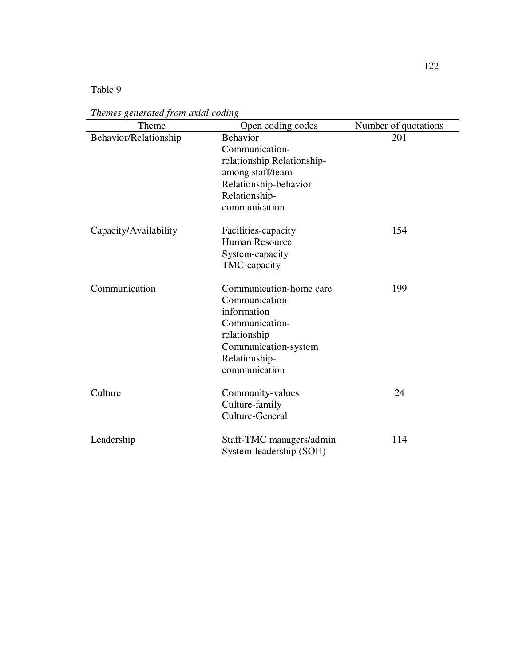Table 9

| Theme                 | Open coding codes          | Number of quotations |
|-----------------------|----------------------------|----------------------|
| Behavior/Relationship | <b>Behavior</b>            | 201                  |
|                       | Communication-             |                      |
|                       | relationship Relationship- |                      |
|                       | among staff/team           |                      |
|                       | Relationship-behavior      |                      |
|                       | Relationship-              |                      |
|                       | communication              |                      |
| Capacity/Availability | Facilities-capacity        | 154                  |
|                       | <b>Human Resource</b>      |                      |
|                       | System-capacity            |                      |
|                       | TMC-capacity               |                      |
| Communication         | Communication-home care    | 199                  |
|                       | Communication-             |                      |
|                       | information                |                      |
|                       | Communication-             |                      |
|                       | relationship               |                      |
|                       | Communication-system       |                      |
|                       | Relationship-              |                      |
|                       | communication              |                      |
| Culture               | Community-values           | 24                   |
|                       | Culture-family             |                      |
|                       | Culture-General            |                      |
| Leadership            | Staff-TMC managers/admin   | 114                  |
|                       | System-leadership (SOH)    |                      |

*Themes generated from axial coding*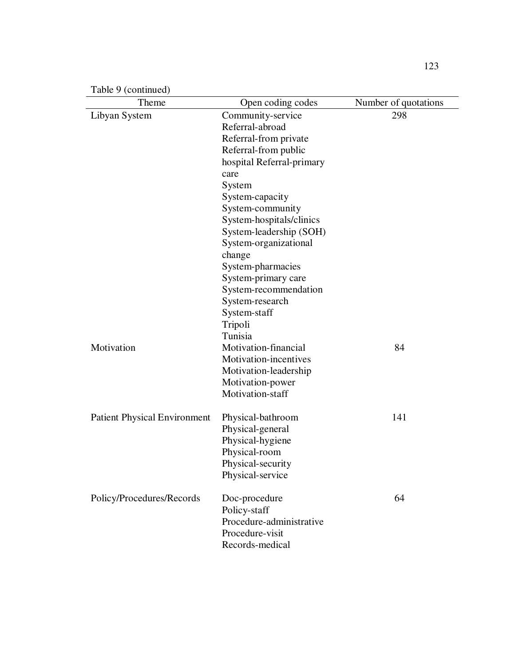| Table 9 (continued) |  |
|---------------------|--|
|---------------------|--|

| Theme                               | Open coding codes                     | Number of quotations |
|-------------------------------------|---------------------------------------|----------------------|
| Libyan System                       | Community-service                     | 298                  |
|                                     | Referral-abroad                       |                      |
|                                     | Referral-from private                 |                      |
|                                     | Referral-from public                  |                      |
|                                     | hospital Referral-primary             |                      |
|                                     | care                                  |                      |
|                                     | System                                |                      |
|                                     | System-capacity                       |                      |
|                                     | System-community                      |                      |
|                                     | System-hospitals/clinics              |                      |
|                                     | System-leadership (SOH)               |                      |
|                                     | System-organizational                 |                      |
|                                     | change                                |                      |
|                                     | System-pharmacies                     |                      |
|                                     | System-primary care                   |                      |
|                                     | System-recommendation                 |                      |
|                                     | System-research                       |                      |
|                                     | System-staff                          |                      |
|                                     | Tripoli                               |                      |
|                                     | Tunisia                               |                      |
| Motivation                          | Motivation-financial                  | 84                   |
|                                     | Motivation-incentives                 |                      |
|                                     | Motivation-leadership                 |                      |
|                                     | Motivation-power                      |                      |
|                                     | Motivation-staff                      |                      |
| <b>Patient Physical Environment</b> |                                       | 141                  |
|                                     | Physical-bathroom<br>Physical-general |                      |
|                                     | Physical-hygiene                      |                      |
|                                     | Physical-room                         |                      |
|                                     | Physical-security                     |                      |
|                                     | Physical-service                      |                      |
|                                     |                                       |                      |
| Policy/Procedures/Records           | Doc-procedure                         | 64                   |
|                                     | Policy-staff                          |                      |
|                                     | Procedure-administrative              |                      |
|                                     | Procedure-visit                       |                      |
|                                     | Records-medical                       |                      |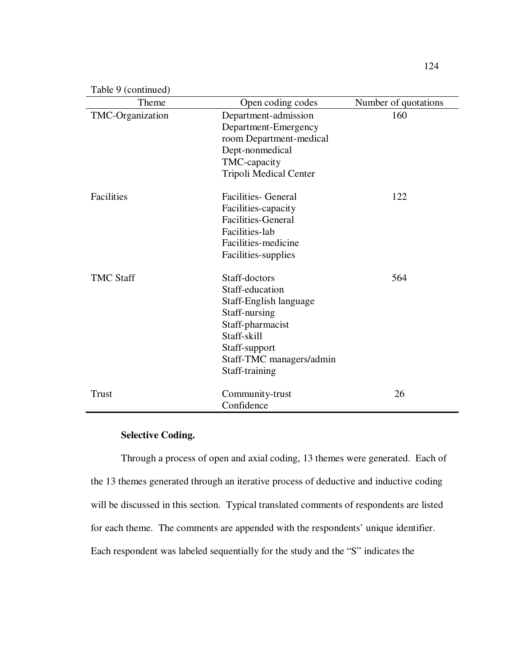|  | Table 9 (continued) |
|--|---------------------|
|--|---------------------|

| Theme            | Open coding codes                                                                                                                                                             | Number of quotations |
|------------------|-------------------------------------------------------------------------------------------------------------------------------------------------------------------------------|----------------------|
| TMC-Organization | Department-admission<br>Department-Emergency<br>room Department-medical<br>Dept-nonmedical<br>TMC-capacity<br><b>Tripoli Medical Center</b>                                   | 160                  |
| Facilities       | <b>Facilities- General</b><br>Facilities-capacity<br><b>Facilities-General</b><br>Facilities-lab<br>Facilities-medicine<br>Facilities-supplies                                | 122                  |
| <b>TMC Staff</b> | Staff-doctors<br>Staff-education<br>Staff-English language<br>Staff-nursing<br>Staff-pharmacist<br>Staff-skill<br>Staff-support<br>Staff-TMC managers/admin<br>Staff-training | 564                  |
| <b>Trust</b>     | Community-trust<br>Confidence                                                                                                                                                 | 26                   |

# **Selective Coding.**

Through a process of open and axial coding, 13 themes were generated. Each of the 13 themes generated through an iterative process of deductive and inductive coding will be discussed in this section. Typical translated comments of respondents are listed for each theme. The comments are appended with the respondents' unique identifier. Each respondent was labeled sequentially for the study and the "S" indicates the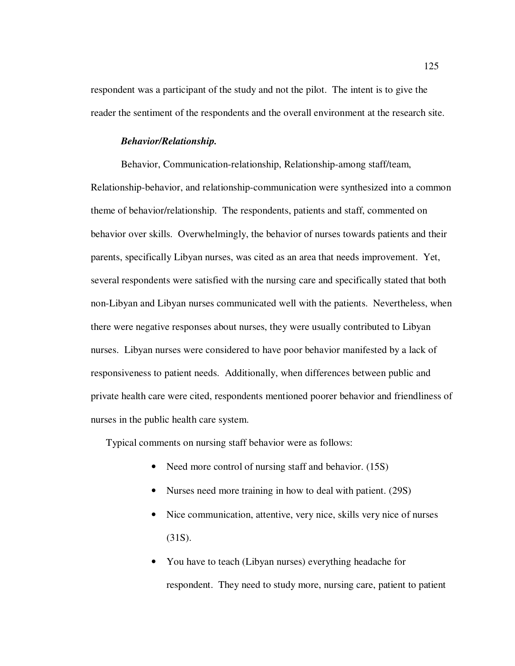respondent was a participant of the study and not the pilot. The intent is to give the reader the sentiment of the respondents and the overall environment at the research site.

## *Behavior/Relationship.*

Behavior, Communication-relationship, Relationship-among staff/team, Relationship-behavior, and relationship-communication were synthesized into a common theme of behavior/relationship. The respondents, patients and staff, commented on behavior over skills. Overwhelmingly, the behavior of nurses towards patients and their parents, specifically Libyan nurses, was cited as an area that needs improvement. Yet, several respondents were satisfied with the nursing care and specifically stated that both non-Libyan and Libyan nurses communicated well with the patients. Nevertheless, when there were negative responses about nurses, they were usually contributed to Libyan nurses. Libyan nurses were considered to have poor behavior manifested by a lack of responsiveness to patient needs. Additionally, when differences between public and private health care were cited, respondents mentioned poorer behavior and friendliness of nurses in the public health care system.

Typical comments on nursing staff behavior were as follows:

- Need more control of nursing staff and behavior. (15S)
- Nurses need more training in how to deal with patient. (29S)
- Nice communication, attentive, very nice, skills very nice of nurses (31S).
- You have to teach (Libyan nurses) everything headache for respondent. They need to study more, nursing care, patient to patient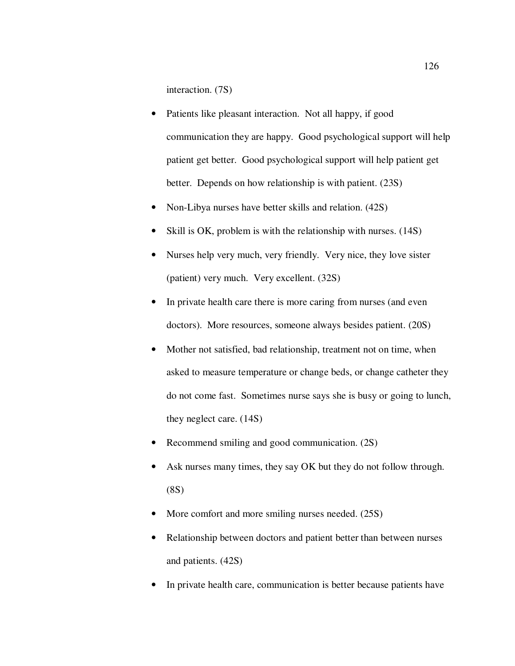interaction. (7S)

- Patients like pleasant interaction. Not all happy, if good communication they are happy. Good psychological support will help patient get better. Good psychological support will help patient get better. Depends on how relationship is with patient. (23S)
- Non-Libya nurses have better skills and relation. (42S)
- Skill is OK, problem is with the relationship with nurses. (14S)
- Nurses help very much, very friendly. Very nice, they love sister (patient) very much. Very excellent. (32S)
- In private health care there is more caring from nurses (and even doctors). More resources, someone always besides patient. (20S)
- Mother not satisfied, bad relationship, treatment not on time, when asked to measure temperature or change beds, or change catheter they do not come fast. Sometimes nurse says she is busy or going to lunch, they neglect care. (14S)
- Recommend smiling and good communication. (2S)
- Ask nurses many times, they say OK but they do not follow through. (8S)
- More comfort and more smiling nurses needed. (25S)
- Relationship between doctors and patient better than between nurses and patients. (42S)
- In private health care, communication is better because patients have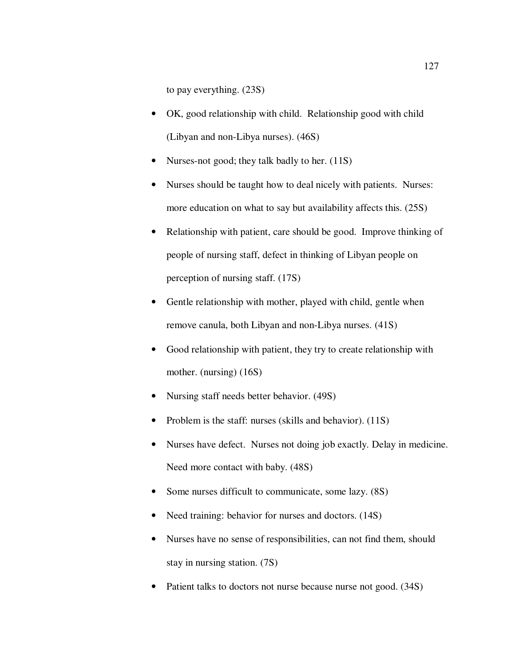to pay everything. (23S)

- OK, good relationship with child. Relationship good with child (Libyan and non-Libya nurses). (46S)
- Nurses-not good; they talk badly to her. (11S)
- Nurses should be taught how to deal nicely with patients. Nurses: more education on what to say but availability affects this. (25S)
- Relationship with patient, care should be good. Improve thinking of people of nursing staff, defect in thinking of Libyan people on perception of nursing staff. (17S)
- Gentle relationship with mother, played with child, gentle when remove canula, both Libyan and non-Libya nurses. (41S)
- Good relationship with patient, they try to create relationship with mother. (nursing) (16S)
- Nursing staff needs better behavior. (49S)
- Problem is the staff: nurses (skills and behavior). (11S)
- Nurses have defect. Nurses not doing job exactly. Delay in medicine. Need more contact with baby. (48S)
- Some nurses difficult to communicate, some lazy.  $(8S)$
- Need training: behavior for nurses and doctors. (14S)
- Nurses have no sense of responsibilities, can not find them, should stay in nursing station. (7S)
- Patient talks to doctors not nurse because nurse not good. (34S)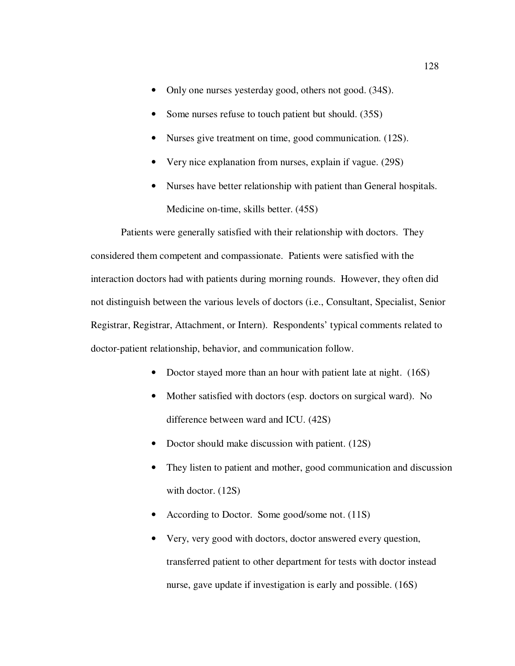- Only one nurses yesterday good, others not good. (34S).
- Some nurses refuse to touch patient but should. (35S)
- Nurses give treatment on time, good communication. (12S).
- Very nice explanation from nurses, explain if vague. (29S)
- Nurses have better relationship with patient than General hospitals. Medicine on-time, skills better. (45S)

Patients were generally satisfied with their relationship with doctors. They considered them competent and compassionate. Patients were satisfied with the interaction doctors had with patients during morning rounds. However, they often did not distinguish between the various levels of doctors (i.e., Consultant, Specialist, Senior Registrar, Registrar, Attachment, or Intern). Respondents' typical comments related to doctor-patient relationship, behavior, and communication follow.

- Doctor stayed more than an hour with patient late at night. (16S)
- Mother satisfied with doctors (esp. doctors on surgical ward). No difference between ward and ICU. (42S)
- Doctor should make discussion with patient. (12S)
- They listen to patient and mother, good communication and discussion with doctor.  $(12S)$
- According to Doctor. Some good/some not. (11S)
- Very, very good with doctors, doctor answered every question, transferred patient to other department for tests with doctor instead nurse, gave update if investigation is early and possible. (16S)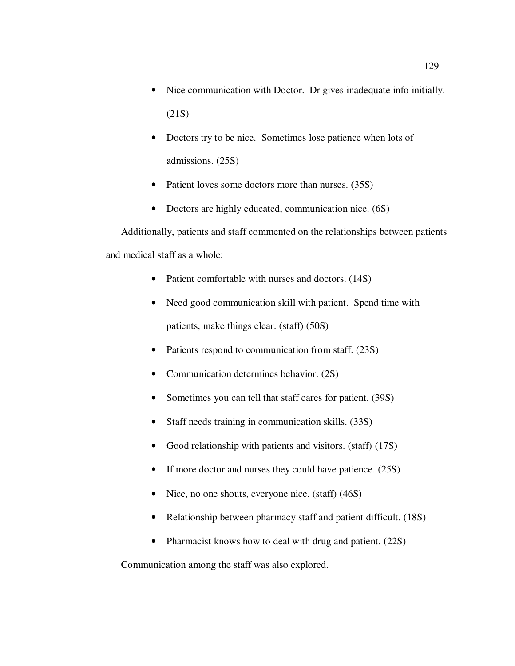- Nice communication with Doctor. Dr gives inadequate info initially. (21S)
- Doctors try to be nice. Sometimes lose patience when lots of admissions. (25S)
- Patient loves some doctors more than nurses. (35S)
- Doctors are highly educated, communication nice. (6S)

Additionally, patients and staff commented on the relationships between patients and medical staff as a whole:

- Patient comfortable with nurses and doctors. (14S)
- Need good communication skill with patient. Spend time with patients, make things clear. (staff) (50S)
- Patients respond to communication from staff. (23S)
- Communication determines behavior. (2S)
- Sometimes you can tell that staff cares for patient. (39S)
- Staff needs training in communication skills. (33S)
- Good relationship with patients and visitors. (staff) (17S)
- If more doctor and nurses they could have patience. (25S)
- Nice, no one shouts, everyone nice. (staff) (46S)
- Relationship between pharmacy staff and patient difficult. (18S)
- Pharmacist knows how to deal with drug and patient. (22S)

Communication among the staff was also explored.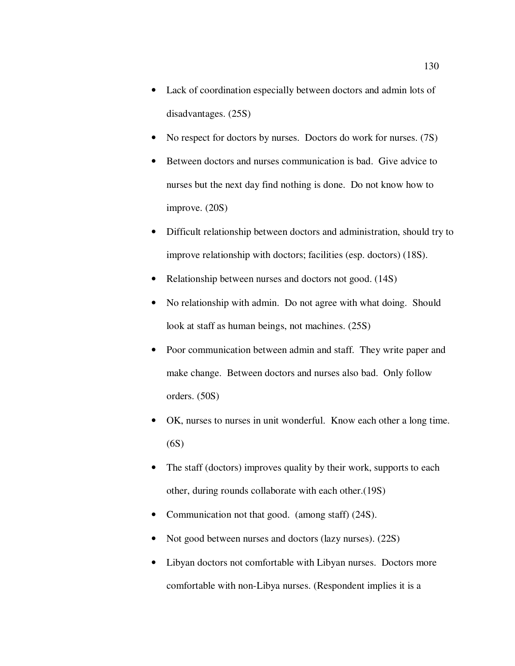- Lack of coordination especially between doctors and admin lots of disadvantages. (25S)
- No respect for doctors by nurses. Doctors do work for nurses. (7S)
- Between doctors and nurses communication is bad. Give advice to nurses but the next day find nothing is done. Do not know how to improve. (20S)
- Difficult relationship between doctors and administration, should try to improve relationship with doctors; facilities (esp. doctors) (18S).
- Relationship between nurses and doctors not good. (14S)
- No relationship with admin. Do not agree with what doing. Should look at staff as human beings, not machines. (25S)
- Poor communication between admin and staff. They write paper and make change. Between doctors and nurses also bad. Only follow orders. (50S)
- OK, nurses to nurses in unit wonderful. Know each other a long time. (6S)
- The staff (doctors) improves quality by their work, supports to each other, during rounds collaborate with each other.(19S)
- Communication not that good. (among staff) (24S).
- Not good between nurses and doctors (lazy nurses). (22S)
- Libyan doctors not comfortable with Libyan nurses. Doctors more comfortable with non-Libya nurses. (Respondent implies it is a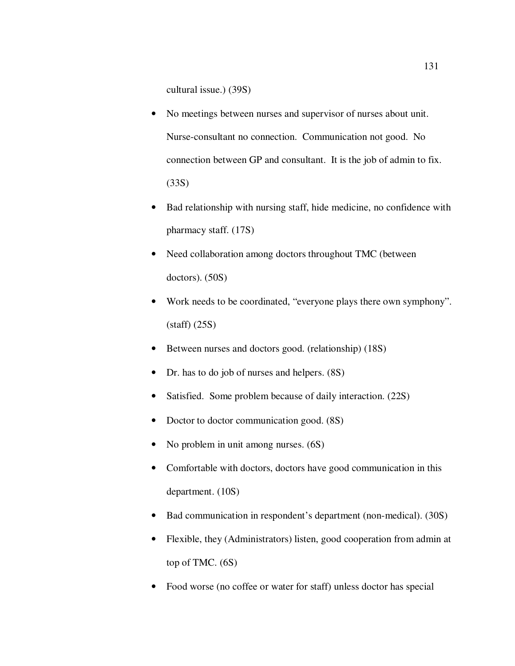cultural issue.) (39S)

- No meetings between nurses and supervisor of nurses about unit. Nurse-consultant no connection. Communication not good. No connection between GP and consultant. It is the job of admin to fix. (33S)
- Bad relationship with nursing staff, hide medicine, no confidence with pharmacy staff. (17S)
- Need collaboration among doctors throughout TMC (between doctors). (50S)
- Work needs to be coordinated, "everyone plays there own symphony". (staff) (25S)
- Between nurses and doctors good. (relationship) (18S)
- Dr. has to do job of nurses and helpers.  $(8S)$
- Satisfied. Some problem because of daily interaction. (22S)
- Doctor to doctor communication good.  $(8S)$
- No problem in unit among nurses. (6S)
- Comfortable with doctors, doctors have good communication in this department. (10S)
- Bad communication in respondent's department (non-medical). (30S)
- Flexible, they (Administrators) listen, good cooperation from admin at top of TMC. (6S)
- Food worse (no coffee or water for staff) unless doctor has special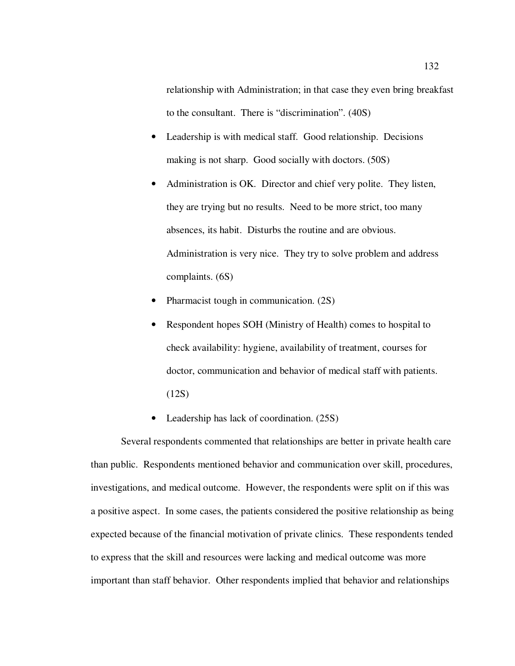relationship with Administration; in that case they even bring breakfast to the consultant. There is "discrimination". (40S)

- Leadership is with medical staff. Good relationship. Decisions making is not sharp. Good socially with doctors. (50S)
- Administration is OK. Director and chief very polite. They listen, they are trying but no results. Need to be more strict, too many absences, its habit. Disturbs the routine and are obvious. Administration is very nice. They try to solve problem and address complaints. (6S)
- Pharmacist tough in communication. (2S)
- Respondent hopes SOH (Ministry of Health) comes to hospital to check availability: hygiene, availability of treatment, courses for doctor, communication and behavior of medical staff with patients. (12S)
- Leadership has lack of coordination. (25S)

Several respondents commented that relationships are better in private health care than public. Respondents mentioned behavior and communication over skill, procedures, investigations, and medical outcome. However, the respondents were split on if this was a positive aspect. In some cases, the patients considered the positive relationship as being expected because of the financial motivation of private clinics. These respondents tended to express that the skill and resources were lacking and medical outcome was more important than staff behavior. Other respondents implied that behavior and relationships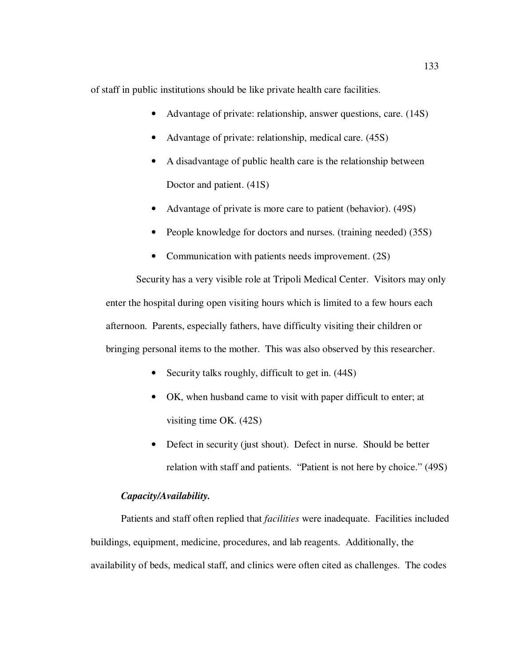of staff in public institutions should be like private health care facilities.

- Advantage of private: relationship, answer questions, care. (14S)
- Advantage of private: relationship, medical care. (45S)
- A disadvantage of public health care is the relationship between Doctor and patient. (41S)
- Advantage of private is more care to patient (behavior). (49S)
- People knowledge for doctors and nurses. (training needed) (35S)
- Communication with patients needs improvement. (2S)

Security has a very visible role at Tripoli Medical Center. Visitors may only enter the hospital during open visiting hours which is limited to a few hours each afternoon. Parents, especially fathers, have difficulty visiting their children or bringing personal items to the mother. This was also observed by this researcher.

- Security talks roughly, difficult to get in.  $(44S)$
- OK, when husband came to visit with paper difficult to enter; at visiting time OK. (42S)
- Defect in security (just shout). Defect in nurse. Should be better relation with staff and patients. "Patient is not here by choice." (49S)

## *Capacity/Availability.*

Patients and staff often replied that *facilities* were inadequate. Facilities included buildings, equipment, medicine, procedures, and lab reagents. Additionally, the availability of beds, medical staff, and clinics were often cited as challenges. The codes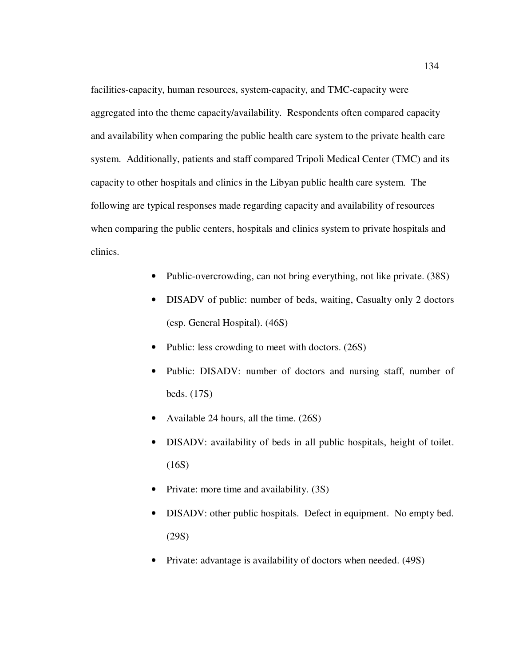facilities-capacity, human resources, system-capacity, and TMC-capacity were aggregated into the theme capacity/availability. Respondents often compared capacity and availability when comparing the public health care system to the private health care system. Additionally, patients and staff compared Tripoli Medical Center (TMC) and its capacity to other hospitals and clinics in the Libyan public health care system. The following are typical responses made regarding capacity and availability of resources when comparing the public centers, hospitals and clinics system to private hospitals and clinics.

- Public-overcrowding, can not bring everything, not like private. (38S)
- DISADV of public: number of beds, waiting, Casualty only 2 doctors (esp. General Hospital). (46S)
- Public: less crowding to meet with doctors. (26S)
- Public: DISADV: number of doctors and nursing staff, number of beds. (17S)
- Available 24 hours, all the time. (26S)
- DISADV: availability of beds in all public hospitals, height of toilet. (16S)
- Private: more time and availability. (3S)
- DISADV: other public hospitals. Defect in equipment. No empty bed. (29S)
- Private: advantage is availability of doctors when needed. (49S)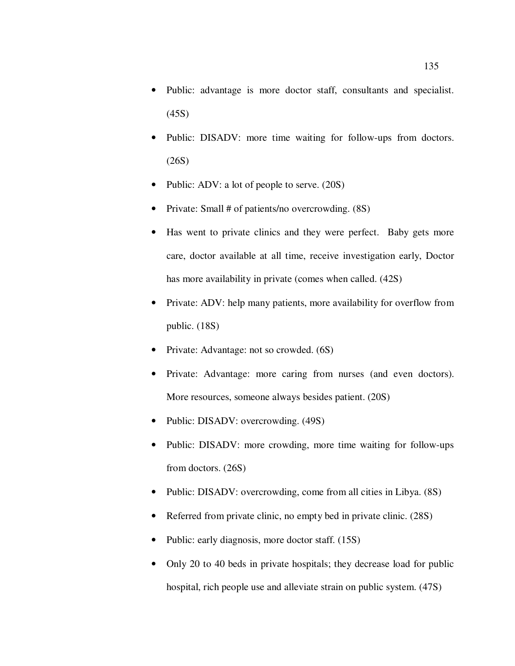- Public: advantage is more doctor staff, consultants and specialist. (45S)
- Public: DISADV: more time waiting for follow-ups from doctors. (26S)
- Public: ADV: a lot of people to serve. (20S)
- Private: Small # of patients/no overcrowding. (8S)
- Has went to private clinics and they were perfect. Baby gets more care, doctor available at all time, receive investigation early, Doctor has more availability in private (comes when called. (42S)
- Private: ADV: help many patients, more availability for overflow from public. (18S)
- Private: Advantage: not so crowded. (6S)
- Private: Advantage: more caring from nurses (and even doctors). More resources, someone always besides patient. (20S)
- Public: DISADV: overcrowding. (49S)
- Public: DISADV: more crowding, more time waiting for follow-ups from doctors. (26S)
- Public: DISADV: overcrowding, come from all cities in Libya. (8S)
- Referred from private clinic, no empty bed in private clinic. (28S)
- Public: early diagnosis, more doctor staff. (15S)
- Only 20 to 40 beds in private hospitals; they decrease load for public hospital, rich people use and alleviate strain on public system. (47S)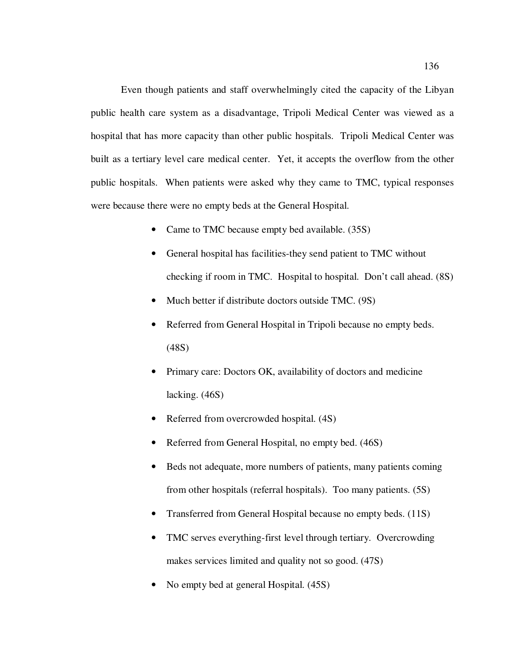Even though patients and staff overwhelmingly cited the capacity of the Libyan public health care system as a disadvantage, Tripoli Medical Center was viewed as a hospital that has more capacity than other public hospitals. Tripoli Medical Center was built as a tertiary level care medical center. Yet, it accepts the overflow from the other public hospitals. When patients were asked why they came to TMC, typical responses were because there were no empty beds at the General Hospital.

- Came to TMC because empty bed available. (35S)
- General hospital has facilities-they send patient to TMC without checking if room in TMC. Hospital to hospital. Don't call ahead. (8S)
- Much better if distribute doctors outside TMC. (9S)
- Referred from General Hospital in Tripoli because no empty beds. (48S)
- Primary care: Doctors OK, availability of doctors and medicine lacking. (46S)
- Referred from overcrowded hospital.  $(4S)$
- Referred from General Hospital, no empty bed.  $(46S)$
- Beds not adequate, more numbers of patients, many patients coming from other hospitals (referral hospitals). Too many patients. (5S)
- Transferred from General Hospital because no empty beds. (11S)
- TMC serves everything-first level through tertiary. Overcrowding makes services limited and quality not so good. (47S)
- No empty bed at general Hospital. (45S)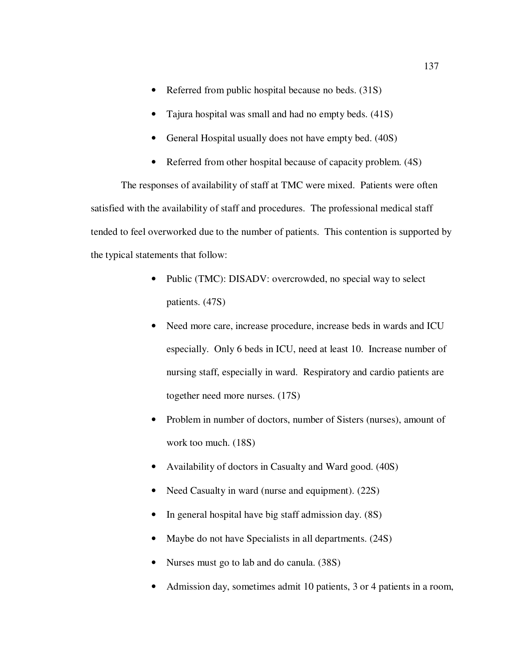- Referred from public hospital because no beds. (31S)
- Tajura hospital was small and had no empty beds. (41S)
- General Hospital usually does not have empty bed. (40S)
- Referred from other hospital because of capacity problem. (4S)

The responses of availability of staff at TMC were mixed. Patients were often satisfied with the availability of staff and procedures. The professional medical staff tended to feel overworked due to the number of patients. This contention is supported by the typical statements that follow:

- Public (TMC): DISADV: overcrowded, no special way to select patients. (47S)
- Need more care, increase procedure, increase beds in wards and ICU especially. Only 6 beds in ICU, need at least 10. Increase number of nursing staff, especially in ward. Respiratory and cardio patients are together need more nurses. (17S)
- Problem in number of doctors, number of Sisters (nurses), amount of work too much. (18S)
- Availability of doctors in Casualty and Ward good. (40S)
- Need Casualty in ward (nurse and equipment). (22S)
- In general hospital have big staff admission day. (8S)
- Maybe do not have Specialists in all departments. (24S)
- Nurses must go to lab and do canula. (38S)
- Admission day, sometimes admit 10 patients, 3 or 4 patients in a room,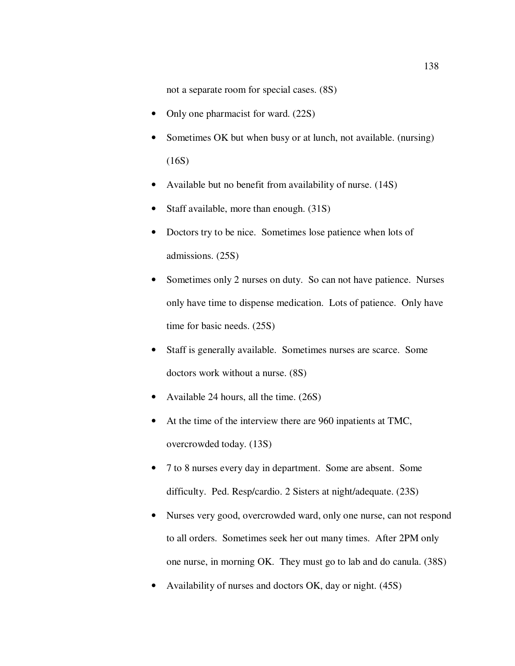not a separate room for special cases. (8S)

- Only one pharmacist for ward. (22S)
- Sometimes OK but when busy or at lunch, not available. (nursing) (16S)
- Available but no benefit from availability of nurse. (14S)
- Staff available, more than enough. (31S)
- Doctors try to be nice. Sometimes lose patience when lots of admissions. (25S)
- Sometimes only 2 nurses on duty. So can not have patience. Nurses only have time to dispense medication. Lots of patience. Only have time for basic needs. (25S)
- Staff is generally available. Sometimes nurses are scarce. Some doctors work without a nurse. (8S)
- Available 24 hours, all the time. (26S)
- At the time of the interview there are 960 inpatients at TMC, overcrowded today. (13S)
- 7 to 8 nurses every day in department. Some are absent. Some difficulty. Ped. Resp/cardio. 2 Sisters at night/adequate. (23S)
- Nurses very good, overcrowded ward, only one nurse, can not respond to all orders. Sometimes seek her out many times. After 2PM only one nurse, in morning OK. They must go to lab and do canula. (38S)
- Availability of nurses and doctors OK, day or night. (45S)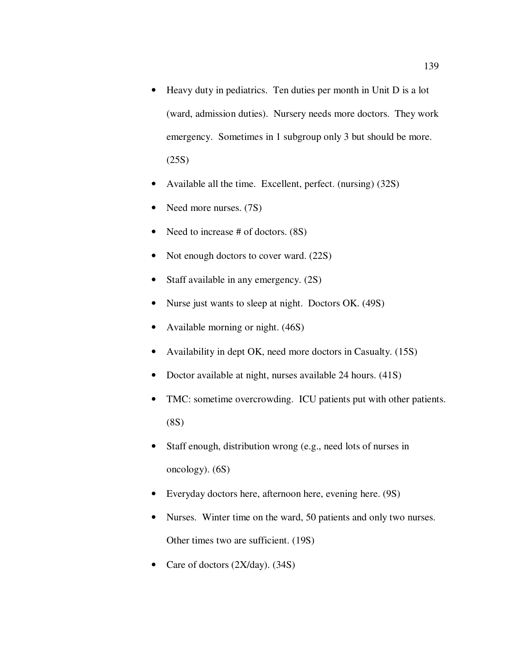- Heavy duty in pediatrics. Ten duties per month in Unit D is a lot (ward, admission duties). Nursery needs more doctors. They work emergency. Sometimes in 1 subgroup only 3 but should be more. (25S)
- Available all the time. Excellent, perfect. (nursing) (32S)
- Need more nurses. (7S)
- Need to increase # of doctors.  $(8S)$
- Not enough doctors to cover ward. (22S)
- Staff available in any emergency.  $(2S)$
- Nurse just wants to sleep at night. Doctors OK. (49S)
- Available morning or night. (46S)
- Availability in dept OK, need more doctors in Casualty. (15S)
- Doctor available at night, nurses available 24 hours. (41S)
- TMC: sometime overcrowding. ICU patients put with other patients. (8S)
- Staff enough, distribution wrong (e.g., need lots of nurses in oncology). (6S)
- Everyday doctors here, afternoon here, evening here. (9S)
- Nurses. Winter time on the ward, 50 patients and only two nurses. Other times two are sufficient. (19S)
- Care of doctors (2X/day). (34S)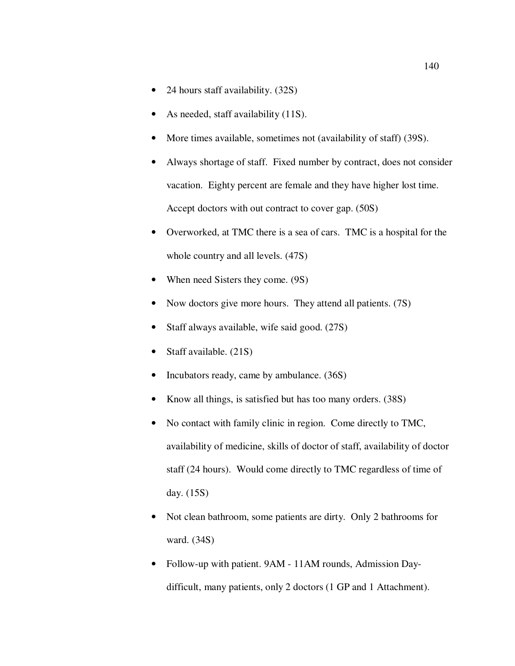- 24 hours staff availability. (32S)
- As needed, staff availability (11S).
- More times available, sometimes not (availability of staff) (39S).
- Always shortage of staff. Fixed number by contract, does not consider vacation. Eighty percent are female and they have higher lost time. Accept doctors with out contract to cover gap. (50S)
- Overworked, at TMC there is a sea of cars. TMC is a hospital for the whole country and all levels. (47S)
- When need Sisters they come. (9S)
- Now doctors give more hours. They attend all patients. (7S)
- Staff always available, wife said good.  $(27S)$
- Staff available. (21S)
- Incubators ready, came by ambulance. (36S)
- Know all things, is satisfied but has too many orders. (38S)
- No contact with family clinic in region. Come directly to TMC, availability of medicine, skills of doctor of staff, availability of doctor staff (24 hours). Would come directly to TMC regardless of time of day. (15S)
- Not clean bathroom, some patients are dirty. Only 2 bathrooms for ward. (34S)
- Follow-up with patient. 9AM 11AM rounds, Admission Daydifficult, many patients, only 2 doctors (1 GP and 1 Attachment).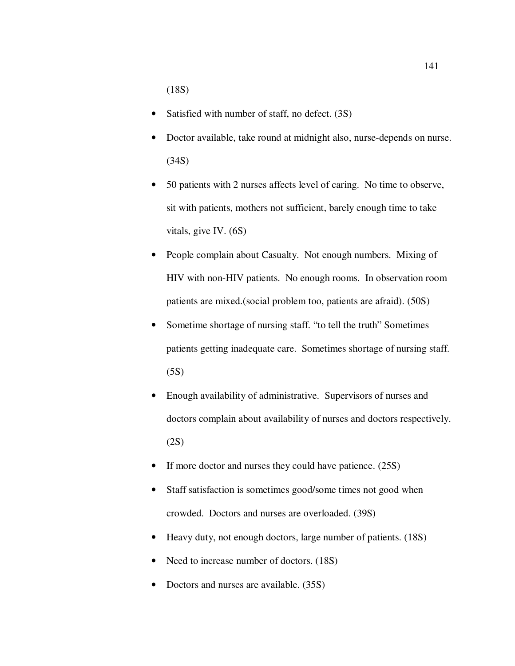(18S)

- Satisfied with number of staff, no defect. (3S)
- Doctor available, take round at midnight also, nurse-depends on nurse. (34S)
- 50 patients with 2 nurses affects level of caring. No time to observe, sit with patients, mothers not sufficient, barely enough time to take vitals, give IV. (6S)
- People complain about Casualty. Not enough numbers. Mixing of HIV with non-HIV patients. No enough rooms. In observation room patients are mixed.(social problem too, patients are afraid). (50S)
- Sometime shortage of nursing staff. "to tell the truth" Sometimes patients getting inadequate care. Sometimes shortage of nursing staff. (5S)
- Enough availability of administrative. Supervisors of nurses and doctors complain about availability of nurses and doctors respectively. (2S)
- If more doctor and nurses they could have patience. (25S)
- Staff satisfaction is sometimes good/some times not good when crowded. Doctors and nurses are overloaded. (39S)
- Heavy duty, not enough doctors, large number of patients. (18S)
- Need to increase number of doctors. (18S)
- Doctors and nurses are available. (35S)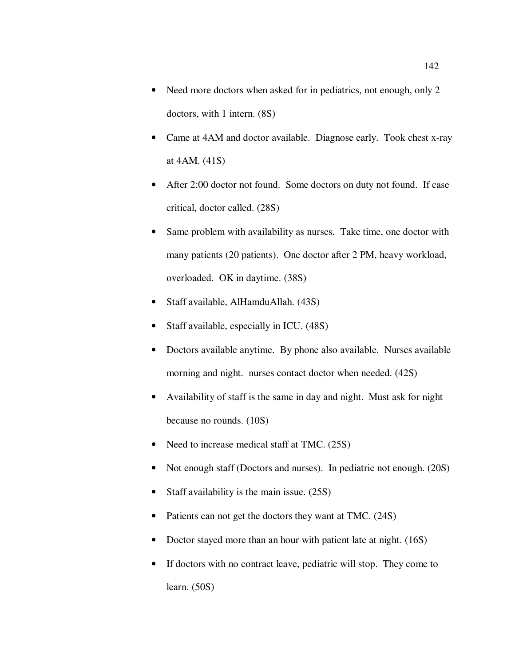- Need more doctors when asked for in pediatrics, not enough, only 2 doctors, with 1 intern. (8S)
- Came at 4AM and doctor available. Diagnose early. Took chest x-ray at 4AM. (41S)
- After 2:00 doctor not found. Some doctors on duty not found. If case critical, doctor called. (28S)
- Same problem with availability as nurses. Take time, one doctor with many patients (20 patients). One doctor after 2 PM, heavy workload, overloaded. OK in daytime. (38S)
- Staff available, AlHamduAllah. (43S)
- Staff available, especially in ICU. (48S)
- Doctors available anytime. By phone also available. Nurses available morning and night. nurses contact doctor when needed. (42S)
- Availability of staff is the same in day and night. Must ask for night because no rounds. (10S)
- Need to increase medical staff at TMC. (25S)
- Not enough staff (Doctors and nurses). In pediatric not enough. (20S)
- Staff availability is the main issue. (25S)
- Patients can not get the doctors they want at TMC. (24S)
- Doctor stayed more than an hour with patient late at night. (16S)
- If doctors with no contract leave, pediatric will stop. They come to learn. (50S)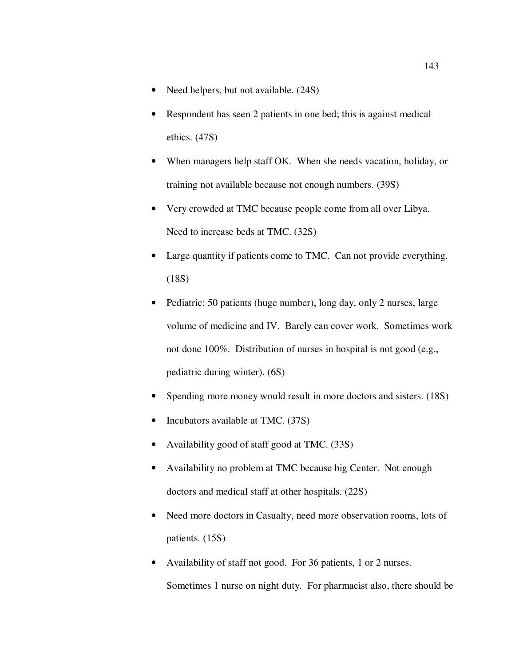- Need helpers, but not available.  $(24S)$
- Respondent has seen 2 patients in one bed; this is against medical ethics. (47S)
- When managers help staff OK. When she needs vacation, holiday, or training not available because not enough numbers. (39S)
- Very crowded at TMC because people come from all over Libya. Need to increase beds at TMC. (32S)
- Large quantity if patients come to TMC. Can not provide everything.  $(18S)$
- Pediatric: 50 patients (huge number), long day, only 2 nurses, large volume of medicine and IV. Barely can cover work. Sometimes work not done 100%. Distribution of nurses in hospital is not good (e.g., pediatric during winter). (6S)
- Spending more money would result in more doctors and sisters. (18S)
- Incubators available at TMC. (37S)
- Availability good of staff good at TMC. (33S)
- Availability no problem at TMC because big Center. Not enough doctors and medical staff at other hospitals. (22S)
- Need more doctors in Casualty, need more observation rooms, lots of patients. (15S)
- Availability of staff not good. For 36 patients, 1 or 2 nurses. Sometimes 1 nurse on night duty. For pharmacist also, there should be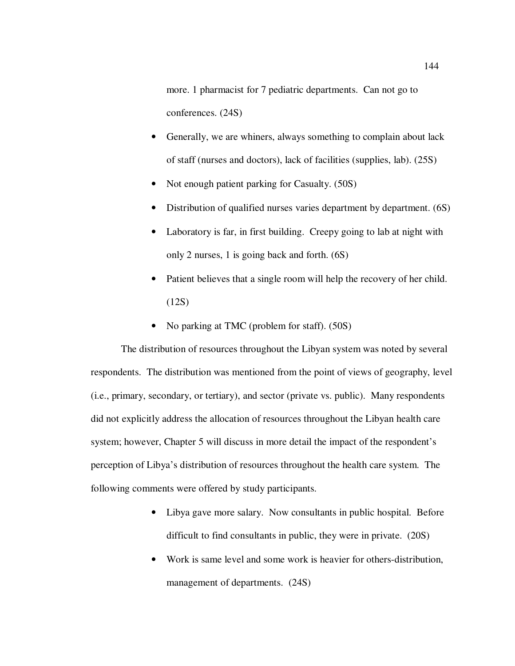more. 1 pharmacist for 7 pediatric departments. Can not go to conferences. (24S)

- Generally, we are whiners, always something to complain about lack of staff (nurses and doctors), lack of facilities (supplies, lab). (25S)
- Not enough patient parking for Casualty. (50S)
- Distribution of qualified nurses varies department by department. (6S)
- Laboratory is far, in first building. Creepy going to lab at night with only 2 nurses, 1 is going back and forth. (6S)
- Patient believes that a single room will help the recovery of her child. (12S)
- No parking at TMC (problem for staff). (50S)

The distribution of resources throughout the Libyan system was noted by several respondents. The distribution was mentioned from the point of views of geography, level (i.e., primary, secondary, or tertiary), and sector (private vs. public). Many respondents did not explicitly address the allocation of resources throughout the Libyan health care system; however, Chapter 5 will discuss in more detail the impact of the respondent's perception of Libya's distribution of resources throughout the health care system. The following comments were offered by study participants.

- Libya gave more salary. Now consultants in public hospital. Before difficult to find consultants in public, they were in private. (20S)
- Work is same level and some work is heavier for others-distribution, management of departments. (24S)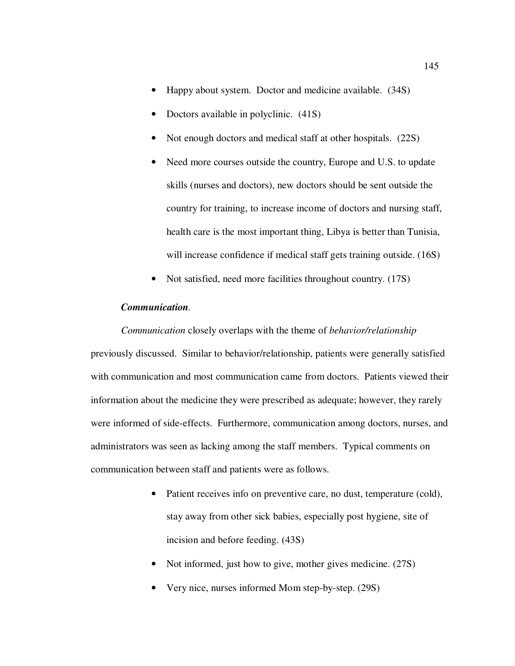- Happy about system. Doctor and medicine available. (34S)
- Doctors available in polyclinic.  $(41S)$
- Not enough doctors and medical staff at other hospitals. (22S)
- Need more courses outside the country, Europe and U.S. to update skills (nurses and doctors), new doctors should be sent outside the country for training, to increase income of doctors and nursing staff, health care is the most important thing, Libya is better than Tunisia, will increase confidence if medical staff gets training outside. (16S)
- Not satisfied, need more facilities throughout country. (17S)

## *Communication.*

*Communication* closely overlaps with the theme of *behavior/relationship* previously discussed. Similar to behavior/relationship, patients were generally satisfied with communication and most communication came from doctors. Patients viewed their information about the medicine they were prescribed as adequate; however, they rarely were informed of side-effects. Furthermore, communication among doctors, nurses, and administrators was seen as lacking among the staff members. Typical comments on communication between staff and patients were as follows.

- Patient receives info on preventive care, no dust, temperature (cold), stay away from other sick babies, especially post hygiene, site of incision and before feeding. (43S)
- Not informed, just how to give, mother gives medicine. (27S)
- Very nice, nurses informed Mom step-by-step. (29S)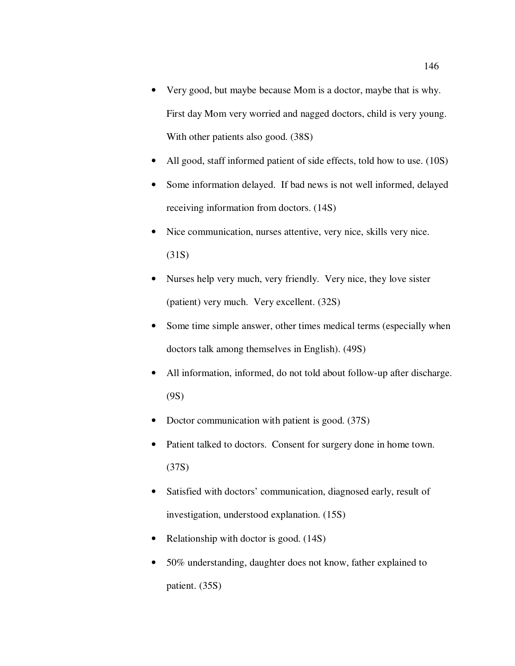- Very good, but maybe because Mom is a doctor, maybe that is why. First day Mom very worried and nagged doctors, child is very young. With other patients also good. (38S)
- All good, staff informed patient of side effects, told how to use. (10S)
- Some information delayed. If bad news is not well informed, delayed receiving information from doctors. (14S)
- Nice communication, nurses attentive, very nice, skills very nice. (31S)
- Nurses help very much, very friendly. Very nice, they love sister (patient) very much. Very excellent. (32S)
- Some time simple answer, other times medical terms (especially when doctors talk among themselves in English). (49S)
- All information, informed, do not told about follow-up after discharge. (9S)
- Doctor communication with patient is good. (37S)
- Patient talked to doctors. Consent for surgery done in home town. (37S)
- Satisfied with doctors' communication, diagnosed early, result of investigation, understood explanation. (15S)
- Relationship with doctor is good. (14S)
- 50% understanding, daughter does not know, father explained to patient. (35S)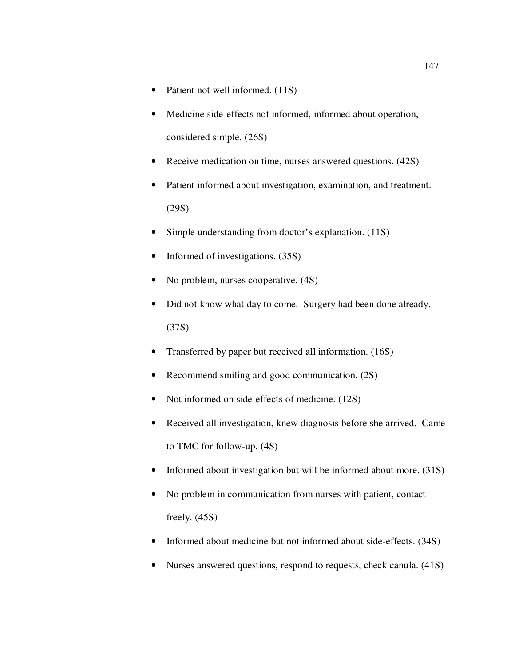- Patient not well informed. (11S)
- Medicine side-effects not informed, informed about operation, considered simple. (26S)
- Receive medication on time, nurses answered questions. (42S)
- Patient informed about investigation, examination, and treatment. (29S)
- Simple understanding from doctor's explanation. (11S)
- Informed of investigations. (35S)
- No problem, nurses cooperative. (4S)
- Did not know what day to come. Surgery had been done already. (37S)
- Transferred by paper but received all information. (16S)
- Recommend smiling and good communication. (2S)
- Not informed on side-effects of medicine. (12S)
- Received all investigation, knew diagnosis before she arrived. Came to TMC for follow-up. (4S)
- Informed about investigation but will be informed about more. (31S)
- No problem in communication from nurses with patient, contact freely. (45S)
- Informed about medicine but not informed about side-effects. (34S)
- Nurses answered questions, respond to requests, check canula. (41S)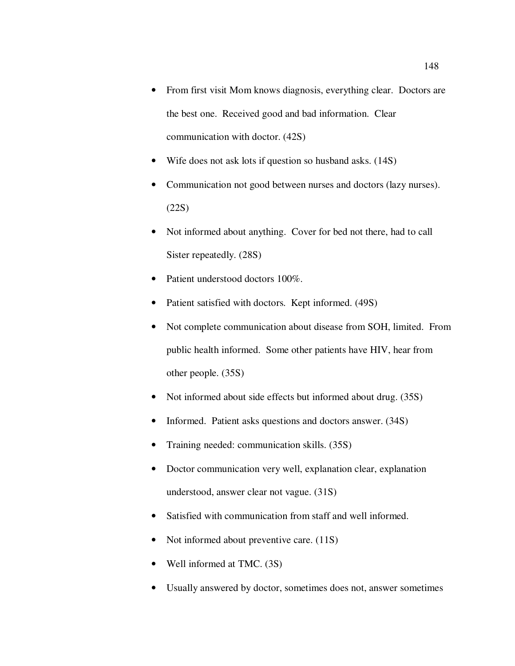- From first visit Mom knows diagnosis, everything clear. Doctors are the best one. Received good and bad information. Clear communication with doctor. (42S)
- Wife does not ask lots if question so husband asks. (14S)
- Communication not good between nurses and doctors (lazy nurses). (22S)
- Not informed about anything. Cover for bed not there, had to call Sister repeatedly. (28S)
- Patient understood doctors 100%.
- Patient satisfied with doctors. Kept informed. (49S)
- Not complete communication about disease from SOH, limited. From public health informed. Some other patients have HIV, hear from other people. (35S)
- Not informed about side effects but informed about drug. (35S)
- Informed. Patient asks questions and doctors answer. (34S)
- Training needed: communication skills. (35S)
- Doctor communication very well, explanation clear, explanation understood, answer clear not vague. (31S)
- Satisfied with communication from staff and well informed.
- Not informed about preventive care. (11S)
- Well informed at TMC. (3S)
- Usually answered by doctor, sometimes does not, answer sometimes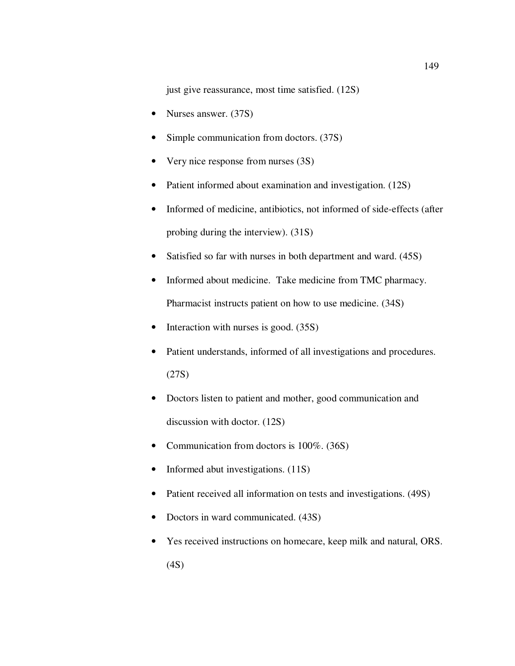just give reassurance, most time satisfied. (12S)

- Nurses answer. (37S)
- Simple communication from doctors. (37S)
- Very nice response from nurses (3S)
- Patient informed about examination and investigation. (12S)
- Informed of medicine, antibiotics, not informed of side-effects (after probing during the interview). (31S)
- Satisfied so far with nurses in both department and ward. (45S)
- Informed about medicine. Take medicine from TMC pharmacy. Pharmacist instructs patient on how to use medicine. (34S)
- Interaction with nurses is good. (35S)
- Patient understands, informed of all investigations and procedures. (27S)
- Doctors listen to patient and mother, good communication and discussion with doctor. (12S)
- Communication from doctors is 100%. (36S)
- Informed abut investigations. (11S)
- Patient received all information on tests and investigations. (49S)
- Doctors in ward communicated. (43S)
- Yes received instructions on homecare, keep milk and natural, ORS. (4S)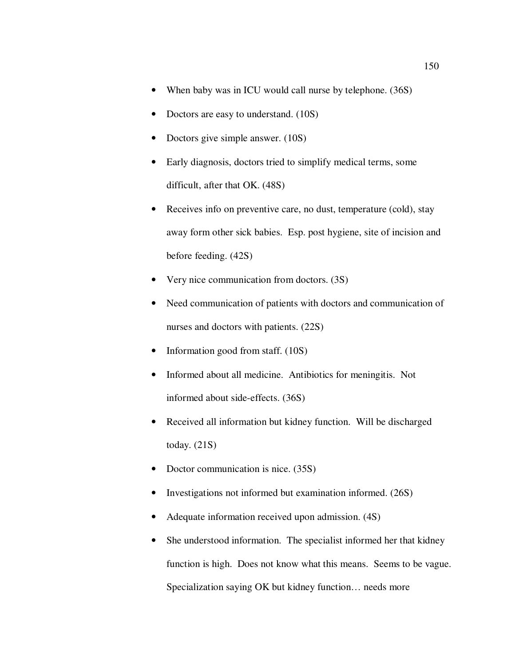- When baby was in ICU would call nurse by telephone. (36S)
- Doctors are easy to understand. (10S)
- Doctors give simple answer. (10S)
- Early diagnosis, doctors tried to simplify medical terms, some difficult, after that OK. (48S)
- Receives info on preventive care, no dust, temperature (cold), stay away form other sick babies. Esp. post hygiene, site of incision and before feeding. (42S)
- Very nice communication from doctors. (3S)
- Need communication of patients with doctors and communication of nurses and doctors with patients. (22S)
- Information good from staff. (10S)
- Informed about all medicine. Antibiotics for meningitis. Not informed about side-effects. (36S)
- Received all information but kidney function. Will be discharged today. (21S)
- Doctor communication is nice. (35S)
- Investigations not informed but examination informed. (26S)
- Adequate information received upon admission. (4S)
- She understood information. The specialist informed her that kidney function is high. Does not know what this means. Seems to be vague. Specialization saying OK but kidney function… needs more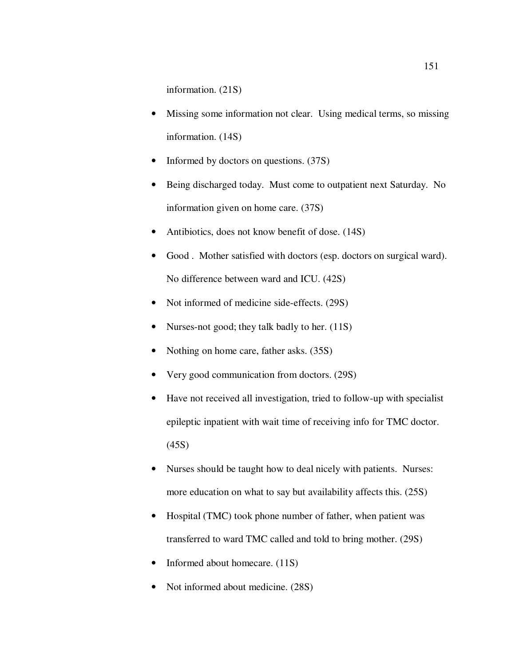information. (21S)

- Missing some information not clear. Using medical terms, so missing information. (14S)
- Informed by doctors on questions. (37S)
- Being discharged today. Must come to outpatient next Saturday. No information given on home care. (37S)
- Antibiotics, does not know benefit of dose. (14S)
- Good . Mother satisfied with doctors (esp. doctors on surgical ward). No difference between ward and ICU. (42S)
- Not informed of medicine side-effects. (29S)
- Nurses-not good; they talk badly to her. (11S)
- Nothing on home care, father asks. (35S)
- Very good communication from doctors. (29S)
- Have not received all investigation, tried to follow-up with specialist epileptic inpatient with wait time of receiving info for TMC doctor. (45S)
- Nurses should be taught how to deal nicely with patients. Nurses: more education on what to say but availability affects this. (25S)
- Hospital (TMC) took phone number of father, when patient was transferred to ward TMC called and told to bring mother. (29S)
- Informed about homecare. (11S)
- Not informed about medicine.  $(28S)$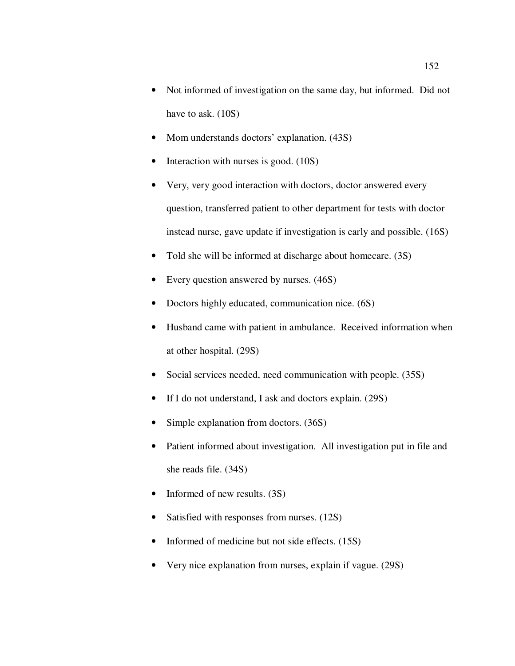- Not informed of investigation on the same day, but informed. Did not have to ask.  $(10S)$
- Mom understands doctors' explanation.  $(43S)$
- Interaction with nurses is good. (10S)
- Very, very good interaction with doctors, doctor answered every question, transferred patient to other department for tests with doctor instead nurse, gave update if investigation is early and possible. (16S)
- Told she will be informed at discharge about homecare. (3S)
- Every question answered by nurses.  $(46S)$
- Doctors highly educated, communication nice. (6S)
- Husband came with patient in ambulance. Received information when at other hospital. (29S)
- Social services needed, need communication with people. (35S)
- If I do not understand, I ask and doctors explain. (29S)
- Simple explanation from doctors. (36S)
- Patient informed about investigation. All investigation put in file and she reads file. (34S)
- Informed of new results. (3S)
- Satisfied with responses from nurses. (12S)
- Informed of medicine but not side effects. (15S)
- Very nice explanation from nurses, explain if vague. (29S)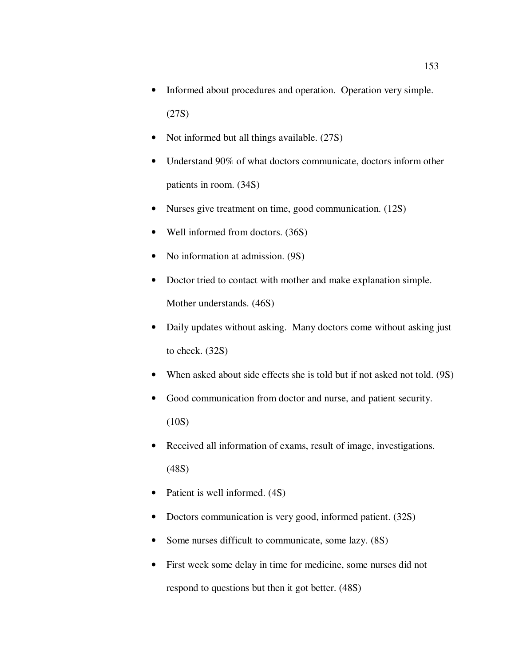- Informed about procedures and operation. Operation very simple. (27S)
- Not informed but all things available. (27S)
- Understand 90% of what doctors communicate, doctors inform other patients in room. (34S)
- Nurses give treatment on time, good communication. (12S)
- Well informed from doctors. (36S)
- No information at admission. (9S)
- Doctor tried to contact with mother and make explanation simple. Mother understands. (46S)
- Daily updates without asking. Many doctors come without asking just to check. (32S)
- When asked about side effects she is told but if not asked not told. (9S)
- Good communication from doctor and nurse, and patient security.  $(10S)$
- Received all information of exams, result of image, investigations. (48S)
- Patient is well informed.  $(4S)$
- Doctors communication is very good, informed patient. (32S)
- Some nurses difficult to communicate, some lazy. (8S)
- First week some delay in time for medicine, some nurses did not respond to questions but then it got better. (48S)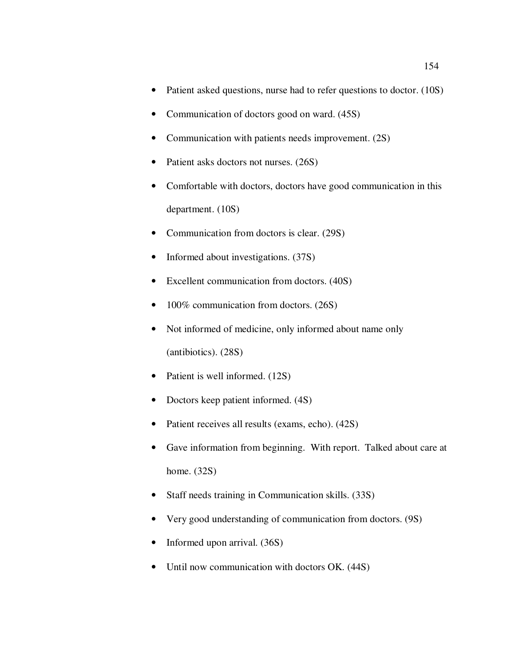- Patient asked questions, nurse had to refer questions to doctor. (10S)
- Communication of doctors good on ward. (45S)
- Communication with patients needs improvement. (2S)
- Patient asks doctors not nurses. (26S)
- Comfortable with doctors, doctors have good communication in this department. (10S)
- Communication from doctors is clear. (29S)
- Informed about investigations. (37S)
- Excellent communication from doctors. (40S)
- 100% communication from doctors. (26S)
- Not informed of medicine, only informed about name only (antibiotics). (28S)
- Patient is well informed. (12S)
- Doctors keep patient informed.  $(4S)$
- Patient receives all results (exams, echo).  $(42S)$
- Gave information from beginning. With report. Talked about care at home. (32S)
- Staff needs training in Communication skills. (33S)
- Very good understanding of communication from doctors. (9S)
- Informed upon arrival. (36S)
- Until now communication with doctors OK. (44S)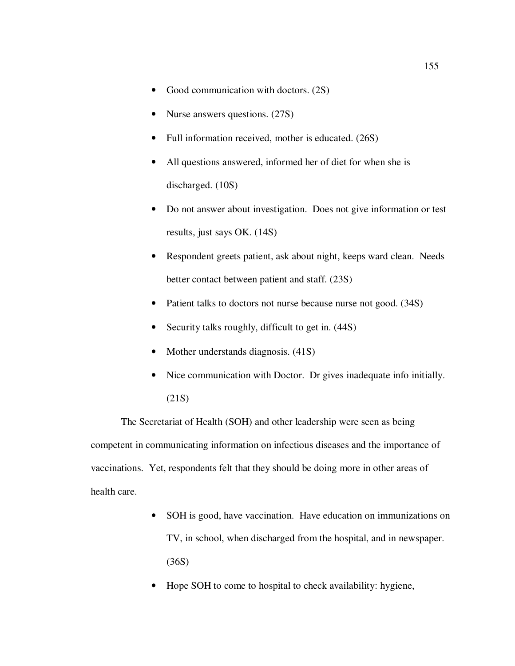- Good communication with doctors. (2S)
- Nurse answers questions. (27S)
- Full information received, mother is educated. (26S)
- All questions answered, informed her of diet for when she is discharged. (10S)
- Do not answer about investigation. Does not give information or test results, just says OK. (14S)
- Respondent greets patient, ask about night, keeps ward clean. Needs better contact between patient and staff. (23S)
- Patient talks to doctors not nurse because nurse not good. (34S)
- Security talks roughly, difficult to get in.  $(44S)$
- Mother understands diagnosis. (41S)
- Nice communication with Doctor. Dr gives inadequate info initially. (21S)

The Secretariat of Health (SOH) and other leadership were seen as being competent in communicating information on infectious diseases and the importance of vaccinations. Yet, respondents felt that they should be doing more in other areas of health care.

- SOH is good, have vaccination. Have education on immunizations on TV, in school, when discharged from the hospital, and in newspaper. (36S)
- Hope SOH to come to hospital to check availability: hygiene,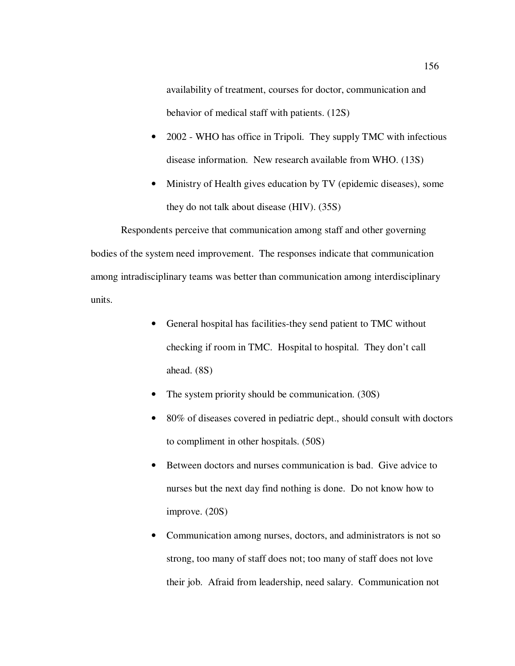availability of treatment, courses for doctor, communication and behavior of medical staff with patients. (12S)

- 2002 WHO has office in Tripoli. They supply TMC with infectious disease information. New research available from WHO. (13S)
- Ministry of Health gives education by TV (epidemic diseases), some they do not talk about disease (HIV). (35S)

Respondents perceive that communication among staff and other governing bodies of the system need improvement. The responses indicate that communication among intradisciplinary teams was better than communication among interdisciplinary units.

- General hospital has facilities-they send patient to TMC without checking if room in TMC. Hospital to hospital. They don't call ahead. (8S)
- The system priority should be communication. (30S)
- 80% of diseases covered in pediatric dept., should consult with doctors to compliment in other hospitals. (50S)
- Between doctors and nurses communication is bad. Give advice to nurses but the next day find nothing is done. Do not know how to improve. (20S)
- Communication among nurses, doctors, and administrators is not so strong, too many of staff does not; too many of staff does not love their job. Afraid from leadership, need salary. Communication not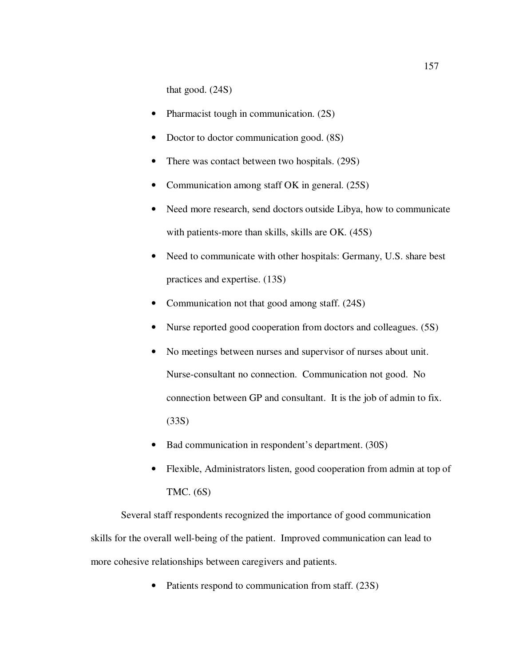that good. (24S)

- Pharmacist tough in communication. (2S)
- Doctor to doctor communication good.  $(8S)$
- There was contact between two hospitals. (29S)
- Communication among staff OK in general. (25S)
- Need more research, send doctors outside Libya, how to communicate with patients-more than skills, skills are OK. (45S)
- Need to communicate with other hospitals: Germany, U.S. share best practices and expertise. (13S)
- Communication not that good among staff. (24S)
- Nurse reported good cooperation from doctors and colleagues. (5S)
- No meetings between nurses and supervisor of nurses about unit. Nurse-consultant no connection. Communication not good. No connection between GP and consultant. It is the job of admin to fix. (33S)
- Bad communication in respondent's department. (30S)
- Flexible, Administrators listen, good cooperation from admin at top of TMC. (6S)

Several staff respondents recognized the importance of good communication skills for the overall well-being of the patient. Improved communication can lead to more cohesive relationships between caregivers and patients.

• Patients respond to communication from staff. (23S)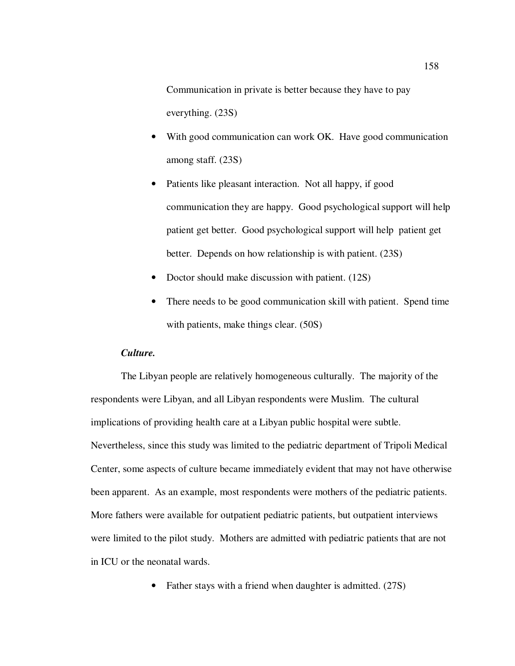Communication in private is better because they have to pay everything. (23S)

- With good communication can work OK. Have good communication among staff. (23S)
- Patients like pleasant interaction. Not all happy, if good communication they are happy. Good psychological support will help patient get better. Good psychological support will help patient get better. Depends on how relationship is with patient. (23S)
- Doctor should make discussion with patient. (12S)
- There needs to be good communication skill with patient. Spend time with patients, make things clear. (50S)

## *Culture.*

The Libyan people are relatively homogeneous culturally. The majority of the respondents were Libyan, and all Libyan respondents were Muslim. The cultural implications of providing health care at a Libyan public hospital were subtle. Nevertheless, since this study was limited to the pediatric department of Tripoli Medical Center, some aspects of culture became immediately evident that may not have otherwise been apparent. As an example, most respondents were mothers of the pediatric patients. More fathers were available for outpatient pediatric patients, but outpatient interviews were limited to the pilot study. Mothers are admitted with pediatric patients that are not in ICU or the neonatal wards.

• Father stays with a friend when daughter is admitted. (27S)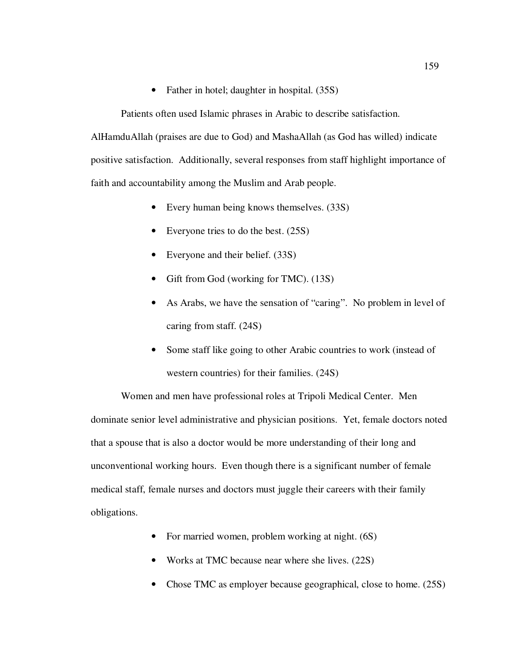• Father in hotel; daughter in hospital. (35S)

Patients often used Islamic phrases in Arabic to describe satisfaction.

AlHamduAllah (praises are due to God) and MashaAllah (as God has willed) indicate positive satisfaction. Additionally, several responses from staff highlight importance of faith and accountability among the Muslim and Arab people.

- Every human being knows themselves. (33S)
- Everyone tries to do the best. (25S)
- Everyone and their belief. (33S)
- Gift from God (working for TMC). (13S)
- As Arabs, we have the sensation of "caring". No problem in level of caring from staff. (24S)
- Some staff like going to other Arabic countries to work (instead of western countries) for their families. (24S)

Women and men have professional roles at Tripoli Medical Center. Men dominate senior level administrative and physician positions. Yet, female doctors noted that a spouse that is also a doctor would be more understanding of their long and unconventional working hours. Even though there is a significant number of female medical staff, female nurses and doctors must juggle their careers with their family obligations.

- For married women, problem working at night. (6S)
- Works at TMC because near where she lives. (22S)
- Chose TMC as employer because geographical, close to home. (25S)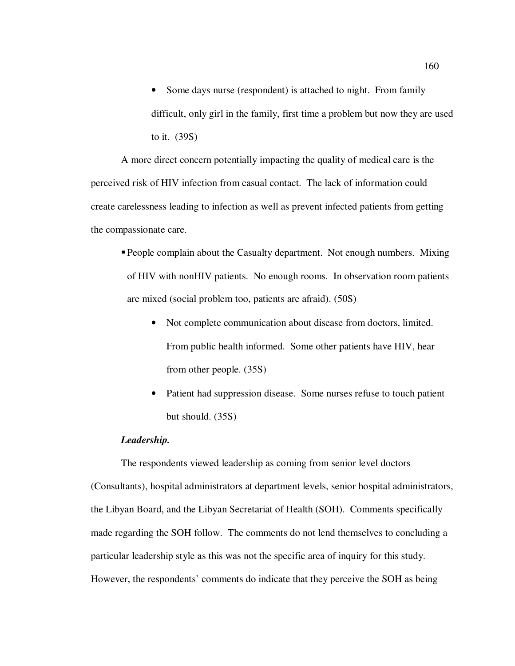• Some days nurse (respondent) is attached to night. From family difficult, only girl in the family, first time a problem but now they are used to it. (39S)

A more direct concern potentially impacting the quality of medical care is the perceived risk of HIV infection from casual contact. The lack of information could create carelessness leading to infection as well as prevent infected patients from getting the compassionate care.

- **People complain about the Casualty department.** Not enough numbers. Mixing of HIV with nonHIV patients. No enough rooms. In observation room patients are mixed (social problem too, patients are afraid). (50S)
	- Not complete communication about disease from doctors, limited. From public health informed. Some other patients have HIV, hear from other people. (35S)
	- Patient had suppression disease. Some nurses refuse to touch patient but should. (35S)

## *Leadership.*

The respondents viewed leadership as coming from senior level doctors (Consultants), hospital administrators at department levels, senior hospital administrators, the Libyan Board, and the Libyan Secretariat of Health (SOH). Comments specifically made regarding the SOH follow. The comments do not lend themselves to concluding a particular leadership style as this was not the specific area of inquiry for this study. However, the respondents' comments do indicate that they perceive the SOH as being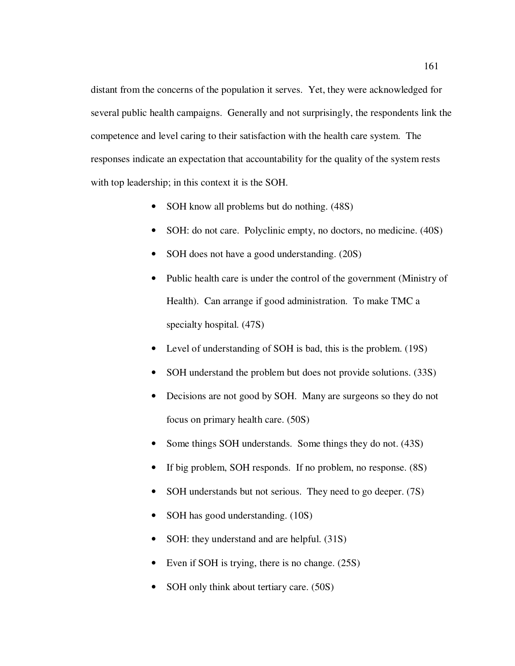distant from the concerns of the population it serves. Yet, they were acknowledged for several public health campaigns. Generally and not surprisingly, the respondents link the competence and level caring to their satisfaction with the health care system. The responses indicate an expectation that accountability for the quality of the system rests with top leadership; in this context it is the SOH.

- SOH know all problems but do nothing. (48S)
- SOH: do not care. Polyclinic empty, no doctors, no medicine. (40S)
- SOH does not have a good understanding. (20S)
- Public health care is under the control of the government (Ministry of Health). Can arrange if good administration. To make TMC a specialty hospital. (47S)
- Level of understanding of SOH is bad, this is the problem. (19S)
- SOH understand the problem but does not provide solutions. (33S)
- Decisions are not good by SOH. Many are surgeons so they do not focus on primary health care. (50S)
- Some things SOH understands. Some things they do not. (43S)
- If big problem, SOH responds. If no problem, no response.  $(8S)$
- SOH understands but not serious. They need to go deeper. (7S)
- SOH has good understanding. (10S)
- SOH: they understand and are helpful. (31S)
- Even if SOH is trying, there is no change. (25S)
- SOH only think about tertiary care. (50S)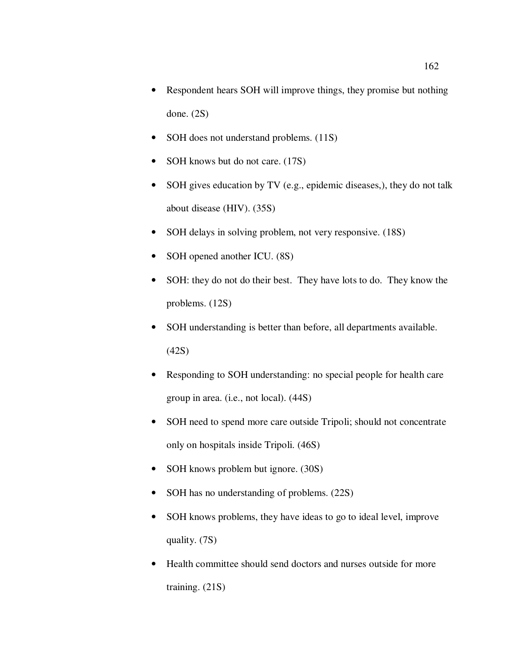- Respondent hears SOH will improve things, they promise but nothing done. (2S)
- SOH does not understand problems. (11S)
- SOH knows but do not care. (17S)
- SOH gives education by TV (e.g., epidemic diseases,), they do not talk about disease (HIV). (35S)
- SOH delays in solving problem, not very responsive. (18S)
- SOH opened another ICU. (8S)
- SOH: they do not do their best. They have lots to do. They know the problems. (12S)
- SOH understanding is better than before, all departments available. (42S)
- Responding to SOH understanding: no special people for health care group in area. (i.e., not local). (44S)
- SOH need to spend more care outside Tripoli; should not concentrate only on hospitals inside Tripoli. (46S)
- SOH knows problem but ignore. (30S)
- SOH has no understanding of problems.  $(22S)$
- SOH knows problems, they have ideas to go to ideal level, improve quality. (7S)
- Health committee should send doctors and nurses outside for more training. (21S)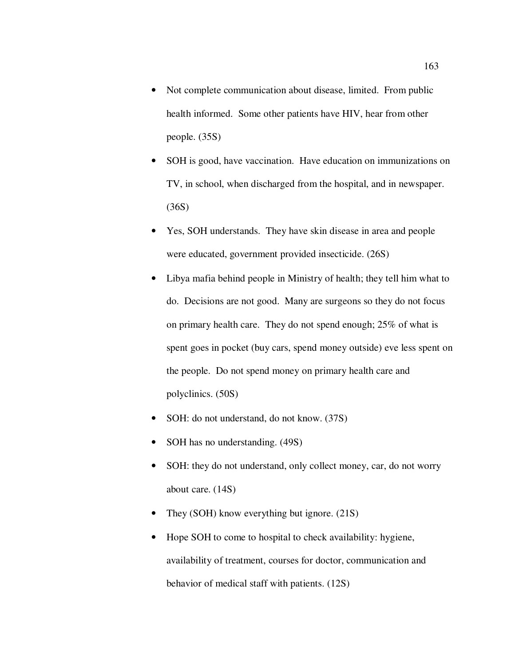- Not complete communication about disease, limited. From public health informed. Some other patients have HIV, hear from other people. (35S)
- SOH is good, have vaccination. Have education on immunizations on TV, in school, when discharged from the hospital, and in newspaper. (36S)
- Yes, SOH understands. They have skin disease in area and people were educated, government provided insecticide. (26S)
- Libya mafia behind people in Ministry of health; they tell him what to do. Decisions are not good. Many are surgeons so they do not focus on primary health care. They do not spend enough; 25% of what is spent goes in pocket (buy cars, spend money outside) eve less spent on the people. Do not spend money on primary health care and polyclinics. (50S)
- SOH: do not understand, do not know. (37S)
- SOH has no understanding. (49S)
- SOH: they do not understand, only collect money, car, do not worry about care. (14S)
- They (SOH) know everything but ignore. (21S)
- Hope SOH to come to hospital to check availability: hygiene, availability of treatment, courses for doctor, communication and behavior of medical staff with patients. (12S)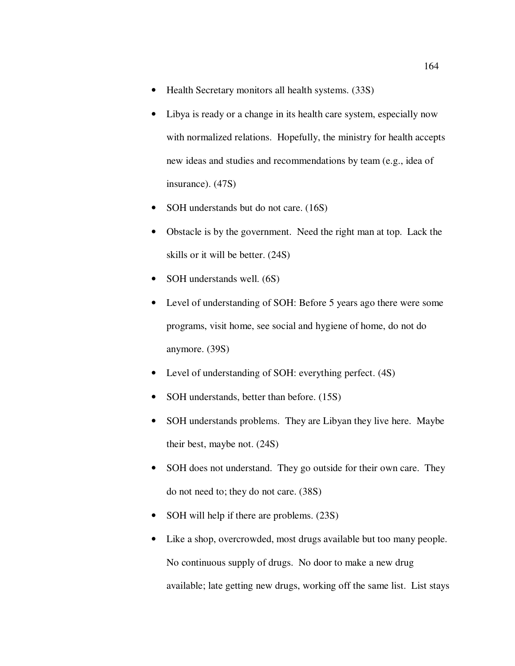- Health Secretary monitors all health systems. (33S)
- Libya is ready or a change in its health care system, especially now with normalized relations. Hopefully, the ministry for health accepts new ideas and studies and recommendations by team (e.g., idea of insurance). (47S)
- SOH understands but do not care. (16S)
- Obstacle is by the government. Need the right man at top. Lack the skills or it will be better. (24S)
- SOH understands well. (6S)
- Level of understanding of SOH: Before 5 years ago there were some programs, visit home, see social and hygiene of home, do not do anymore. (39S)
- Level of understanding of SOH: everything perfect. (4S)
- SOH understands, better than before. (15S)
- SOH understands problems. They are Libyan they live here. Maybe their best, maybe not. (24S)
- SOH does not understand. They go outside for their own care. They do not need to; they do not care. (38S)
- SOH will help if there are problems. (23S)
- Like a shop, overcrowded, most drugs available but too many people. No continuous supply of drugs. No door to make a new drug available; late getting new drugs, working off the same list. List stays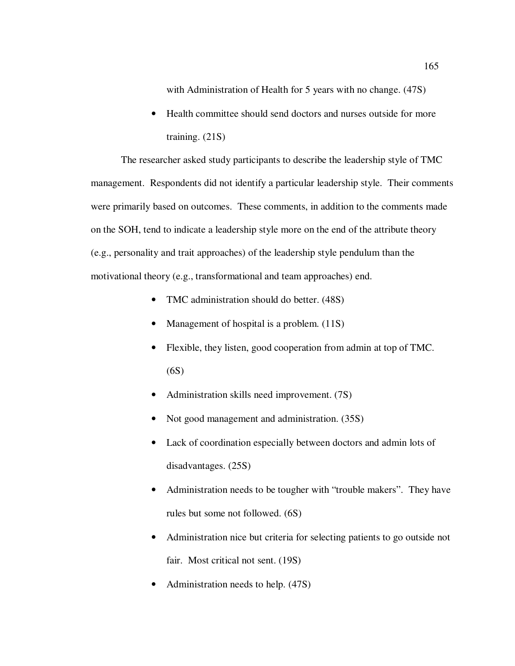with Administration of Health for 5 years with no change.  $(47S)$ 

• Health committee should send doctors and nurses outside for more training. (21S)

The researcher asked study participants to describe the leadership style of TMC management. Respondents did not identify a particular leadership style. Their comments were primarily based on outcomes. These comments, in addition to the comments made on the SOH, tend to indicate a leadership style more on the end of the attribute theory (e.g., personality and trait approaches) of the leadership style pendulum than the motivational theory (e.g., transformational and team approaches) end.

- TMC administration should do better. (48S)
- Management of hospital is a problem. (11S)
- Flexible, they listen, good cooperation from admin at top of TMC. (6S)
- Administration skills need improvement. (7S)
- Not good management and administration. (35S)
- Lack of coordination especially between doctors and admin lots of disadvantages. (25S)
- Administration needs to be tougher with "trouble makers". They have rules but some not followed. (6S)
- Administration nice but criteria for selecting patients to go outside not fair. Most critical not sent. (19S)
- Administration needs to help. (47S)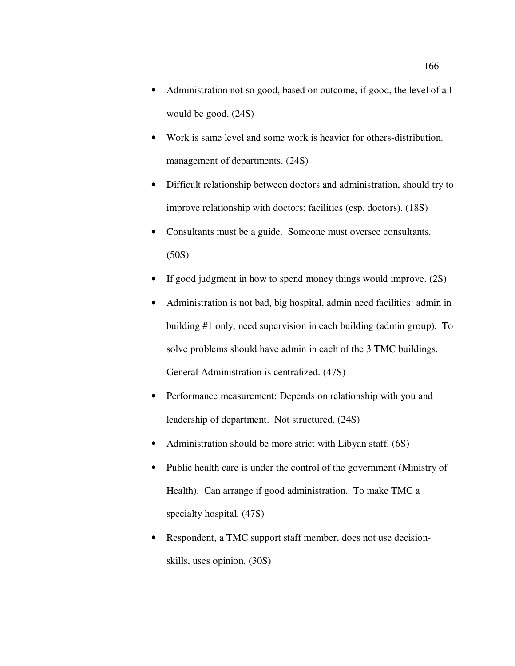- Administration not so good, based on outcome, if good, the level of all would be good. (24S)
- Work is same level and some work is heavier for others-distribution. management of departments. (24S)
- Difficult relationship between doctors and administration, should try to improve relationship with doctors; facilities (esp. doctors). (18S)
- Consultants must be a guide. Someone must oversee consultants.  $(50S)$
- If good judgment in how to spend money things would improve. (2S)
- Administration is not bad, big hospital, admin need facilities: admin in building #1 only, need supervision in each building (admin group). To solve problems should have admin in each of the 3 TMC buildings. General Administration is centralized. (47S)
- Performance measurement: Depends on relationship with you and leadership of department. Not structured. (24S)
- Administration should be more strict with Libyan staff. (6S)
- Public health care is under the control of the government (Ministry of Health). Can arrange if good administration. To make TMC a specialty hospital. (47S)
- Respondent, a TMC support staff member, does not use decisionskills, uses opinion. (30S)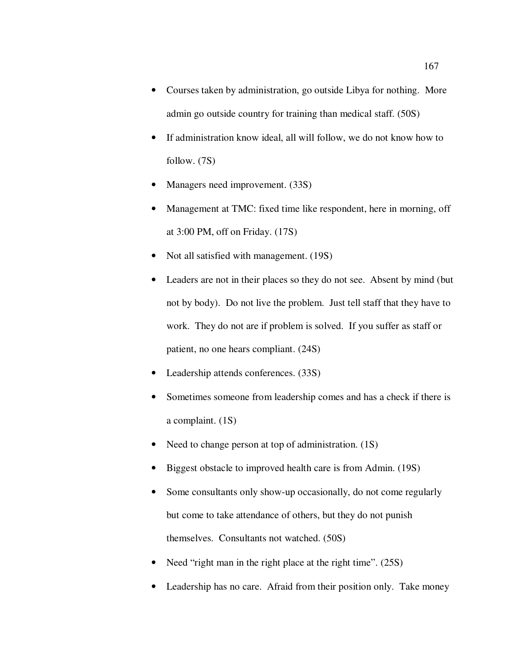- Courses taken by administration, go outside Libya for nothing. More admin go outside country for training than medical staff. (50S)
- If administration know ideal, all will follow, we do not know how to follow. (7S)
- Managers need improvement. (33S)
- Management at TMC: fixed time like respondent, here in morning, off at 3:00 PM, off on Friday. (17S)
- Not all satisfied with management. (19S)
- Leaders are not in their places so they do not see. Absent by mind (but not by body). Do not live the problem. Just tell staff that they have to work. They do not are if problem is solved. If you suffer as staff or patient, no one hears compliant. (24S)
- Leadership attends conferences. (33S)
- Sometimes someone from leadership comes and has a check if there is a complaint. (1S)
- Need to change person at top of administration. (1S)
- Biggest obstacle to improved health care is from Admin. (19S)
- Some consultants only show-up occasionally, do not come regularly but come to take attendance of others, but they do not punish themselves. Consultants not watched. (50S)
- Need "right man in the right place at the right time". (25S)
- Leadership has no care. Afraid from their position only. Take money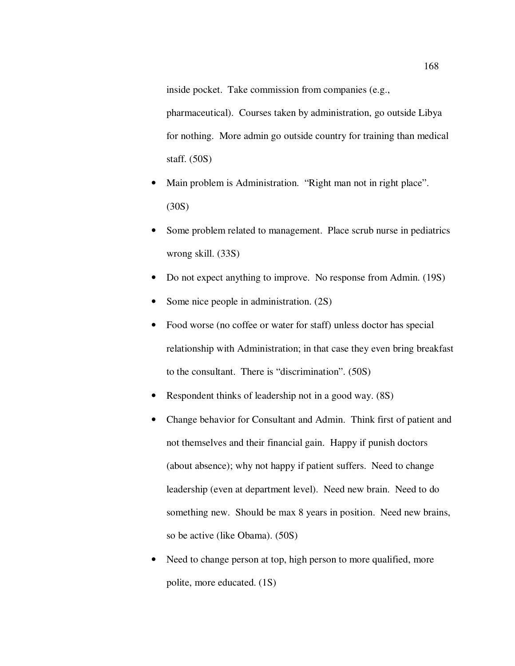inside pocket. Take commission from companies (e.g.,

pharmaceutical). Courses taken by administration, go outside Libya for nothing. More admin go outside country for training than medical staff. (50S)

- Main problem is Administration. "Right man not in right place". (30S)
- Some problem related to management. Place scrub nurse in pediatrics wrong skill. (33S)
- Do not expect anything to improve. No response from Admin. (19S)
- Some nice people in administration. (2S)
- Food worse (no coffee or water for staff) unless doctor has special relationship with Administration; in that case they even bring breakfast to the consultant. There is "discrimination". (50S)
- Respondent thinks of leadership not in a good way. (8S)
- Change behavior for Consultant and Admin. Think first of patient and not themselves and their financial gain. Happy if punish doctors (about absence); why not happy if patient suffers. Need to change leadership (even at department level). Need new brain. Need to do something new. Should be max 8 years in position. Need new brains, so be active (like Obama). (50S)
- Need to change person at top, high person to more qualified, more polite, more educated. (1S)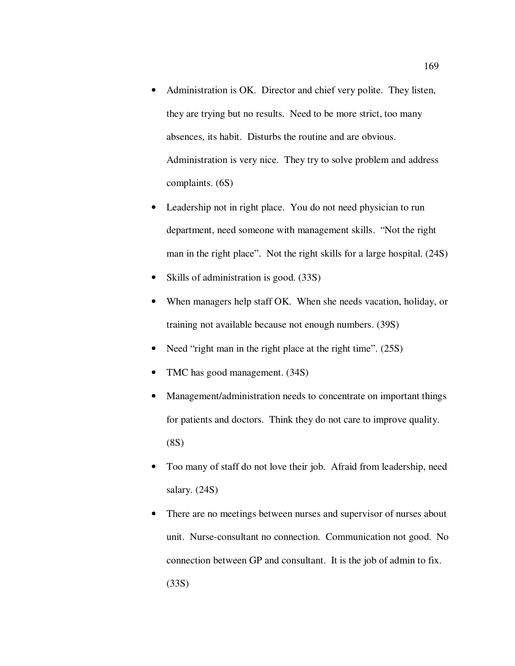- Administration is OK. Director and chief very polite. They listen, they are trying but no results. Need to be more strict, too many absences, its habit. Disturbs the routine and are obvious. Administration is very nice. They try to solve problem and address complaints. (6S)
- Leadership not in right place. You do not need physician to run department, need someone with management skills. "Not the right man in the right place". Not the right skills for a large hospital. (24S)
- Skills of administration is good. (33S)
- When managers help staff OK. When she needs vacation, holiday, or training not available because not enough numbers. (39S)
- Need "right man in the right place at the right time". (25S)
- TMC has good management. (34S)
- Management/administration needs to concentrate on important things for patients and doctors. Think they do not care to improve quality. (8S)
- Too many of staff do not love their job. Afraid from leadership, need salary. (24S)
- There are no meetings between nurses and supervisor of nurses about unit. Nurse-consultant no connection. Communication not good. No connection between GP and consultant. It is the job of admin to fix. (33S)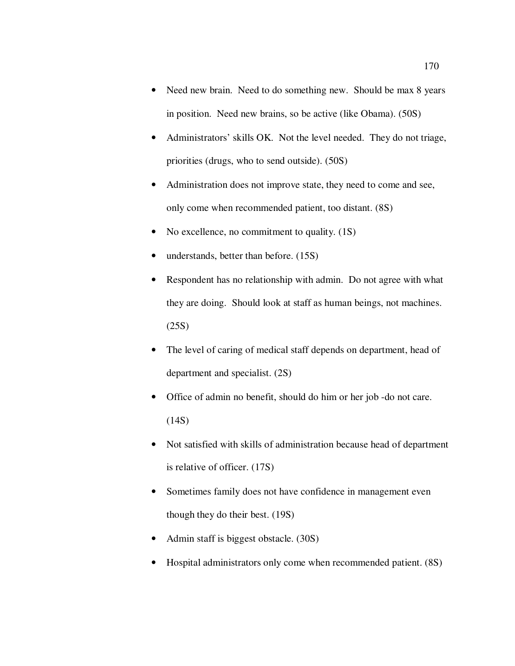- Need new brain. Need to do something new. Should be max 8 years in position. Need new brains, so be active (like Obama). (50S)
- Administrators' skills OK. Not the level needed. They do not triage, priorities (drugs, who to send outside). (50S)
- Administration does not improve state, they need to come and see, only come when recommended patient, too distant. (8S)
- No excellence, no commitment to quality. (1S)
- understands, better than before. (15S)
- Respondent has no relationship with admin. Do not agree with what they are doing. Should look at staff as human beings, not machines. (25S)
- The level of caring of medical staff depends on department, head of department and specialist. (2S)
- Office of admin no benefit, should do him or her job -do not care.  $(14S)$
- Not satisfied with skills of administration because head of department is relative of officer. (17S)
- Sometimes family does not have confidence in management even though they do their best. (19S)
- Admin staff is biggest obstacle. (30S)
- Hospital administrators only come when recommended patient. (8S)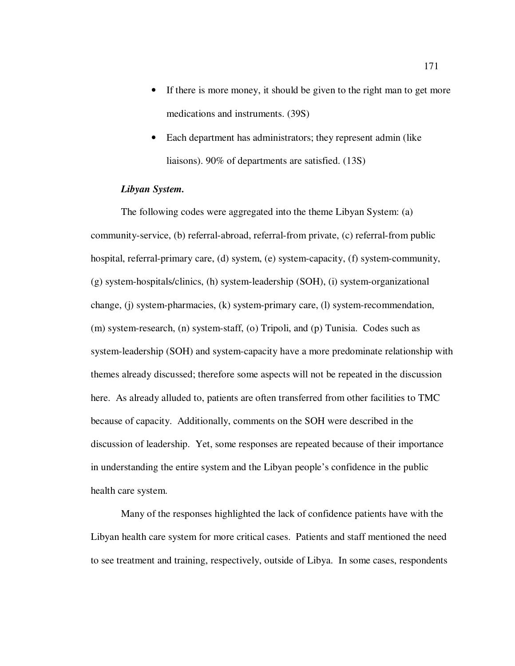- If there is more money, it should be given to the right man to get more medications and instruments. (39S)
- Each department has administrators; they represent admin (like liaisons). 90% of departments are satisfied. (13S)

## *Libyan System.*

The following codes were aggregated into the theme Libyan System: (a) community-service, (b) referral-abroad, referral-from private, (c) referral-from public hospital, referral-primary care, (d) system, (e) system-capacity, (f) system-community, (g) system-hospitals/clinics, (h) system-leadership (SOH), (i) system-organizational change, (j) system-pharmacies, (k) system-primary care, (l) system-recommendation, (m) system-research, (n) system-staff, (o) Tripoli, and (p) Tunisia. Codes such as system-leadership (SOH) and system-capacity have a more predominate relationship with themes already discussed; therefore some aspects will not be repeated in the discussion here. As already alluded to, patients are often transferred from other facilities to TMC because of capacity. Additionally, comments on the SOH were described in the discussion of leadership. Yet, some responses are repeated because of their importance in understanding the entire system and the Libyan people's confidence in the public health care system.

Many of the responses highlighted the lack of confidence patients have with the Libyan health care system for more critical cases. Patients and staff mentioned the need to see treatment and training, respectively, outside of Libya. In some cases, respondents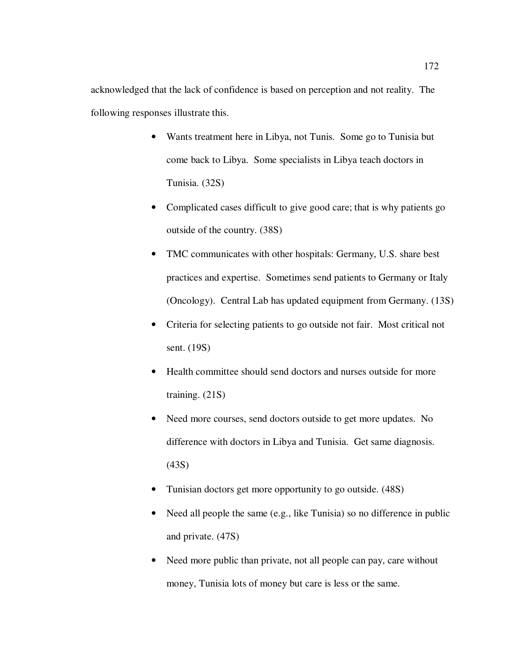acknowledged that the lack of confidence is based on perception and not reality. The following responses illustrate this.

- Wants treatment here in Libya, not Tunis. Some go to Tunisia but come back to Libya. Some specialists in Libya teach doctors in Tunisia. (32S)
- Complicated cases difficult to give good care; that is why patients go outside of the country. (38S)
- TMC communicates with other hospitals: Germany, U.S. share best practices and expertise. Sometimes send patients to Germany or Italy (Oncology). Central Lab has updated equipment from Germany. (13S)
- Criteria for selecting patients to go outside not fair. Most critical not sent. (19S)
- Health committee should send doctors and nurses outside for more training. (21S)
- Need more courses, send doctors outside to get more updates. No difference with doctors in Libya and Tunisia. Get same diagnosis. (43S)
- Tunisian doctors get more opportunity to go outside. (48S)
- Need all people the same (e.g., like Tunisia) so no difference in public and private. (47S)
- Need more public than private, not all people can pay, care without money, Tunisia lots of money but care is less or the same.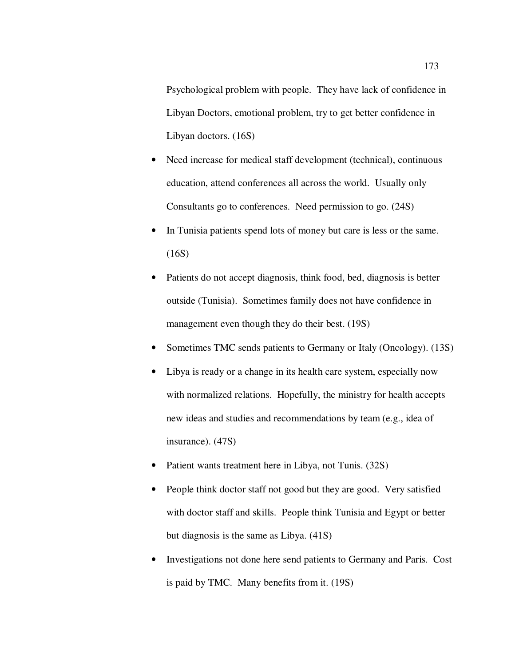Psychological problem with people. They have lack of confidence in Libyan Doctors, emotional problem, try to get better confidence in Libyan doctors. (16S)

- Need increase for medical staff development (technical), continuous education, attend conferences all across the world. Usually only Consultants go to conferences. Need permission to go. (24S)
- In Tunisia patients spend lots of money but care is less or the same. (16S)
- Patients do not accept diagnosis, think food, bed, diagnosis is better outside (Tunisia). Sometimes family does not have confidence in management even though they do their best. (19S)
- Sometimes TMC sends patients to Germany or Italy (Oncology). (13S)
- Libya is ready or a change in its health care system, especially now with normalized relations. Hopefully, the ministry for health accepts new ideas and studies and recommendations by team (e.g., idea of insurance). (47S)
- Patient wants treatment here in Libya, not Tunis. (32S)
- People think doctor staff not good but they are good. Very satisfied with doctor staff and skills. People think Tunisia and Egypt or better but diagnosis is the same as Libya. (41S)
- Investigations not done here send patients to Germany and Paris. Cost is paid by TMC. Many benefits from it. (19S)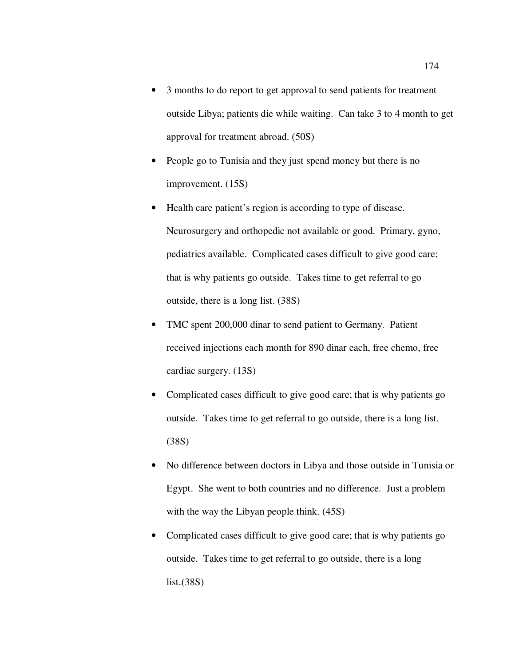- 3 months to do report to get approval to send patients for treatment outside Libya; patients die while waiting. Can take 3 to 4 month to get approval for treatment abroad. (50S)
- People go to Tunisia and they just spend money but there is no improvement. (15S)
- Health care patient's region is according to type of disease. Neurosurgery and orthopedic not available or good. Primary, gyno, pediatrics available. Complicated cases difficult to give good care; that is why patients go outside. Takes time to get referral to go outside, there is a long list. (38S)
- TMC spent 200,000 dinar to send patient to Germany. Patient received injections each month for 890 dinar each, free chemo, free cardiac surgery. (13S)
- Complicated cases difficult to give good care; that is why patients go outside. Takes time to get referral to go outside, there is a long list. (38S)
- No difference between doctors in Libya and those outside in Tunisia or Egypt. She went to both countries and no difference. Just a problem with the way the Libyan people think.  $(45S)$
- Complicated cases difficult to give good care; that is why patients go outside. Takes time to get referral to go outside, there is a long list.(38S)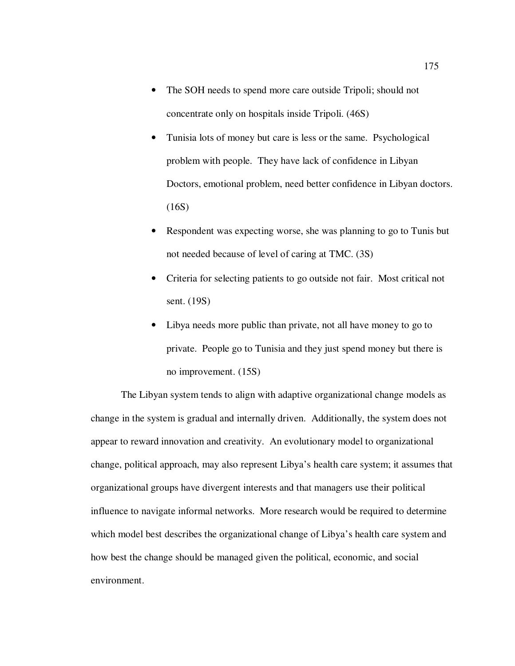- The SOH needs to spend more care outside Tripoli; should not concentrate only on hospitals inside Tripoli. (46S)
- Tunisia lots of money but care is less or the same. Psychological problem with people. They have lack of confidence in Libyan Doctors, emotional problem, need better confidence in Libyan doctors.  $(16S)$
- Respondent was expecting worse, she was planning to go to Tunis but not needed because of level of caring at TMC. (3S)
- Criteria for selecting patients to go outside not fair. Most critical not sent. (19S)
- Libya needs more public than private, not all have money to go to private. People go to Tunisia and they just spend money but there is no improvement. (15S)

The Libyan system tends to align with adaptive organizational change models as change in the system is gradual and internally driven. Additionally, the system does not appear to reward innovation and creativity. An evolutionary model to organizational change, political approach, may also represent Libya's health care system; it assumes that organizational groups have divergent interests and that managers use their political influence to navigate informal networks. More research would be required to determine which model best describes the organizational change of Libya's health care system and how best the change should be managed given the political, economic, and social environment.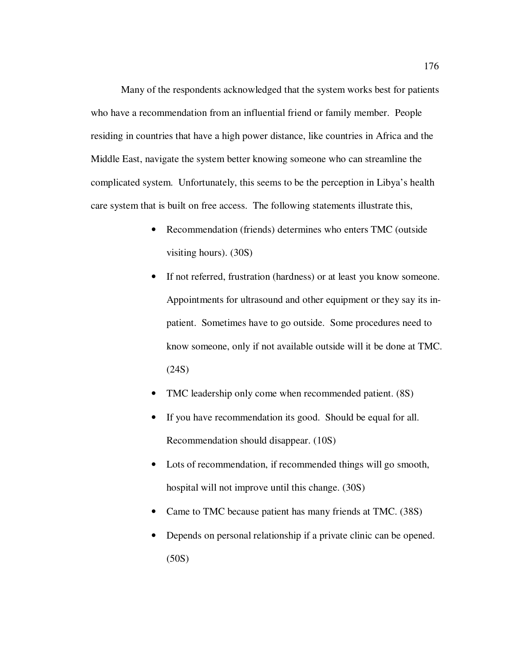Many of the respondents acknowledged that the system works best for patients who have a recommendation from an influential friend or family member. People residing in countries that have a high power distance, like countries in Africa and the Middle East, navigate the system better knowing someone who can streamline the complicated system. Unfortunately, this seems to be the perception in Libya's health care system that is built on free access. The following statements illustrate this,

- Recommendation (friends) determines who enters TMC (outside visiting hours). (30S)
- If not referred, frustration (hardness) or at least you know someone. Appointments for ultrasound and other equipment or they say its inpatient. Sometimes have to go outside. Some procedures need to know someone, only if not available outside will it be done at TMC. (24S)
- TMC leadership only come when recommended patient. (8S)
- If you have recommendation its good. Should be equal for all. Recommendation should disappear. (10S)
- Lots of recommendation, if recommended things will go smooth, hospital will not improve until this change. (30S)
- Came to TMC because patient has many friends at TMC. (38S)
- Depends on personal relationship if a private clinic can be opened. (50S)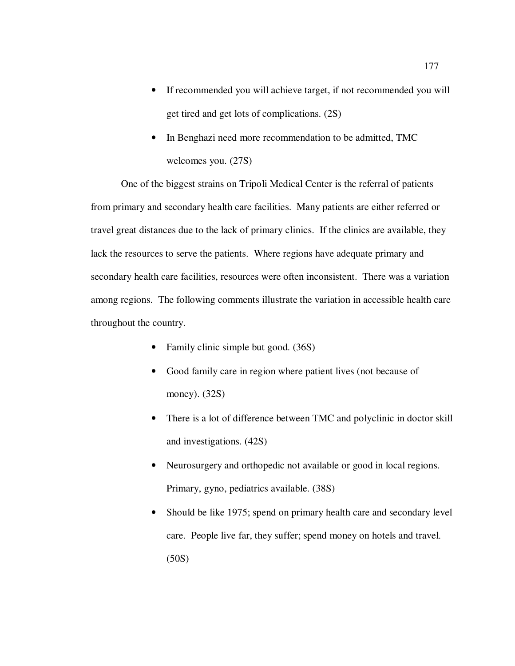- If recommended you will achieve target, if not recommended you will get tired and get lots of complications. (2S)
- In Benghazi need more recommendation to be admitted, TMC welcomes you. (27S)

One of the biggest strains on Tripoli Medical Center is the referral of patients from primary and secondary health care facilities. Many patients are either referred or travel great distances due to the lack of primary clinics. If the clinics are available, they lack the resources to serve the patients. Where regions have adequate primary and secondary health care facilities, resources were often inconsistent. There was a variation among regions. The following comments illustrate the variation in accessible health care throughout the country.

- Family clinic simple but good. (36S)
- Good family care in region where patient lives (not because of money). (32S)
- There is a lot of difference between TMC and polyclinic in doctor skill and investigations. (42S)
- Neurosurgery and orthopedic not available or good in local regions. Primary, gyno, pediatrics available. (38S)
- Should be like 1975; spend on primary health care and secondary level care. People live far, they suffer; spend money on hotels and travel. (50S)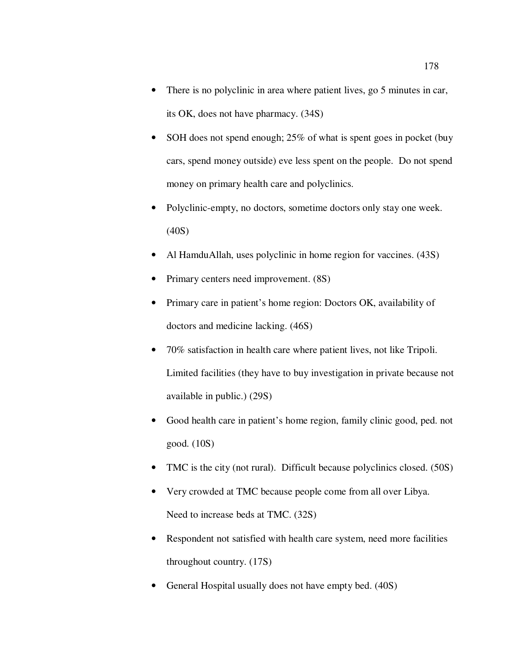- There is no polyclinic in area where patient lives, go 5 minutes in car, its OK, does not have pharmacy. (34S)
- SOH does not spend enough; 25% of what is spent goes in pocket (buy cars, spend money outside) eve less spent on the people. Do not spend money on primary health care and polyclinics.
- Polyclinic-empty, no doctors, sometime doctors only stay one week. (40S)
- Al HamduAllah, uses polyclinic in home region for vaccines. (43S)
- Primary centers need improvement.  $(8S)$
- Primary care in patient's home region: Doctors OK, availability of doctors and medicine lacking. (46S)
- 70% satisfaction in health care where patient lives, not like Tripoli. Limited facilities (they have to buy investigation in private because not available in public.) (29S)
- Good health care in patient's home region, family clinic good, ped. not good. (10S)
- TMC is the city (not rural). Difficult because polyclinics closed. (50S)
- Very crowded at TMC because people come from all over Libya. Need to increase beds at TMC. (32S)
- Respondent not satisfied with health care system, need more facilities throughout country. (17S)
- General Hospital usually does not have empty bed.  $(40S)$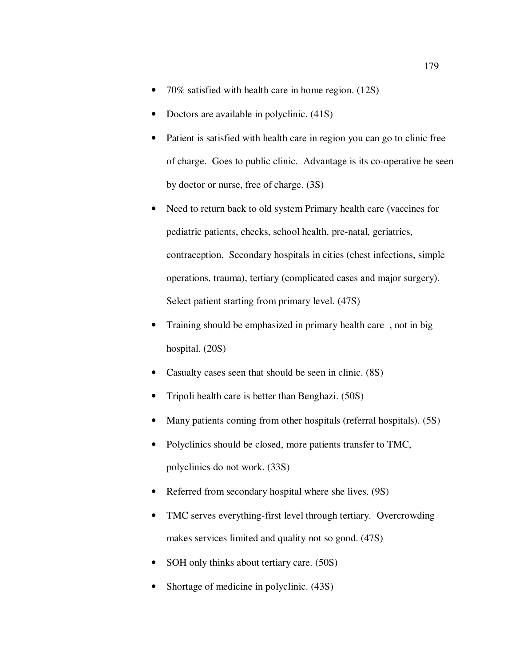- 70% satisfied with health care in home region. (12S)
- Doctors are available in polyclinic.  $(41S)$
- Patient is satisfied with health care in region you can go to clinic free of charge. Goes to public clinic. Advantage is its co-operative be seen by doctor or nurse, free of charge. (3S)
- Need to return back to old system Primary health care (vaccines for pediatric patients, checks, school health, pre-natal, geriatrics, contraception. Secondary hospitals in cities (chest infections, simple operations, trauma), tertiary (complicated cases and major surgery). Select patient starting from primary level. (47S)
- Training should be emphasized in primary health care , not in big hospital. (20S)
- Casualty cases seen that should be seen in clinic. (8S)
- Tripoli health care is better than Benghazi. (50S)
- Many patients coming from other hospitals (referral hospitals). (5S)
- Polyclinics should be closed, more patients transfer to TMC, polyclinics do not work. (33S)
- Referred from secondary hospital where she lives. (9S)
- TMC serves everything-first level through tertiary. Overcrowding makes services limited and quality not so good. (47S)
- SOH only thinks about tertiary care. (50S)
- Shortage of medicine in polyclinic.  $(43S)$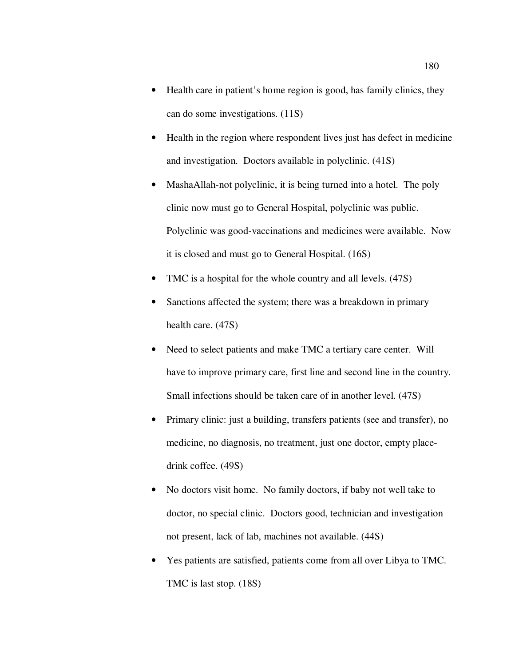- Health care in patient's home region is good, has family clinics, they can do some investigations. (11S)
- Health in the region where respondent lives just has defect in medicine and investigation. Doctors available in polyclinic. (41S)
- MashaAllah-not polyclinic, it is being turned into a hotel. The poly clinic now must go to General Hospital, polyclinic was public. Polyclinic was good-vaccinations and medicines were available. Now it is closed and must go to General Hospital. (16S)
- TMC is a hospital for the whole country and all levels. (47S)
- Sanctions affected the system; there was a breakdown in primary health care. (47S)
- Need to select patients and make TMC a tertiary care center. Will have to improve primary care, first line and second line in the country. Small infections should be taken care of in another level. (47S)
- Primary clinic: just a building, transfers patients (see and transfer), no medicine, no diagnosis, no treatment, just one doctor, empty placedrink coffee. (49S)
- No doctors visit home. No family doctors, if baby not well take to doctor, no special clinic. Doctors good, technician and investigation not present, lack of lab, machines not available. (44S)
- Yes patients are satisfied, patients come from all over Libya to TMC. TMC is last stop. (18S)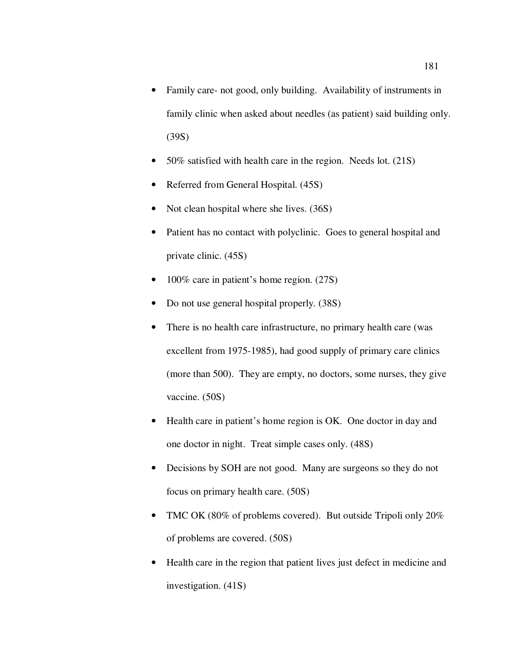- Family care- not good, only building. Availability of instruments in family clinic when asked about needles (as patient) said building only. (39S)
- 50% satisfied with health care in the region. Needs lot. (21S)
- Referred from General Hospital. (45S)
- Not clean hospital where she lives. (36S)
- Patient has no contact with polyclinic. Goes to general hospital and private clinic. (45S)
- 100% care in patient's home region. (27S)
- Do not use general hospital properly. (38S)
- There is no health care infrastructure, no primary health care (was excellent from 1975-1985), had good supply of primary care clinics (more than 500). They are empty, no doctors, some nurses, they give vaccine. (50S)
- Health care in patient's home region is OK. One doctor in day and one doctor in night. Treat simple cases only. (48S)
- Decisions by SOH are not good. Many are surgeons so they do not focus on primary health care. (50S)
- TMC OK (80% of problems covered). But outside Tripoli only 20% of problems are covered. (50S)
- Health care in the region that patient lives just defect in medicine and investigation. (41S)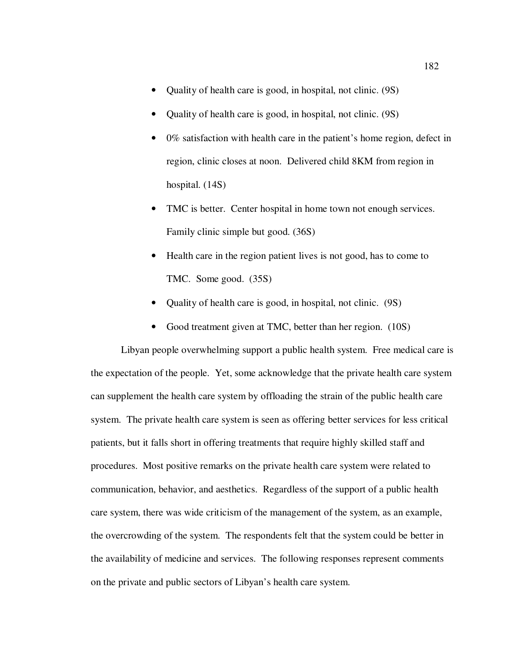- Quality of health care is good, in hospital, not clinic. (9S)
- Quality of health care is good, in hospital, not clinic. (9S)
- 0% satisfaction with health care in the patient's home region, defect in region, clinic closes at noon. Delivered child 8KM from region in hospital. (14S)
- TMC is better. Center hospital in home town not enough services. Family clinic simple but good. (36S)
- Health care in the region patient lives is not good, has to come to TMC. Some good. (35S)
- Quality of health care is good, in hospital, not clinic. (9S)
- Good treatment given at TMC, better than her region. (10S)

Libyan people overwhelming support a public health system. Free medical care is the expectation of the people. Yet, some acknowledge that the private health care system can supplement the health care system by offloading the strain of the public health care system. The private health care system is seen as offering better services for less critical patients, but it falls short in offering treatments that require highly skilled staff and procedures. Most positive remarks on the private health care system were related to communication, behavior, and aesthetics. Regardless of the support of a public health care system, there was wide criticism of the management of the system, as an example, the overcrowding of the system. The respondents felt that the system could be better in the availability of medicine and services. The following responses represent comments on the private and public sectors of Libyan's health care system.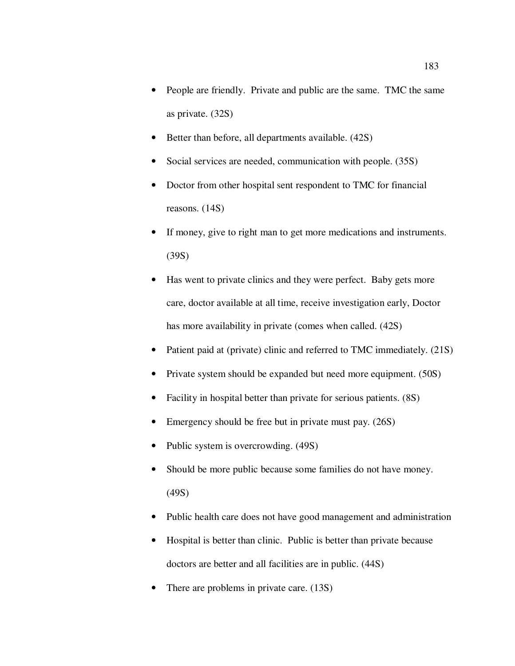- People are friendly. Private and public are the same. TMC the same as private. (32S)
- Better than before, all departments available. (42S)
- Social services are needed, communication with people. (35S)
- Doctor from other hospital sent respondent to TMC for financial reasons. (14S)
- If money, give to right man to get more medications and instruments. (39S)
- Has went to private clinics and they were perfect. Baby gets more care, doctor available at all time, receive investigation early, Doctor has more availability in private (comes when called. (42S)
- Patient paid at (private) clinic and referred to TMC immediately.  $(21S)$
- Private system should be expanded but need more equipment. (50S)
- Facility in hospital better than private for serious patients. (8S)
- Emergency should be free but in private must pay. (26S)
- Public system is overcrowding. (49S)
- Should be more public because some families do not have money. (49S)
- Public health care does not have good management and administration
- Hospital is better than clinic. Public is better than private because doctors are better and all facilities are in public. (44S)
- There are problems in private care. (13S)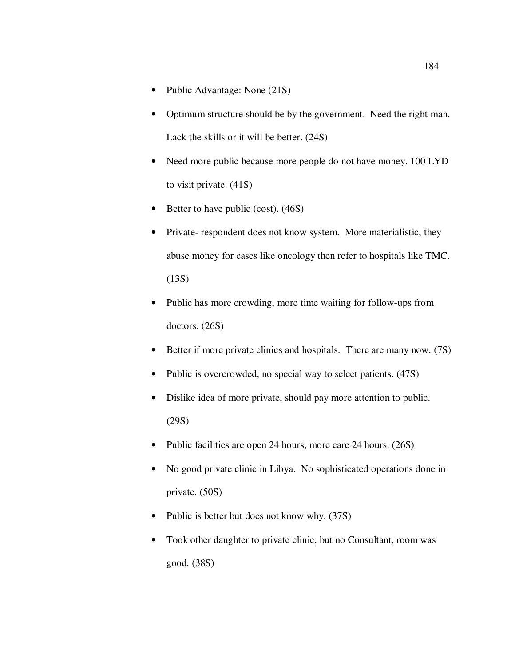- Public Advantage: None (21S)
- Optimum structure should be by the government. Need the right man. Lack the skills or it will be better. (24S)
- Need more public because more people do not have money. 100 LYD to visit private. (41S)
- Better to have public (cost). (46S)
- Private- respondent does not know system. More materialistic, they abuse money for cases like oncology then refer to hospitals like TMC. (13S)
- Public has more crowding, more time waiting for follow-ups from doctors. (26S)
- Better if more private clinics and hospitals. There are many now. (7S)
- Public is overcrowded, no special way to select patients. (47S)
- Dislike idea of more private, should pay more attention to public. (29S)
- Public facilities are open 24 hours, more care 24 hours. (26S)
- No good private clinic in Libya. No sophisticated operations done in private. (50S)
- Public is better but does not know why. (37S)
- Took other daughter to private clinic, but no Consultant, room was good. (38S)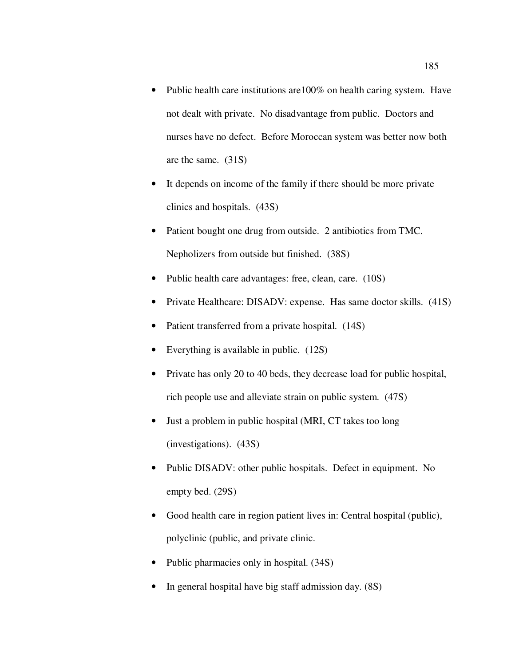- Public health care institutions are 100% on health caring system. Have not dealt with private. No disadvantage from public. Doctors and nurses have no defect. Before Moroccan system was better now both are the same. (31S)
- It depends on income of the family if there should be more private clinics and hospitals. (43S)
- Patient bought one drug from outside. 2 antibiotics from TMC. Nepholizers from outside but finished. (38S)
- Public health care advantages: free, clean, care. (10S)
- Private Healthcare: DISADV: expense. Has same doctor skills. (41S)
- Patient transferred from a private hospital. (14S)
- Everything is available in public. (12S)
- Private has only 20 to 40 beds, they decrease load for public hospital, rich people use and alleviate strain on public system. (47S)
- Just a problem in public hospital (MRI, CT takes too long (investigations). (43S)
- Public DISADV: other public hospitals. Defect in equipment. No empty bed. (29S)
- Good health care in region patient lives in: Central hospital (public), polyclinic (public, and private clinic.
- Public pharmacies only in hospital. (34S)
- In general hospital have big staff admission day. (8S)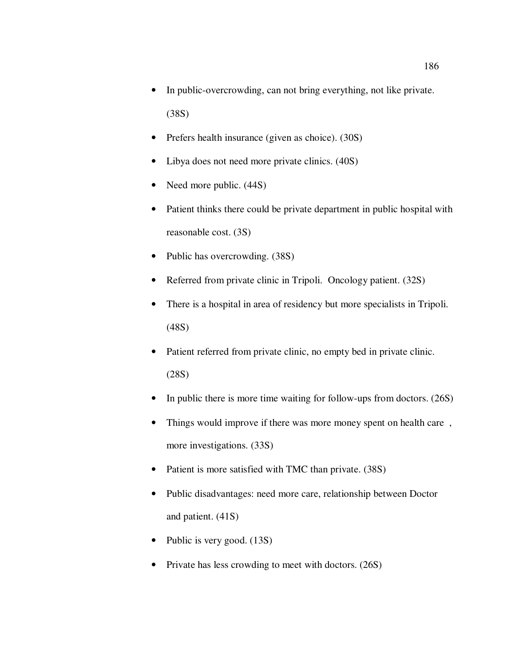- In public-overcrowding, can not bring everything, not like private. (38S)
- Prefers health insurance (given as choice). (30S)
- Libya does not need more private clinics. (40S)
- Need more public.  $(44S)$
- Patient thinks there could be private department in public hospital with reasonable cost. (3S)
- Public has overcrowding. (38S)
- Referred from private clinic in Tripoli. Oncology patient. (32S)
- There is a hospital in area of residency but more specialists in Tripoli. (48S)
- Patient referred from private clinic, no empty bed in private clinic. (28S)
- In public there is more time waiting for follow-ups from doctors. (26S)
- Things would improve if there was more money spent on health care, more investigations. (33S)
- Patient is more satisfied with TMC than private. (38S)
- Public disadvantages: need more care, relationship between Doctor and patient. (41S)
- Public is very good. (13S)
- Private has less crowding to meet with doctors. (26S)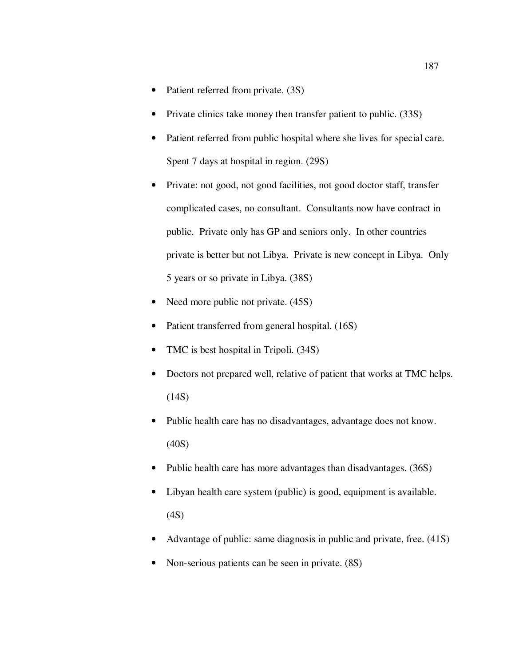- Patient referred from private. (3S)
- Private clinics take money then transfer patient to public. (33S)
- Patient referred from public hospital where she lives for special care. Spent 7 days at hospital in region. (29S)
- Private: not good, not good facilities, not good doctor staff, transfer complicated cases, no consultant. Consultants now have contract in public. Private only has GP and seniors only. In other countries private is better but not Libya. Private is new concept in Libya. Only 5 years or so private in Libya. (38S)
- Need more public not private. (45S)
- Patient transferred from general hospital. (16S)
- TMC is best hospital in Tripoli. (34S)
- Doctors not prepared well, relative of patient that works at TMC helps.  $(14S)$
- Public health care has no disadvantages, advantage does not know. (40S)
- Public health care has more advantages than disadvantages. (36S)
- Libyan health care system (public) is good, equipment is available. (4S)
- Advantage of public: same diagnosis in public and private, free. (41S)
- Non-serious patients can be seen in private. (8S)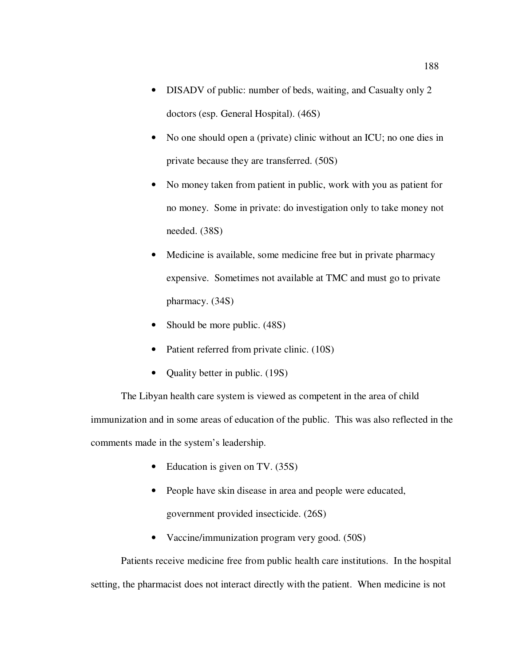- DISADV of public: number of beds, waiting, and Casualty only 2 doctors (esp. General Hospital). (46S)
- No one should open a (private) clinic without an ICU; no one dies in private because they are transferred. (50S)
- No money taken from patient in public, work with you as patient for no money. Some in private: do investigation only to take money not needed. (38S)
- Medicine is available, some medicine free but in private pharmacy expensive. Sometimes not available at TMC and must go to private pharmacy. (34S)
- Should be more public.  $(48S)$
- Patient referred from private clinic. (10S)
- Quality better in public. (19S)

The Libyan health care system is viewed as competent in the area of child immunization and in some areas of education of the public. This was also reflected in the comments made in the system's leadership.

- Education is given on TV. (35S)
- People have skin disease in area and people were educated, government provided insecticide. (26S)
- Vaccine/immunization program very good. (50S)

Patients receive medicine free from public health care institutions. In the hospital setting, the pharmacist does not interact directly with the patient. When medicine is not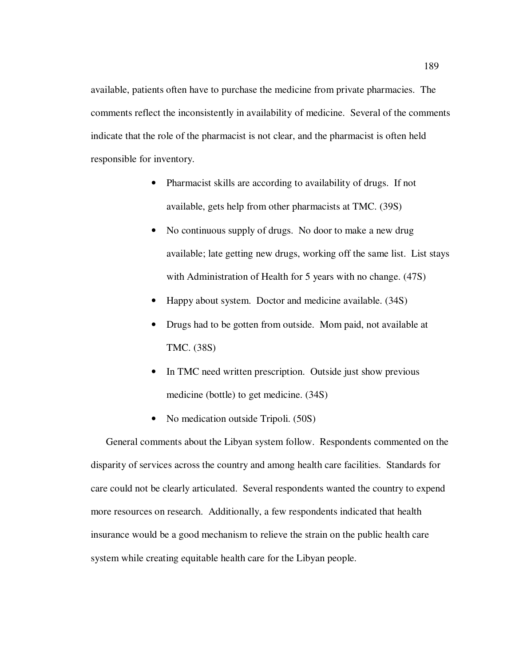available, patients often have to purchase the medicine from private pharmacies. The comments reflect the inconsistently in availability of medicine. Several of the comments indicate that the role of the pharmacist is not clear, and the pharmacist is often held responsible for inventory.

- Pharmacist skills are according to availability of drugs. If not available, gets help from other pharmacists at TMC. (39S)
- No continuous supply of drugs. No door to make a new drug available; late getting new drugs, working off the same list. List stays with Administration of Health for 5 years with no change.  $(47S)$
- Happy about system. Doctor and medicine available. (34S)
- Drugs had to be gotten from outside. Mom paid, not available at TMC. (38S)
- In TMC need written prescription. Outside just show previous medicine (bottle) to get medicine. (34S)
- No medication outside Tripoli. (50S)

General comments about the Libyan system follow. Respondents commented on the disparity of services across the country and among health care facilities. Standards for care could not be clearly articulated. Several respondents wanted the country to expend more resources on research. Additionally, a few respondents indicated that health insurance would be a good mechanism to relieve the strain on the public health care system while creating equitable health care for the Libyan people.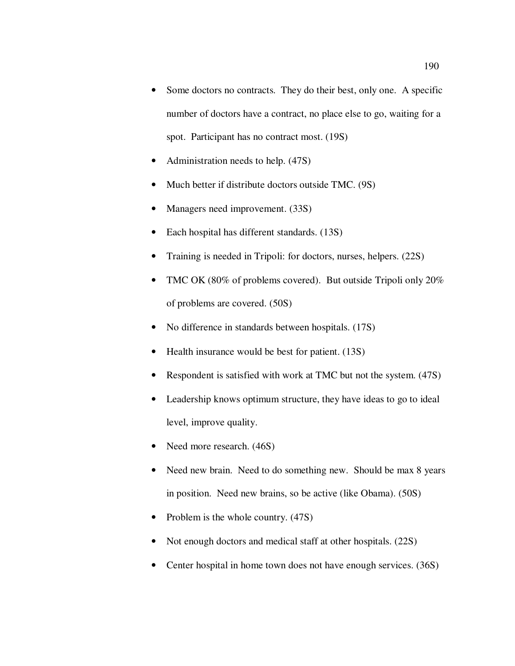- Some doctors no contracts. They do their best, only one. A specific number of doctors have a contract, no place else to go, waiting for a spot. Participant has no contract most. (19S)
- Administration needs to help. (47S)
- Much better if distribute doctors outside TMC. (9S)
- Managers need improvement. (33S)
- Each hospital has different standards. (13S)
- Training is needed in Tripoli: for doctors, nurses, helpers. (22S)
- TMC OK (80% of problems covered). But outside Tripoli only 20% of problems are covered. (50S)
- No difference in standards between hospitals. (17S)
- Health insurance would be best for patient. (13S)
- Respondent is satisfied with work at TMC but not the system. (47S)
- Leadership knows optimum structure, they have ideas to go to ideal level, improve quality.
- Need more research.  $(46S)$
- Need new brain. Need to do something new. Should be max 8 years in position. Need new brains, so be active (like Obama). (50S)
- Problem is the whole country. (47S)
- Not enough doctors and medical staff at other hospitals. (22S)
- Center hospital in home town does not have enough services. (36S)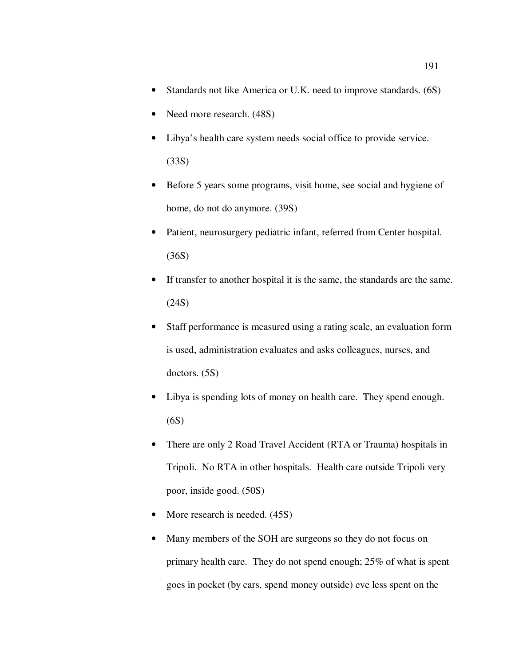- Standards not like America or U.K. need to improve standards. (6S)
- Need more research. (48S)
- Libya's health care system needs social office to provide service. (33S)
- Before 5 years some programs, visit home, see social and hygiene of home, do not do anymore. (39S)
- Patient, neurosurgery pediatric infant, referred from Center hospital. (36S)
- If transfer to another hospital it is the same, the standards are the same. (24S)
- Staff performance is measured using a rating scale, an evaluation form is used, administration evaluates and asks colleagues, nurses, and doctors. (5S)
- Libya is spending lots of money on health care. They spend enough. (6S)
- There are only 2 Road Travel Accident (RTA or Trauma) hospitals in Tripoli. No RTA in other hospitals. Health care outside Tripoli very poor, inside good. (50S)
- More research is needed.  $(45S)$
- Many members of the SOH are surgeons so they do not focus on primary health care. They do not spend enough; 25% of what is spent goes in pocket (by cars, spend money outside) eve less spent on the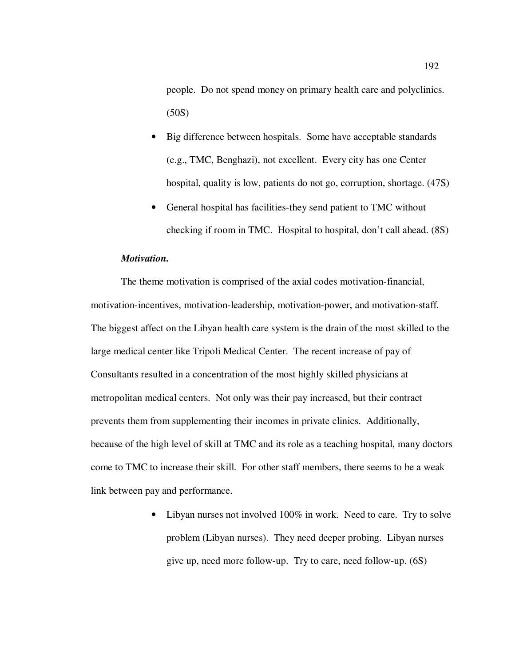people. Do not spend money on primary health care and polyclinics. (50S)

- Big difference between hospitals. Some have acceptable standards (e.g., TMC, Benghazi), not excellent. Every city has one Center hospital, quality is low, patients do not go, corruption, shortage. (47S)
- General hospital has facilities-they send patient to TMC without checking if room in TMC. Hospital to hospital, don't call ahead. (8S)

## *Motivation.*

The theme motivation is comprised of the axial codes motivation-financial, motivation-incentives, motivation-leadership, motivation-power, and motivation-staff. The biggest affect on the Libyan health care system is the drain of the most skilled to the large medical center like Tripoli Medical Center. The recent increase of pay of Consultants resulted in a concentration of the most highly skilled physicians at metropolitan medical centers. Not only was their pay increased, but their contract prevents them from supplementing their incomes in private clinics. Additionally, because of the high level of skill at TMC and its role as a teaching hospital, many doctors come to TMC to increase their skill. For other staff members, there seems to be a weak link between pay and performance.

> • Libyan nurses not involved 100% in work. Need to care. Try to solve problem (Libyan nurses). They need deeper probing. Libyan nurses give up, need more follow-up. Try to care, need follow-up. (6S)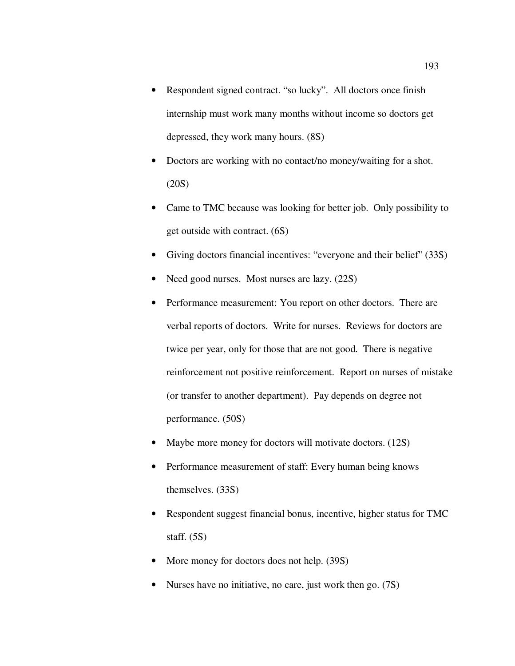- Respondent signed contract. "so lucky". All doctors once finish internship must work many months without income so doctors get depressed, they work many hours. (8S)
- Doctors are working with no contact/no money/waiting for a shot. (20S)
- Came to TMC because was looking for better job. Only possibility to get outside with contract. (6S)
- Giving doctors financial incentives: "everyone and their belief" (33S)
- Need good nurses. Most nurses are lazy. (22S)
- Performance measurement: You report on other doctors. There are verbal reports of doctors. Write for nurses. Reviews for doctors are twice per year, only for those that are not good. There is negative reinforcement not positive reinforcement. Report on nurses of mistake (or transfer to another department). Pay depends on degree not performance. (50S)
- Maybe more money for doctors will motivate doctors. (12S)
- Performance measurement of staff: Every human being knows themselves. (33S)
- Respondent suggest financial bonus, incentive, higher status for TMC staff. (5S)
- More money for doctors does not help. (39S)
- Nurses have no initiative, no care, just work then go. (7S)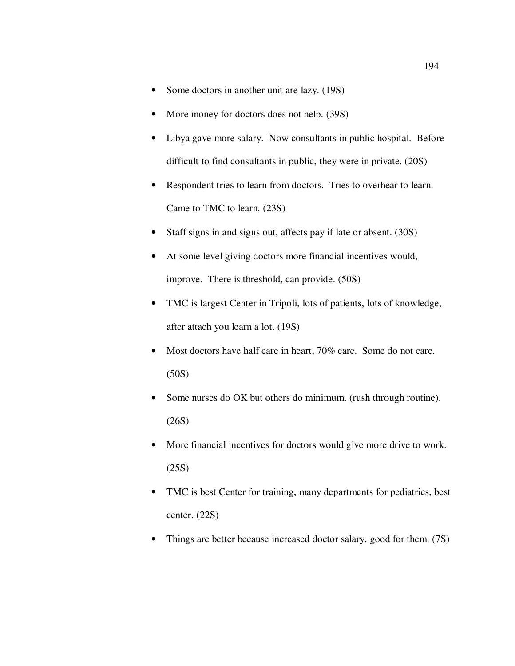- Some doctors in another unit are lazy. (19S)
- More money for doctors does not help. (39S)
- Libya gave more salary. Now consultants in public hospital. Before difficult to find consultants in public, they were in private. (20S)
- Respondent tries to learn from doctors. Tries to overhear to learn. Came to TMC to learn. (23S)
- Staff signs in and signs out, affects pay if late or absent. (30S)
- At some level giving doctors more financial incentives would, improve. There is threshold, can provide. (50S)
- TMC is largest Center in Tripoli, lots of patients, lots of knowledge, after attach you learn a lot. (19S)
- Most doctors have half care in heart, 70% care. Some do not care. (50S)
- Some nurses do OK but others do minimum. (rush through routine). (26S)
- More financial incentives for doctors would give more drive to work. (25S)
- TMC is best Center for training, many departments for pediatrics, best center. (22S)
- Things are better because increased doctor salary, good for them. (7S)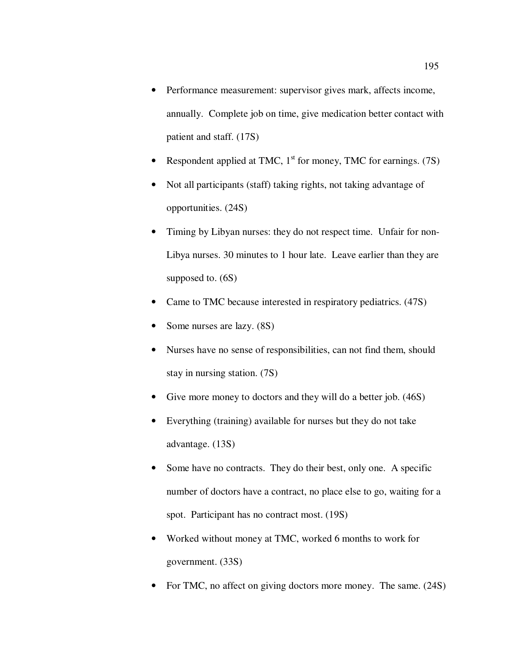- Performance measurement: supervisor gives mark, affects income, annually. Complete job on time, give medication better contact with patient and staff. (17S)
- Respondent applied at TMC,  $1<sup>st</sup>$  for money, TMC for earnings. (7S)
- Not all participants (staff) taking rights, not taking advantage of opportunities. (24S)
- Timing by Libyan nurses: they do not respect time. Unfair for non-Libya nurses. 30 minutes to 1 hour late. Leave earlier than they are supposed to.  $(6S)$
- Came to TMC because interested in respiratory pediatrics. (47S)
- Some nurses are lazy.  $(8S)$
- Nurses have no sense of responsibilities, can not find them, should stay in nursing station. (7S)
- Give more money to doctors and they will do a better job. (46S)
- Everything (training) available for nurses but they do not take advantage. (13S)
- Some have no contracts. They do their best, only one. A specific number of doctors have a contract, no place else to go, waiting for a spot. Participant has no contract most. (19S)
- Worked without money at TMC, worked 6 months to work for government. (33S)
- For TMC, no affect on giving doctors more money. The same. (24S)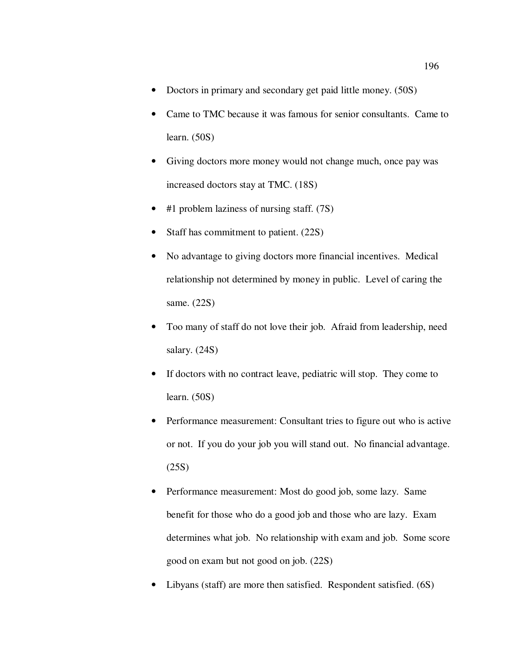- Doctors in primary and secondary get paid little money. (50S)
- Came to TMC because it was famous for senior consultants. Came to learn. (50S)
- Giving doctors more money would not change much, once pay was increased doctors stay at TMC. (18S)
- #1 problem laziness of nursing staff. (7S)
- Staff has commitment to patient. (22S)
- No advantage to giving doctors more financial incentives. Medical relationship not determined by money in public. Level of caring the same. (22S)
- Too many of staff do not love their job. Afraid from leadership, need salary. (24S)
- If doctors with no contract leave, pediatric will stop. They come to learn. (50S)
- Performance measurement: Consultant tries to figure out who is active or not. If you do your job you will stand out. No financial advantage. (25S)
- Performance measurement: Most do good job, some lazy. Same benefit for those who do a good job and those who are lazy. Exam determines what job. No relationship with exam and job. Some score good on exam but not good on job. (22S)
- Libyans (staff) are more then satisfied. Respondent satisfied. (6S)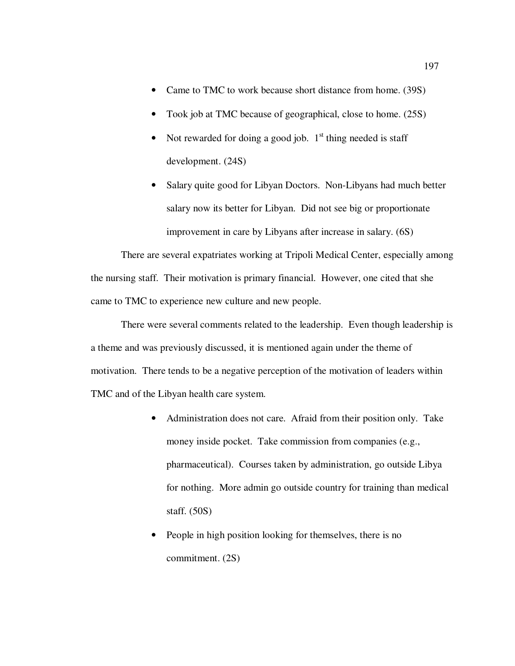- Came to TMC to work because short distance from home. (39S)
- Took job at TMC because of geographical, close to home. (25S)
- Not rewarded for doing a good job.  $1<sup>st</sup>$  thing needed is staff development. (24S)
- Salary quite good for Libyan Doctors. Non-Libyans had much better salary now its better for Libyan. Did not see big or proportionate improvement in care by Libyans after increase in salary. (6S)

There are several expatriates working at Tripoli Medical Center, especially among the nursing staff. Their motivation is primary financial. However, one cited that she came to TMC to experience new culture and new people.

There were several comments related to the leadership. Even though leadership is a theme and was previously discussed, it is mentioned again under the theme of motivation. There tends to be a negative perception of the motivation of leaders within TMC and of the Libyan health care system.

- Administration does not care. Afraid from their position only. Take money inside pocket. Take commission from companies (e.g., pharmaceutical). Courses taken by administration, go outside Libya for nothing. More admin go outside country for training than medical staff. (50S)
- People in high position looking for themselves, there is no commitment. (2S)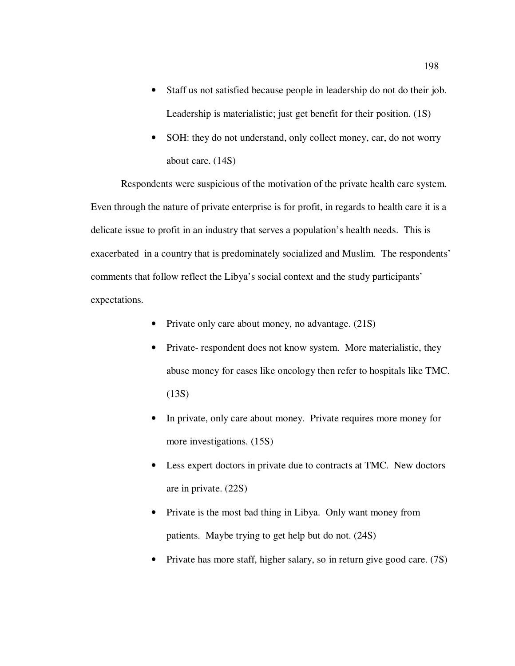- Staff us not satisfied because people in leadership do not do their job. Leadership is materialistic; just get benefit for their position. (1S)
- SOH: they do not understand, only collect money, car, do not worry about care. (14S)

Respondents were suspicious of the motivation of the private health care system. Even through the nature of private enterprise is for profit, in regards to health care it is a delicate issue to profit in an industry that serves a population's health needs. This is exacerbated in a country that is predominately socialized and Muslim. The respondents' comments that follow reflect the Libya's social context and the study participants' expectations.

- Private only care about money, no advantage.  $(21S)$
- Private- respondent does not know system. More materialistic, they abuse money for cases like oncology then refer to hospitals like TMC. (13S)
- In private, only care about money. Private requires more money for more investigations. (15S)
- Less expert doctors in private due to contracts at TMC. New doctors are in private. (22S)
- Private is the most bad thing in Libya. Only want money from patients. Maybe trying to get help but do not. (24S)
- Private has more staff, higher salary, so in return give good care. (7S)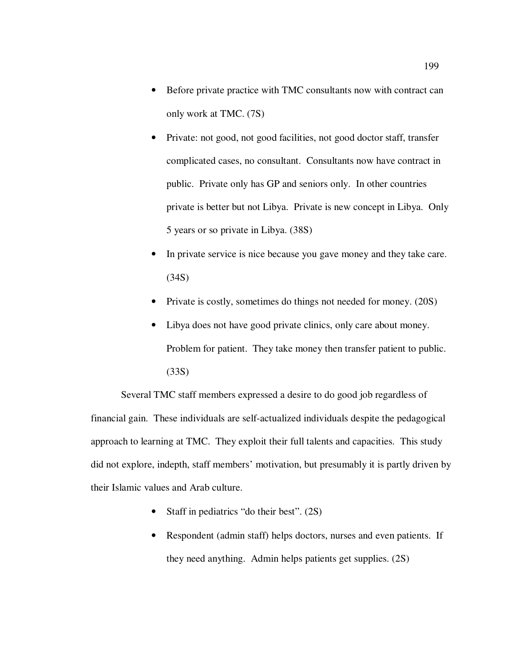- Before private practice with TMC consultants now with contract can only work at TMC. (7S)
- Private: not good, not good facilities, not good doctor staff, transfer complicated cases, no consultant. Consultants now have contract in public. Private only has GP and seniors only. In other countries private is better but not Libya. Private is new concept in Libya. Only 5 years or so private in Libya. (38S)
- In private service is nice because you gave money and they take care. (34S)
- Private is costly, sometimes do things not needed for money. (20S)
- Libya does not have good private clinics, only care about money. Problem for patient. They take money then transfer patient to public. (33S)

Several TMC staff members expressed a desire to do good job regardless of financial gain. These individuals are self-actualized individuals despite the pedagogical approach to learning at TMC. They exploit their full talents and capacities. This study did not explore, indepth, staff members' motivation, but presumably it is partly driven by their Islamic values and Arab culture.

- Staff in pediatrics "do their best". (2S)
- Respondent (admin staff) helps doctors, nurses and even patients. If they need anything. Admin helps patients get supplies. (2S)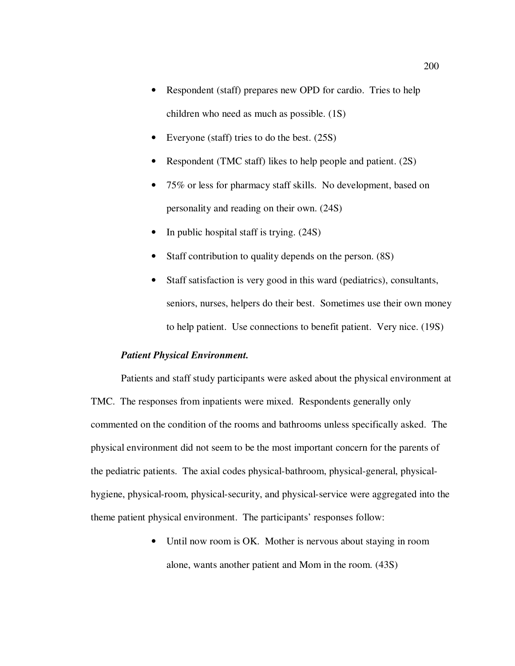- Respondent (staff) prepares new OPD for cardio. Tries to help children who need as much as possible. (1S)
- Everyone (staff) tries to do the best. (25S)
- Respondent (TMC staff) likes to help people and patient. (2S)
- 75% or less for pharmacy staff skills. No development, based on personality and reading on their own. (24S)
- In public hospital staff is trying.  $(24S)$
- Staff contribution to quality depends on the person. (8S)
- Staff satisfaction is very good in this ward (pediatrics), consultants, seniors, nurses, helpers do their best. Sometimes use their own money to help patient. Use connections to benefit patient. Very nice. (19S)

## *Patient Physical Environment.*

Patients and staff study participants were asked about the physical environment at TMC. The responses from inpatients were mixed. Respondents generally only commented on the condition of the rooms and bathrooms unless specifically asked. The physical environment did not seem to be the most important concern for the parents of the pediatric patients. The axial codes physical-bathroom, physical-general, physicalhygiene, physical-room, physical-security, and physical-service were aggregated into the theme patient physical environment. The participants' responses follow:

> • Until now room is OK. Mother is nervous about staying in room alone, wants another patient and Mom in the room. (43S)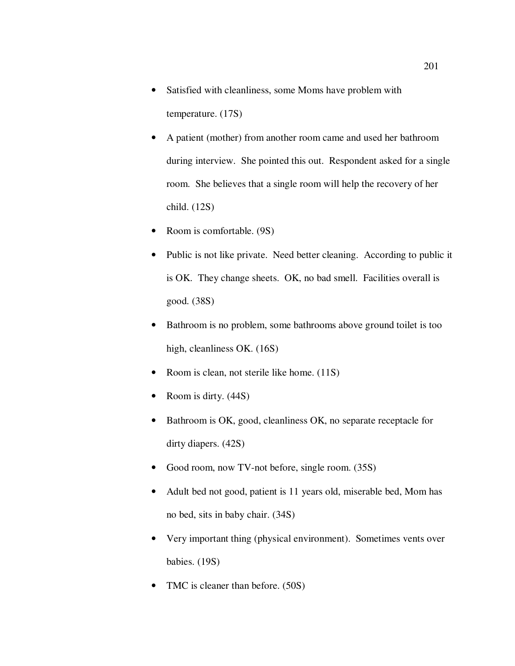- Satisfied with cleanliness, some Moms have problem with temperature. (17S)
- A patient (mother) from another room came and used her bathroom during interview. She pointed this out. Respondent asked for a single room. She believes that a single room will help the recovery of her child. (12S)
- Room is comfortable. (9S)
- Public is not like private. Need better cleaning. According to public it is OK. They change sheets. OK, no bad smell. Facilities overall is good. (38S)
- Bathroom is no problem, some bathrooms above ground toilet is too high, cleanliness OK. (16S)
- Room is clean, not sterile like home. (11S)
- Room is dirty.  $(44S)$
- Bathroom is OK, good, cleanliness OK, no separate receptacle for dirty diapers. (42S)
- Good room, now TV-not before, single room. (35S)
- Adult bed not good, patient is 11 years old, miserable bed, Mom has no bed, sits in baby chair. (34S)
- Very important thing (physical environment). Sometimes vents over babies. (19S)
- TMC is cleaner than before. (50S)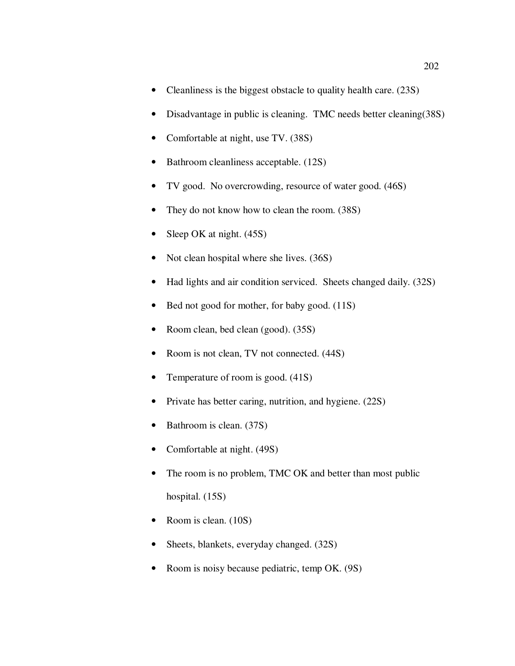- Cleanliness is the biggest obstacle to quality health care. (23S)
- Disadvantage in public is cleaning. TMC needs better cleaning(38S)
- Comfortable at night, use TV. (38S)
- Bathroom cleanliness acceptable. (12S)
- TV good. No overcrowding, resource of water good. (46S)
- They do not know how to clean the room. (38S)
- Sleep OK at night. (45S)
- Not clean hospital where she lives. (36S)
- Had lights and air condition serviced. Sheets changed daily. (32S)
- Bed not good for mother, for baby good. (11S)
- Room clean, bed clean (good). (35S)
- Room is not clean, TV not connected.  $(44S)$
- Temperature of room is good. (41S)
- Private has better caring, nutrition, and hygiene. (22S)
- Bathroom is clean. (37S)
- Comfortable at night. (49S)
- The room is no problem, TMC OK and better than most public hospital. (15S)
- Room is clean. (10S)
- Sheets, blankets, everyday changed.  $(32S)$
- Room is noisy because pediatric, temp OK. (9S)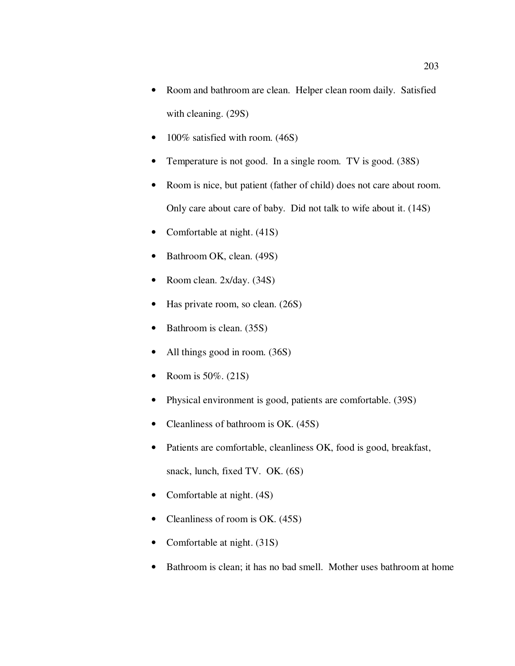- Room and bathroom are clean. Helper clean room daily. Satisfied with cleaning. (29S)
- 100% satisfied with room. (46S)
- Temperature is not good. In a single room. TV is good. (38S)
- Room is nice, but patient (father of child) does not care about room. Only care about care of baby. Did not talk to wife about it. (14S)
- Comfortable at night. (41S)
- Bathroom OK, clean. (49S)
- Room clean. 2x/day. (34S)
- Has private room, so clean. (26S)
- Bathroom is clean. (35S)
- All things good in room. (36S)
- Room is 50%. (21S)
- Physical environment is good, patients are comfortable. (39S)
- Cleanliness of bathroom is OK. (45S)
- Patients are comfortable, cleanliness OK, food is good, breakfast, snack, lunch, fixed TV. OK. (6S)
- Comfortable at night.  $(4S)$
- Cleanliness of room is OK. (45S)
- Comfortable at night. (31S)
- Bathroom is clean; it has no bad smell. Mother uses bathroom at home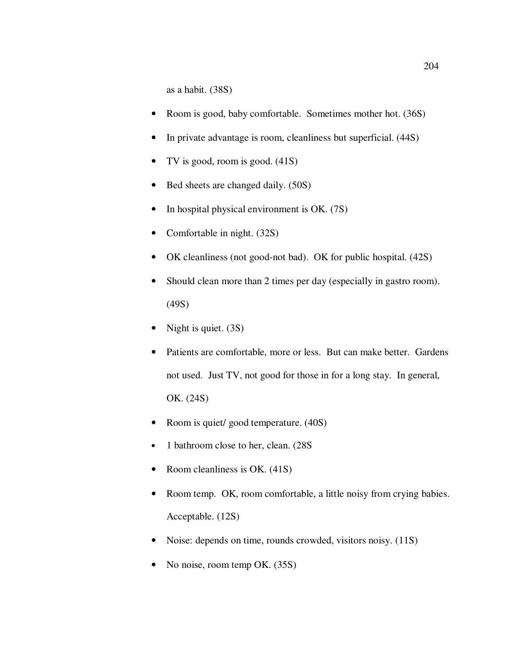as a habit. (38S)

- Room is good, baby comfortable. Sometimes mother hot. (36S)
- In private advantage is room, cleanliness but superficial. (44S)
- TV is good, room is good. (41S)
- Bed sheets are changed daily. (50S)
- In hospital physical environment is OK. (7S)
- Comfortable in night. (32S)
- OK cleanliness (not good-not bad). OK for public hospital. (42S)
- Should clean more than 2 times per day (especially in gastro room). (49S)
- Night is quiet. (3S)
- Patients are comfortable, more or less. But can make better. Gardens not used. Just TV, not good for those in for a long stay. In general, OK. (24S)
- Room is quiet/ good temperature. (40S)
- 1 bathroom close to her, clean. (28S
- Room cleanliness is OK. (41S)
- Room temp. OK, room comfortable, a little noisy from crying babies. Acceptable. (12S)
- Noise: depends on time, rounds crowded, visitors noisy. (11S)
- No noise, room temp OK. (35S)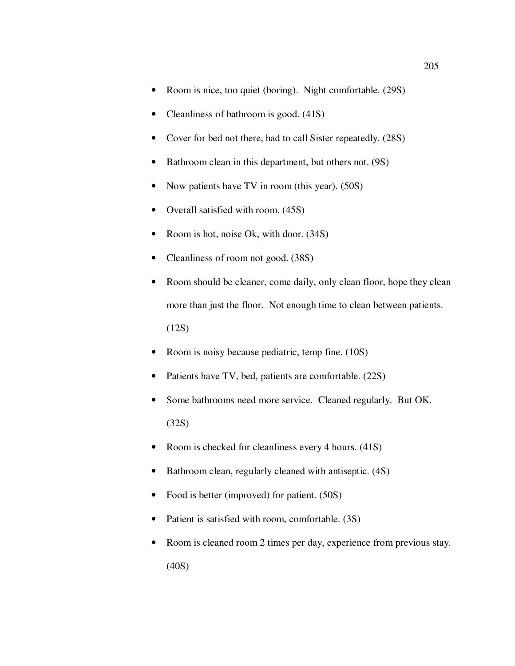- Room is nice, too quiet (boring). Night comfortable. (29S)
- Cleanliness of bathroom is good. (41S)
- Cover for bed not there, had to call Sister repeatedly. (28S)
- Bathroom clean in this department, but others not. (9S)
- Now patients have TV in room (this year). (50S)
- Overall satisfied with room.  $(45S)$
- Room is hot, noise Ok, with door. (34S)
- Cleanliness of room not good. (38S)
- Room should be cleaner, come daily, only clean floor, hope they clean more than just the floor. Not enough time to clean between patients. (12S)
- Room is noisy because pediatric, temp fine. (10S)
- Patients have TV, bed, patients are comfortable. (22S)
- Some bathrooms need more service. Cleaned regularly. But OK. (32S)
- Room is checked for cleanliness every 4 hours. (41S)
- Bathroom clean, regularly cleaned with antiseptic. (4S)
- Food is better (improved) for patient. (50S)
- Patient is satisfied with room, comfortable. (3S)
- Room is cleaned room 2 times per day, experience from previous stay. (40S)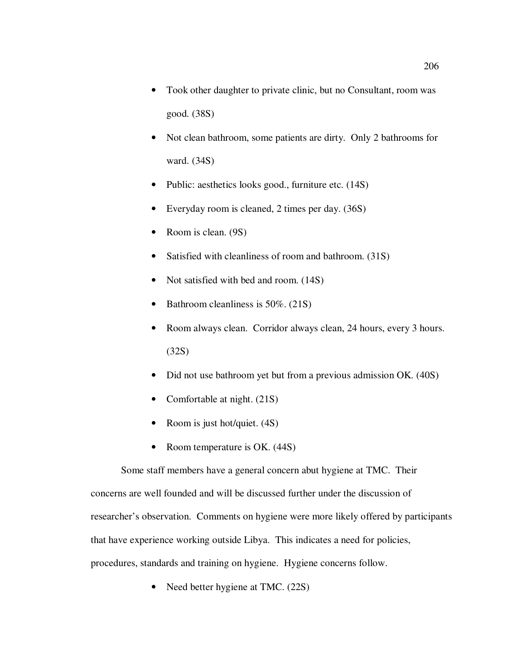- Took other daughter to private clinic, but no Consultant, room was good. (38S)
- Not clean bathroom, some patients are dirty. Only 2 bathrooms for ward. (34S)
- Public: aesthetics looks good., furniture etc. (14S)
- Everyday room is cleaned, 2 times per day. (36S)
- Room is clean. (9S)
- Satisfied with cleanliness of room and bathroom. (31S)
- Not satisfied with bed and room.  $(14S)$
- Bathroom cleanliness is 50%. (21S)
- Room always clean. Corridor always clean, 24 hours, every 3 hours. (32S)
- Did not use bathroom yet but from a previous admission OK. (40S)
- Comfortable at night. (21S)
- Room is just hot/quiet. (4S)
- Room temperature is OK. (44S)

Some staff members have a general concern abut hygiene at TMC. Their concerns are well founded and will be discussed further under the discussion of researcher's observation. Comments on hygiene were more likely offered by participants that have experience working outside Libya. This indicates a need for policies, procedures, standards and training on hygiene. Hygiene concerns follow.

Need better hygiene at TMC. (22S)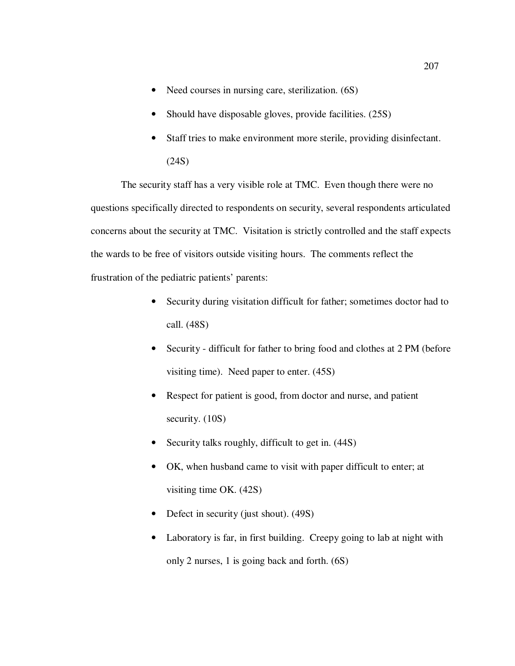- Need courses in nursing care, sterilization. (6S)
- Should have disposable gloves, provide facilities. (25S)
- Staff tries to make environment more sterile, providing disinfectant. (24S)

The security staff has a very visible role at TMC. Even though there were no questions specifically directed to respondents on security, several respondents articulated concerns about the security at TMC. Visitation is strictly controlled and the staff expects the wards to be free of visitors outside visiting hours. The comments reflect the frustration of the pediatric patients' parents:

- Security during visitation difficult for father; sometimes doctor had to call. (48S)
- Security difficult for father to bring food and clothes at 2 PM (before visiting time). Need paper to enter. (45S)
- Respect for patient is good, from doctor and nurse, and patient security. (10S)
- Security talks roughly, difficult to get in.  $(44S)$
- OK, when husband came to visit with paper difficult to enter; at visiting time OK. (42S)
- Defect in security (just shout). (49S)
- Laboratory is far, in first building. Creepy going to lab at night with only 2 nurses, 1 is going back and forth. (6S)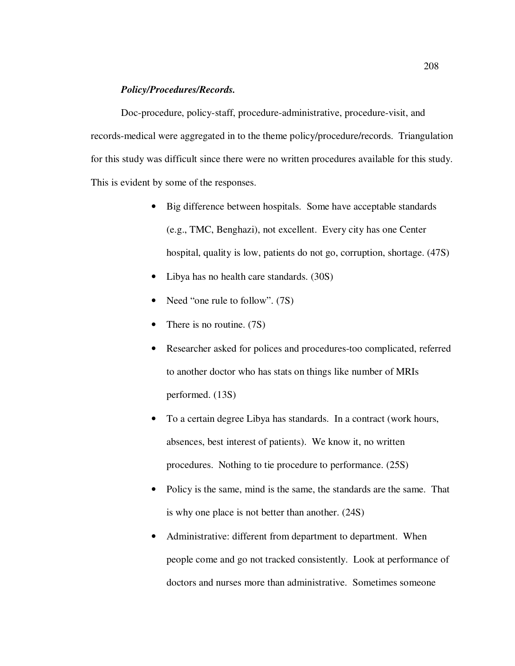## *Policy/Procedures/Records.*

Doc-procedure, policy-staff, procedure-administrative, procedure-visit, and records-medical were aggregated in to the theme policy/procedure/records. Triangulation for this study was difficult since there were no written procedures available for this study. This is evident by some of the responses.

- Big difference between hospitals. Some have acceptable standards (e.g., TMC, Benghazi), not excellent. Every city has one Center hospital, quality is low, patients do not go, corruption, shortage. (47S)
- Libya has no health care standards. (30S)
- Need "one rule to follow". (7S)
- There is no routine. (7S)
- Researcher asked for polices and procedures-too complicated, referred to another doctor who has stats on things like number of MRIs performed. (13S)
- To a certain degree Libya has standards. In a contract (work hours, absences, best interest of patients). We know it, no written procedures. Nothing to tie procedure to performance. (25S)
- Policy is the same, mind is the same, the standards are the same. That is why one place is not better than another. (24S)
- Administrative: different from department to department. When people come and go not tracked consistently. Look at performance of doctors and nurses more than administrative. Sometimes someone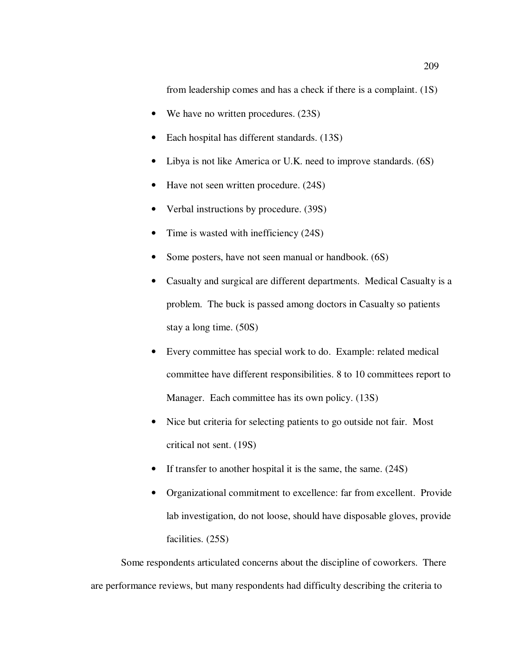from leadership comes and has a check if there is a complaint. (1S)

- We have no written procedures. (23S)
- Each hospital has different standards. (13S)
- Libya is not like America or U.K. need to improve standards. (6S)
- Have not seen written procedure. (24S)
- Verbal instructions by procedure. (39S)
- Time is wasted with inefficiency (24S)
- Some posters, have not seen manual or handbook.  $(6S)$
- Casualty and surgical are different departments. Medical Casualty is a problem. The buck is passed among doctors in Casualty so patients stay a long time. (50S)
- Every committee has special work to do. Example: related medical committee have different responsibilities. 8 to 10 committees report to Manager. Each committee has its own policy. (13S)
- Nice but criteria for selecting patients to go outside not fair. Most critical not sent. (19S)
- If transfer to another hospital it is the same, the same. (24S)
- Organizational commitment to excellence: far from excellent. Provide lab investigation, do not loose, should have disposable gloves, provide facilities. (25S)

Some respondents articulated concerns about the discipline of coworkers. There are performance reviews, but many respondents had difficulty describing the criteria to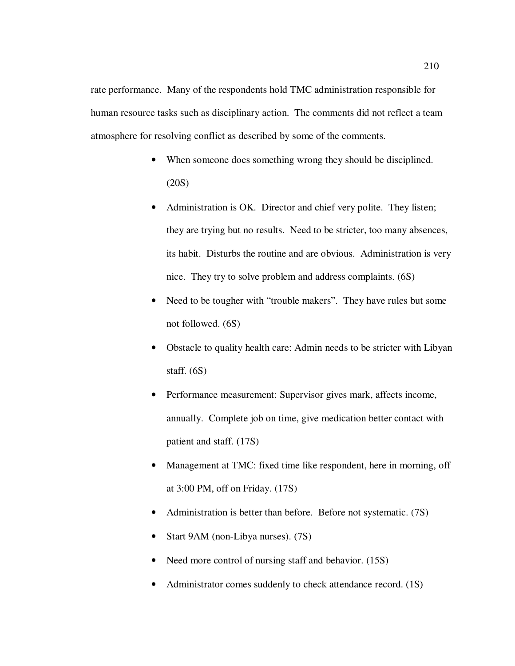rate performance. Many of the respondents hold TMC administration responsible for human resource tasks such as disciplinary action. The comments did not reflect a team atmosphere for resolving conflict as described by some of the comments.

- When someone does something wrong they should be disciplined. (20S)
- Administration is OK. Director and chief very polite. They listen; they are trying but no results. Need to be stricter, too many absences, its habit. Disturbs the routine and are obvious. Administration is very nice. They try to solve problem and address complaints. (6S)
- Need to be tougher with "trouble makers". They have rules but some not followed. (6S)
- Obstacle to quality health care: Admin needs to be stricter with Libyan staff.  $(6S)$
- Performance measurement: Supervisor gives mark, affects income, annually. Complete job on time, give medication better contact with patient and staff. (17S)
- Management at TMC: fixed time like respondent, here in morning, off at 3:00 PM, off on Friday. (17S)
- Administration is better than before. Before not systematic. (7S)
- Start 9AM (non-Libya nurses). (7S)
- Need more control of nursing staff and behavior. (15S)
- Administrator comes suddenly to check attendance record. (1S)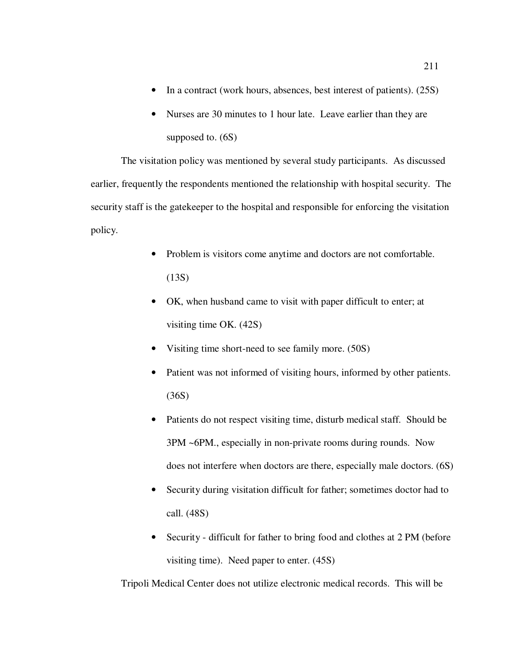- In a contract (work hours, absences, best interest of patients). (25S)
- Nurses are 30 minutes to 1 hour late. Leave earlier than they are supposed to. (6S)

The visitation policy was mentioned by several study participants. As discussed earlier, frequently the respondents mentioned the relationship with hospital security. The security staff is the gatekeeper to the hospital and responsible for enforcing the visitation policy.

- Problem is visitors come anytime and doctors are not comfortable. (13S)
- OK, when husband came to visit with paper difficult to enter; at visiting time OK. (42S)
- Visiting time short-need to see family more. (50S)
- Patient was not informed of visiting hours, informed by other patients. (36S)
- Patients do not respect visiting time, disturb medical staff. Should be 3PM ~6PM., especially in non-private rooms during rounds. Now does not interfere when doctors are there, especially male doctors. (6S)
- Security during visitation difficult for father; sometimes doctor had to call. (48S)
- Security difficult for father to bring food and clothes at 2 PM (before visiting time). Need paper to enter. (45S)

Tripoli Medical Center does not utilize electronic medical records. This will be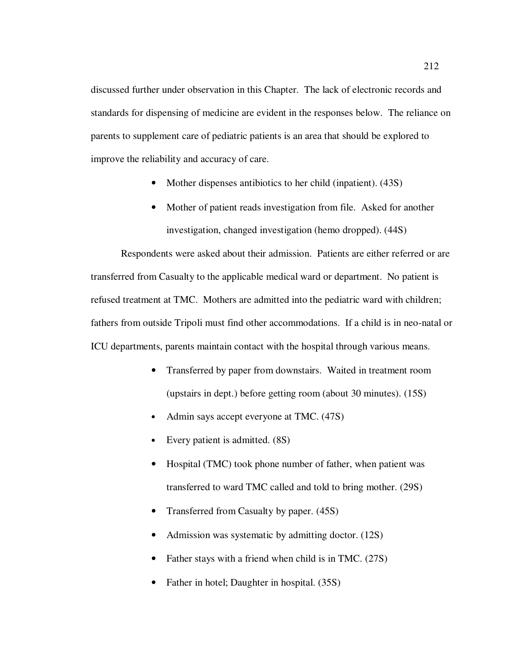discussed further under observation in this Chapter. The lack of electronic records and standards for dispensing of medicine are evident in the responses below. The reliance on parents to supplement care of pediatric patients is an area that should be explored to improve the reliability and accuracy of care.

- Mother dispenses antibiotics to her child (inpatient). (43S)
- Mother of patient reads investigation from file. Asked for another investigation, changed investigation (hemo dropped). (44S)

Respondents were asked about their admission. Patients are either referred or are transferred from Casualty to the applicable medical ward or department. No patient is refused treatment at TMC. Mothers are admitted into the pediatric ward with children; fathers from outside Tripoli must find other accommodations. If a child is in neo-natal or ICU departments, parents maintain contact with the hospital through various means.

- Transferred by paper from downstairs. Waited in treatment room (upstairs in dept.) before getting room (about 30 minutes). (15S)
- Admin says accept everyone at TMC.  $(47S)$
- Every patient is admitted.  $(8S)$
- Hospital (TMC) took phone number of father, when patient was transferred to ward TMC called and told to bring mother. (29S)
- Transferred from Casualty by paper. (45S)
- Admission was systematic by admitting doctor. (12S)
- Father stays with a friend when child is in TMC. (27S)
- Father in hotel; Daughter in hospital. (35S)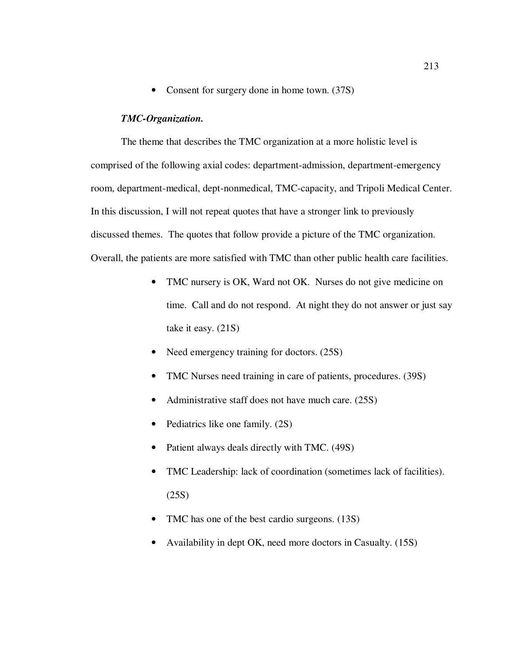• Consent for surgery done in home town. (37S)

## *TMC-Organization.*

The theme that describes the TMC organization at a more holistic level is comprised of the following axial codes: department-admission, department-emergency room, department-medical, dept-nonmedical, TMC-capacity, and Tripoli Medical Center. In this discussion, I will not repeat quotes that have a stronger link to previously discussed themes. The quotes that follow provide a picture of the TMC organization. Overall, the patients are more satisfied with TMC than other public health care facilities.

- TMC nursery is OK, Ward not OK. Nurses do not give medicine on time. Call and do not respond. At night they do not answer or just say take it easy. (21S)
- Need emergency training for doctors.  $(25S)$
- TMC Nurses need training in care of patients, procedures. (39S)
- Administrative staff does not have much care. (25S)
- Pediatrics like one family. (2S)
- Patient always deals directly with TMC. (49S)
- TMC Leadership: lack of coordination (sometimes lack of facilities). (25S)
- TMC has one of the best cardio surgeons. (13S)
- Availability in dept OK, need more doctors in Casualty. (15S)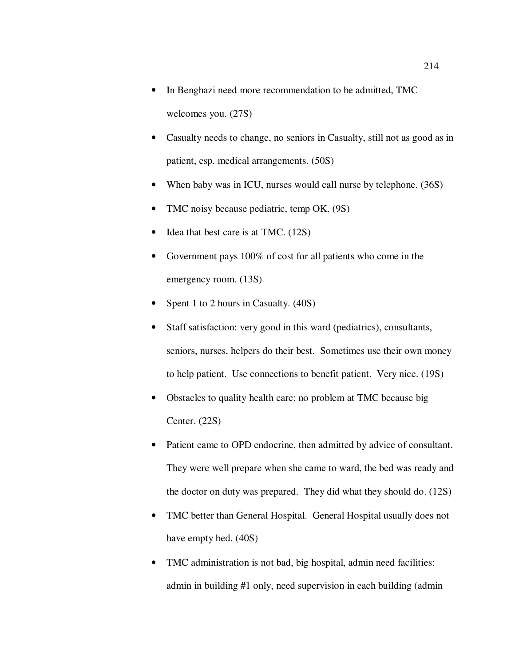- In Benghazi need more recommendation to be admitted, TMC welcomes you. (27S)
- Casualty needs to change, no seniors in Casualty, still not as good as in patient, esp. medical arrangements. (50S)
- When baby was in ICU, nurses would call nurse by telephone. (36S)
- TMC noisy because pediatric, temp OK. (9S)
- Idea that best care is at TMC. (12S)
- Government pays 100% of cost for all patients who come in the emergency room. (13S)
- Spent 1 to 2 hours in Casualty. (40S)
- Staff satisfaction: very good in this ward (pediatrics), consultants, seniors, nurses, helpers do their best. Sometimes use their own money to help patient. Use connections to benefit patient. Very nice. (19S)
- Obstacles to quality health care: no problem at TMC because big Center. (22S)
- Patient came to OPD endocrine, then admitted by advice of consultant. They were well prepare when she came to ward, the bed was ready and the doctor on duty was prepared. They did what they should do. (12S)
- TMC better than General Hospital. General Hospital usually does not have empty bed. (40S)
- TMC administration is not bad, big hospital, admin need facilities: admin in building #1 only, need supervision in each building (admin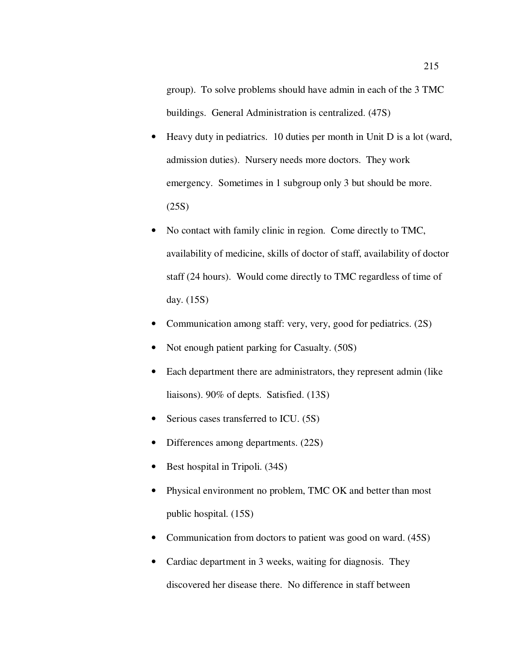group). To solve problems should have admin in each of the 3 TMC buildings. General Administration is centralized. (47S)

- Heavy duty in pediatrics. 10 duties per month in Unit D is a lot (ward, admission duties). Nursery needs more doctors. They work emergency. Sometimes in 1 subgroup only 3 but should be more. (25S)
- No contact with family clinic in region. Come directly to TMC, availability of medicine, skills of doctor of staff, availability of doctor staff (24 hours). Would come directly to TMC regardless of time of day. (15S)
- Communication among staff: very, very, good for pediatrics. (2S)
- Not enough patient parking for Casualty. (50S)
- Each department there are administrators, they represent admin (like liaisons). 90% of depts. Satisfied. (13S)
- Serious cases transferred to ICU. (5S)
- Differences among departments. (22S)
- Best hospital in Tripoli. (34S)
- Physical environment no problem, TMC OK and better than most public hospital. (15S)
- Communication from doctors to patient was good on ward. (45S)
- Cardiac department in 3 weeks, waiting for diagnosis. They discovered her disease there. No difference in staff between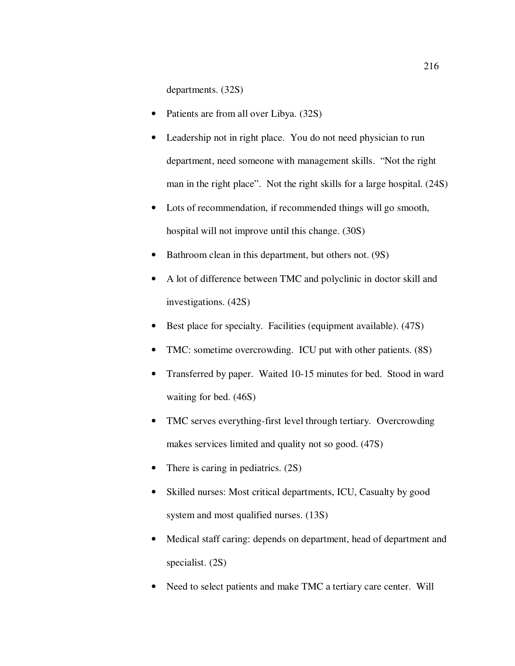departments. (32S)

- Patients are from all over Libya. (32S)
- Leadership not in right place. You do not need physician to run department, need someone with management skills. "Not the right man in the right place". Not the right skills for a large hospital. (24S)
- Lots of recommendation, if recommended things will go smooth, hospital will not improve until this change. (30S)
- Bathroom clean in this department, but others not. (9S)
- A lot of difference between TMC and polyclinic in doctor skill and investigations. (42S)
- Best place for specialty. Facilities (equipment available). (47S)
- TMC: sometime overcrowding. ICU put with other patients. (8S)
- Transferred by paper. Waited 10-15 minutes for bed. Stood in ward waiting for bed. (46S)
- TMC serves everything-first level through tertiary. Overcrowding makes services limited and quality not so good. (47S)
- There is caring in pediatrics. (2S)
- Skilled nurses: Most critical departments, ICU, Casualty by good system and most qualified nurses. (13S)
- Medical staff caring: depends on department, head of department and specialist. (2S)
- Need to select patients and make TMC a tertiary care center. Will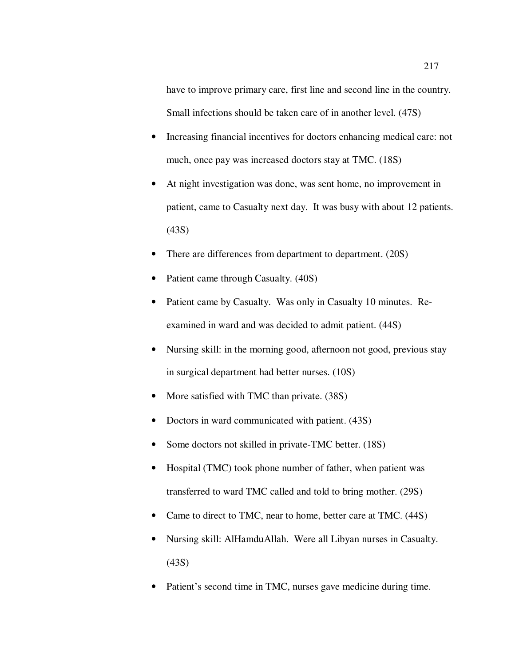have to improve primary care, first line and second line in the country. Small infections should be taken care of in another level. (47S)

- Increasing financial incentives for doctors enhancing medical care: not much, once pay was increased doctors stay at TMC. (18S)
- At night investigation was done, was sent home, no improvement in patient, came to Casualty next day. It was busy with about 12 patients. (43S)
- There are differences from department to department. (20S)
- Patient came through Casualty. (40S)
- Patient came by Casualty. Was only in Casualty 10 minutes. Reexamined in ward and was decided to admit patient. (44S)
- Nursing skill: in the morning good, afternoon not good, previous stay in surgical department had better nurses. (10S)
- More satisfied with TMC than private. (38S)
- Doctors in ward communicated with patient. (43S)
- Some doctors not skilled in private-TMC better. (18S)
- Hospital (TMC) took phone number of father, when patient was transferred to ward TMC called and told to bring mother. (29S)
- Came to direct to TMC, near to home, better care at TMC. (44S)
- Nursing skill: AlHamduAllah. Were all Libyan nurses in Casualty. (43S)
- Patient's second time in TMC, nurses gave medicine during time.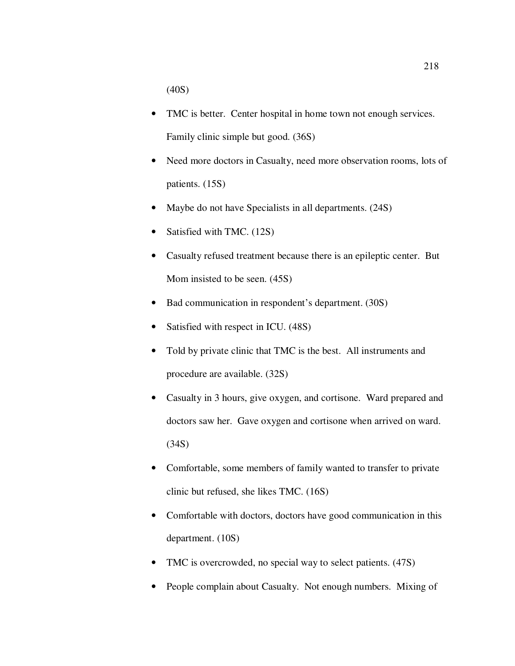(40S)

- TMC is better. Center hospital in home town not enough services. Family clinic simple but good. (36S)
- Need more doctors in Casualty, need more observation rooms, lots of patients. (15S)
- Maybe do not have Specialists in all departments. (24S)
- Satisfied with TMC. (12S)
- Casualty refused treatment because there is an epileptic center. But Mom insisted to be seen. (45S)
- Bad communication in respondent's department. (30S)
- Satisfied with respect in ICU. (48S)
- Told by private clinic that TMC is the best. All instruments and procedure are available. (32S)
- Casualty in 3 hours, give oxygen, and cortisone. Ward prepared and doctors saw her. Gave oxygen and cortisone when arrived on ward. (34S)
- Comfortable, some members of family wanted to transfer to private clinic but refused, she likes TMC. (16S)
- Comfortable with doctors, doctors have good communication in this department. (10S)
- TMC is overcrowded, no special way to select patients. (47S)
- People complain about Casualty. Not enough numbers. Mixing of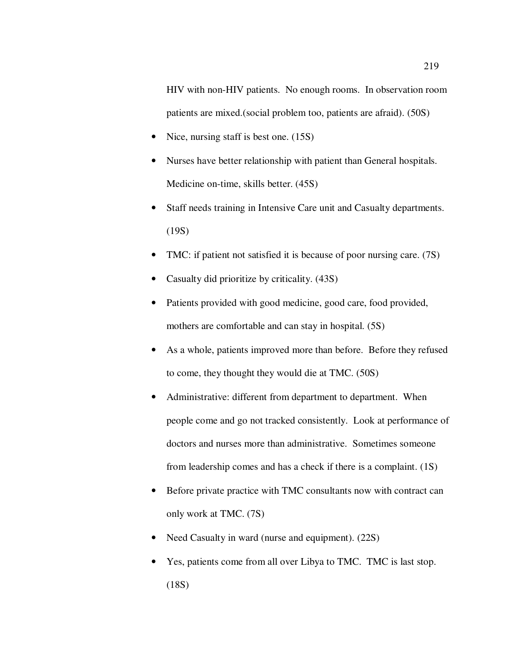HIV with non-HIV patients. No enough rooms. In observation room patients are mixed.(social problem too, patients are afraid). (50S)

- Nice, nursing staff is best one. (15S)
- Nurses have better relationship with patient than General hospitals. Medicine on-time, skills better. (45S)
- Staff needs training in Intensive Care unit and Casualty departments. (19S)
- TMC: if patient not satisfied it is because of poor nursing care. (7S)
- Casualty did prioritize by criticality.  $(43S)$
- Patients provided with good medicine, good care, food provided, mothers are comfortable and can stay in hospital. (5S)
- As a whole, patients improved more than before. Before they refused to come, they thought they would die at TMC. (50S)
- Administrative: different from department to department. When people come and go not tracked consistently. Look at performance of doctors and nurses more than administrative. Sometimes someone from leadership comes and has a check if there is a complaint. (1S)
- Before private practice with TMC consultants now with contract can only work at TMC. (7S)
- Need Casualty in ward (nurse and equipment). (22S)
- Yes, patients come from all over Libya to TMC. TMC is last stop. (18S)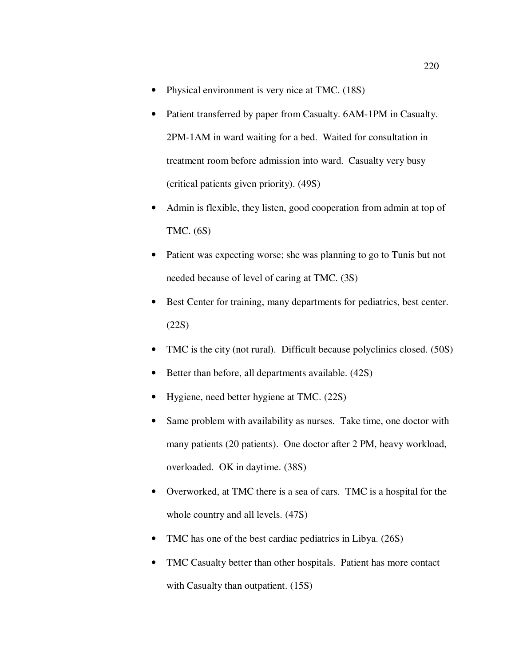- Physical environment is very nice at TMC. (18S)
- Patient transferred by paper from Casualty. 6AM-1PM in Casualty. 2PM-1AM in ward waiting for a bed. Waited for consultation in treatment room before admission into ward. Casualty very busy (critical patients given priority). (49S)
- Admin is flexible, they listen, good cooperation from admin at top of TMC. (6S)
- Patient was expecting worse; she was planning to go to Tunis but not needed because of level of caring at TMC. (3S)
- Best Center for training, many departments for pediatrics, best center. (22S)
- TMC is the city (not rural). Difficult because polyclinics closed. (50S)
- Better than before, all departments available. (42S)
- Hygiene, need better hygiene at TMC. (22S)
- Same problem with availability as nurses. Take time, one doctor with many patients (20 patients). One doctor after 2 PM, heavy workload, overloaded. OK in daytime. (38S)
- Overworked, at TMC there is a sea of cars. TMC is a hospital for the whole country and all levels. (47S)
- TMC has one of the best cardiac pediatrics in Libya. (26S)
- TMC Casualty better than other hospitals. Patient has more contact with Casualty than outpatient.  $(15S)$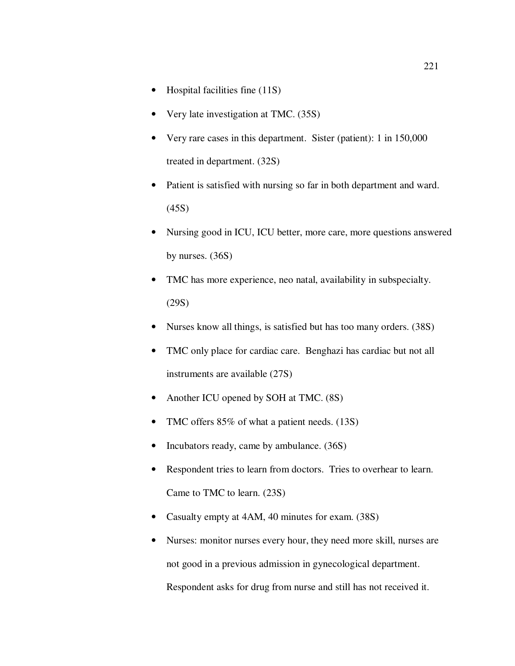- Hospital facilities fine (11S)
- Very late investigation at TMC. (35S)
- Very rare cases in this department. Sister (patient): 1 in 150,000 treated in department. (32S)
- Patient is satisfied with nursing so far in both department and ward. (45S)
- Nursing good in ICU, ICU better, more care, more questions answered by nurses. (36S)
- TMC has more experience, neo natal, availability in subspecialty. (29S)
- Nurses know all things, is satisfied but has too many orders. (38S)
- TMC only place for cardiac care. Benghazi has cardiac but not all instruments are available (27S)
- Another ICU opened by SOH at TMC. (8S)
- TMC offers 85% of what a patient needs. (13S)
- Incubators ready, came by ambulance. (36S)
- Respondent tries to learn from doctors. Tries to overhear to learn. Came to TMC to learn. (23S)
- Casualty empty at 4AM, 40 minutes for exam. (38S)
- Nurses: monitor nurses every hour, they need more skill, nurses are not good in a previous admission in gynecological department. Respondent asks for drug from nurse and still has not received it.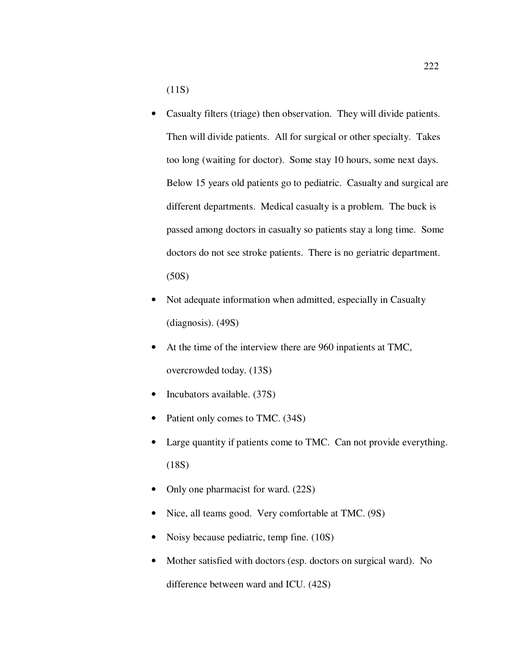(11S)

- Casualty filters (triage) then observation. They will divide patients. Then will divide patients. All for surgical or other specialty. Takes too long (waiting for doctor). Some stay 10 hours, some next days. Below 15 years old patients go to pediatric. Casualty and surgical are different departments. Medical casualty is a problem. The buck is passed among doctors in casualty so patients stay a long time. Some doctors do not see stroke patients. There is no geriatric department. (50S)
- Not adequate information when admitted, especially in Casualty (diagnosis). (49S)
- At the time of the interview there are 960 inpatients at TMC, overcrowded today. (13S)
- Incubators available. (37S)
- Patient only comes to TMC. (34S)
- Large quantity if patients come to TMC. Can not provide everything. (18S)
- Only one pharmacist for ward. (22S)
- Nice, all teams good. Very comfortable at TMC. (9S)
- Noisy because pediatric, temp fine. (10S)
- Mother satisfied with doctors (esp. doctors on surgical ward). No difference between ward and ICU. (42S)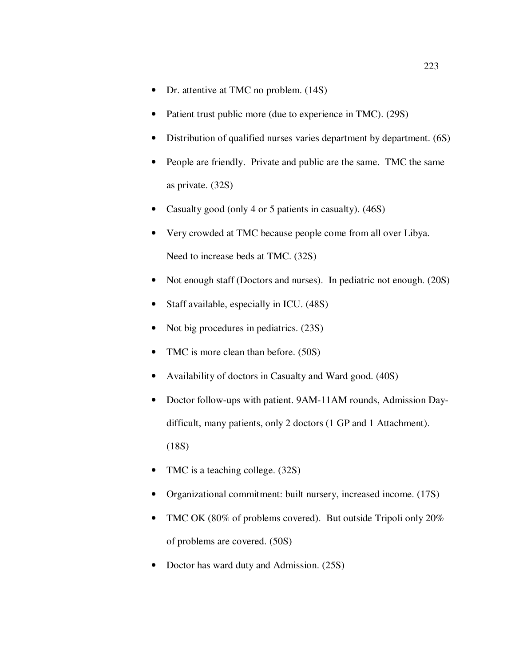- Dr. attentive at TMC no problem. (14S)
- Patient trust public more (due to experience in TMC). (29S)
- Distribution of qualified nurses varies department by department. (6S)
- People are friendly. Private and public are the same. TMC the same as private. (32S)
- Casualty good (only 4 or 5 patients in casualty). (46S)
- Very crowded at TMC because people come from all over Libya. Need to increase beds at TMC. (32S)
- Not enough staff (Doctors and nurses). In pediatric not enough. (20S)
- Staff available, especially in ICU. (48S)
- Not big procedures in pediatrics. (23S)
- TMC is more clean than before. (50S)
- Availability of doctors in Casualty and Ward good. (40S)
- Doctor follow-ups with patient. 9AM-11AM rounds, Admission Daydifficult, many patients, only 2 doctors (1 GP and 1 Attachment). (18S)
- TMC is a teaching college.  $(32S)$
- Organizational commitment: built nursery, increased income. (17S)
- TMC OK (80% of problems covered). But outside Tripoli only 20% of problems are covered. (50S)
- Doctor has ward duty and Admission. (25S)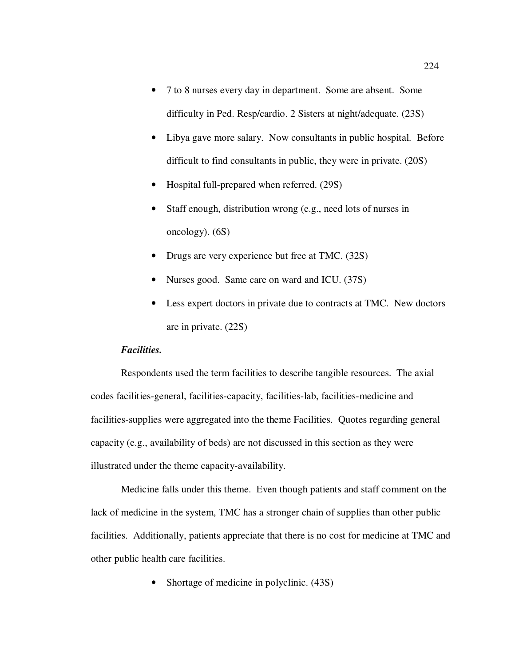- 7 to 8 nurses every day in department. Some are absent. Some difficulty in Ped. Resp/cardio. 2 Sisters at night/adequate. (23S)
- Libya gave more salary. Now consultants in public hospital. Before difficult to find consultants in public, they were in private. (20S)
- Hospital full-prepared when referred. (29S)
- Staff enough, distribution wrong (e.g., need lots of nurses in oncology). (6S)
- Drugs are very experience but free at TMC. (32S)
- Nurses good. Same care on ward and ICU. (37S)
- Less expert doctors in private due to contracts at TMC. New doctors are in private. (22S)

## *Facilities.*

Respondents used the term facilities to describe tangible resources. The axial codes facilities-general, facilities-capacity, facilities-lab, facilities-medicine and facilities-supplies were aggregated into the theme Facilities. Quotes regarding general capacity (e.g., availability of beds) are not discussed in this section as they were illustrated under the theme capacity-availability.

Medicine falls under this theme. Even though patients and staff comment on the lack of medicine in the system, TMC has a stronger chain of supplies than other public facilities. Additionally, patients appreciate that there is no cost for medicine at TMC and other public health care facilities.

• Shortage of medicine in polyclinic. (43S)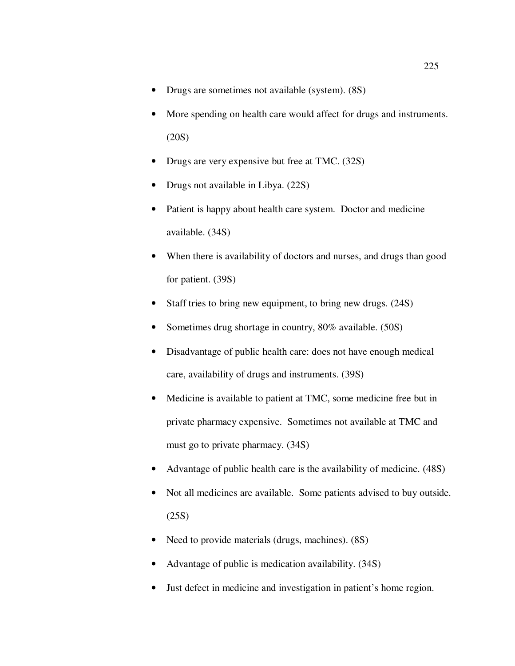- Drugs are sometimes not available (system). (8S)
- More spending on health care would affect for drugs and instruments. (20S)
- Drugs are very expensive but free at TMC. (32S)
- Drugs not available in Libya. (22S)
- Patient is happy about health care system. Doctor and medicine available. (34S)
- When there is availability of doctors and nurses, and drugs than good for patient. (39S)
- Staff tries to bring new equipment, to bring new drugs. (24S)
- Sometimes drug shortage in country, 80% available. (50S)
- Disadvantage of public health care: does not have enough medical care, availability of drugs and instruments. (39S)
- Medicine is available to patient at TMC, some medicine free but in private pharmacy expensive. Sometimes not available at TMC and must go to private pharmacy. (34S)
- Advantage of public health care is the availability of medicine. (48S)
- Not all medicines are available. Some patients advised to buy outside. (25S)
- Need to provide materials (drugs, machines). (8S)
- Advantage of public is medication availability. (34S)
- Just defect in medicine and investigation in patient's home region.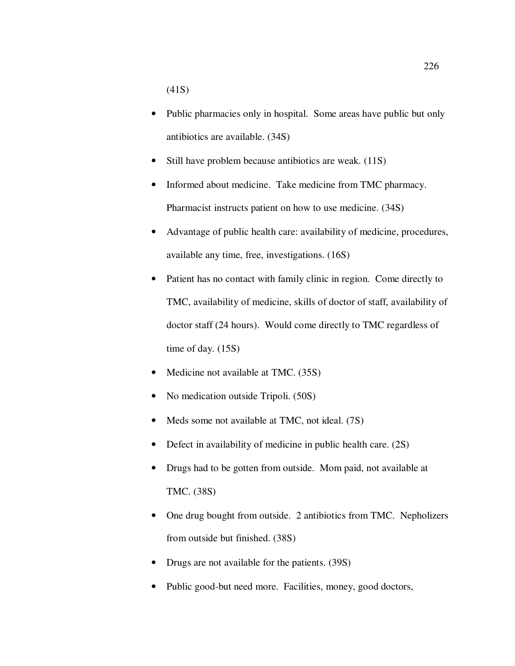(41S)

- Public pharmacies only in hospital. Some areas have public but only antibiotics are available. (34S)
- Still have problem because antibiotics are weak. (11S)
- Informed about medicine. Take medicine from TMC pharmacy. Pharmacist instructs patient on how to use medicine. (34S)
- Advantage of public health care: availability of medicine, procedures, available any time, free, investigations. (16S)
- Patient has no contact with family clinic in region. Come directly to TMC, availability of medicine, skills of doctor of staff, availability of doctor staff (24 hours). Would come directly to TMC regardless of time of day. (15S)
- Medicine not available at TMC. (35S)
- No medication outside Tripoli. (50S)
- Meds some not available at TMC, not ideal. (7S)
- Defect in availability of medicine in public health care. (2S)
- Drugs had to be gotten from outside. Mom paid, not available at TMC. (38S)
- One drug bought from outside. 2 antibiotics from TMC. Nepholizers from outside but finished. (38S)
- Drugs are not available for the patients. (39S)
- Public good-but need more. Facilities, money, good doctors,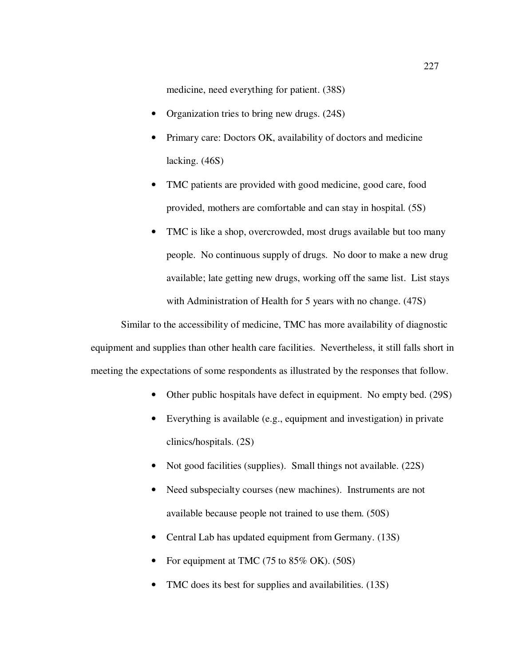medicine, need everything for patient. (38S)

- Organization tries to bring new drugs. (24S)
- Primary care: Doctors OK, availability of doctors and medicine lacking. (46S)
- TMC patients are provided with good medicine, good care, food provided, mothers are comfortable and can stay in hospital. (5S)
- TMC is like a shop, overcrowded, most drugs available but too many people. No continuous supply of drugs. No door to make a new drug available; late getting new drugs, working off the same list. List stays with Administration of Health for 5 years with no change. (47S)

Similar to the accessibility of medicine, TMC has more availability of diagnostic equipment and supplies than other health care facilities. Nevertheless, it still falls short in meeting the expectations of some respondents as illustrated by the responses that follow.

- Other public hospitals have defect in equipment. No empty bed. (29S)
- Everything is available (e.g., equipment and investigation) in private clinics/hospitals. (2S)
- Not good facilities (supplies). Small things not available. (22S)
- Need subspecialty courses (new machines). Instruments are not available because people not trained to use them. (50S)
- Central Lab has updated equipment from Germany. (13S)
- For equipment at TMC (75 to 85% OK). (50S)
- TMC does its best for supplies and availabilities. (13S)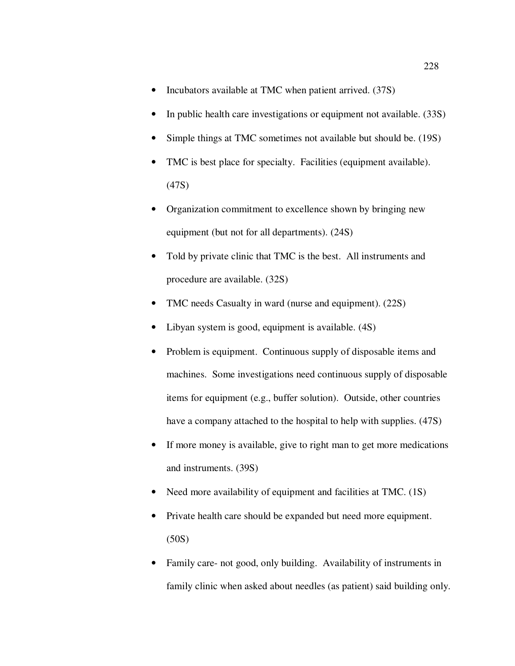- Incubators available at TMC when patient arrived. (37S)
- In public health care investigations or equipment not available. (33S)
- Simple things at TMC sometimes not available but should be. (19S)
- TMC is best place for specialty. Facilities (equipment available). (47S)
- Organization commitment to excellence shown by bringing new equipment (but not for all departments). (24S)
- Told by private clinic that TMC is the best. All instruments and procedure are available. (32S)
- TMC needs Casualty in ward (nurse and equipment). (22S)
- Libyan system is good, equipment is available. (4S)
- Problem is equipment. Continuous supply of disposable items and machines. Some investigations need continuous supply of disposable items for equipment (e.g., buffer solution). Outside, other countries have a company attached to the hospital to help with supplies. (47S)
- If more money is available, give to right man to get more medications and instruments. (39S)
- Need more availability of equipment and facilities at TMC. (1S)
- Private health care should be expanded but need more equipment. (50S)
- Family care- not good, only building. Availability of instruments in family clinic when asked about needles (as patient) said building only.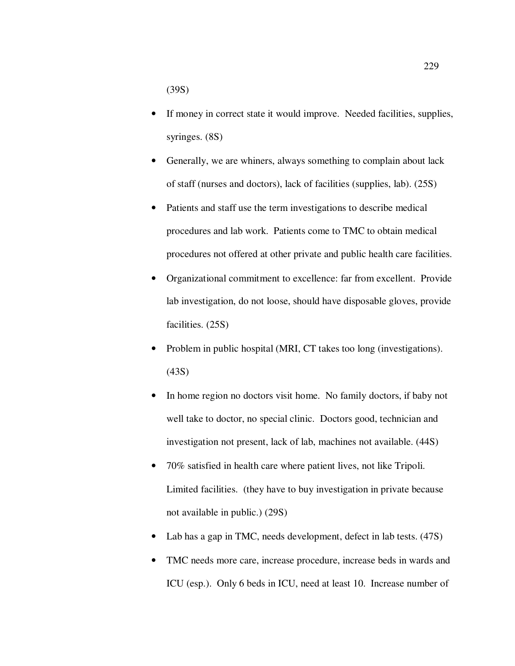(39S)

- If money in correct state it would improve. Needed facilities, supplies, syringes. (8S)
- Generally, we are whiners, always something to complain about lack of staff (nurses and doctors), lack of facilities (supplies, lab). (25S)
- Patients and staff use the term investigations to describe medical procedures and lab work. Patients come to TMC to obtain medical procedures not offered at other private and public health care facilities.
- Organizational commitment to excellence: far from excellent. Provide lab investigation, do not loose, should have disposable gloves, provide facilities. (25S)
- Problem in public hospital (MRI, CT takes too long (investigations). (43S)
- In home region no doctors visit home. No family doctors, if baby not well take to doctor, no special clinic. Doctors good, technician and investigation not present, lack of lab, machines not available. (44S)
- 70% satisfied in health care where patient lives, not like Tripoli. Limited facilities. (they have to buy investigation in private because not available in public.) (29S)
- Lab has a gap in TMC, needs development, defect in lab tests. (47S)
- TMC needs more care, increase procedure, increase beds in wards and ICU (esp.). Only 6 beds in ICU, need at least 10. Increase number of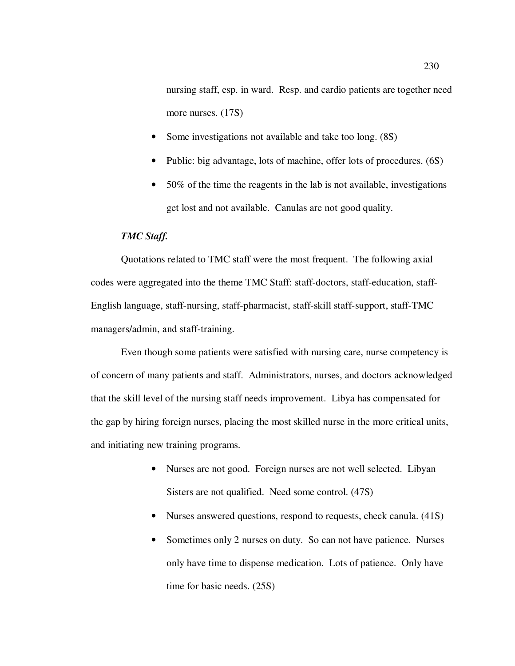nursing staff, esp. in ward. Resp. and cardio patients are together need more nurses. (17S)

- Some investigations not available and take too long. (8S)
- Public: big advantage, lots of machine, offer lots of procedures. (6S)
- 50% of the time the reagents in the lab is not available, investigations get lost and not available. Canulas are not good quality.

## *TMC Staff.*

Quotations related to TMC staff were the most frequent. The following axial codes were aggregated into the theme TMC Staff: staff-doctors, staff-education, staff-English language, staff-nursing, staff-pharmacist, staff-skill staff-support, staff-TMC managers/admin, and staff-training.

Even though some patients were satisfied with nursing care, nurse competency is of concern of many patients and staff. Administrators, nurses, and doctors acknowledged that the skill level of the nursing staff needs improvement. Libya has compensated for the gap by hiring foreign nurses, placing the most skilled nurse in the more critical units, and initiating new training programs.

- Nurses are not good. Foreign nurses are not well selected. Libyan Sisters are not qualified. Need some control. (47S)
- Nurses answered questions, respond to requests, check canula. (41S)
- Sometimes only 2 nurses on duty. So can not have patience. Nurses only have time to dispense medication. Lots of patience. Only have time for basic needs. (25S)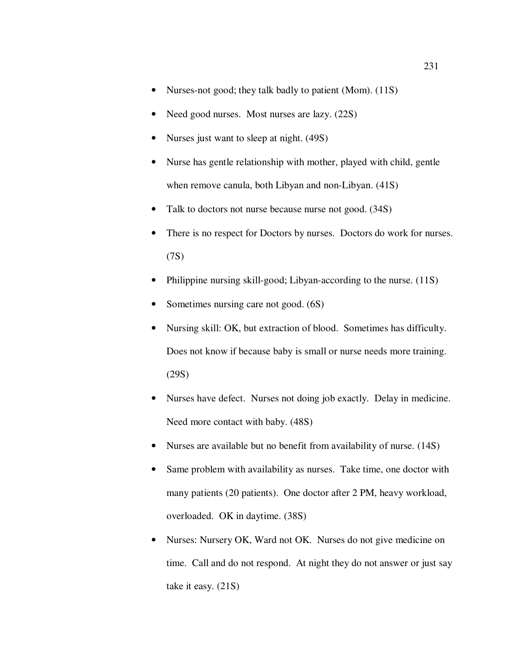- Nurses-not good; they talk badly to patient (Mom). (11S)
- Need good nurses. Most nurses are lazy. (22S)
- Nurses just want to sleep at night. (49S)
- Nurse has gentle relationship with mother, played with child, gentle when remove canula, both Libyan and non-Libyan. (41S)
- Talk to doctors not nurse because nurse not good. (34S)
- There is no respect for Doctors by nurses. Doctors do work for nurses. (7S)
- Philippine nursing skill-good; Libyan-according to the nurse. (11S)
- Sometimes nursing care not good.  $(6S)$
- Nursing skill: OK, but extraction of blood. Sometimes has difficulty. Does not know if because baby is small or nurse needs more training. (29S)
- Nurses have defect. Nurses not doing job exactly. Delay in medicine. Need more contact with baby. (48S)
- Nurses are available but no benefit from availability of nurse. (14S)
- Same problem with availability as nurses. Take time, one doctor with many patients (20 patients). One doctor after 2 PM, heavy workload, overloaded. OK in daytime. (38S)
- Nurses: Nursery OK, Ward not OK. Nurses do not give medicine on time. Call and do not respond. At night they do not answer or just say take it easy. (21S)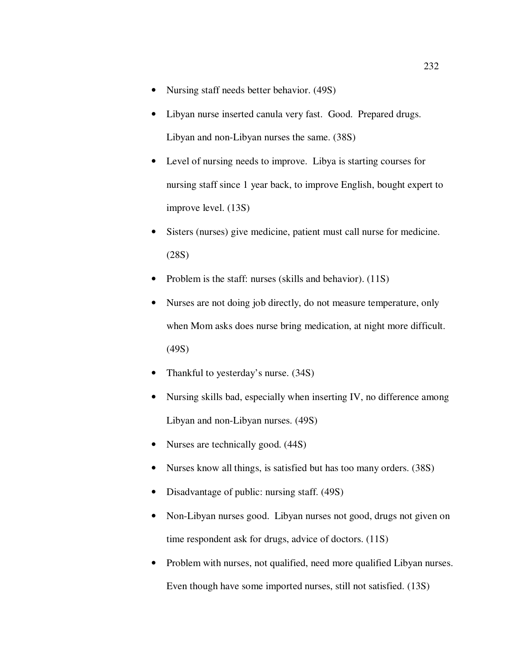- Nursing staff needs better behavior. (49S)
- Libyan nurse inserted canula very fast. Good. Prepared drugs. Libyan and non-Libyan nurses the same. (38S)
- Level of nursing needs to improve. Libya is starting courses for nursing staff since 1 year back, to improve English, bought expert to improve level. (13S)
- Sisters (nurses) give medicine, patient must call nurse for medicine. (28S)
- Problem is the staff: nurses (skills and behavior). (11S)
- Nurses are not doing job directly, do not measure temperature, only when Mom asks does nurse bring medication, at night more difficult. (49S)
- Thankful to yesterday's nurse. (34S)
- Nursing skills bad, especially when inserting IV, no difference among Libyan and non-Libyan nurses. (49S)
- Nurses are technically good.  $(44S)$
- Nurses know all things, is satisfied but has too many orders. (38S)
- Disadvantage of public: nursing staff. (49S)
- Non-Libyan nurses good. Libyan nurses not good, drugs not given on time respondent ask for drugs, advice of doctors. (11S)
- Problem with nurses, not qualified, need more qualified Libyan nurses. Even though have some imported nurses, still not satisfied. (13S)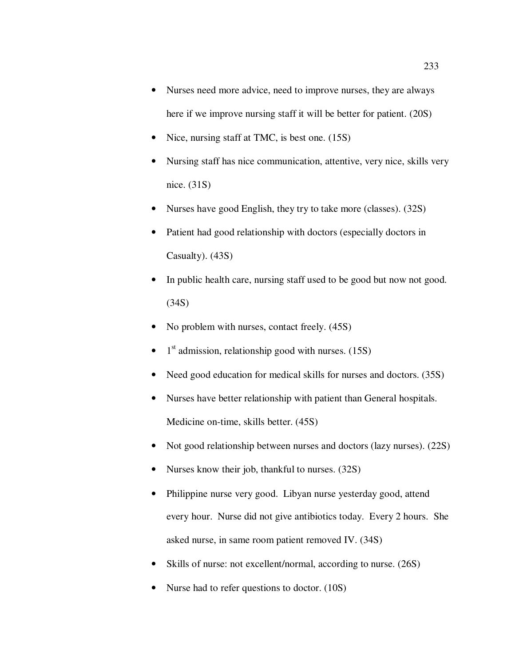- Nurses need more advice, need to improve nurses, they are always here if we improve nursing staff it will be better for patient. (20S)
- Nice, nursing staff at TMC, is best one. (15S)
- Nursing staff has nice communication, attentive, very nice, skills very nice. (31S)
- Nurses have good English, they try to take more (classes). (32S)
- Patient had good relationship with doctors (especially doctors in Casualty). (43S)
- In public health care, nursing staff used to be good but now not good. (34S)
- No problem with nurses, contact freely.  $(45S)$
- $\bullet$  1<sup>st</sup> admission, relationship good with nurses. (15S)
- Need good education for medical skills for nurses and doctors. (35S)
- Nurses have better relationship with patient than General hospitals. Medicine on-time, skills better. (45S)
- Not good relationship between nurses and doctors (lazy nurses). (22S)
- Nurses know their job, thankful to nurses. (32S)
- Philippine nurse very good. Libyan nurse yesterday good, attend every hour. Nurse did not give antibiotics today. Every 2 hours. She asked nurse, in same room patient removed IV. (34S)
- Skills of nurse: not excellent/normal, according to nurse. (26S)
- Nurse had to refer questions to doctor. (10S)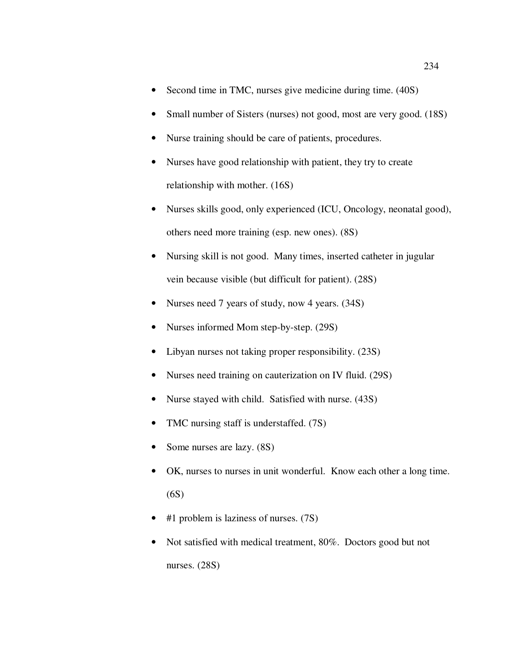- Second time in TMC, nurses give medicine during time. (40S)
- Small number of Sisters (nurses) not good, most are very good. (18S)
- Nurse training should be care of patients, procedures.
- Nurses have good relationship with patient, they try to create relationship with mother. (16S)
- Nurses skills good, only experienced (ICU, Oncology, neonatal good), others need more training (esp. new ones). (8S)
- Nursing skill is not good. Many times, inserted catheter in jugular vein because visible (but difficult for patient). (28S)
- Nurses need 7 years of study, now 4 years. (34S)
- Nurses informed Mom step-by-step. (29S)
- Libyan nurses not taking proper responsibility. (23S)
- Nurses need training on cauterization on IV fluid. (29S)
- Nurse stayed with child. Satisfied with nurse. (43S)
- TMC nursing staff is understaffed. (7S)
- Some nurses are lazy. (8S)
- OK, nurses to nurses in unit wonderful. Know each other a long time. (6S)
- $#1$  problem is laziness of nurses.  $(7S)$
- Not satisfied with medical treatment, 80%. Doctors good but not nurses. (28S)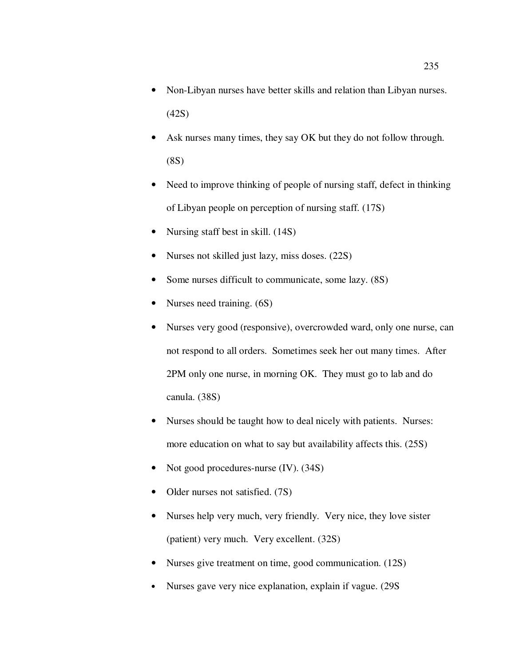- Non-Libyan nurses have better skills and relation than Libyan nurses. (42S)
- Ask nurses many times, they say OK but they do not follow through. (8S)
- Need to improve thinking of people of nursing staff, defect in thinking of Libyan people on perception of nursing staff. (17S)
- Nursing staff best in skill. (14S)
- Nurses not skilled just lazy, miss doses. (22S)
- Some nurses difficult to communicate, some lazy.  $(8S)$
- Nurses need training. (6S)
- Nurses very good (responsive), overcrowded ward, only one nurse, can not respond to all orders. Sometimes seek her out many times. After 2PM only one nurse, in morning OK. They must go to lab and do canula. (38S)
- Nurses should be taught how to deal nicely with patients. Nurses: more education on what to say but availability affects this. (25S)
- Not good procedures-nurse (IV). (34S)
- Older nurses not satisfied. (7S)
- Nurses help very much, very friendly. Very nice, they love sister (patient) very much. Very excellent. (32S)
- Nurses give treatment on time, good communication. (12S)
- Nurses gave very nice explanation, explain if vague. (29S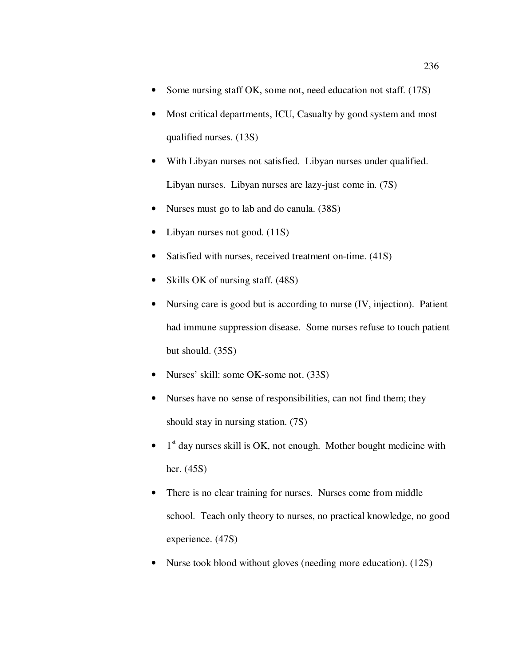- Some nursing staff OK, some not, need education not staff. (17S)
- Most critical departments, ICU, Casualty by good system and most qualified nurses. (13S)
- With Libyan nurses not satisfied. Libyan nurses under qualified. Libyan nurses. Libyan nurses are lazy-just come in. (7S)
- Nurses must go to lab and do canula. (38S)
- Libyan nurses not good.  $(11S)$
- Satisfied with nurses, received treatment on-time. (41S)
- Skills OK of nursing staff. (48S)
- Nursing care is good but is according to nurse (IV, injection). Patient had immune suppression disease. Some nurses refuse to touch patient but should. (35S)
- Nurses' skill: some OK-some not. (33S)
- Nurses have no sense of responsibilities, can not find them; they should stay in nursing station. (7S)
- $\bullet$  1<sup>st</sup> day nurses skill is OK, not enough. Mother bought medicine with her. (45S)
- There is no clear training for nurses. Nurses come from middle school. Teach only theory to nurses, no practical knowledge, no good experience. (47S)
- Nurse took blood without gloves (needing more education). (12S)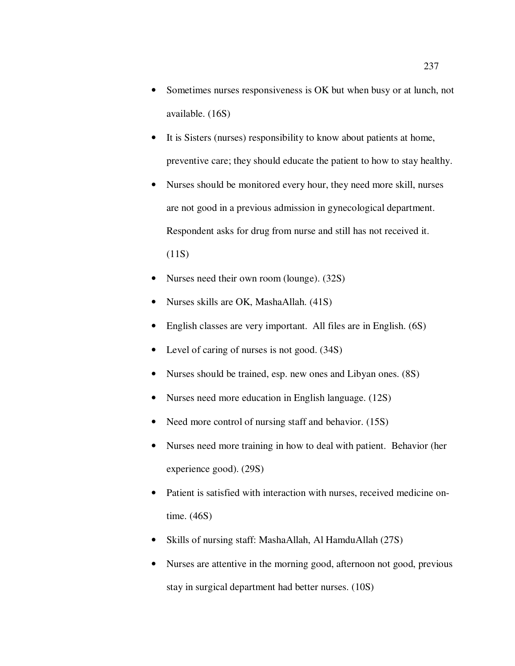- Sometimes nurses responsiveness is OK but when busy or at lunch, not available. (16S)
- It is Sisters (nurses) responsibility to know about patients at home, preventive care; they should educate the patient to how to stay healthy.
- Nurses should be monitored every hour, they need more skill, nurses are not good in a previous admission in gynecological department. Respondent asks for drug from nurse and still has not received it.  $(11S)$
- Nurses need their own room (lounge). (32S)
- Nurses skills are OK, MashaAllah. (41S)
- English classes are very important. All files are in English. (6S)
- Level of caring of nurses is not good.  $(34S)$
- Nurses should be trained, esp. new ones and Libyan ones. (8S)
- Nurses need more education in English language. (12S)
- Need more control of nursing staff and behavior. (15S)
- Nurses need more training in how to deal with patient. Behavior (her experience good). (29S)
- Patient is satisfied with interaction with nurses, received medicine ontime. (46S)
- Skills of nursing staff: MashaAllah, Al HamduAllah (27S)
- Nurses are attentive in the morning good, afternoon not good, previous stay in surgical department had better nurses. (10S)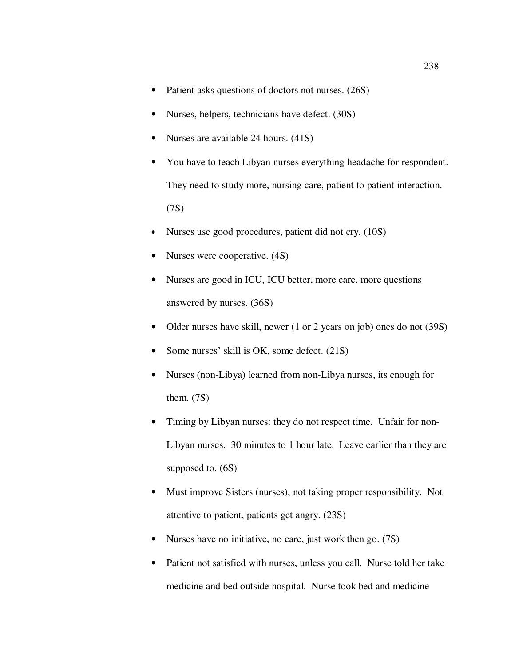- Patient asks questions of doctors not nurses. (26S)
- Nurses, helpers, technicians have defect. (30S)
- Nurses are available 24 hours. (41S)
- You have to teach Libyan nurses everything headache for respondent. They need to study more, nursing care, patient to patient interaction. (7S)
- Nurses use good procedures, patient did not cry. (10S)
- Nurses were cooperative. (4S)
- Nurses are good in ICU, ICU better, more care, more questions answered by nurses. (36S)
- Older nurses have skill, newer (1 or 2 years on job) ones do not (39S)
- Some nurses' skill is OK, some defect. (21S)
- Nurses (non-Libya) learned from non-Libya nurses, its enough for them. (7S)
- Timing by Libyan nurses: they do not respect time. Unfair for non-Libyan nurses. 30 minutes to 1 hour late. Leave earlier than they are supposed to. (6S)
- Must improve Sisters (nurses), not taking proper responsibility. Not attentive to patient, patients get angry. (23S)
- Nurses have no initiative, no care, just work then go. (7S)
- Patient not satisfied with nurses, unless you call. Nurse told her take medicine and bed outside hospital. Nurse took bed and medicine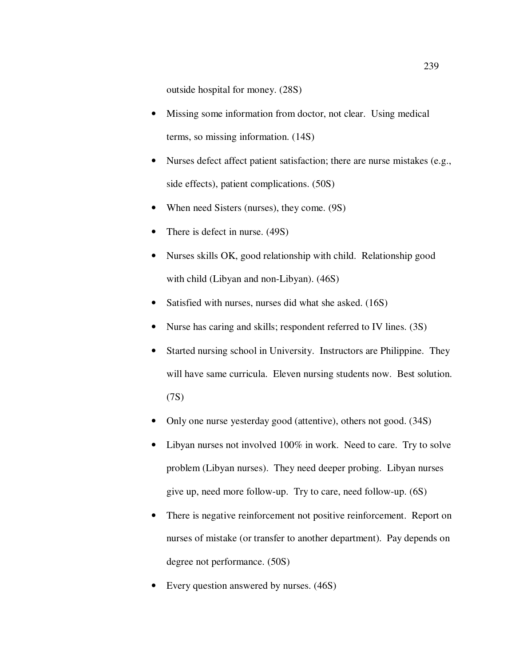outside hospital for money. (28S)

- Missing some information from doctor, not clear. Using medical terms, so missing information. (14S)
- Nurses defect affect patient satisfaction; there are nurse mistakes (e.g., side effects), patient complications. (50S)
- When need Sisters (nurses), they come. (9S)
- There is defect in nurse. (49S)
- Nurses skills OK, good relationship with child. Relationship good with child (Libyan and non-Libyan). (46S)
- Satisfied with nurses, nurses did what she asked. (16S)
- Nurse has caring and skills; respondent referred to IV lines. (3S)
- Started nursing school in University. Instructors are Philippine. They will have same curricula. Eleven nursing students now. Best solution. (7S)
- Only one nurse yesterday good (attentive), others not good. (34S)
- Libyan nurses not involved 100% in work. Need to care. Try to solve problem (Libyan nurses). They need deeper probing. Libyan nurses give up, need more follow-up. Try to care, need follow-up. (6S)
- There is negative reinforcement not positive reinforcement. Report on nurses of mistake (or transfer to another department). Pay depends on degree not performance. (50S)
- Every question answered by nurses. (46S)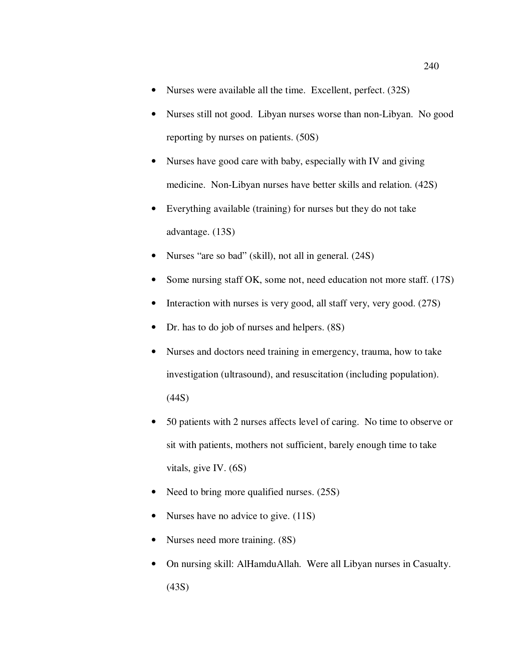- Nurses were available all the time. Excellent, perfect. (32S)
- Nurses still not good. Libyan nurses worse than non-Libyan. No good reporting by nurses on patients. (50S)
- Nurses have good care with baby, especially with IV and giving medicine. Non-Libyan nurses have better skills and relation. (42S)
- Everything available (training) for nurses but they do not take advantage. (13S)
- Nurses "are so bad" (skill), not all in general. (24S)
- Some nursing staff OK, some not, need education not more staff. (17S)
- Interaction with nurses is very good, all staff very, very good. (27S)
- Dr. has to do job of nurses and helpers.  $(8S)$
- Nurses and doctors need training in emergency, trauma, how to take investigation (ultrasound), and resuscitation (including population). (44S)
- 50 patients with 2 nurses affects level of caring. No time to observe or sit with patients, mothers not sufficient, barely enough time to take vitals, give IV. (6S)
- Need to bring more qualified nurses. (25S)
- Nurses have no advice to give. (11S)
- Nurses need more training. (8S)
- On nursing skill: AlHamduAllah. Were all Libyan nurses in Casualty. (43S)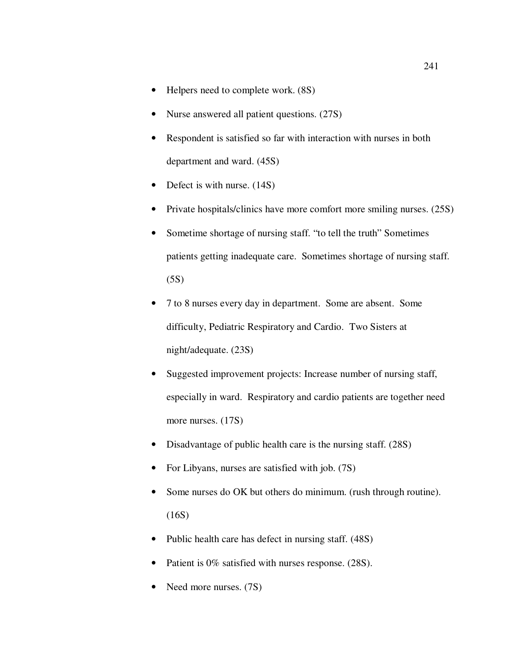- Helpers need to complete work. (8S)
- Nurse answered all patient questions. (27S)
- Respondent is satisfied so far with interaction with nurses in both department and ward. (45S)
- Defect is with nurse. (14S)
- Private hospitals/clinics have more comfort more smiling nurses. (25S)
- Sometime shortage of nursing staff. "to tell the truth" Sometimes patients getting inadequate care. Sometimes shortage of nursing staff.  $(5S)$
- 7 to 8 nurses every day in department. Some are absent. Some difficulty, Pediatric Respiratory and Cardio. Two Sisters at night/adequate. (23S)
- Suggested improvement projects: Increase number of nursing staff, especially in ward. Respiratory and cardio patients are together need more nurses. (17S)
- Disadvantage of public health care is the nursing staff. (28S)
- For Libyans, nurses are satisfied with job.  $(7S)$
- Some nurses do OK but others do minimum. (rush through routine). (16S)
- Public health care has defect in nursing staff. (48S)
- Patient is 0% satisfied with nurses response. (28S).
- Need more nurses. (7S)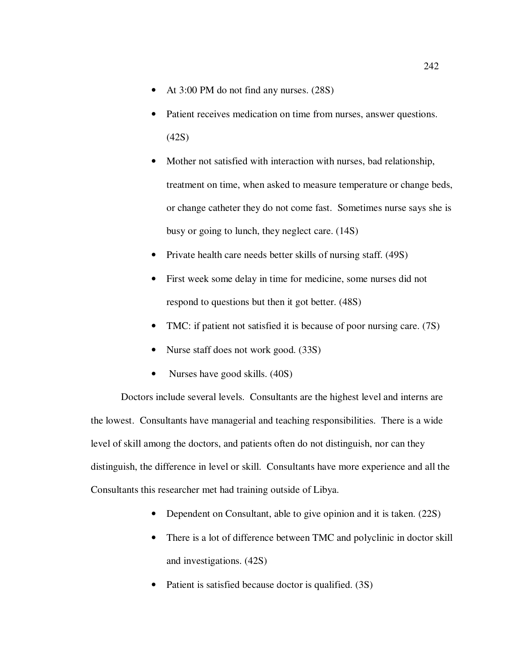- At 3:00 PM do not find any nurses. (28S)
- Patient receives medication on time from nurses, answer questions. (42S)
- Mother not satisfied with interaction with nurses, bad relationship, treatment on time, when asked to measure temperature or change beds, or change catheter they do not come fast. Sometimes nurse says she is busy or going to lunch, they neglect care. (14S)
- Private health care needs better skills of nursing staff. (49S)
- First week some delay in time for medicine, some nurses did not respond to questions but then it got better. (48S)
- TMC: if patient not satisfied it is because of poor nursing care. (7S)
- Nurse staff does not work good. (33S)
- Nurses have good skills. (40S)

Doctors include several levels. Consultants are the highest level and interns are the lowest. Consultants have managerial and teaching responsibilities. There is a wide level of skill among the doctors, and patients often do not distinguish, nor can they distinguish, the difference in level or skill. Consultants have more experience and all the Consultants this researcher met had training outside of Libya.

- Dependent on Consultant, able to give opinion and it is taken. (22S)
- There is a lot of difference between TMC and polyclinic in doctor skill and investigations. (42S)
- Patient is satisfied because doctor is qualified. (3S)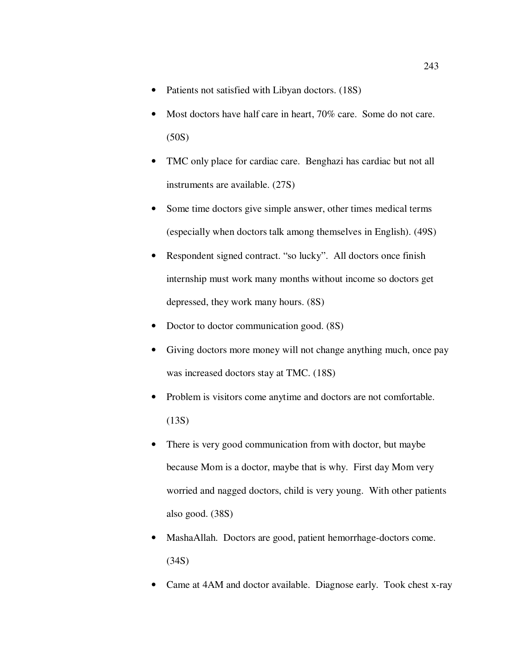- Patients not satisfied with Libyan doctors. (18S)
- Most doctors have half care in heart, 70% care. Some do not care. (50S)
- TMC only place for cardiac care. Benghazi has cardiac but not all instruments are available. (27S)
- Some time doctors give simple answer, other times medical terms (especially when doctors talk among themselves in English). (49S)
- Respondent signed contract. "so lucky". All doctors once finish internship must work many months without income so doctors get depressed, they work many hours. (8S)
- Doctor to doctor communication good.  $(8S)$
- Giving doctors more money will not change anything much, once pay was increased doctors stay at TMC. (18S)
- Problem is visitors come anytime and doctors are not comfortable. (13S)
- There is very good communication from with doctor, but maybe because Mom is a doctor, maybe that is why. First day Mom very worried and nagged doctors, child is very young. With other patients also good. (38S)
- MashaAllah. Doctors are good, patient hemorrhage-doctors come. (34S)
- Came at 4AM and doctor available. Diagnose early. Took chest x-ray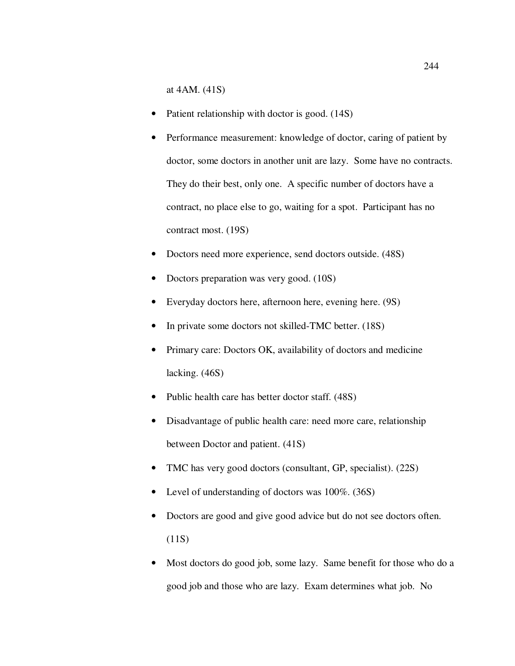at 4AM. (41S)

- Patient relationship with doctor is good. (14S)
- Performance measurement: knowledge of doctor, caring of patient by doctor, some doctors in another unit are lazy. Some have no contracts. They do their best, only one. A specific number of doctors have a contract, no place else to go, waiting for a spot. Participant has no contract most. (19S)
- Doctors need more experience, send doctors outside. (48S)
- Doctors preparation was very good. (10S)
- Everyday doctors here, afternoon here, evening here. (9S)
- In private some doctors not skilled-TMC better. (18S)
- Primary care: Doctors OK, availability of doctors and medicine lacking. (46S)
- Public health care has better doctor staff. (48S)
- Disadvantage of public health care: need more care, relationship between Doctor and patient. (41S)
- TMC has very good doctors (consultant, GP, specialist). (22S)
- Level of understanding of doctors was 100%. (36S)
- Doctors are good and give good advice but do not see doctors often. (11S)
- Most doctors do good job, some lazy. Same benefit for those who do a good job and those who are lazy. Exam determines what job. No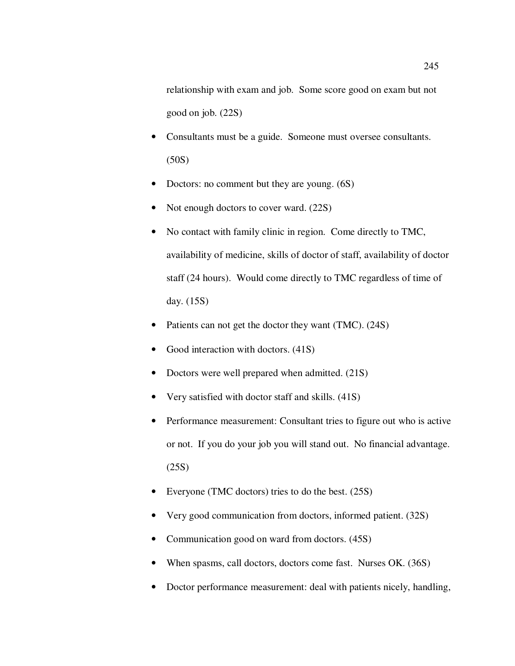relationship with exam and job. Some score good on exam but not good on job. (22S)

- Consultants must be a guide. Someone must oversee consultants. (50S)
- Doctors: no comment but they are young. (6S)
- Not enough doctors to cover ward. (22S)
- No contact with family clinic in region. Come directly to TMC, availability of medicine, skills of doctor of staff, availability of doctor staff (24 hours). Would come directly to TMC regardless of time of day. (15S)
- Patients can not get the doctor they want (TMC). (24S)
- Good interaction with doctors. (41S)
- Doctors were well prepared when admitted. (21S)
- Very satisfied with doctor staff and skills. (41S)
- Performance measurement: Consultant tries to figure out who is active or not. If you do your job you will stand out. No financial advantage. (25S)
- Everyone (TMC doctors) tries to do the best. (25S)
- Very good communication from doctors, informed patient. (32S)
- Communication good on ward from doctors. (45S)
- When spasms, call doctors, doctors come fast. Nurses OK. (36S)
- Doctor performance measurement: deal with patients nicely, handling,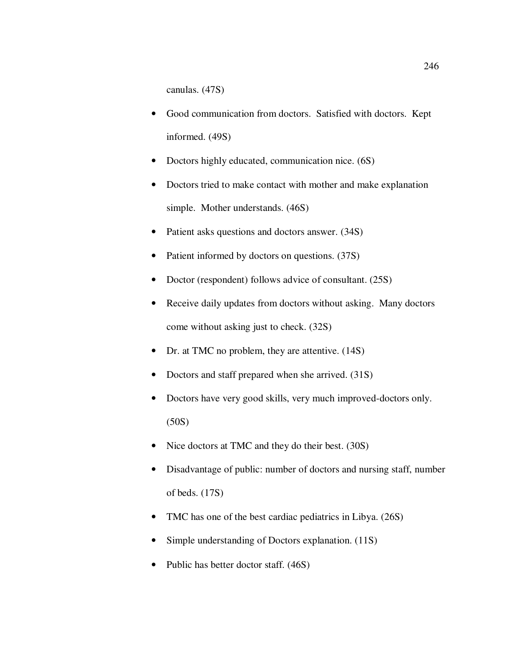canulas. (47S)

- Good communication from doctors. Satisfied with doctors. Kept informed. (49S)
- Doctors highly educated, communication nice. (6S)
- Doctors tried to make contact with mother and make explanation simple. Mother understands. (46S)
- Patient asks questions and doctors answer. (34S)
- Patient informed by doctors on questions. (37S)
- Doctor (respondent) follows advice of consultant. (25S)
- Receive daily updates from doctors without asking. Many doctors come without asking just to check. (32S)
- Dr. at TMC no problem, they are attentive. (14S)
- Doctors and staff prepared when she arrived. (31S)
- Doctors have very good skills, very much improved-doctors only. (50S)
- Nice doctors at TMC and they do their best. (30S)
- Disadvantage of public: number of doctors and nursing staff, number of beds. (17S)
- TMC has one of the best cardiac pediatrics in Libya. (26S)
- Simple understanding of Doctors explanation. (11S)
- Public has better doctor staff. (46S)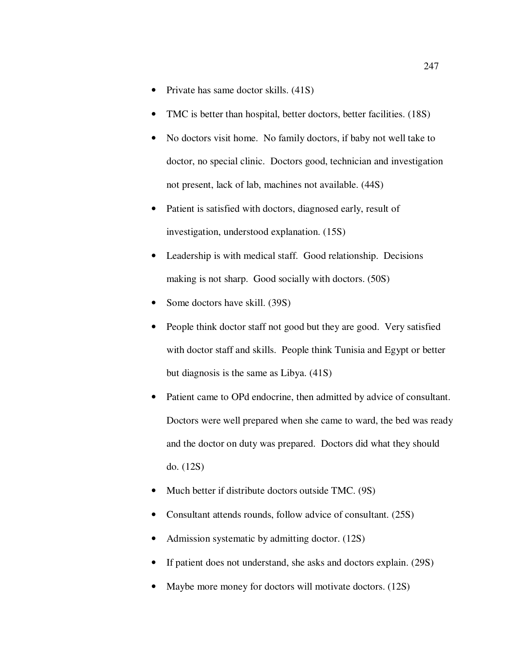- Private has same doctor skills. (41S)
- TMC is better than hospital, better doctors, better facilities. (18S)
- No doctors visit home. No family doctors, if baby not well take to doctor, no special clinic. Doctors good, technician and investigation not present, lack of lab, machines not available. (44S)
- Patient is satisfied with doctors, diagnosed early, result of investigation, understood explanation. (15S)
- Leadership is with medical staff. Good relationship. Decisions making is not sharp. Good socially with doctors. (50S)
- Some doctors have skill. (39S)
- People think doctor staff not good but they are good. Very satisfied with doctor staff and skills. People think Tunisia and Egypt or better but diagnosis is the same as Libya. (41S)
- Patient came to OPd endocrine, then admitted by advice of consultant. Doctors were well prepared when she came to ward, the bed was ready and the doctor on duty was prepared. Doctors did what they should do. (12S)
- Much better if distribute doctors outside TMC. (9S)
- Consultant attends rounds, follow advice of consultant. (25S)
- Admission systematic by admitting doctor. (12S)
- If patient does not understand, she asks and doctors explain. (29S)
- Maybe more money for doctors will motivate doctors. (12S)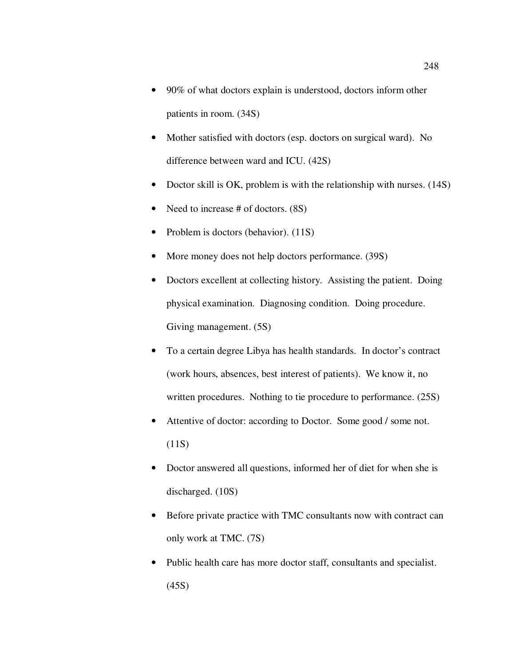- 90% of what doctors explain is understood, doctors inform other patients in room. (34S)
- Mother satisfied with doctors (esp. doctors on surgical ward). No difference between ward and ICU. (42S)
- Doctor skill is OK, problem is with the relationship with nurses. (14S)
- Need to increase # of doctors. (8S)
- Problem is doctors (behavior). (11S)
- More money does not help doctors performance. (39S)
- Doctors excellent at collecting history. Assisting the patient. Doing physical examination. Diagnosing condition. Doing procedure. Giving management. (5S)
- To a certain degree Libya has health standards. In doctor's contract (work hours, absences, best interest of patients). We know it, no written procedures. Nothing to tie procedure to performance. (25S)
- Attentive of doctor: according to Doctor. Some good / some not.  $(11S)$
- Doctor answered all questions, informed her of diet for when she is discharged. (10S)
- Before private practice with TMC consultants now with contract can only work at TMC. (7S)
- Public health care has more doctor staff, consultants and specialist. (45S)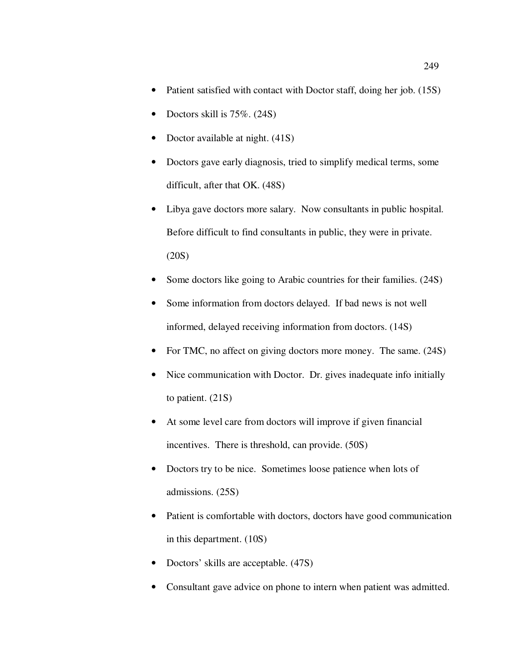- Patient satisfied with contact with Doctor staff, doing her job. (15S)
- Doctors skill is  $75\%$ .  $(24S)$
- Doctor available at night.  $(41S)$
- Doctors gave early diagnosis, tried to simplify medical terms, some difficult, after that OK. (48S)
- Libya gave doctors more salary. Now consultants in public hospital. Before difficult to find consultants in public, they were in private. (20S)
- Some doctors like going to Arabic countries for their families.  $(24S)$
- Some information from doctors delayed. If bad news is not well informed, delayed receiving information from doctors. (14S)
- For TMC, no affect on giving doctors more money. The same. (24S)
- Nice communication with Doctor. Dr. gives inadequate info initially to patient. (21S)
- At some level care from doctors will improve if given financial incentives. There is threshold, can provide. (50S)
- Doctors try to be nice. Sometimes loose patience when lots of admissions. (25S)
- Patient is comfortable with doctors, doctors have good communication in this department. (10S)
- Doctors' skills are acceptable. (47S)
- Consultant gave advice on phone to intern when patient was admitted.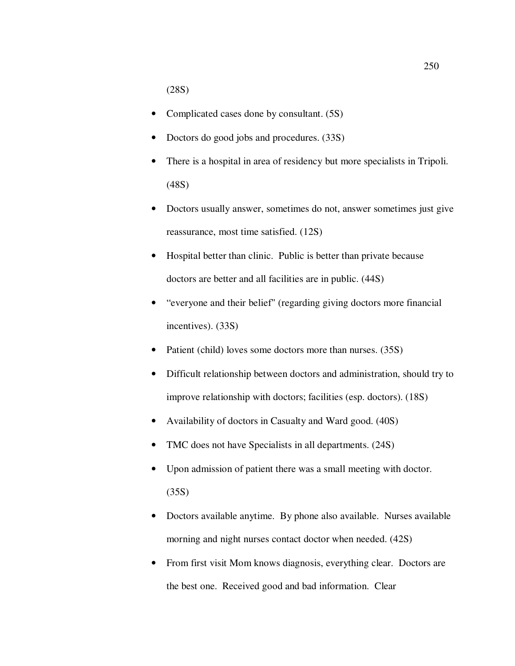(28S)

- Complicated cases done by consultant. (5S)
- Doctors do good jobs and procedures. (33S)
- There is a hospital in area of residency but more specialists in Tripoli. (48S)
- Doctors usually answer, sometimes do not, answer sometimes just give reassurance, most time satisfied. (12S)
- Hospital better than clinic. Public is better than private because doctors are better and all facilities are in public. (44S)
- "everyone and their belief" (regarding giving doctors more financial incentives). (33S)
- Patient (child) loves some doctors more than nurses. (35S)
- Difficult relationship between doctors and administration, should try to improve relationship with doctors; facilities (esp. doctors). (18S)
- Availability of doctors in Casualty and Ward good. (40S)
- TMC does not have Specialists in all departments. (24S)
- Upon admission of patient there was a small meeting with doctor. (35S)
- Doctors available anytime. By phone also available. Nurses available morning and night nurses contact doctor when needed. (42S)
- From first visit Mom knows diagnosis, everything clear. Doctors are the best one. Received good and bad information. Clear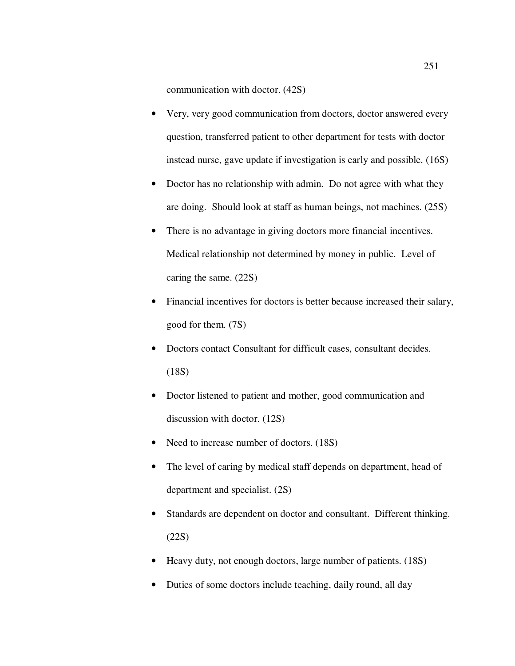communication with doctor. (42S)

- Very, very good communication from doctors, doctor answered every question, transferred patient to other department for tests with doctor instead nurse, gave update if investigation is early and possible. (16S)
- Doctor has no relationship with admin. Do not agree with what they are doing. Should look at staff as human beings, not machines. (25S)
- There is no advantage in giving doctors more financial incentives. Medical relationship not determined by money in public. Level of caring the same. (22S)
- Financial incentives for doctors is better because increased their salary, good for them. (7S)
- Doctors contact Consultant for difficult cases, consultant decides. (18S)
- Doctor listened to patient and mother, good communication and discussion with doctor. (12S)
- Need to increase number of doctors. (18S)
- The level of caring by medical staff depends on department, head of department and specialist. (2S)
- Standards are dependent on doctor and consultant. Different thinking. (22S)
- Heavy duty, not enough doctors, large number of patients. (18S)
- Duties of some doctors include teaching, daily round, all day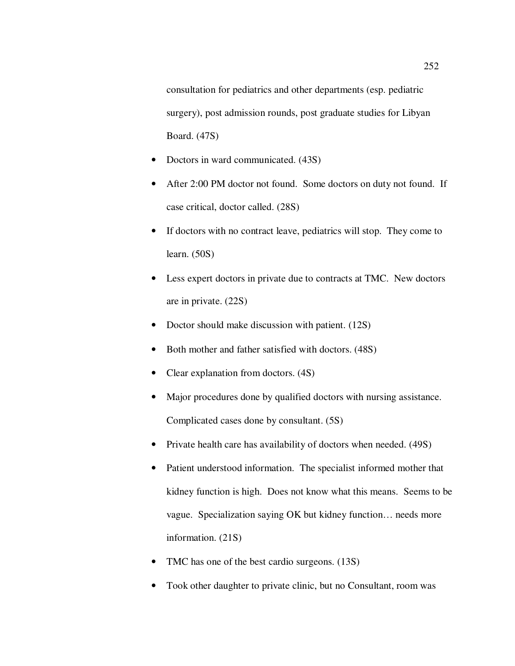consultation for pediatrics and other departments (esp. pediatric surgery), post admission rounds, post graduate studies for Libyan Board. (47S)

- Doctors in ward communicated. (43S)
- After 2:00 PM doctor not found. Some doctors on duty not found. If case critical, doctor called. (28S)
- If doctors with no contract leave, pediatrics will stop. They come to learn. (50S)
- Less expert doctors in private due to contracts at TMC. New doctors are in private. (22S)
- Doctor should make discussion with patient. (12S)
- Both mother and father satisfied with doctors. (48S)
- Clear explanation from doctors. (4S)
- Major procedures done by qualified doctors with nursing assistance. Complicated cases done by consultant. (5S)
- Private health care has availability of doctors when needed. (49S)
- Patient understood information. The specialist informed mother that kidney function is high. Does not know what this means. Seems to be vague. Specialization saying OK but kidney function… needs more information. (21S)
- TMC has one of the best cardio surgeons. (13S)
- Took other daughter to private clinic, but no Consultant, room was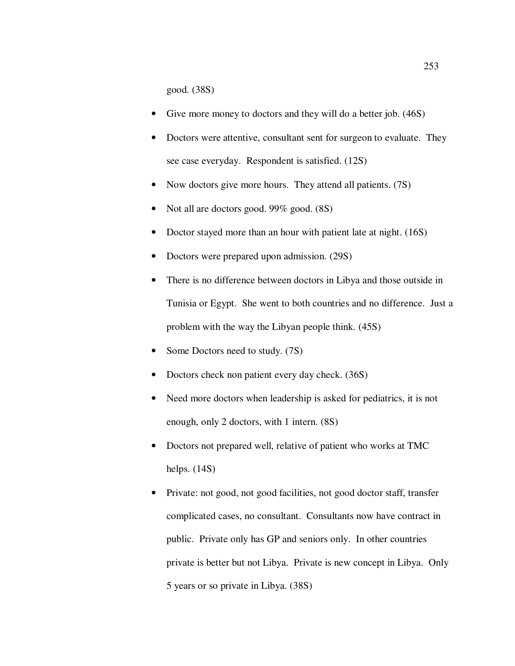good. (38S)

- Give more money to doctors and they will do a better job. (46S)
- Doctors were attentive, consultant sent for surgeon to evaluate. They see case everyday. Respondent is satisfied. (12S)
- Now doctors give more hours. They attend all patients. (7S)
- Not all are doctors good. 99% good. (8S)
- Doctor stayed more than an hour with patient late at night. (16S)
- Doctors were prepared upon admission. (29S)
- There is no difference between doctors in Libya and those outside in Tunisia or Egypt. She went to both countries and no difference. Just a problem with the way the Libyan people think. (45S)
- Some Doctors need to study. (7S)
- Doctors check non patient every day check. (36S)
- Need more doctors when leadership is asked for pediatrics, it is not enough, only 2 doctors, with 1 intern. (8S)
- Doctors not prepared well, relative of patient who works at TMC helps. (14S)
- Private: not good, not good facilities, not good doctor staff, transfer complicated cases, no consultant. Consultants now have contract in public. Private only has GP and seniors only. In other countries private is better but not Libya. Private is new concept in Libya. Only 5 years or so private in Libya. (38S)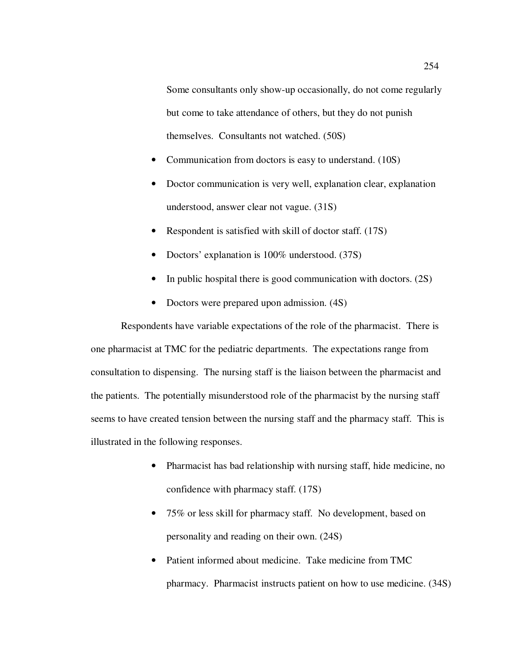Some consultants only show-up occasionally, do not come regularly but come to take attendance of others, but they do not punish themselves. Consultants not watched. (50S)

- Communication from doctors is easy to understand. (10S)
- Doctor communication is very well, explanation clear, explanation understood, answer clear not vague. (31S)
- Respondent is satisfied with skill of doctor staff. (17S)
- Doctors' explanation is 100% understood. (37S)
- In public hospital there is good communication with doctors. (2S)
- Doctors were prepared upon admission.  $(4S)$

Respondents have variable expectations of the role of the pharmacist. There is one pharmacist at TMC for the pediatric departments. The expectations range from consultation to dispensing. The nursing staff is the liaison between the pharmacist and the patients. The potentially misunderstood role of the pharmacist by the nursing staff seems to have created tension between the nursing staff and the pharmacy staff. This is illustrated in the following responses.

- Pharmacist has bad relationship with nursing staff, hide medicine, no confidence with pharmacy staff. (17S)
- 75% or less skill for pharmacy staff. No development, based on personality and reading on their own. (24S)
- Patient informed about medicine. Take medicine from TMC pharmacy. Pharmacist instructs patient on how to use medicine. (34S)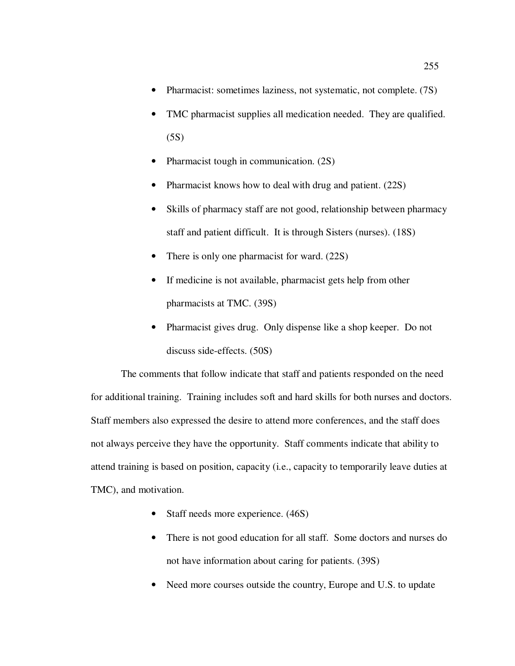- Pharmacist: sometimes laziness, not systematic, not complete. (7S)
- TMC pharmacist supplies all medication needed. They are qualified. (5S)
- Pharmacist tough in communication. (2S)
- Pharmacist knows how to deal with drug and patient. (22S)
- Skills of pharmacy staff are not good, relationship between pharmacy staff and patient difficult. It is through Sisters (nurses). (18S)
- There is only one pharmacist for ward. (22S)
- If medicine is not available, pharmacist gets help from other pharmacists at TMC. (39S)
- Pharmacist gives drug. Only dispense like a shop keeper. Do not discuss side-effects. (50S)

The comments that follow indicate that staff and patients responded on the need for additional training. Training includes soft and hard skills for both nurses and doctors. Staff members also expressed the desire to attend more conferences, and the staff does not always perceive they have the opportunity. Staff comments indicate that ability to attend training is based on position, capacity (i.e., capacity to temporarily leave duties at TMC), and motivation.

- Staff needs more experience. (46S)
- There is not good education for all staff. Some doctors and nurses do not have information about caring for patients. (39S)
- Need more courses outside the country, Europe and U.S. to update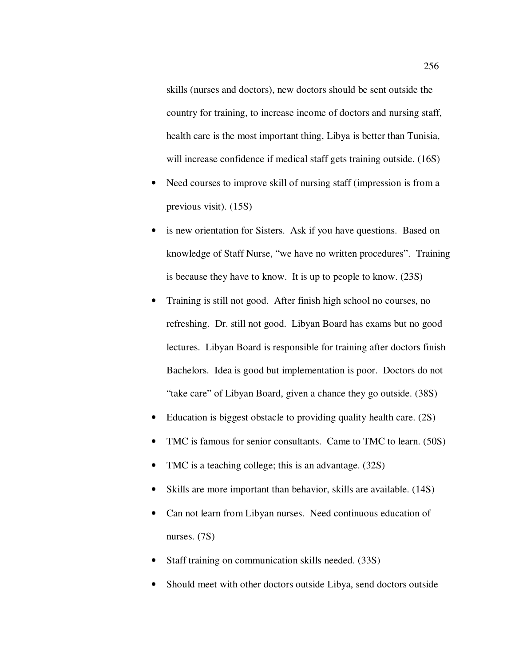skills (nurses and doctors), new doctors should be sent outside the country for training, to increase income of doctors and nursing staff, health care is the most important thing, Libya is better than Tunisia, will increase confidence if medical staff gets training outside. (16S)

- Need courses to improve skill of nursing staff (impression is from a previous visit). (15S)
- is new orientation for Sisters. Ask if you have questions. Based on knowledge of Staff Nurse, "we have no written procedures". Training is because they have to know. It is up to people to know. (23S)
- Training is still not good. After finish high school no courses, no refreshing. Dr. still not good. Libyan Board has exams but no good lectures. Libyan Board is responsible for training after doctors finish Bachelors. Idea is good but implementation is poor. Doctors do not "take care" of Libyan Board, given a chance they go outside. (38S)
- Education is biggest obstacle to providing quality health care. (2S)
- TMC is famous for senior consultants. Came to TMC to learn. (50S)
- TMC is a teaching college; this is an advantage.  $(32S)$
- Skills are more important than behavior, skills are available. (14S)
- Can not learn from Libyan nurses. Need continuous education of nurses. (7S)
- Staff training on communication skills needed. (33S)
- Should meet with other doctors outside Libya, send doctors outside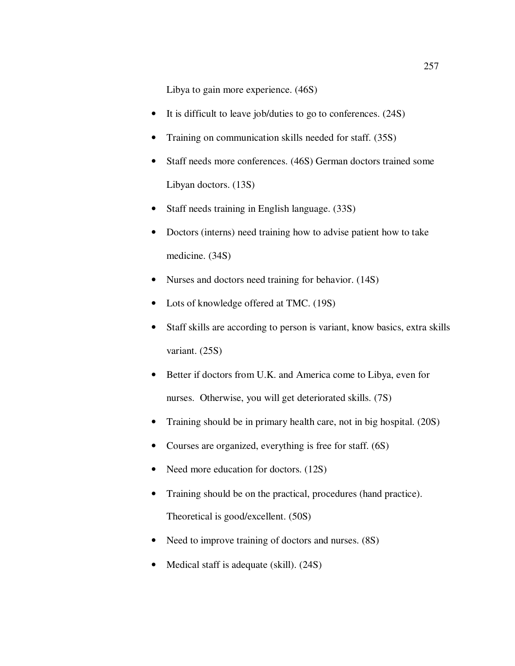Libya to gain more experience. (46S)

- It is difficult to leave job/duties to go to conferences. (24S)
- Training on communication skills needed for staff. (35S)
- Staff needs more conferences. (46S) German doctors trained some Libyan doctors. (13S)
- Staff needs training in English language. (33S)
- Doctors (interns) need training how to advise patient how to take medicine. (34S)
- Nurses and doctors need training for behavior. (14S)
- Lots of knowledge offered at TMC. (19S)
- Staff skills are according to person is variant, know basics, extra skills variant. (25S)
- Better if doctors from U.K. and America come to Libya, even for nurses. Otherwise, you will get deteriorated skills. (7S)
- Training should be in primary health care, not in big hospital. (20S)
- Courses are organized, everything is free for staff. (6S)
- Need more education for doctors. (12S)
- Training should be on the practical, procedures (hand practice). Theoretical is good/excellent. (50S)
- Need to improve training of doctors and nurses. (8S)
- Medical staff is adequate (skill). (24S)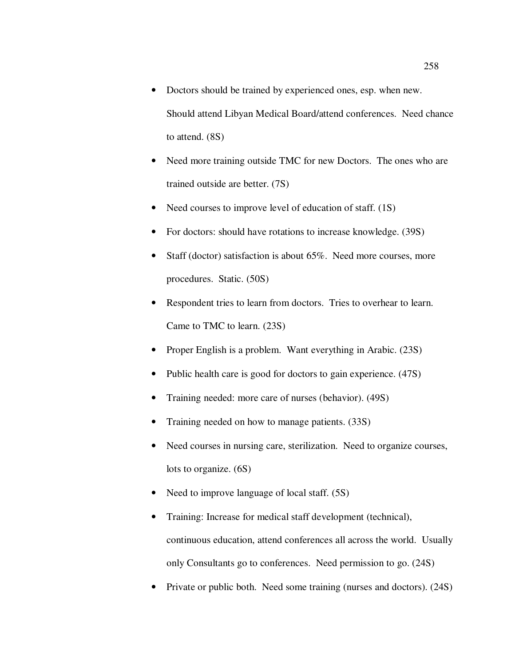- Doctors should be trained by experienced ones, esp. when new. Should attend Libyan Medical Board/attend conferences. Need chance to attend. (8S)
- Need more training outside TMC for new Doctors. The ones who are trained outside are better. (7S)
- Need courses to improve level of education of staff. (1S)
- For doctors: should have rotations to increase knowledge. (39S)
- Staff (doctor) satisfaction is about 65%. Need more courses, more procedures. Static. (50S)
- Respondent tries to learn from doctors. Tries to overhear to learn. Came to TMC to learn. (23S)
- Proper English is a problem. Want everything in Arabic. (23S)
- Public health care is good for doctors to gain experience. (47S)
- Training needed: more care of nurses (behavior). (49S)
- Training needed on how to manage patients. (33S)
- Need courses in nursing care, sterilization. Need to organize courses, lots to organize. (6S)
- Need to improve language of local staff. (5S)
- Training: Increase for medical staff development (technical), continuous education, attend conferences all across the world. Usually only Consultants go to conferences. Need permission to go. (24S)
- Private or public both. Need some training (nurses and doctors). (24S)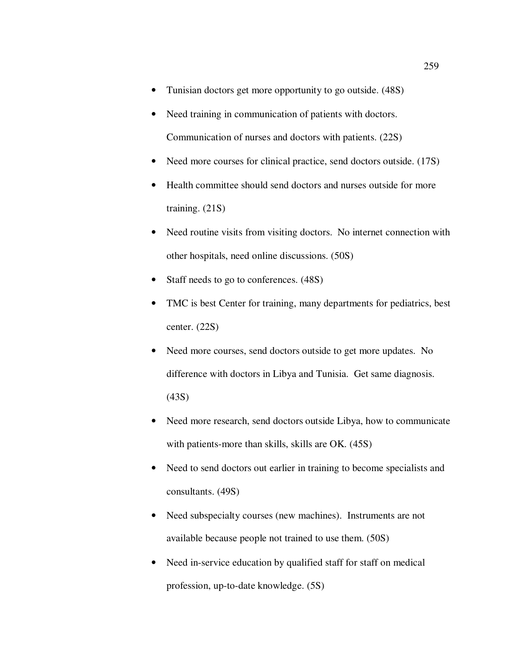- Tunisian doctors get more opportunity to go outside. (48S)
- Need training in communication of patients with doctors. Communication of nurses and doctors with patients. (22S)
- Need more courses for clinical practice, send doctors outside. (17S)
- Health committee should send doctors and nurses outside for more training. (21S)
- Need routine visits from visiting doctors. No internet connection with other hospitals, need online discussions. (50S)
- Staff needs to go to conferences.  $(48S)$
- TMC is best Center for training, many departments for pediatrics, best center. (22S)
- Need more courses, send doctors outside to get more updates. No difference with doctors in Libya and Tunisia. Get same diagnosis. (43S)
- Need more research, send doctors outside Libya, how to communicate with patients-more than skills, skills are OK. (45S)
- Need to send doctors out earlier in training to become specialists and consultants. (49S)
- Need subspecialty courses (new machines). Instruments are not available because people not trained to use them. (50S)
- Need in-service education by qualified staff for staff on medical profession, up-to-date knowledge. (5S)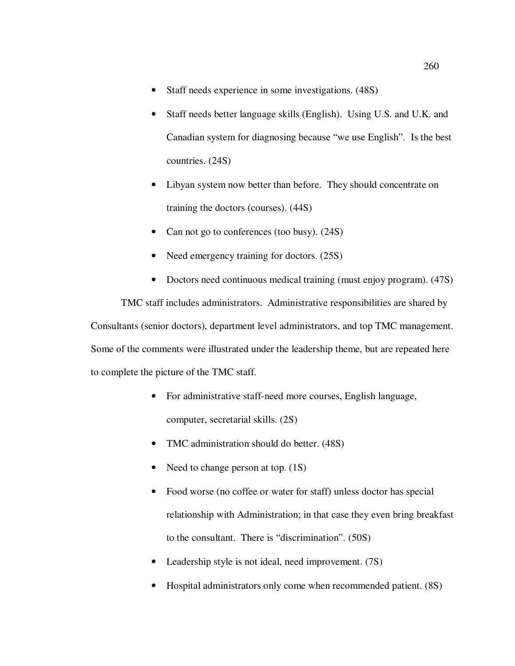- Staff needs experience in some investigations.  $(48S)$
- Staff needs better language skills (English). Using U.S. and U.K. and Canadian system for diagnosing because "we use English". Is the best countries. (24S)
- Libyan system now better than before. They should concentrate on training the doctors (courses). (44S)
- Can not go to conferences (too busy). (24S)
- Need emergency training for doctors. (25S)
- Doctors need continuous medical training (must enjoy program). (47S)

TMC staff includes administrators. Administrative responsibilities are shared by Consultants (senior doctors), department level administrators, and top TMC management. Some of the comments were illustrated under the leadership theme, but are repeated here to complete the picture of the TMC staff.

- For administrative staff-need more courses, English language, computer, secretarial skills. (2S)
- TMC administration should do better. (48S)
- Need to change person at top. (1S)
- Food worse (no coffee or water for staff) unless doctor has special relationship with Administration; in that case they even bring breakfast to the consultant. There is "discrimination". (50S)
- Leadership style is not ideal, need improvement. (7S)
- Hospital administrators only come when recommended patient. (8S)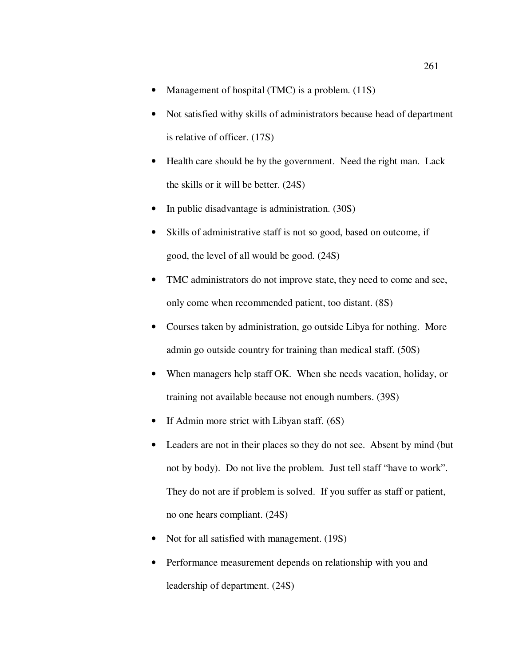- Management of hospital (TMC) is a problem. (11S)
- Not satisfied withy skills of administrators because head of department is relative of officer. (17S)
- Health care should be by the government. Need the right man. Lack the skills or it will be better. (24S)
- In public disadvantage is administration. (30S)
- Skills of administrative staff is not so good, based on outcome, if good, the level of all would be good. (24S)
- TMC administrators do not improve state, they need to come and see, only come when recommended patient, too distant. (8S)
- Courses taken by administration, go outside Libya for nothing. More admin go outside country for training than medical staff. (50S)
- When managers help staff OK. When she needs vacation, holiday, or training not available because not enough numbers. (39S)
- If Admin more strict with Libyan staff. (6S)
- Leaders are not in their places so they do not see. Absent by mind (but not by body). Do not live the problem. Just tell staff "have to work". They do not are if problem is solved. If you suffer as staff or patient, no one hears compliant. (24S)
- Not for all satisfied with management. (19S)
- Performance measurement depends on relationship with you and leadership of department. (24S)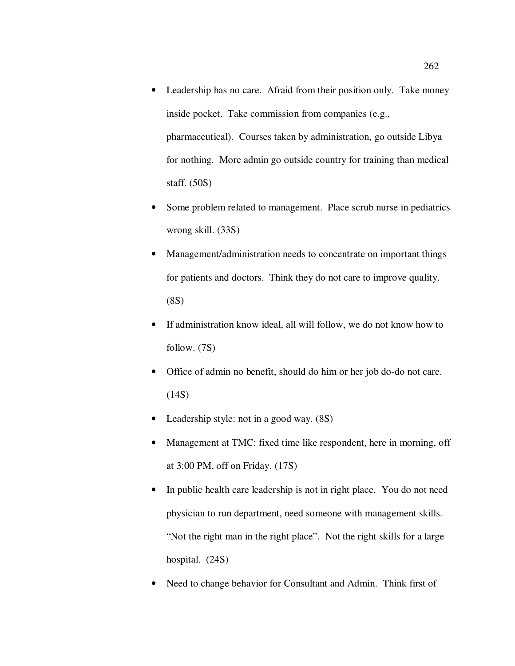- Leadership has no care. Afraid from their position only. Take money inside pocket. Take commission from companies (e.g., pharmaceutical). Courses taken by administration, go outside Libya for nothing. More admin go outside country for training than medical staff. (50S)
- Some problem related to management. Place scrub nurse in pediatrics wrong skill. (33S)
- Management/administration needs to concentrate on important things for patients and doctors. Think they do not care to improve quality. (8S)
- If administration know ideal, all will follow, we do not know how to follow. (7S)
- Office of admin no benefit, should do him or her job do-do not care.  $(14S)$
- Leadership style: not in a good way. (8S)
- Management at TMC: fixed time like respondent, here in morning, off at 3:00 PM, off on Friday. (17S)
- In public health care leadership is not in right place. You do not need physician to run department, need someone with management skills. "Not the right man in the right place". Not the right skills for a large hospital. (24S)
- Need to change behavior for Consultant and Admin. Think first of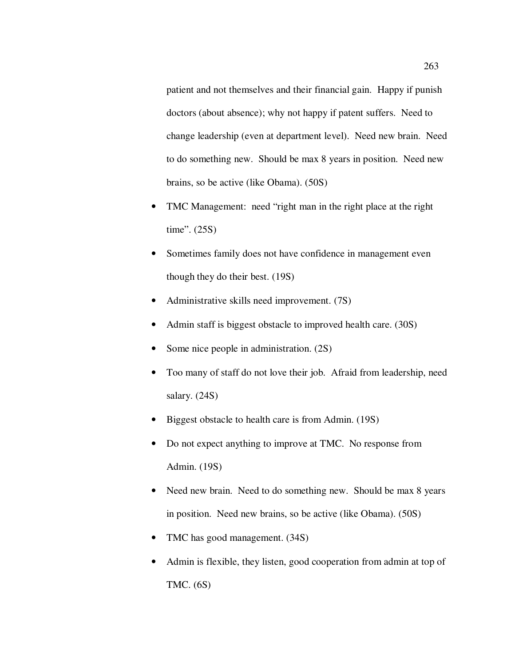patient and not themselves and their financial gain. Happy if punish doctors (about absence); why not happy if patent suffers. Need to change leadership (even at department level). Need new brain. Need to do something new. Should be max 8 years in position. Need new brains, so be active (like Obama). (50S)

- TMC Management: need "right man in the right place at the right time". (25S)
- Sometimes family does not have confidence in management even though they do their best. (19S)
- Administrative skills need improvement. (7S)
- Admin staff is biggest obstacle to improved health care. (30S)
- Some nice people in administration. (2S)
- Too many of staff do not love their job. Afraid from leadership, need salary. (24S)
- Biggest obstacle to health care is from Admin. (19S)
- Do not expect anything to improve at TMC. No response from Admin. (19S)
- Need new brain. Need to do something new. Should be max 8 years in position. Need new brains, so be active (like Obama). (50S)
- TMC has good management. (34S)
- Admin is flexible, they listen, good cooperation from admin at top of TMC. (6S)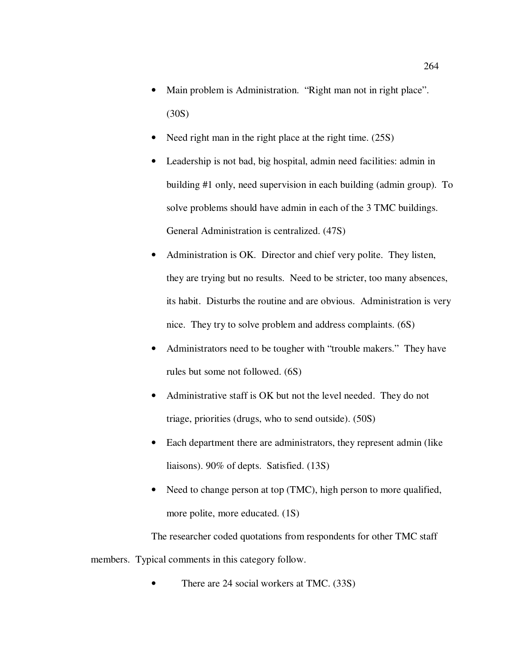- Main problem is Administration. "Right man not in right place". (30S)
- Need right man in the right place at the right time. (25S)
- Leadership is not bad, big hospital, admin need facilities: admin in building #1 only, need supervision in each building (admin group). To solve problems should have admin in each of the 3 TMC buildings. General Administration is centralized. (47S)
- Administration is OK. Director and chief very polite. They listen, they are trying but no results. Need to be stricter, too many absences, its habit. Disturbs the routine and are obvious. Administration is very nice. They try to solve problem and address complaints. (6S)
- Administrators need to be tougher with "trouble makers." They have rules but some not followed. (6S)
- Administrative staff is OK but not the level needed. They do not triage, priorities (drugs, who to send outside). (50S)
- Each department there are administrators, they represent admin (like liaisons). 90% of depts. Satisfied. (13S)
- Need to change person at top (TMC), high person to more qualified, more polite, more educated. (1S)

The researcher coded quotations from respondents for other TMC staff members. Typical comments in this category follow.

There are 24 social workers at TMC. (33S)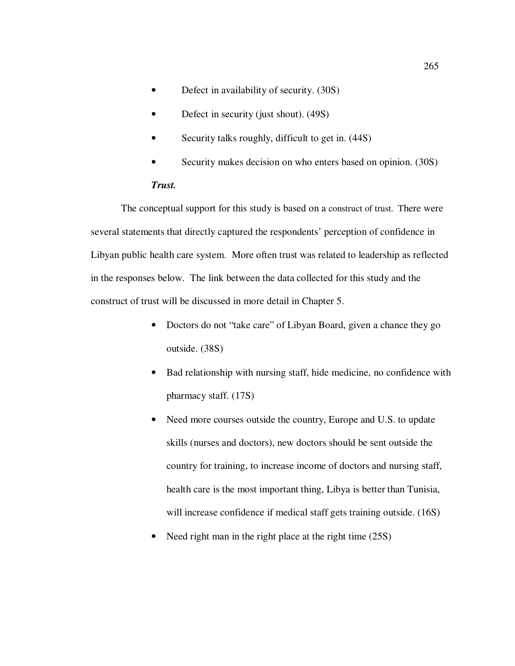- Defect in availability of security. (30S)
- Defect in security (just shout). (49S)
- Security talks roughly, difficult to get in. (44S)
- Security makes decision on who enters based on opinion. (30S)

### *Trust.*

The conceptual support for this study is based on a construct of trust. There were several statements that directly captured the respondents' perception of confidence in Libyan public health care system. More often trust was related to leadership as reflected in the responses below. The link between the data collected for this study and the construct of trust will be discussed in more detail in Chapter 5.

- Doctors do not "take care" of Libyan Board, given a chance they go outside. (38S)
- Bad relationship with nursing staff, hide medicine, no confidence with pharmacy staff. (17S)
- Need more courses outside the country, Europe and U.S. to update skills (nurses and doctors), new doctors should be sent outside the country for training, to increase income of doctors and nursing staff, health care is the most important thing, Libya is better than Tunisia, will increase confidence if medical staff gets training outside. (16S)
- Need right man in the right place at the right time (25S)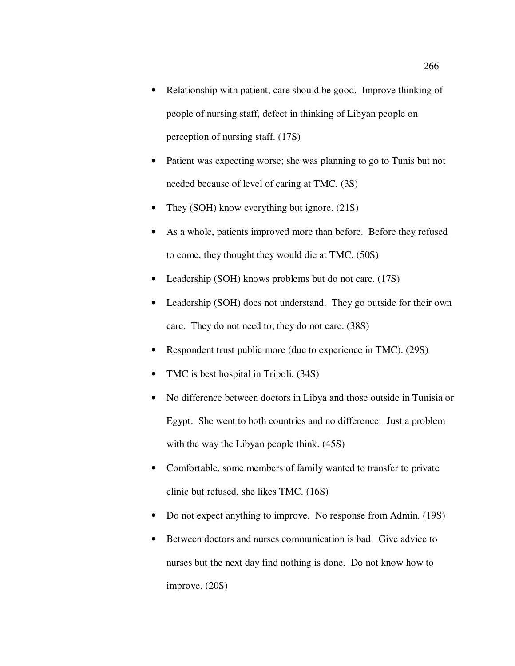- Relationship with patient, care should be good. Improve thinking of people of nursing staff, defect in thinking of Libyan people on perception of nursing staff. (17S)
- Patient was expecting worse; she was planning to go to Tunis but not needed because of level of caring at TMC. (3S)
- They (SOH) know everything but ignore.  $(21S)$
- As a whole, patients improved more than before. Before they refused to come, they thought they would die at TMC. (50S)
- Leadership (SOH) knows problems but do not care. (17S)
- Leadership (SOH) does not understand. They go outside for their own care. They do not need to; they do not care. (38S)
- Respondent trust public more (due to experience in TMC). (29S)
- TMC is best hospital in Tripoli. (34S)
- No difference between doctors in Libya and those outside in Tunisia or Egypt. She went to both countries and no difference. Just a problem with the way the Libyan people think. (45S)
- Comfortable, some members of family wanted to transfer to private clinic but refused, she likes TMC. (16S)
- Do not expect anything to improve. No response from Admin. (19S)
- Between doctors and nurses communication is bad. Give advice to nurses but the next day find nothing is done. Do not know how to improve. (20S)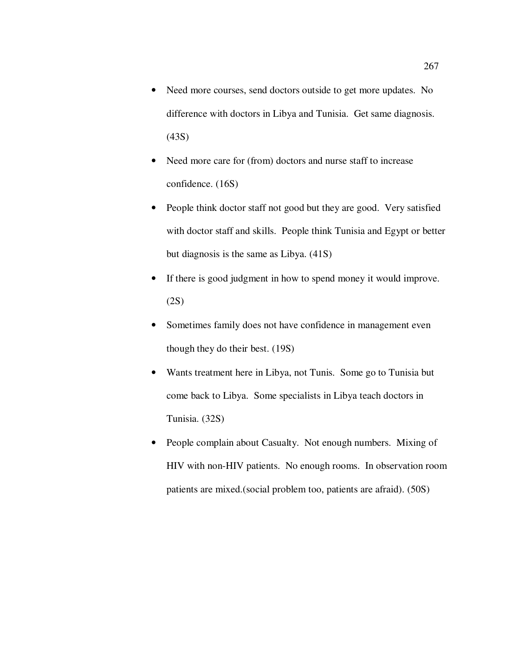- Need more courses, send doctors outside to get more updates. No difference with doctors in Libya and Tunisia. Get same diagnosis. (43S)
- Need more care for (from) doctors and nurse staff to increase confidence. (16S)
- People think doctor staff not good but they are good. Very satisfied with doctor staff and skills. People think Tunisia and Egypt or better but diagnosis is the same as Libya. (41S)
- If there is good judgment in how to spend money it would improve. (2S)
- Sometimes family does not have confidence in management even though they do their best. (19S)
- Wants treatment here in Libya, not Tunis. Some go to Tunisia but come back to Libya. Some specialists in Libya teach doctors in Tunisia. (32S)
- People complain about Casualty. Not enough numbers. Mixing of HIV with non-HIV patients. No enough rooms. In observation room patients are mixed.(social problem too, patients are afraid). (50S)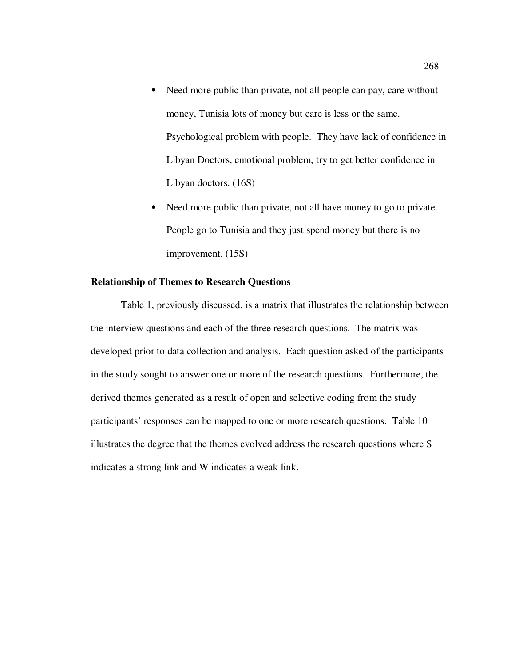- Need more public than private, not all people can pay, care without money, Tunisia lots of money but care is less or the same. Psychological problem with people. They have lack of confidence in Libyan Doctors, emotional problem, try to get better confidence in Libyan doctors. (16S)
- Need more public than private, not all have money to go to private. People go to Tunisia and they just spend money but there is no improvement. (15S)

#### **Relationship of Themes to Research Questions**

Table 1, previously discussed, is a matrix that illustrates the relationship between the interview questions and each of the three research questions. The matrix was developed prior to data collection and analysis. Each question asked of the participants in the study sought to answer one or more of the research questions. Furthermore, the derived themes generated as a result of open and selective coding from the study participants' responses can be mapped to one or more research questions. Table 10 illustrates the degree that the themes evolved address the research questions where S indicates a strong link and W indicates a weak link.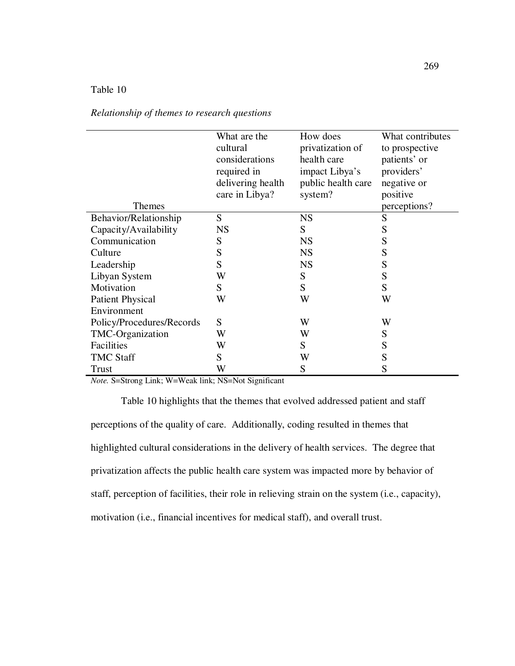# Table 10

|                           | What are the<br>cultural<br>considerations | How does<br>privatization of<br>health care | What contributes<br>to prospective<br>patients' or |
|---------------------------|--------------------------------------------|---------------------------------------------|----------------------------------------------------|
|                           | required in                                | impact Libya's                              | providers'                                         |
|                           | delivering health                          | public health care                          | negative or                                        |
|                           |                                            |                                             |                                                    |
|                           | care in Libya?                             | system?                                     | positive                                           |
| Themes                    |                                            |                                             | perceptions?                                       |
| Behavior/Relationship     | S                                          | <b>NS</b>                                   | S                                                  |
| Capacity/Availability     | <b>NS</b>                                  | S                                           | S                                                  |
| Communication             | S                                          | <b>NS</b>                                   | S                                                  |
| Culture                   | S                                          | <b>NS</b>                                   | S                                                  |
| Leadership                | S                                          | <b>NS</b>                                   | S                                                  |
| Libyan System             | W                                          | S                                           | S                                                  |
| Motivation                | S                                          | S                                           | S                                                  |
| <b>Patient Physical</b>   | W                                          | W                                           | W                                                  |
| Environment               |                                            |                                             |                                                    |
| Policy/Procedures/Records | S                                          | W                                           | W                                                  |
| TMC-Organization          | W                                          | W                                           | S                                                  |
| Facilities                | W                                          | S                                           | S                                                  |
| <b>TMC Staff</b>          | S                                          | W                                           | S                                                  |
| <b>Trust</b>              | W                                          | S                                           | S                                                  |

*Relationship of themes to research questions* 

*Note.* S=Strong Link; W=Weak link; NS=Not Significant

Table 10 highlights that the themes that evolved addressed patient and staff perceptions of the quality of care. Additionally, coding resulted in themes that highlighted cultural considerations in the delivery of health services. The degree that privatization affects the public health care system was impacted more by behavior of staff, perception of facilities, their role in relieving strain on the system (i.e., capacity), motivation (i.e., financial incentives for medical staff), and overall trust.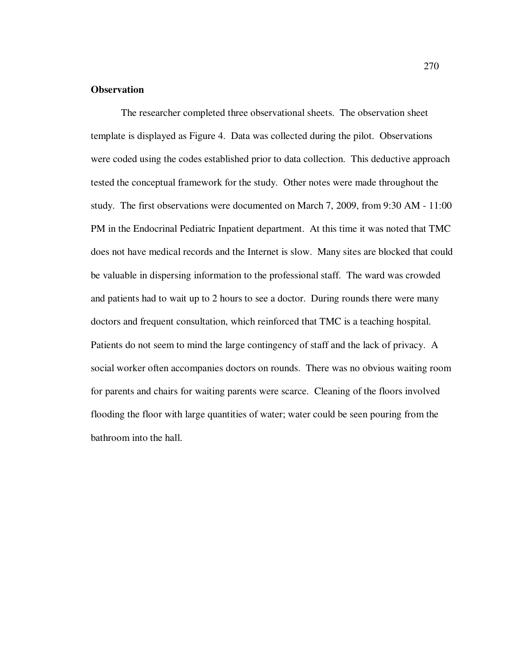#### **Observation**

The researcher completed three observational sheets. The observation sheet template is displayed as Figure 4. Data was collected during the pilot. Observations were coded using the codes established prior to data collection. This deductive approach tested the conceptual framework for the study. Other notes were made throughout the study. The first observations were documented on March 7, 2009, from 9:30 AM - 11:00 PM in the Endocrinal Pediatric Inpatient department. At this time it was noted that TMC does not have medical records and the Internet is slow. Many sites are blocked that could be valuable in dispersing information to the professional staff. The ward was crowded and patients had to wait up to 2 hours to see a doctor. During rounds there were many doctors and frequent consultation, which reinforced that TMC is a teaching hospital. Patients do not seem to mind the large contingency of staff and the lack of privacy. A social worker often accompanies doctors on rounds. There was no obvious waiting room for parents and chairs for waiting parents were scarce. Cleaning of the floors involved flooding the floor with large quantities of water; water could be seen pouring from the bathroom into the hall.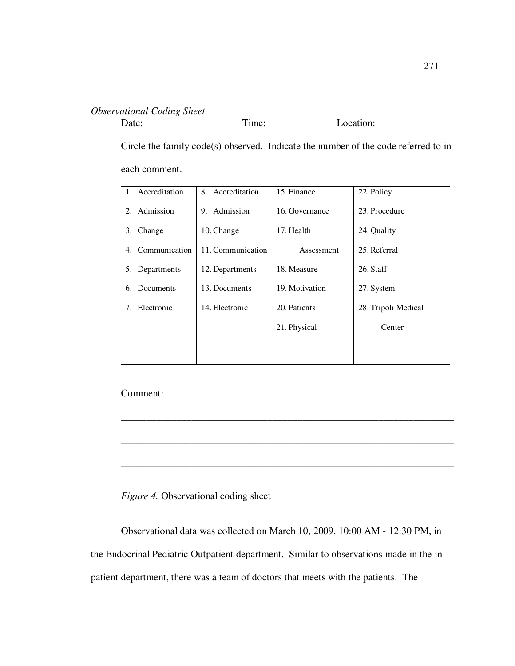# *Observational Coding Sheet*

Date: \_\_\_\_\_\_\_\_\_\_\_\_\_\_\_\_\_\_ Time: \_\_\_\_\_\_\_\_\_\_\_\_\_ Location: \_\_\_\_\_\_\_\_\_\_\_\_\_\_\_

Circle the family code(s) observed. Indicate the number of the code referred to in each comment.

| 1. Accreditation    | 8. Accreditation  | 15. Finance    | 22. Policy          |
|---------------------|-------------------|----------------|---------------------|
| 2. Admission        | Admission<br>9.   | 16. Governance | 23. Procedure       |
| Change<br>3.        | 10. Change        | 17. Health     | 24. Quality         |
| Communication<br>4. | 11. Communication | Assessment     | 25. Referral        |
| 5. Departments      | 12. Departments   | 18. Measure    | 26. Staff           |
| Documents<br>6.     | 13. Documents     | 19. Motivation | 27. System          |
| Electronic<br>7.    | 14. Electronic    | 20. Patients   | 28. Tripoli Medical |
|                     |                   | 21. Physical   | Center              |
|                     |                   |                |                     |
|                     |                   |                |                     |

\_\_\_\_\_\_\_\_\_\_\_\_\_\_\_\_\_\_\_\_\_\_\_\_\_\_\_\_\_\_\_\_\_\_\_\_\_\_\_\_\_\_\_\_\_\_\_\_\_\_\_\_\_\_\_\_\_\_\_\_\_\_\_\_\_\_

\_\_\_\_\_\_\_\_\_\_\_\_\_\_\_\_\_\_\_\_\_\_\_\_\_\_\_\_\_\_\_\_\_\_\_\_\_\_\_\_\_\_\_\_\_\_\_\_\_\_\_\_\_\_\_\_\_\_\_\_\_\_\_\_\_\_

\_\_\_\_\_\_\_\_\_\_\_\_\_\_\_\_\_\_\_\_\_\_\_\_\_\_\_\_\_\_\_\_\_\_\_\_\_\_\_\_\_\_\_\_\_\_\_\_\_\_\_\_\_\_\_\_\_\_\_\_\_\_\_\_\_\_

Comment:

*Figure 4.* Observational coding sheet

Observational data was collected on March 10, 2009, 10:00 AM - 12:30 PM, in the Endocrinal Pediatric Outpatient department. Similar to observations made in the inpatient department, there was a team of doctors that meets with the patients. The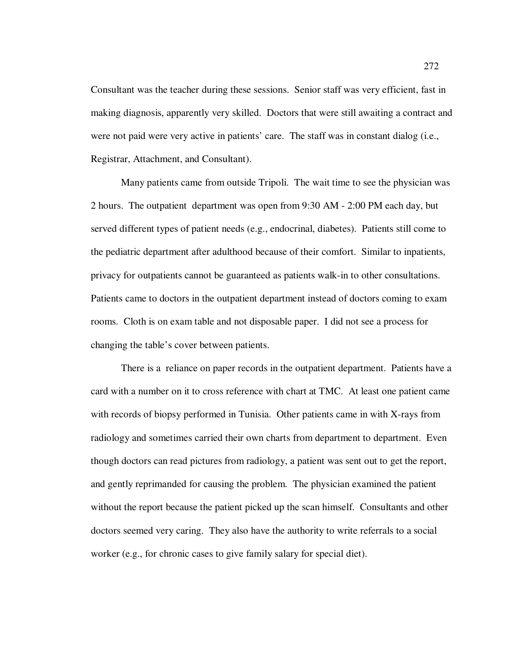Consultant was the teacher during these sessions. Senior staff was very efficient, fast in making diagnosis, apparently very skilled. Doctors that were still awaiting a contract and were not paid were very active in patients' care. The staff was in constant dialog (i.e., Registrar, Attachment, and Consultant).

Many patients came from outside Tripoli. The wait time to see the physician was 2 hours. The outpatient department was open from 9:30 AM - 2:00 PM each day, but served different types of patient needs (e.g., endocrinal, diabetes). Patients still come to the pediatric department after adulthood because of their comfort. Similar to inpatients, privacy for outpatients cannot be guaranteed as patients walk-in to other consultations. Patients came to doctors in the outpatient department instead of doctors coming to exam rooms. Cloth is on exam table and not disposable paper. I did not see a process for changing the table's cover between patients.

There is a reliance on paper records in the outpatient department. Patients have a card with a number on it to cross reference with chart at TMC. At least one patient came with records of biopsy performed in Tunisia. Other patients came in with X-rays from radiology and sometimes carried their own charts from department to department. Even though doctors can read pictures from radiology, a patient was sent out to get the report, and gently reprimanded for causing the problem. The physician examined the patient without the report because the patient picked up the scan himself. Consultants and other doctors seemed very caring. They also have the authority to write referrals to a social worker (e.g., for chronic cases to give family salary for special diet).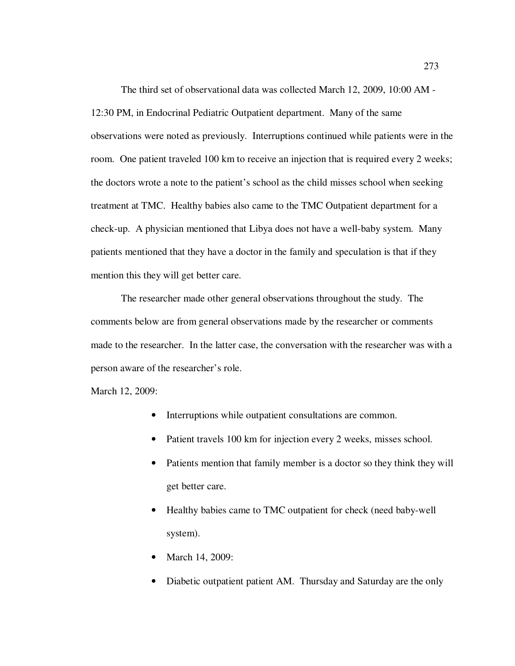The third set of observational data was collected March 12, 2009, 10:00 AM - 12:30 PM, in Endocrinal Pediatric Outpatient department. Many of the same observations were noted as previously. Interruptions continued while patients were in the room. One patient traveled 100 km to receive an injection that is required every 2 weeks; the doctors wrote a note to the patient's school as the child misses school when seeking treatment at TMC. Healthy babies also came to the TMC Outpatient department for a check-up. A physician mentioned that Libya does not have a well-baby system. Many patients mentioned that they have a doctor in the family and speculation is that if they mention this they will get better care.

The researcher made other general observations throughout the study. The comments below are from general observations made by the researcher or comments made to the researcher. In the latter case, the conversation with the researcher was with a person aware of the researcher's role.

March 12, 2009:

- Interruptions while outpatient consultations are common.
- Patient travels 100 km for injection every 2 weeks, misses school.
- Patients mention that family member is a doctor so they think they will get better care.
- Healthy babies came to TMC outpatient for check (need baby-well system).
- March 14, 2009:
- Diabetic outpatient patient AM. Thursday and Saturday are the only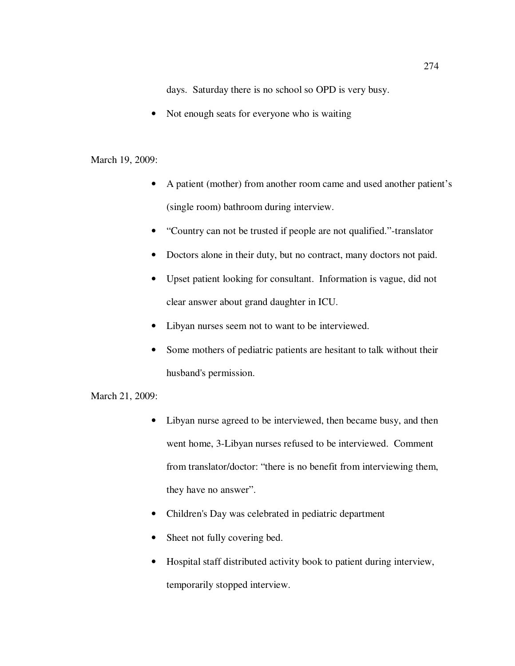days. Saturday there is no school so OPD is very busy.

• Not enough seats for everyone who is waiting

# March 19, 2009:

- A patient (mother) from another room came and used another patient's (single room) bathroom during interview.
- "Country can not be trusted if people are not qualified."-translator
- Doctors alone in their duty, but no contract, many doctors not paid.
- Upset patient looking for consultant. Information is vague, did not clear answer about grand daughter in ICU.
- Libyan nurses seem not to want to be interviewed.
- Some mothers of pediatric patients are hesitant to talk without their husband's permission.

March 21, 2009:

- Libyan nurse agreed to be interviewed, then became busy, and then went home, 3-Libyan nurses refused to be interviewed. Comment from translator/doctor: "there is no benefit from interviewing them, they have no answer".
- Children's Day was celebrated in pediatric department
- Sheet not fully covering bed.
- Hospital staff distributed activity book to patient during interview, temporarily stopped interview.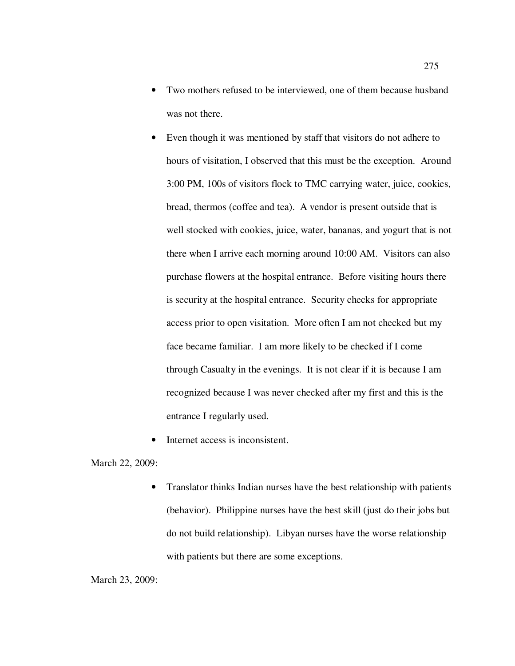- Two mothers refused to be interviewed, one of them because husband was not there.
- Even though it was mentioned by staff that visitors do not adhere to hours of visitation, I observed that this must be the exception. Around 3:00 PM, 100s of visitors flock to TMC carrying water, juice, cookies, bread, thermos (coffee and tea). A vendor is present outside that is well stocked with cookies, juice, water, bananas, and yogurt that is not there when I arrive each morning around 10:00 AM. Visitors can also purchase flowers at the hospital entrance. Before visiting hours there is security at the hospital entrance. Security checks for appropriate access prior to open visitation. More often I am not checked but my face became familiar. I am more likely to be checked if I come through Casualty in the evenings. It is not clear if it is because I am recognized because I was never checked after my first and this is the entrance I regularly used.
- Internet access is inconsistent.

March 22, 2009:

• Translator thinks Indian nurses have the best relationship with patients (behavior). Philippine nurses have the best skill (just do their jobs but do not build relationship). Libyan nurses have the worse relationship with patients but there are some exceptions.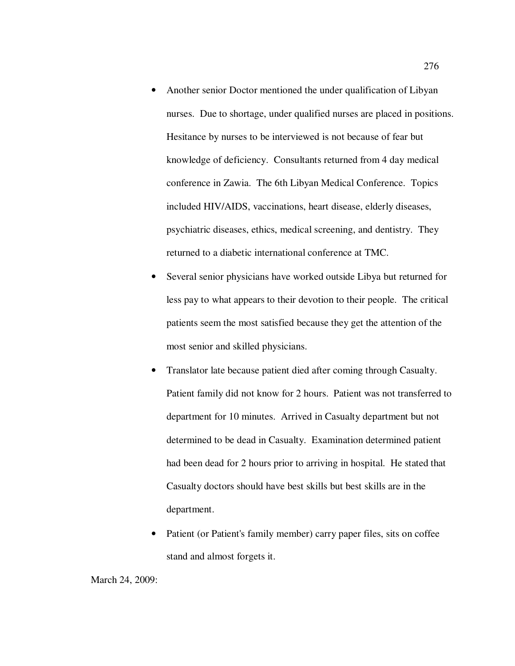- Another senior Doctor mentioned the under qualification of Libyan nurses. Due to shortage, under qualified nurses are placed in positions. Hesitance by nurses to be interviewed is not because of fear but knowledge of deficiency. Consultants returned from 4 day medical conference in Zawia. The 6th Libyan Medical Conference. Topics included HIV/AIDS, vaccinations, heart disease, elderly diseases, psychiatric diseases, ethics, medical screening, and dentistry. They returned to a diabetic international conference at TMC.
- Several senior physicians have worked outside Libya but returned for less pay to what appears to their devotion to their people. The critical patients seem the most satisfied because they get the attention of the most senior and skilled physicians.
- Translator late because patient died after coming through Casualty. Patient family did not know for 2 hours. Patient was not transferred to department for 10 minutes. Arrived in Casualty department but not determined to be dead in Casualty. Examination determined patient had been dead for 2 hours prior to arriving in hospital. He stated that Casualty doctors should have best skills but best skills are in the department.
- Patient (or Patient's family member) carry paper files, sits on coffee stand and almost forgets it.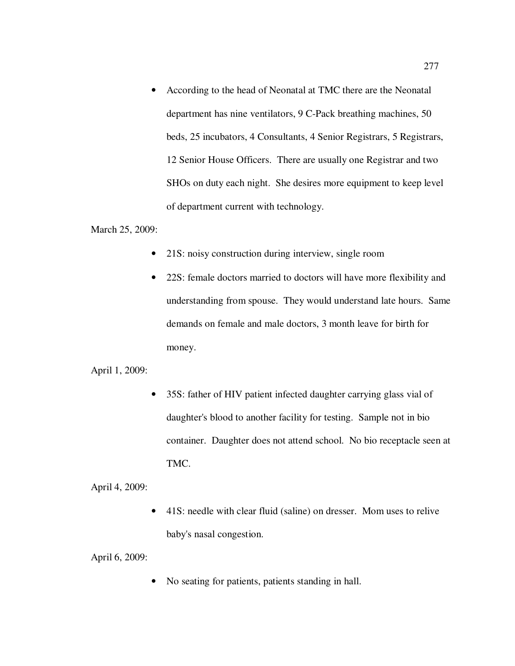• According to the head of Neonatal at TMC there are the Neonatal department has nine ventilators, 9 C-Pack breathing machines, 50 beds, 25 incubators, 4 Consultants, 4 Senior Registrars, 5 Registrars, 12 Senior House Officers. There are usually one Registrar and two SHOs on duty each night. She desires more equipment to keep level of department current with technology.

March 25, 2009:

- 21S: noisy construction during interview, single room
- 22S: female doctors married to doctors will have more flexibility and understanding from spouse. They would understand late hours. Same demands on female and male doctors, 3 month leave for birth for money.

April 1, 2009:

• 35S: father of HIV patient infected daughter carrying glass vial of daughter's blood to another facility for testing. Sample not in bio container. Daughter does not attend school. No bio receptacle seen at TMC.

April 4, 2009:

• 41S: needle with clear fluid (saline) on dresser. Mom uses to relive baby's nasal congestion.

April 6, 2009:

• No seating for patients, patients standing in hall.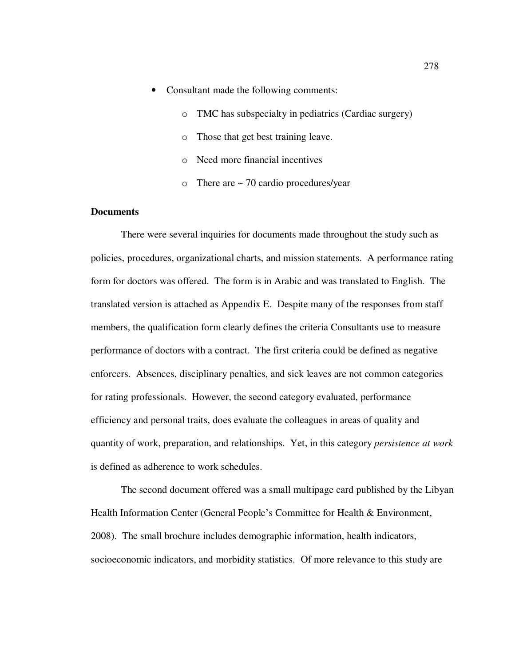- Consultant made the following comments:
	- o TMC has subspecialty in pediatrics (Cardiac surgery)
	- o Those that get best training leave.
	- o Need more financial incentives
	- o There are ~ 70 cardio procedures/year

## **Documents**

There were several inquiries for documents made throughout the study such as policies, procedures, organizational charts, and mission statements. A performance rating form for doctors was offered. The form is in Arabic and was translated to English. The translated version is attached as Appendix E. Despite many of the responses from staff members, the qualification form clearly defines the criteria Consultants use to measure performance of doctors with a contract. The first criteria could be defined as negative enforcers. Absences, disciplinary penalties, and sick leaves are not common categories for rating professionals. However, the second category evaluated, performance efficiency and personal traits, does evaluate the colleagues in areas of quality and quantity of work, preparation, and relationships. Yet, in this category *persistence at work* is defined as adherence to work schedules.

The second document offered was a small multipage card published by the Libyan Health Information Center (General People's Committee for Health & Environment, 2008). The small brochure includes demographic information, health indicators, socioeconomic indicators, and morbidity statistics. Of more relevance to this study are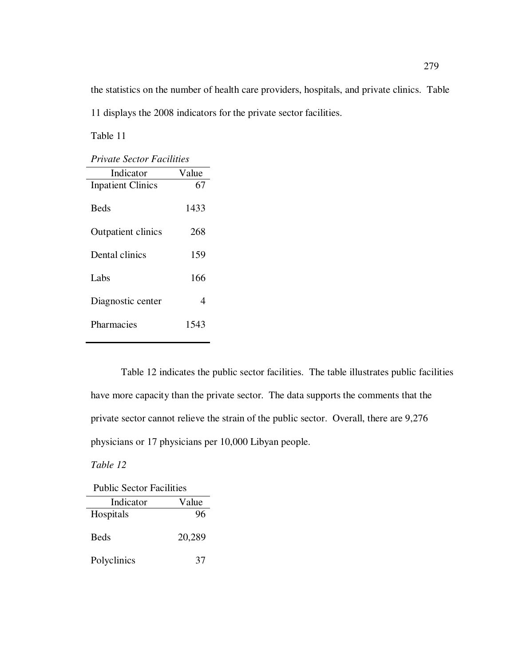the statistics on the number of health care providers, hospitals, and private clinics. Table 11 displays the 2008 indicators for the private sector facilities.

Table 11

*Private Sector Facilities* 

| Indicator                 | Value |
|---------------------------|-------|
| <b>Inpatient Clinics</b>  | 67    |
| <b>Beds</b>               | 1433  |
| <b>Outpatient clinics</b> | 268   |
| Dental clinics            | 159   |
| Labs                      | 166   |
| Diagnostic center         | 4     |
| Pharmacies                | 1543  |

Table 12 indicates the public sector facilities. The table illustrates public facilities have more capacity than the private sector. The data supports the comments that the private sector cannot relieve the strain of the public sector. Overall, there are 9,276 physicians or 17 physicians per 10,000 Libyan people.

*Table 12* 

| <b>Public Sector Facilities</b> |        |
|---------------------------------|--------|
| Indicator                       | Value  |
| Hospitals                       | 96     |
| <b>Beds</b>                     | 20,289 |
| Polyclinics                     | 37     |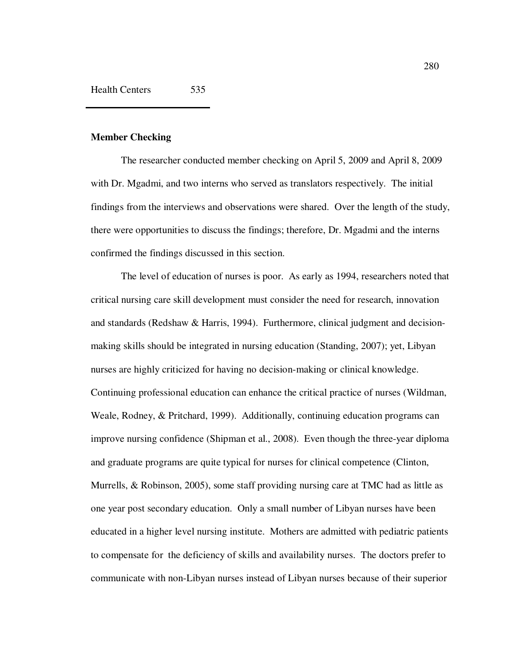## **Member Checking**

The researcher conducted member checking on April 5, 2009 and April 8, 2009 with Dr. Mgadmi, and two interns who served as translators respectively. The initial findings from the interviews and observations were shared. Over the length of the study, there were opportunities to discuss the findings; therefore, Dr. Mgadmi and the interns confirmed the findings discussed in this section.

The level of education of nurses is poor. As early as 1994, researchers noted that critical nursing care skill development must consider the need for research, innovation and standards (Redshaw & Harris, 1994). Furthermore, clinical judgment and decisionmaking skills should be integrated in nursing education (Standing, 2007); yet, Libyan nurses are highly criticized for having no decision-making or clinical knowledge. Continuing professional education can enhance the critical practice of nurses (Wildman, Weale, Rodney, & Pritchard, 1999). Additionally, continuing education programs can improve nursing confidence (Shipman et al., 2008). Even though the three-year diploma and graduate programs are quite typical for nurses for clinical competence (Clinton, Murrells, & Robinson, 2005), some staff providing nursing care at TMC had as little as one year post secondary education. Only a small number of Libyan nurses have been educated in a higher level nursing institute. Mothers are admitted with pediatric patients to compensate for the deficiency of skills and availability nurses. The doctors prefer to communicate with non-Libyan nurses instead of Libyan nurses because of their superior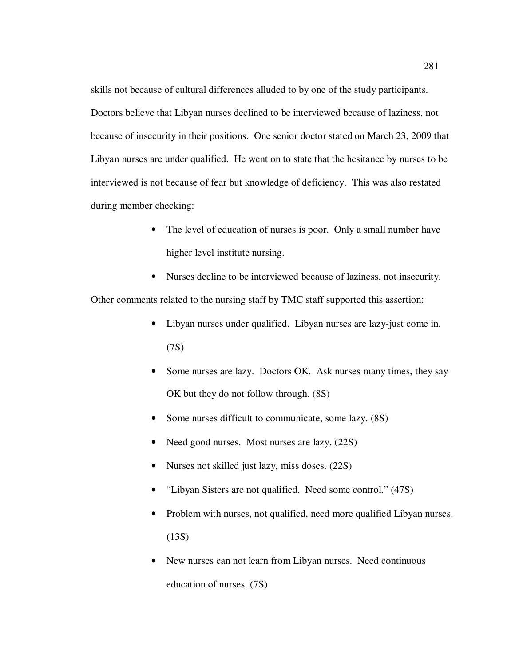skills not because of cultural differences alluded to by one of the study participants. Doctors believe that Libyan nurses declined to be interviewed because of laziness, not because of insecurity in their positions. One senior doctor stated on March 23, 2009 that Libyan nurses are under qualified. He went on to state that the hesitance by nurses to be interviewed is not because of fear but knowledge of deficiency. This was also restated during member checking:

- The level of education of nurses is poor. Only a small number have higher level institute nursing.
- Nurses decline to be interviewed because of laziness, not insecurity.

Other comments related to the nursing staff by TMC staff supported this assertion:

- Libyan nurses under qualified. Libyan nurses are lazy-just come in. (7S)
- Some nurses are lazy. Doctors OK. Ask nurses many times, they say OK but they do not follow through. (8S)
- Some nurses difficult to communicate, some lazy. (8S)
- Need good nurses. Most nurses are lazy.  $(22S)$
- Nurses not skilled just lazy, miss doses. (22S)
- "Libyan Sisters are not qualified. Need some control." (47S)
- Problem with nurses, not qualified, need more qualified Libyan nurses. (13S)
- New nurses can not learn from Libyan nurses. Need continuous education of nurses. (7S)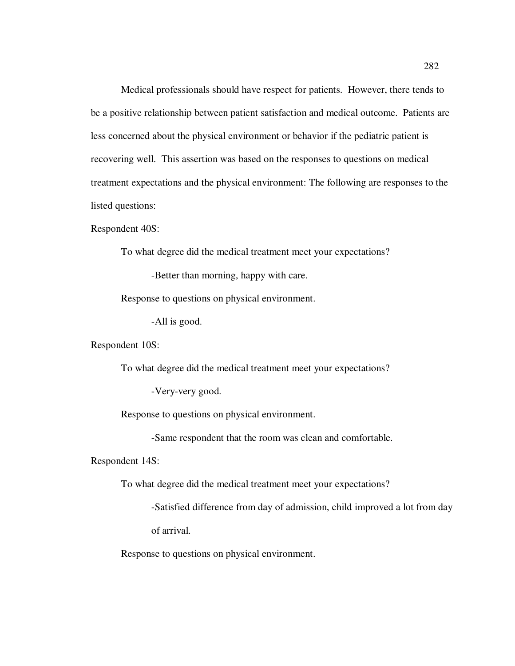Medical professionals should have respect for patients. However, there tends to be a positive relationship between patient satisfaction and medical outcome. Patients are less concerned about the physical environment or behavior if the pediatric patient is recovering well. This assertion was based on the responses to questions on medical treatment expectations and the physical environment: The following are responses to the listed questions:

Respondent 40S:

To what degree did the medical treatment meet your expectations?

-Better than morning, happy with care.

Response to questions on physical environment.

-All is good.

Respondent 10S:

To what degree did the medical treatment meet your expectations?

-Very-very good.

Response to questions on physical environment.

-Same respondent that the room was clean and comfortable.

Respondent 14S:

To what degree did the medical treatment meet your expectations?

-Satisfied difference from day of admission, child improved a lot from day of arrival.

Response to questions on physical environment.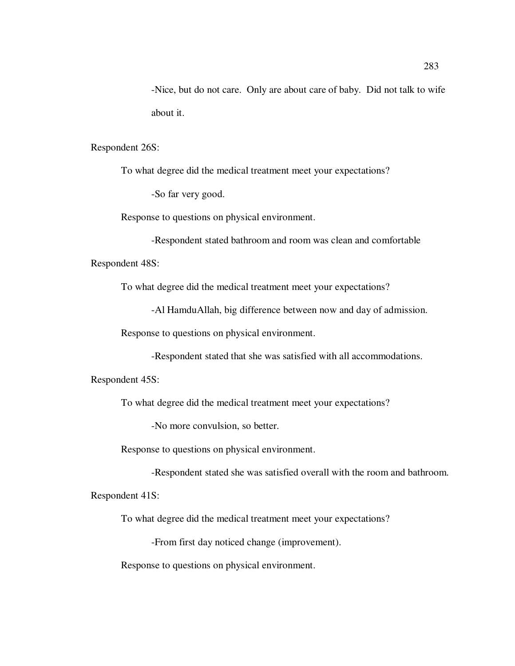-Nice, but do not care. Only are about care of baby. Did not talk to wife about it.

Respondent 26S:

To what degree did the medical treatment meet your expectations?

-So far very good.

Response to questions on physical environment.

-Respondent stated bathroom and room was clean and comfortable Respondent 48S:

To what degree did the medical treatment meet your expectations?

-Al HamduAllah, big difference between now and day of admission.

Response to questions on physical environment.

-Respondent stated that she was satisfied with all accommodations.

Respondent 45S:

To what degree did the medical treatment meet your expectations?

-No more convulsion, so better.

Response to questions on physical environment.

-Respondent stated she was satisfied overall with the room and bathroom.

Respondent 41S:

To what degree did the medical treatment meet your expectations?

-From first day noticed change (improvement).

Response to questions on physical environment.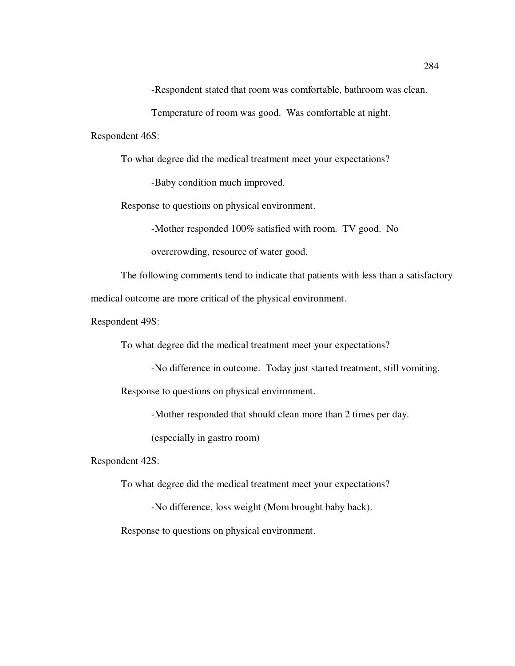-Respondent stated that room was comfortable, bathroom was clean.

Temperature of room was good. Was comfortable at night.

Respondent 46S:

To what degree did the medical treatment meet your expectations?

-Baby condition much improved.

Response to questions on physical environment.

-Mother responded 100% satisfied with room. TV good. No

overcrowding, resource of water good.

The following comments tend to indicate that patients with less than a satisfactory medical outcome are more critical of the physical environment.

Respondent 49S:

To what degree did the medical treatment meet your expectations?

-No difference in outcome. Today just started treatment, still vomiting. Response to questions on physical environment.

-Mother responded that should clean more than 2 times per day.

(especially in gastro room)

Respondent 42S:

To what degree did the medical treatment meet your expectations?

-No difference, loss weight (Mom brought baby back).

Response to questions on physical environment.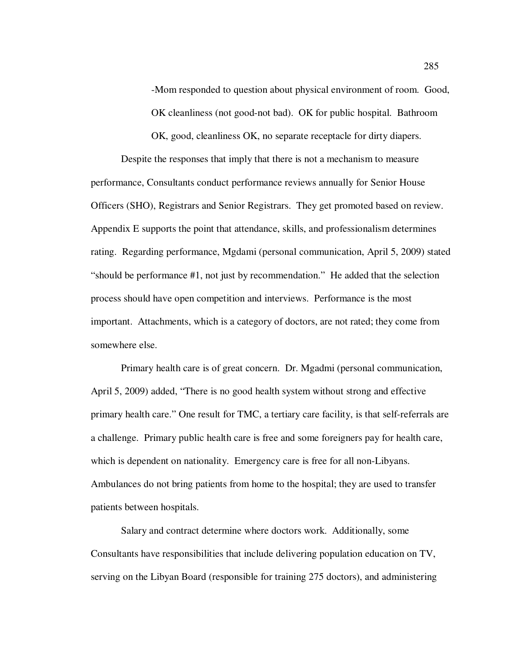-Mom responded to question about physical environment of room. Good, OK cleanliness (not good-not bad). OK for public hospital. Bathroom

OK, good, cleanliness OK, no separate receptacle for dirty diapers.

Despite the responses that imply that there is not a mechanism to measure performance, Consultants conduct performance reviews annually for Senior House Officers (SHO), Registrars and Senior Registrars. They get promoted based on review. Appendix E supports the point that attendance, skills, and professionalism determines rating. Regarding performance, Mgdami (personal communication, April 5, 2009) stated "should be performance #1, not just by recommendation." He added that the selection process should have open competition and interviews. Performance is the most important. Attachments, which is a category of doctors, are not rated; they come from somewhere else.

Primary health care is of great concern. Dr. Mgadmi (personal communication, April 5, 2009) added, "There is no good health system without strong and effective primary health care." One result for TMC, a tertiary care facility, is that self-referrals are a challenge. Primary public health care is free and some foreigners pay for health care, which is dependent on nationality. Emergency care is free for all non-Libyans. Ambulances do not bring patients from home to the hospital; they are used to transfer patients between hospitals.

Salary and contract determine where doctors work. Additionally, some Consultants have responsibilities that include delivering population education on TV, serving on the Libyan Board (responsible for training 275 doctors), and administering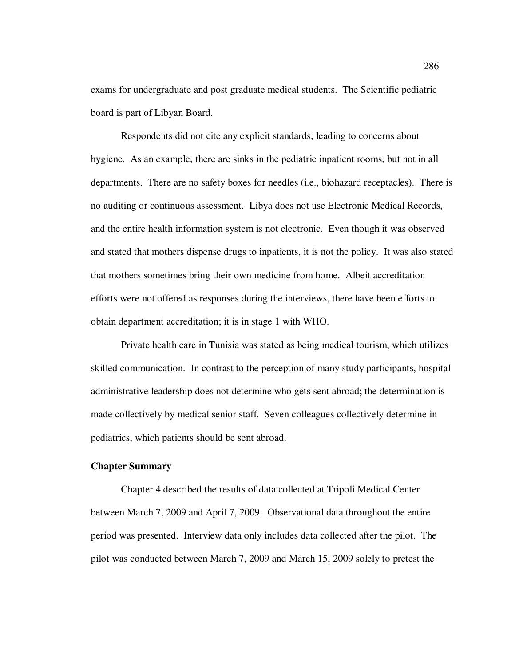exams for undergraduate and post graduate medical students. The Scientific pediatric board is part of Libyan Board.

Respondents did not cite any explicit standards, leading to concerns about hygiene. As an example, there are sinks in the pediatric inpatient rooms, but not in all departments. There are no safety boxes for needles (i.e., biohazard receptacles). There is no auditing or continuous assessment. Libya does not use Electronic Medical Records, and the entire health information system is not electronic. Even though it was observed and stated that mothers dispense drugs to inpatients, it is not the policy. It was also stated that mothers sometimes bring their own medicine from home. Albeit accreditation efforts were not offered as responses during the interviews, there have been efforts to obtain department accreditation; it is in stage 1 with WHO.

Private health care in Tunisia was stated as being medical tourism, which utilizes skilled communication. In contrast to the perception of many study participants, hospital administrative leadership does not determine who gets sent abroad; the determination is made collectively by medical senior staff. Seven colleagues collectively determine in pediatrics, which patients should be sent abroad.

#### **Chapter Summary**

Chapter 4 described the results of data collected at Tripoli Medical Center between March 7, 2009 and April 7, 2009. Observational data throughout the entire period was presented. Interview data only includes data collected after the pilot. The pilot was conducted between March 7, 2009 and March 15, 2009 solely to pretest the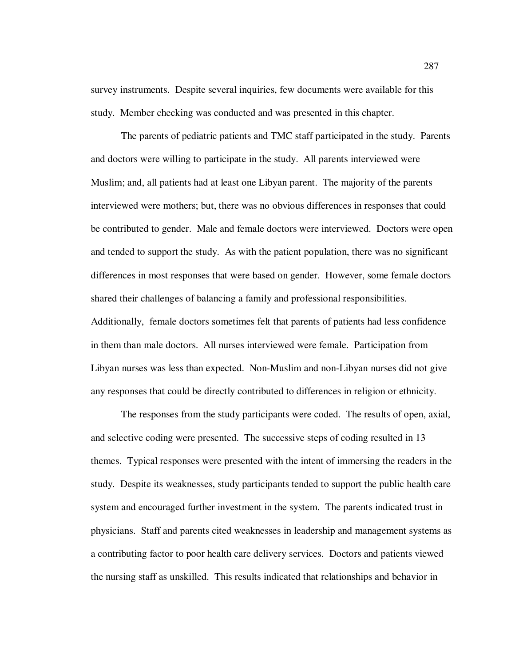survey instruments. Despite several inquiries, few documents were available for this study. Member checking was conducted and was presented in this chapter.

The parents of pediatric patients and TMC staff participated in the study. Parents and doctors were willing to participate in the study. All parents interviewed were Muslim; and, all patients had at least one Libyan parent. The majority of the parents interviewed were mothers; but, there was no obvious differences in responses that could be contributed to gender. Male and female doctors were interviewed. Doctors were open and tended to support the study. As with the patient population, there was no significant differences in most responses that were based on gender. However, some female doctors shared their challenges of balancing a family and professional responsibilities. Additionally, female doctors sometimes felt that parents of patients had less confidence in them than male doctors. All nurses interviewed were female. Participation from Libyan nurses was less than expected. Non-Muslim and non-Libyan nurses did not give any responses that could be directly contributed to differences in religion or ethnicity.

The responses from the study participants were coded. The results of open, axial, and selective coding were presented. The successive steps of coding resulted in 13 themes. Typical responses were presented with the intent of immersing the readers in the study. Despite its weaknesses, study participants tended to support the public health care system and encouraged further investment in the system. The parents indicated trust in physicians. Staff and parents cited weaknesses in leadership and management systems as a contributing factor to poor health care delivery services. Doctors and patients viewed the nursing staff as unskilled. This results indicated that relationships and behavior in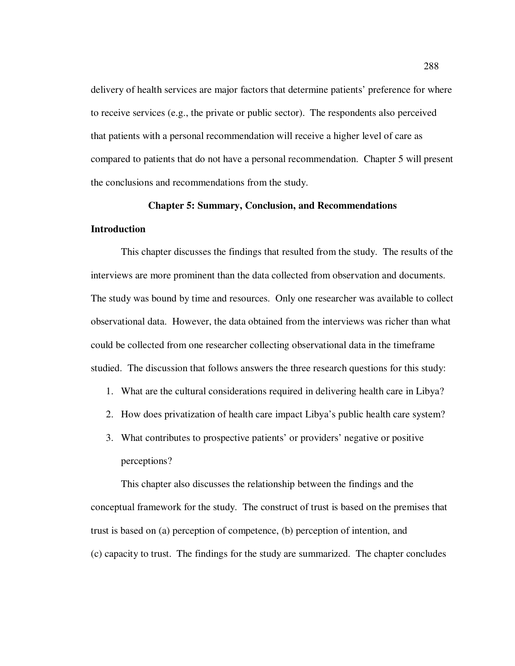delivery of health services are major factors that determine patients' preference for where to receive services (e.g., the private or public sector). The respondents also perceived that patients with a personal recommendation will receive a higher level of care as compared to patients that do not have a personal recommendation. Chapter 5 will present the conclusions and recommendations from the study.

#### **Chapter 5: Summary, Conclusion, and Recommendations**

#### **Introduction**

This chapter discusses the findings that resulted from the study. The results of the interviews are more prominent than the data collected from observation and documents. The study was bound by time and resources. Only one researcher was available to collect observational data. However, the data obtained from the interviews was richer than what could be collected from one researcher collecting observational data in the timeframe studied. The discussion that follows answers the three research questions for this study:

- 1. What are the cultural considerations required in delivering health care in Libya?
- 2. How does privatization of health care impact Libya's public health care system?
- 3. What contributes to prospective patients' or providers' negative or positive perceptions?

This chapter also discusses the relationship between the findings and the conceptual framework for the study. The construct of trust is based on the premises that trust is based on (a) perception of competence, (b) perception of intention, and (c) capacity to trust. The findings for the study are summarized. The chapter concludes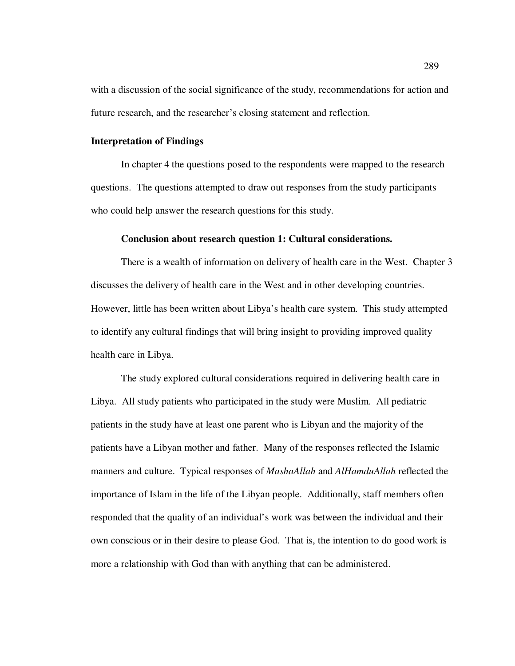with a discussion of the social significance of the study, recommendations for action and future research, and the researcher's closing statement and reflection.

## **Interpretation of Findings**

In chapter 4 the questions posed to the respondents were mapped to the research questions. The questions attempted to draw out responses from the study participants who could help answer the research questions for this study.

#### **Conclusion about research question 1: Cultural considerations.**

There is a wealth of information on delivery of health care in the West. Chapter 3 discusses the delivery of health care in the West and in other developing countries. However, little has been written about Libya's health care system. This study attempted to identify any cultural findings that will bring insight to providing improved quality health care in Libya.

The study explored cultural considerations required in delivering health care in Libya. All study patients who participated in the study were Muslim. All pediatric patients in the study have at least one parent who is Libyan and the majority of the patients have a Libyan mother and father. Many of the responses reflected the Islamic manners and culture. Typical responses of *MashaAllah* and *AlHamduAllah* reflected the importance of Islam in the life of the Libyan people. Additionally, staff members often responded that the quality of an individual's work was between the individual and their own conscious or in their desire to please God. That is, the intention to do good work is more a relationship with God than with anything that can be administered.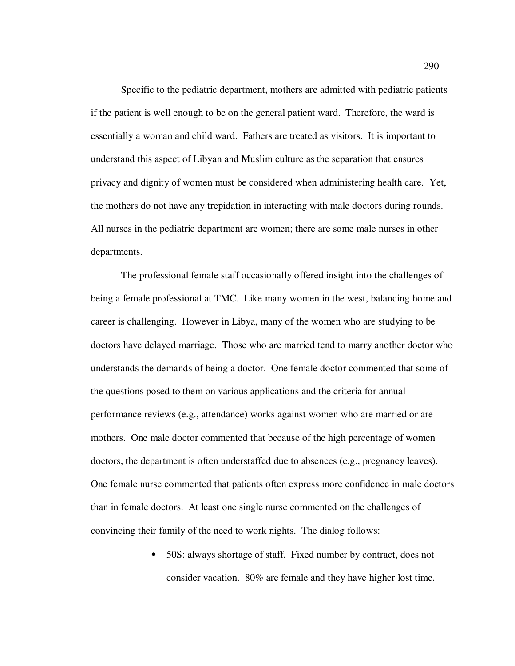Specific to the pediatric department, mothers are admitted with pediatric patients if the patient is well enough to be on the general patient ward. Therefore, the ward is essentially a woman and child ward. Fathers are treated as visitors. It is important to understand this aspect of Libyan and Muslim culture as the separation that ensures privacy and dignity of women must be considered when administering health care. Yet, the mothers do not have any trepidation in interacting with male doctors during rounds. All nurses in the pediatric department are women; there are some male nurses in other departments.

The professional female staff occasionally offered insight into the challenges of being a female professional at TMC. Like many women in the west, balancing home and career is challenging. However in Libya, many of the women who are studying to be doctors have delayed marriage. Those who are married tend to marry another doctor who understands the demands of being a doctor. One female doctor commented that some of the questions posed to them on various applications and the criteria for annual performance reviews (e.g., attendance) works against women who are married or are mothers. One male doctor commented that because of the high percentage of women doctors, the department is often understaffed due to absences (e.g., pregnancy leaves). One female nurse commented that patients often express more confidence in male doctors than in female doctors. At least one single nurse commented on the challenges of convincing their family of the need to work nights. The dialog follows:

> • 50S: always shortage of staff. Fixed number by contract, does not consider vacation. 80% are female and they have higher lost time.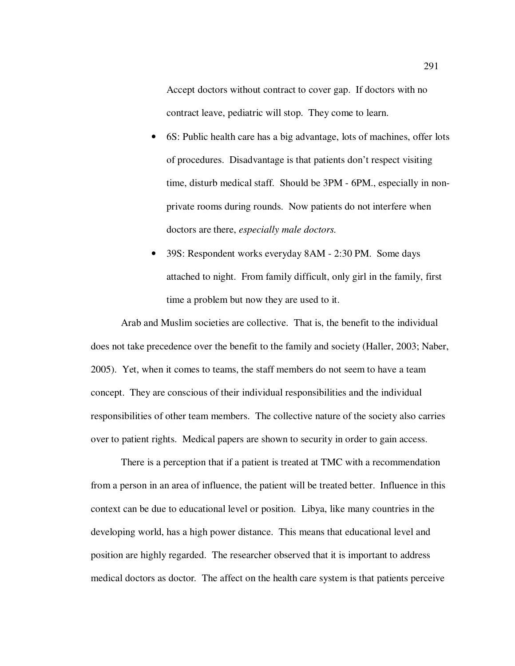Accept doctors without contract to cover gap. If doctors with no contract leave, pediatric will stop. They come to learn.

- 6S: Public health care has a big advantage, lots of machines, offer lots of procedures. Disadvantage is that patients don't respect visiting time, disturb medical staff. Should be 3PM - 6PM., especially in nonprivate rooms during rounds. Now patients do not interfere when doctors are there, *especially male doctors.*
- 39S: Respondent works everyday 8AM 2:30 PM. Some days attached to night. From family difficult, only girl in the family, first time a problem but now they are used to it.

Arab and Muslim societies are collective. That is, the benefit to the individual does not take precedence over the benefit to the family and society (Haller, 2003; Naber, 2005). Yet, when it comes to teams, the staff members do not seem to have a team concept. They are conscious of their individual responsibilities and the individual responsibilities of other team members. The collective nature of the society also carries over to patient rights. Medical papers are shown to security in order to gain access.

There is a perception that if a patient is treated at TMC with a recommendation from a person in an area of influence, the patient will be treated better. Influence in this context can be due to educational level or position. Libya, like many countries in the developing world, has a high power distance. This means that educational level and position are highly regarded. The researcher observed that it is important to address medical doctors as doctor*.* The affect on the health care system is that patients perceive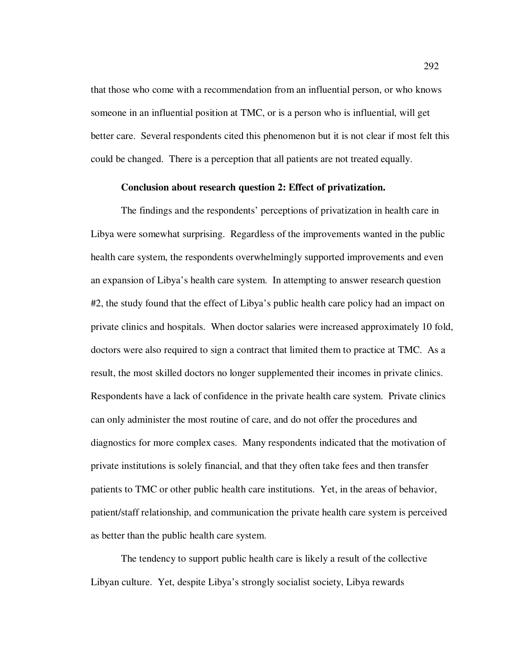that those who come with a recommendation from an influential person, or who knows someone in an influential position at TMC, or is a person who is influential, will get better care. Several respondents cited this phenomenon but it is not clear if most felt this could be changed. There is a perception that all patients are not treated equally.

## **Conclusion about research question 2: Effect of privatization.**

The findings and the respondents' perceptions of privatization in health care in Libya were somewhat surprising. Regardless of the improvements wanted in the public health care system, the respondents overwhelmingly supported improvements and even an expansion of Libya's health care system. In attempting to answer research question #2, the study found that the effect of Libya's public health care policy had an impact on private clinics and hospitals. When doctor salaries were increased approximately 10 fold, doctors were also required to sign a contract that limited them to practice at TMC. As a result, the most skilled doctors no longer supplemented their incomes in private clinics. Respondents have a lack of confidence in the private health care system. Private clinics can only administer the most routine of care, and do not offer the procedures and diagnostics for more complex cases. Many respondents indicated that the motivation of private institutions is solely financial, and that they often take fees and then transfer patients to TMC or other public health care institutions. Yet, in the areas of behavior, patient/staff relationship, and communication the private health care system is perceived as better than the public health care system.

The tendency to support public health care is likely a result of the collective Libyan culture. Yet, despite Libya's strongly socialist society, Libya rewards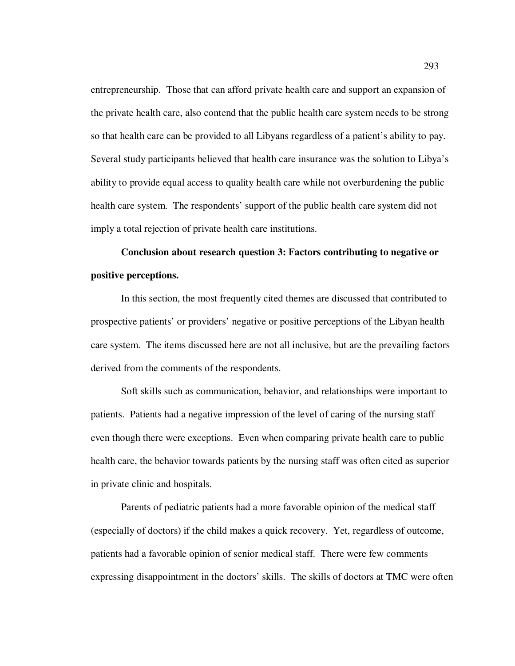entrepreneurship. Those that can afford private health care and support an expansion of the private health care, also contend that the public health care system needs to be strong so that health care can be provided to all Libyans regardless of a patient's ability to pay. Several study participants believed that health care insurance was the solution to Libya's ability to provide equal access to quality health care while not overburdening the public health care system. The respondents' support of the public health care system did not imply a total rejection of private health care institutions.

# **Conclusion about research question 3: Factors contributing to negative or positive perceptions.**

In this section, the most frequently cited themes are discussed that contributed to prospective patients' or providers' negative or positive perceptions of the Libyan health care system. The items discussed here are not all inclusive, but are the prevailing factors derived from the comments of the respondents.

Soft skills such as communication, behavior, and relationships were important to patients. Patients had a negative impression of the level of caring of the nursing staff even though there were exceptions. Even when comparing private health care to public health care, the behavior towards patients by the nursing staff was often cited as superior in private clinic and hospitals.

Parents of pediatric patients had a more favorable opinion of the medical staff (especially of doctors) if the child makes a quick recovery. Yet, regardless of outcome, patients had a favorable opinion of senior medical staff. There were few comments expressing disappointment in the doctors' skills. The skills of doctors at TMC were often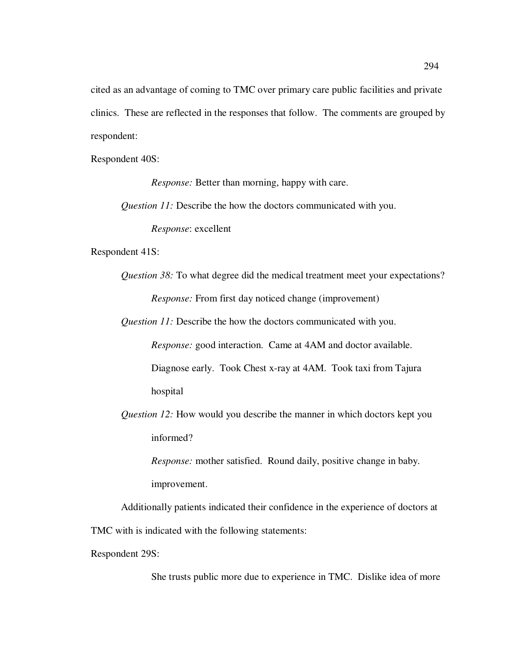cited as an advantage of coming to TMC over primary care public facilities and private clinics. These are reflected in the responses that follow. The comments are grouped by respondent:

Respondent 40S:

*Response:* Better than morning, happy with care.

*Question 11:* Describe the how the doctors communicated with you.

*Response*: excellent

Respondent 41S:

*Question 38:* To what degree did the medical treatment meet your expectations? *Response:* From first day noticed change (improvement)

*Question 11:* Describe the how the doctors communicated with you.

*Response:* good interaction. Came at 4AM and doctor available. Diagnose early. Took Chest x-ray at 4AM. Took taxi from Tajura hospital

*Question 12:* How would you describe the manner in which doctors kept you informed?

*Response:* mother satisfied. Round daily, positive change in baby. improvement.

Additionally patients indicated their confidence in the experience of doctors at TMC with is indicated with the following statements:

Respondent 29S:

She trusts public more due to experience in TMC. Dislike idea of more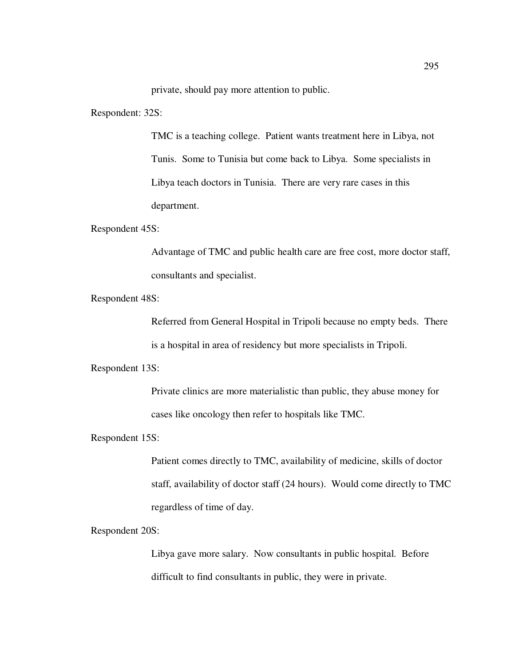private, should pay more attention to public.

Respondent: 32S:

TMC is a teaching college. Patient wants treatment here in Libya, not Tunis. Some to Tunisia but come back to Libya. Some specialists in Libya teach doctors in Tunisia. There are very rare cases in this department.

Respondent 45S:

Advantage of TMC and public health care are free cost, more doctor staff, consultants and specialist.

Respondent 48S:

Referred from General Hospital in Tripoli because no empty beds. There is a hospital in area of residency but more specialists in Tripoli.

Respondent 13S:

Private clinics are more materialistic than public, they abuse money for cases like oncology then refer to hospitals like TMC.

Respondent 15S:

Patient comes directly to TMC, availability of medicine, skills of doctor staff, availability of doctor staff (24 hours). Would come directly to TMC regardless of time of day.

Respondent 20S:

Libya gave more salary. Now consultants in public hospital. Before difficult to find consultants in public, they were in private.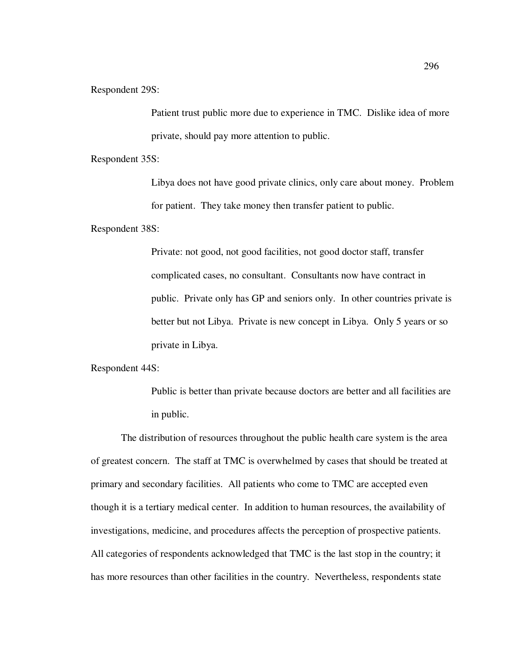Respondent 29S:

Patient trust public more due to experience in TMC. Dislike idea of more private, should pay more attention to public.

Respondent 35S:

Libya does not have good private clinics, only care about money. Problem for patient. They take money then transfer patient to public.

Respondent 38S:

Private: not good, not good facilities, not good doctor staff, transfer complicated cases, no consultant. Consultants now have contract in public. Private only has GP and seniors only. In other countries private is better but not Libya. Private is new concept in Libya. Only 5 years or so private in Libya.

Respondent 44S:

Public is better than private because doctors are better and all facilities are in public.

The distribution of resources throughout the public health care system is the area of greatest concern. The staff at TMC is overwhelmed by cases that should be treated at primary and secondary facilities. All patients who come to TMC are accepted even though it is a tertiary medical center. In addition to human resources, the availability of investigations, medicine, and procedures affects the perception of prospective patients. All categories of respondents acknowledged that TMC is the last stop in the country; it has more resources than other facilities in the country. Nevertheless, respondents state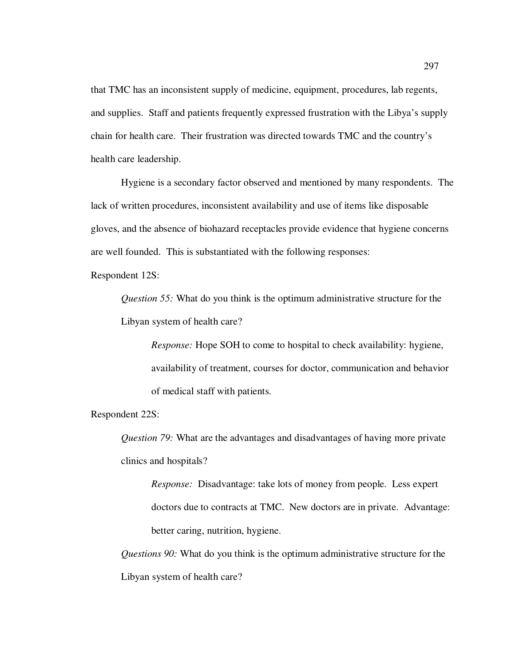that TMC has an inconsistent supply of medicine, equipment, procedures, lab regents, and supplies. Staff and patients frequently expressed frustration with the Libya's supply chain for health care. Their frustration was directed towards TMC and the country's health care leadership.

Hygiene is a secondary factor observed and mentioned by many respondents. The lack of written procedures, inconsistent availability and use of items like disposable gloves, and the absence of biohazard receptacles provide evidence that hygiene concerns are well founded. This is substantiated with the following responses:

Respondent 12S:

*Question 55:* What do you think is the optimum administrative structure for the Libyan system of health care?

*Response:* Hope SOH to come to hospital to check availability: hygiene, availability of treatment, courses for doctor, communication and behavior of medical staff with patients.

Respondent 22S:

*Question 79:* What are the advantages and disadvantages of having more private clinics and hospitals?

*Response:* Disadvantage: take lots of money from people. Less expert doctors due to contracts at TMC. New doctors are in private. Advantage: better caring, nutrition, hygiene.

*Questions 90:* What do you think is the optimum administrative structure for the Libyan system of health care?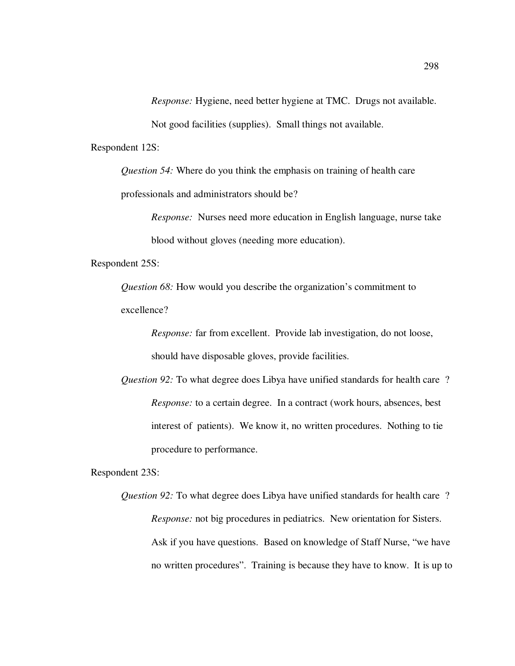*Response:* Hygiene, need better hygiene at TMC. Drugs not available.

Not good facilities (supplies). Small things not available.

Respondent 12S:

*Question 54:* Where do you think the emphasis on training of health care professionals and administrators should be?

> *Response:* Nurses need more education in English language, nurse take blood without gloves (needing more education).

Respondent 25S:

*Question 68:* How would you describe the organization's commitment to excellence?

> *Response:* far from excellent. Provide lab investigation, do not loose, should have disposable gloves, provide facilities.

*Question 92:* To what degree does Libya have unified standards for health care ? *Response:* to a certain degree. In a contract (work hours, absences, best interest of patients). We know it, no written procedures. Nothing to tie procedure to performance.

Respondent 23S:

*Question 92:* To what degree does Libya have unified standards for health care ? *Response:* not big procedures in pediatrics. New orientation for Sisters. Ask if you have questions. Based on knowledge of Staff Nurse, "we have no written procedures". Training is because they have to know. It is up to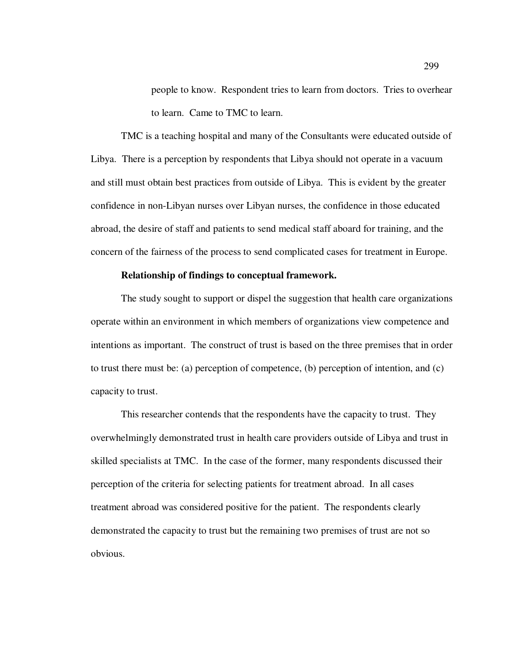people to know. Respondent tries to learn from doctors. Tries to overhear to learn. Came to TMC to learn.

TMC is a teaching hospital and many of the Consultants were educated outside of Libya. There is a perception by respondents that Libya should not operate in a vacuum and still must obtain best practices from outside of Libya. This is evident by the greater confidence in non-Libyan nurses over Libyan nurses, the confidence in those educated abroad, the desire of staff and patients to send medical staff aboard for training, and the concern of the fairness of the process to send complicated cases for treatment in Europe.

# **Relationship of findings to conceptual framework.**

The study sought to support or dispel the suggestion that health care organizations operate within an environment in which members of organizations view competence and intentions as important. The construct of trust is based on the three premises that in order to trust there must be: (a) perception of competence, (b) perception of intention, and (c) capacity to trust.

This researcher contends that the respondents have the capacity to trust. They overwhelmingly demonstrated trust in health care providers outside of Libya and trust in skilled specialists at TMC. In the case of the former, many respondents discussed their perception of the criteria for selecting patients for treatment abroad. In all cases treatment abroad was considered positive for the patient. The respondents clearly demonstrated the capacity to trust but the remaining two premises of trust are not so obvious.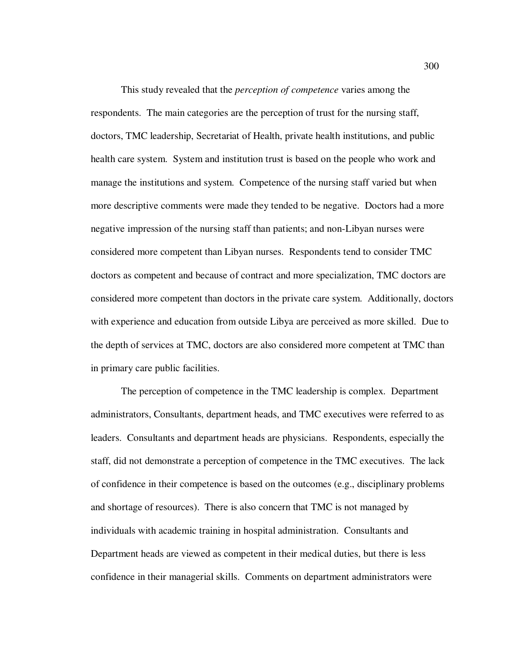This study revealed that the *perception of competence* varies among the respondents. The main categories are the perception of trust for the nursing staff, doctors, TMC leadership, Secretariat of Health, private health institutions, and public health care system. System and institution trust is based on the people who work and manage the institutions and system. Competence of the nursing staff varied but when more descriptive comments were made they tended to be negative. Doctors had a more negative impression of the nursing staff than patients; and non-Libyan nurses were considered more competent than Libyan nurses. Respondents tend to consider TMC doctors as competent and because of contract and more specialization, TMC doctors are considered more competent than doctors in the private care system. Additionally, doctors with experience and education from outside Libya are perceived as more skilled. Due to the depth of services at TMC, doctors are also considered more competent at TMC than in primary care public facilities.

The perception of competence in the TMC leadership is complex. Department administrators, Consultants, department heads, and TMC executives were referred to as leaders. Consultants and department heads are physicians. Respondents, especially the staff, did not demonstrate a perception of competence in the TMC executives. The lack of confidence in their competence is based on the outcomes (e.g., disciplinary problems and shortage of resources). There is also concern that TMC is not managed by individuals with academic training in hospital administration. Consultants and Department heads are viewed as competent in their medical duties, but there is less confidence in their managerial skills. Comments on department administrators were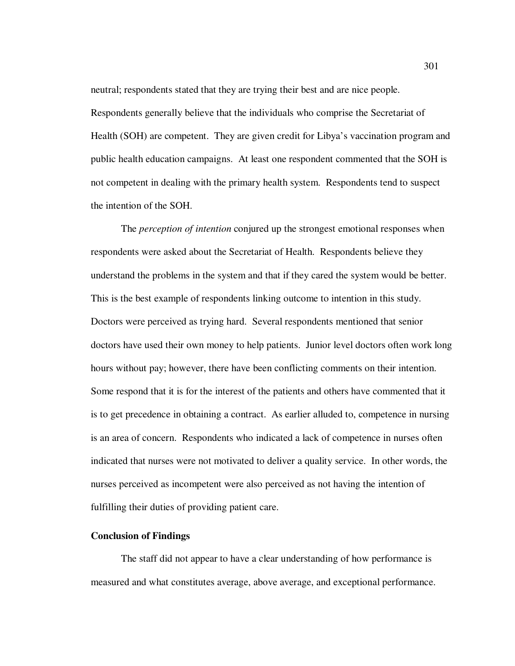neutral; respondents stated that they are trying their best and are nice people. Respondents generally believe that the individuals who comprise the Secretariat of Health (SOH) are competent. They are given credit for Libya's vaccination program and public health education campaigns. At least one respondent commented that the SOH is not competent in dealing with the primary health system. Respondents tend to suspect the intention of the SOH.

The *perception of intention* conjured up the strongest emotional responses when respondents were asked about the Secretariat of Health. Respondents believe they understand the problems in the system and that if they cared the system would be better. This is the best example of respondents linking outcome to intention in this study. Doctors were perceived as trying hard. Several respondents mentioned that senior doctors have used their own money to help patients. Junior level doctors often work long hours without pay; however, there have been conflicting comments on their intention. Some respond that it is for the interest of the patients and others have commented that it is to get precedence in obtaining a contract. As earlier alluded to, competence in nursing is an area of concern. Respondents who indicated a lack of competence in nurses often indicated that nurses were not motivated to deliver a quality service. In other words, the nurses perceived as incompetent were also perceived as not having the intention of fulfilling their duties of providing patient care.

# **Conclusion of Findings**

The staff did not appear to have a clear understanding of how performance is measured and what constitutes average, above average, and exceptional performance.

301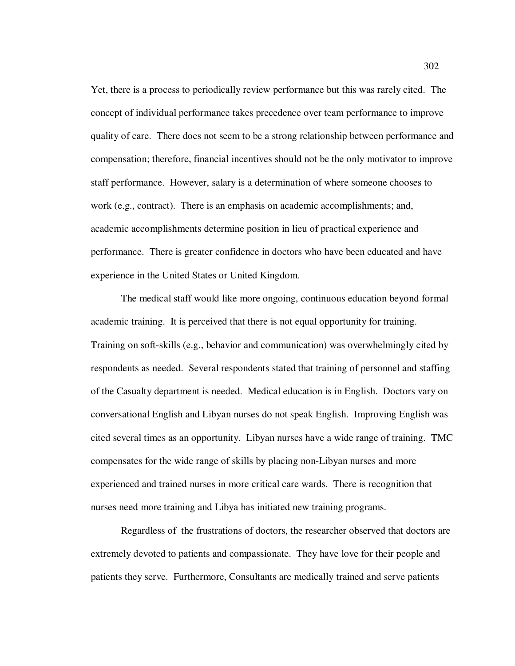Yet, there is a process to periodically review performance but this was rarely cited. The concept of individual performance takes precedence over team performance to improve quality of care. There does not seem to be a strong relationship between performance and compensation; therefore, financial incentives should not be the only motivator to improve staff performance. However, salary is a determination of where someone chooses to work (e.g., contract). There is an emphasis on academic accomplishments; and, academic accomplishments determine position in lieu of practical experience and performance. There is greater confidence in doctors who have been educated and have experience in the United States or United Kingdom.

The medical staff would like more ongoing, continuous education beyond formal academic training. It is perceived that there is not equal opportunity for training. Training on soft-skills (e.g., behavior and communication) was overwhelmingly cited by respondents as needed. Several respondents stated that training of personnel and staffing of the Casualty department is needed. Medical education is in English. Doctors vary on conversational English and Libyan nurses do not speak English. Improving English was cited several times as an opportunity. Libyan nurses have a wide range of training. TMC compensates for the wide range of skills by placing non-Libyan nurses and more experienced and trained nurses in more critical care wards. There is recognition that nurses need more training and Libya has initiated new training programs.

Regardless of the frustrations of doctors, the researcher observed that doctors are extremely devoted to patients and compassionate. They have love for their people and patients they serve. Furthermore, Consultants are medically trained and serve patients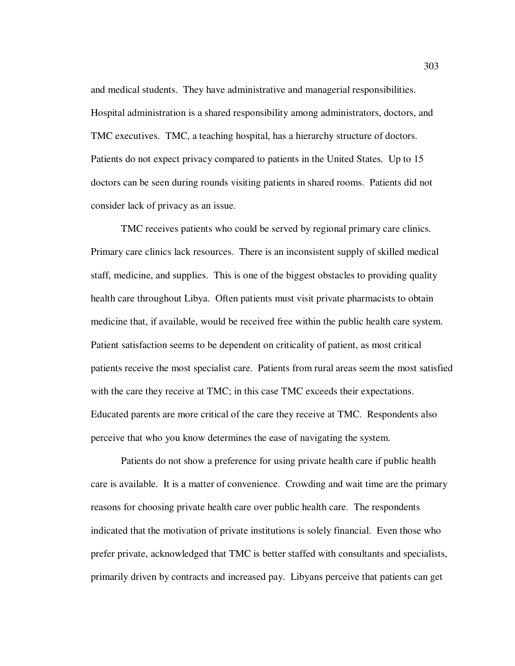and medical students. They have administrative and managerial responsibilities. Hospital administration is a shared responsibility among administrators, doctors, and TMC executives. TMC, a teaching hospital, has a hierarchy structure of doctors. Patients do not expect privacy compared to patients in the United States. Up to 15 doctors can be seen during rounds visiting patients in shared rooms. Patients did not consider lack of privacy as an issue.

TMC receives patients who could be served by regional primary care clinics. Primary care clinics lack resources. There is an inconsistent supply of skilled medical staff, medicine, and supplies. This is one of the biggest obstacles to providing quality health care throughout Libya. Often patients must visit private pharmacists to obtain medicine that, if available, would be received free within the public health care system. Patient satisfaction seems to be dependent on criticality of patient, as most critical patients receive the most specialist care. Patients from rural areas seem the most satisfied with the care they receive at TMC; in this case TMC exceeds their expectations. Educated parents are more critical of the care they receive at TMC. Respondents also perceive that who you know determines the ease of navigating the system.

Patients do not show a preference for using private health care if public health care is available. It is a matter of convenience. Crowding and wait time are the primary reasons for choosing private health care over public health care. The respondents indicated that the motivation of private institutions is solely financial. Even those who prefer private, acknowledged that TMC is better staffed with consultants and specialists, primarily driven by contracts and increased pay. Libyans perceive that patients can get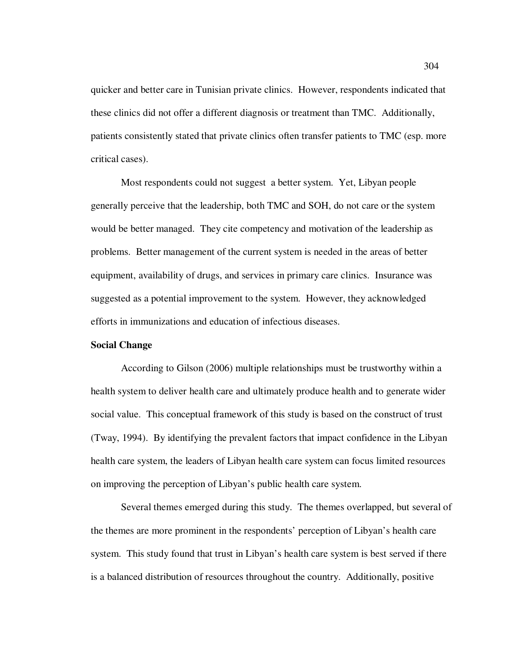quicker and better care in Tunisian private clinics. However, respondents indicated that these clinics did not offer a different diagnosis or treatment than TMC. Additionally, patients consistently stated that private clinics often transfer patients to TMC (esp. more critical cases).

Most respondents could not suggest a better system. Yet, Libyan people generally perceive that the leadership, both TMC and SOH, do not care or the system would be better managed. They cite competency and motivation of the leadership as problems. Better management of the current system is needed in the areas of better equipment, availability of drugs, and services in primary care clinics. Insurance was suggested as a potential improvement to the system. However, they acknowledged efforts in immunizations and education of infectious diseases.

## **Social Change**

According to Gilson (2006) multiple relationships must be trustworthy within a health system to deliver health care and ultimately produce health and to generate wider social value. This conceptual framework of this study is based on the construct of trust (Tway, 1994). By identifying the prevalent factors that impact confidence in the Libyan health care system, the leaders of Libyan health care system can focus limited resources on improving the perception of Libyan's public health care system.

Several themes emerged during this study. The themes overlapped, but several of the themes are more prominent in the respondents' perception of Libyan's health care system. This study found that trust in Libyan's health care system is best served if there is a balanced distribution of resources throughout the country. Additionally, positive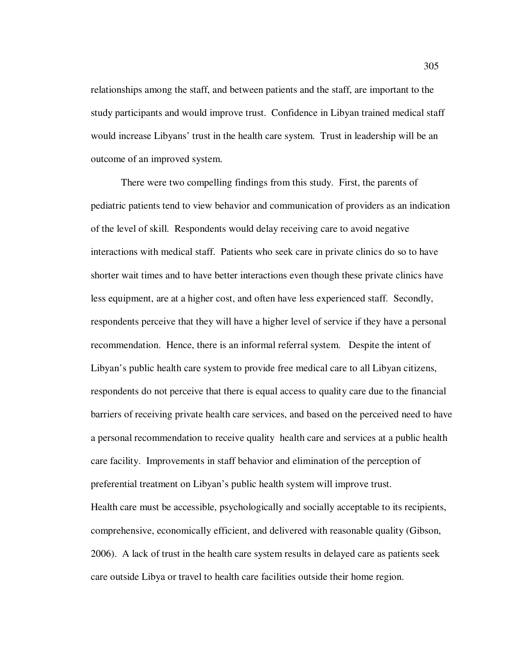relationships among the staff, and between patients and the staff, are important to the study participants and would improve trust. Confidence in Libyan trained medical staff would increase Libyans' trust in the health care system. Trust in leadership will be an outcome of an improved system.

There were two compelling findings from this study. First, the parents of pediatric patients tend to view behavior and communication of providers as an indication of the level of skill. Respondents would delay receiving care to avoid negative interactions with medical staff. Patients who seek care in private clinics do so to have shorter wait times and to have better interactions even though these private clinics have less equipment, are at a higher cost, and often have less experienced staff. Secondly, respondents perceive that they will have a higher level of service if they have a personal recommendation. Hence, there is an informal referral system. Despite the intent of Libyan's public health care system to provide free medical care to all Libyan citizens, respondents do not perceive that there is equal access to quality care due to the financial barriers of receiving private health care services, and based on the perceived need to have a personal recommendation to receive quality health care and services at a public health care facility. Improvements in staff behavior and elimination of the perception of preferential treatment on Libyan's public health system will improve trust. Health care must be accessible, psychologically and socially acceptable to its recipients, comprehensive, economically efficient, and delivered with reasonable quality (Gibson, 2006). A lack of trust in the health care system results in delayed care as patients seek care outside Libya or travel to health care facilities outside their home region.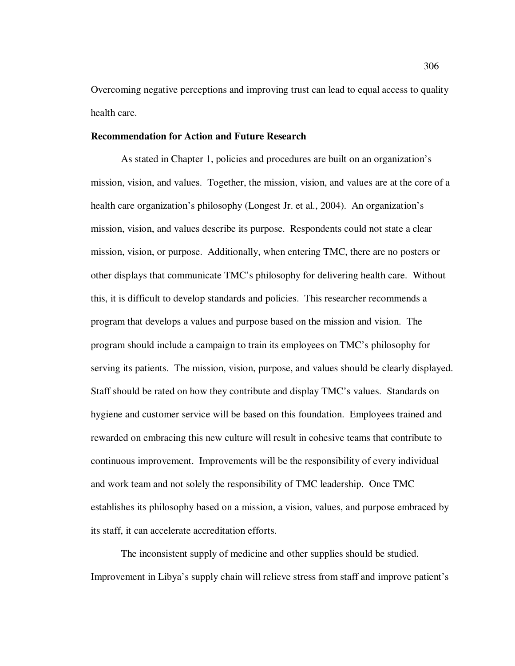Overcoming negative perceptions and improving trust can lead to equal access to quality health care.

### **Recommendation for Action and Future Research**

As stated in Chapter 1, policies and procedures are built on an organization's mission, vision, and values. Together, the mission, vision, and values are at the core of a health care organization's philosophy (Longest Jr. et al., 2004). An organization's mission, vision, and values describe its purpose. Respondents could not state a clear mission, vision, or purpose. Additionally, when entering TMC, there are no posters or other displays that communicate TMC's philosophy for delivering health care. Without this, it is difficult to develop standards and policies. This researcher recommends a program that develops a values and purpose based on the mission and vision. The program should include a campaign to train its employees on TMC's philosophy for serving its patients. The mission, vision, purpose, and values should be clearly displayed. Staff should be rated on how they contribute and display TMC's values. Standards on hygiene and customer service will be based on this foundation. Employees trained and rewarded on embracing this new culture will result in cohesive teams that contribute to continuous improvement. Improvements will be the responsibility of every individual and work team and not solely the responsibility of TMC leadership. Once TMC establishes its philosophy based on a mission, a vision, values, and purpose embraced by its staff, it can accelerate accreditation efforts.

The inconsistent supply of medicine and other supplies should be studied. Improvement in Libya's supply chain will relieve stress from staff and improve patient's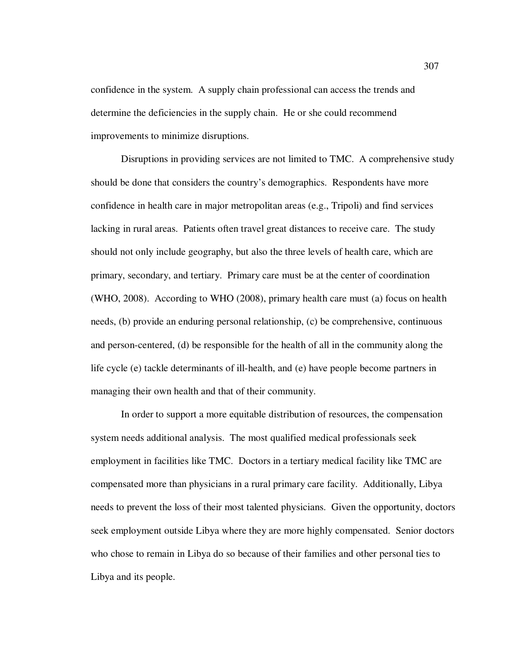confidence in the system. A supply chain professional can access the trends and determine the deficiencies in the supply chain. He or she could recommend improvements to minimize disruptions.

Disruptions in providing services are not limited to TMC. A comprehensive study should be done that considers the country's demographics. Respondents have more confidence in health care in major metropolitan areas (e.g., Tripoli) and find services lacking in rural areas. Patients often travel great distances to receive care. The study should not only include geography, but also the three levels of health care, which are primary, secondary, and tertiary. Primary care must be at the center of coordination (WHO, 2008). According to WHO (2008), primary health care must (a) focus on health needs, (b) provide an enduring personal relationship, (c) be comprehensive, continuous and person-centered, (d) be responsible for the health of all in the community along the life cycle (e) tackle determinants of ill-health, and (e) have people become partners in managing their own health and that of their community.

In order to support a more equitable distribution of resources, the compensation system needs additional analysis. The most qualified medical professionals seek employment in facilities like TMC. Doctors in a tertiary medical facility like TMC are compensated more than physicians in a rural primary care facility. Additionally, Libya needs to prevent the loss of their most talented physicians. Given the opportunity, doctors seek employment outside Libya where they are more highly compensated. Senior doctors who chose to remain in Libya do so because of their families and other personal ties to Libya and its people.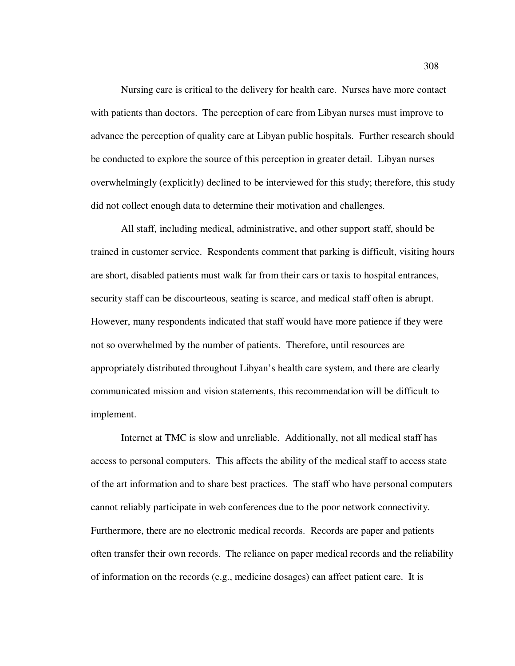Nursing care is critical to the delivery for health care. Nurses have more contact with patients than doctors. The perception of care from Libyan nurses must improve to advance the perception of quality care at Libyan public hospitals. Further research should be conducted to explore the source of this perception in greater detail. Libyan nurses overwhelmingly (explicitly) declined to be interviewed for this study; therefore, this study did not collect enough data to determine their motivation and challenges.

All staff, including medical, administrative, and other support staff, should be trained in customer service. Respondents comment that parking is difficult, visiting hours are short, disabled patients must walk far from their cars or taxis to hospital entrances, security staff can be discourteous, seating is scarce, and medical staff often is abrupt. However, many respondents indicated that staff would have more patience if they were not so overwhelmed by the number of patients. Therefore, until resources are appropriately distributed throughout Libyan's health care system, and there are clearly communicated mission and vision statements, this recommendation will be difficult to implement.

Internet at TMC is slow and unreliable. Additionally, not all medical staff has access to personal computers. This affects the ability of the medical staff to access state of the art information and to share best practices. The staff who have personal computers cannot reliably participate in web conferences due to the poor network connectivity. Furthermore, there are no electronic medical records. Records are paper and patients often transfer their own records. The reliance on paper medical records and the reliability of information on the records (e.g., medicine dosages) can affect patient care. It is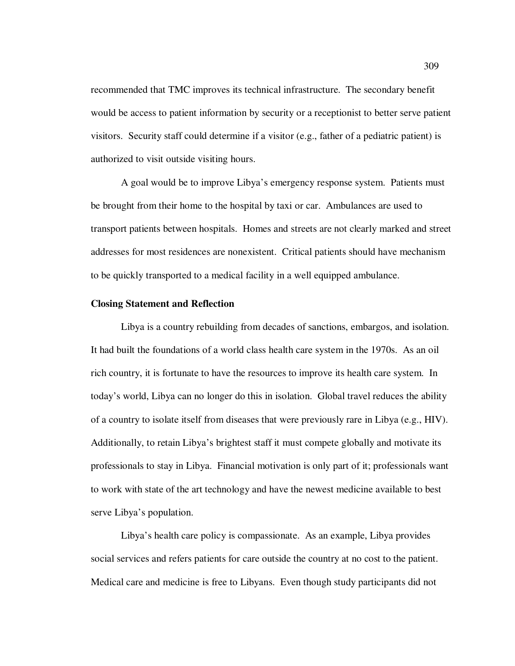recommended that TMC improves its technical infrastructure. The secondary benefit would be access to patient information by security or a receptionist to better serve patient visitors. Security staff could determine if a visitor (e.g., father of a pediatric patient) is authorized to visit outside visiting hours.

A goal would be to improve Libya's emergency response system. Patients must be brought from their home to the hospital by taxi or car. Ambulances are used to transport patients between hospitals. Homes and streets are not clearly marked and street addresses for most residences are nonexistent. Critical patients should have mechanism to be quickly transported to a medical facility in a well equipped ambulance.

#### **Closing Statement and Reflection**

Libya is a country rebuilding from decades of sanctions, embargos, and isolation. It had built the foundations of a world class health care system in the 1970s. As an oil rich country, it is fortunate to have the resources to improve its health care system. In today's world, Libya can no longer do this in isolation. Global travel reduces the ability of a country to isolate itself from diseases that were previously rare in Libya (e.g., HIV). Additionally, to retain Libya's brightest staff it must compete globally and motivate its professionals to stay in Libya. Financial motivation is only part of it; professionals want to work with state of the art technology and have the newest medicine available to best serve Libya's population.

Libya's health care policy is compassionate. As an example, Libya provides social services and refers patients for care outside the country at no cost to the patient. Medical care and medicine is free to Libyans. Even though study participants did not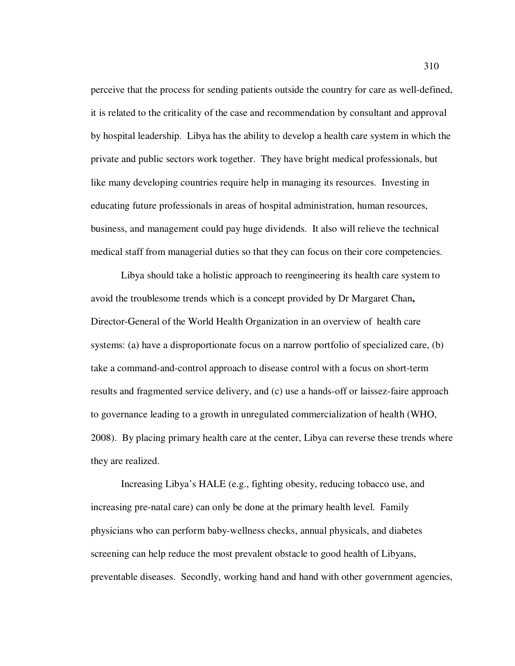perceive that the process for sending patients outside the country for care as well-defined, it is related to the criticality of the case and recommendation by consultant and approval by hospital leadership. Libya has the ability to develop a health care system in which the private and public sectors work together. They have bright medical professionals, but like many developing countries require help in managing its resources. Investing in educating future professionals in areas of hospital administration, human resources, business, and management could pay huge dividends. It also will relieve the technical medical staff from managerial duties so that they can focus on their core competencies.

Libya should take a holistic approach to reengineering its health care system to avoid the troublesome trends which is a concept provided by Dr Margaret Chan**,**  Director-General of the World Health Organization in an overview of health care systems: (a) have a disproportionate focus on a narrow portfolio of specialized care, (b) take a command-and-control approach to disease control with a focus on short-term results and fragmented service delivery, and (c) use a hands-off or laissez-faire approach to governance leading to a growth in unregulated commercialization of health (WHO, 2008). By placing primary health care at the center, Libya can reverse these trends where they are realized.

Increasing Libya's HALE (e.g., fighting obesity, reducing tobacco use, and increasing pre-natal care) can only be done at the primary health level. Family physicians who can perform baby-wellness checks, annual physicals, and diabetes screening can help reduce the most prevalent obstacle to good health of Libyans, preventable diseases. Secondly, working hand and hand with other government agencies,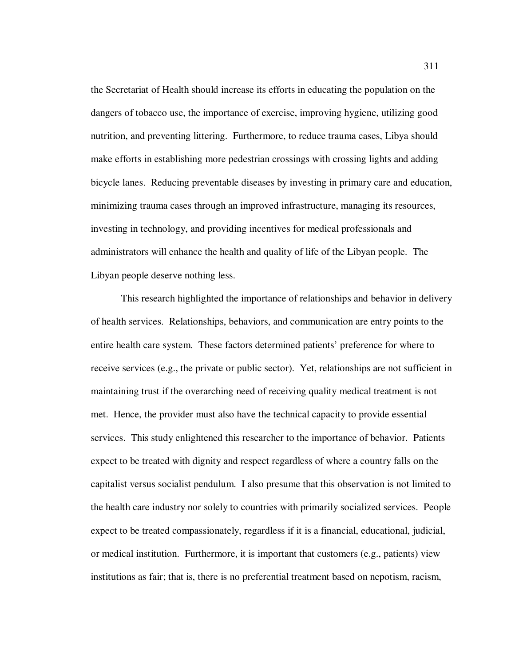the Secretariat of Health should increase its efforts in educating the population on the dangers of tobacco use, the importance of exercise, improving hygiene, utilizing good nutrition, and preventing littering. Furthermore, to reduce trauma cases, Libya should make efforts in establishing more pedestrian crossings with crossing lights and adding bicycle lanes. Reducing preventable diseases by investing in primary care and education, minimizing trauma cases through an improved infrastructure, managing its resources, investing in technology, and providing incentives for medical professionals and administrators will enhance the health and quality of life of the Libyan people. The Libyan people deserve nothing less.

This research highlighted the importance of relationships and behavior in delivery of health services. Relationships, behaviors, and communication are entry points to the entire health care system. These factors determined patients' preference for where to receive services (e.g., the private or public sector). Yet, relationships are not sufficient in maintaining trust if the overarching need of receiving quality medical treatment is not met. Hence, the provider must also have the technical capacity to provide essential services. This study enlightened this researcher to the importance of behavior. Patients expect to be treated with dignity and respect regardless of where a country falls on the capitalist versus socialist pendulum. I also presume that this observation is not limited to the health care industry nor solely to countries with primarily socialized services. People expect to be treated compassionately, regardless if it is a financial, educational, judicial, or medical institution. Furthermore, it is important that customers (e.g., patients) view institutions as fair; that is, there is no preferential treatment based on nepotism, racism,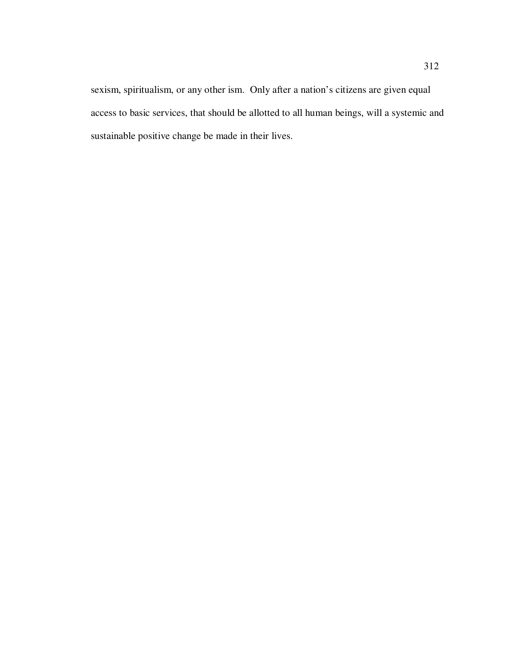sexism, spiritualism, or any other ism. Only after a nation's citizens are given equal access to basic services, that should be allotted to all human beings, will a systemic and sustainable positive change be made in their lives.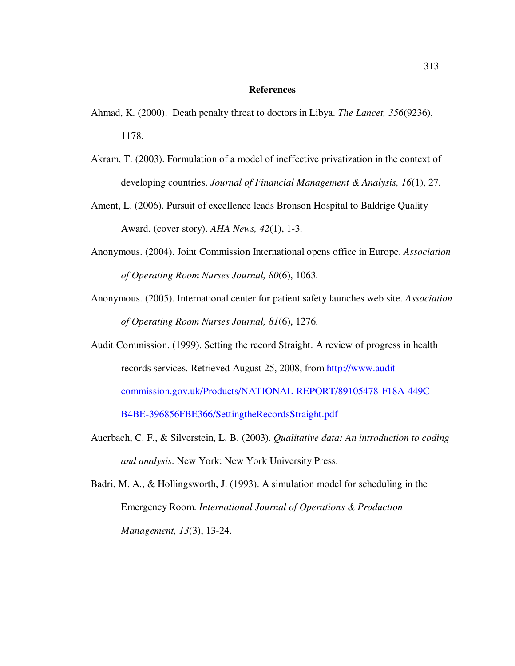# **References**

- Ahmad, K. (2000). Death penalty threat to doctors in Libya. *The Lancet, 356*(9236), 1178.
- Akram, T. (2003). Formulation of a model of ineffective privatization in the context of developing countries. *Journal of Financial Management & Analysis, 16*(1), 27.
- Ament, L. (2006). Pursuit of excellence leads Bronson Hospital to Baldrige Quality Award. (cover story). *AHA News, 42*(1), 1-3.
- Anonymous. (2004). Joint Commission International opens office in Europe. *Association of Operating Room Nurses Journal, 80*(6), 1063.
- Anonymous. (2005). International center for patient safety launches web site. *Association of Operating Room Nurses Journal, 81*(6), 1276.
- Audit Commission. (1999). Setting the record Straight. A review of progress in health records services. Retrieved August 25, 2008, from http://www.auditcommission.gov.uk/Products/NATIONAL-REPORT/89105478-F18A-449C-B4BE-396856FBE366/SettingtheRecordsStraight.pdf
- Auerbach, C. F., & Silverstein, L. B. (2003). *Qualitative data: An introduction to coding and analysis*. New York: New York University Press.
- Badri, M. A., & Hollingsworth, J. (1993). A simulation model for scheduling in the Emergency Room. *International Journal of Operations & Production Management, 13*(3), 13-24.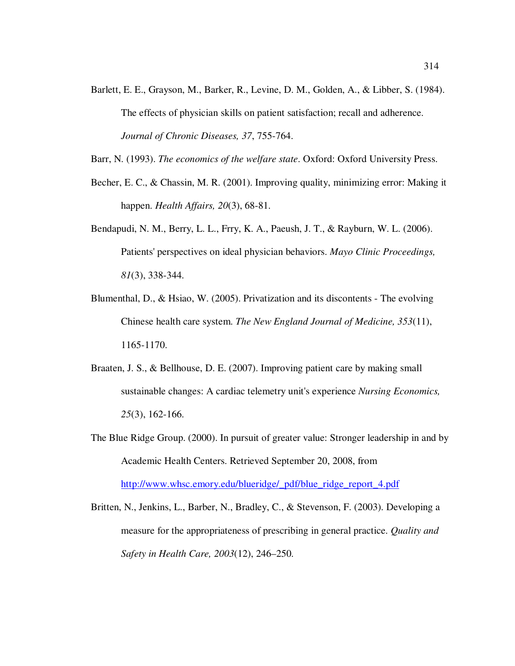Barlett, E. E., Grayson, M., Barker, R., Levine, D. M., Golden, A., & Libber, S. (1984). The effects of physician skills on patient satisfaction; recall and adherence. *Journal of Chronic Diseases, 37*, 755-764.

Barr, N. (1993). *The economics of the welfare state*. Oxford: Oxford University Press.

- Becher, E. C., & Chassin, M. R. (2001). Improving quality, minimizing error: Making it happen. *Health Affairs, 20*(3), 68-81.
- Bendapudi, N. M., Berry, L. L., Frry, K. A., Paeush, J. T., & Rayburn, W. L. (2006). Patients' perspectives on ideal physician behaviors. *Mayo Clinic Proceedings, 81*(3), 338-344.
- Blumenthal, D., & Hsiao, W. (2005). Privatization and its discontents The evolving Chinese health care system. *The New England Journal of Medicine, 353*(11), 1165-1170.
- Braaten, J. S., & Bellhouse, D. E. (2007). Improving patient care by making small sustainable changes: A cardiac telemetry unit's experience *Nursing Economics, 25*(3), 162-166.
- The Blue Ridge Group. (2000). In pursuit of greater value: Stronger leadership in and by Academic Health Centers. Retrieved September 20, 2008, from http://www.whsc.emory.edu/blueridge/\_pdf/blue\_ridge\_report\_4.pdf
- Britten, N., Jenkins, L., Barber, N., Bradley, C., & Stevenson, F. (2003). Developing a measure for the appropriateness of prescribing in general practice. *Quality and Safety in Health Care, 2003*(12), 246–250.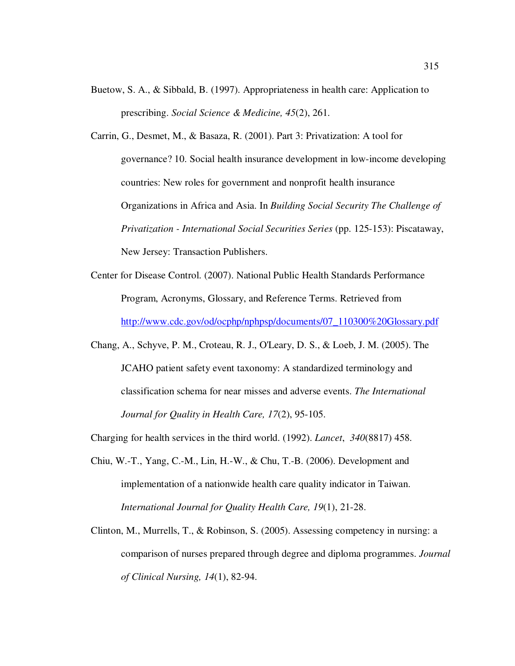- Buetow, S. A., & Sibbald, B. (1997). Appropriateness in health care: Application to prescribing. *Social Science & Medicine, 45*(2), 261.
- Carrin, G., Desmet, M., & Basaza, R. (2001). Part 3: Privatization: A tool for governance? 10. Social health insurance development in low-income developing countries: New roles for government and nonprofit health insurance Organizations in Africa and Asia. In *Building Social Security The Challenge of Privatization - International Social Securities Series* (pp. 125-153): Piscataway, New Jersey: Transaction Publishers.
- Center for Disease Control. (2007). National Public Health Standards Performance Program, Acronyms, Glossary, and Reference Terms. Retrieved from http://www.cdc.gov/od/ocphp/nphpsp/documents/07\_110300%20Glossary.pdf
- Chang, A., Schyve, P. M., Croteau, R. J., O'Leary, D. S., & Loeb, J. M. (2005). The JCAHO patient safety event taxonomy: A standardized terminology and classification schema for near misses and adverse events. *The International Journal for Quality in Health Care, 17*(2), 95-105.
- Charging for health services in the third world. (1992). *Lancet*, *340*(8817) 458.
- Chiu, W.-T., Yang, C.-M., Lin, H.-W., & Chu, T.-B. (2006). Development and implementation of a nationwide health care quality indicator in Taiwan. *International Journal for Quality Health Care, 19*(1), 21-28.
- Clinton, M., Murrells, T., & Robinson, S. (2005). Assessing competency in nursing: a comparison of nurses prepared through degree and diploma programmes. *Journal of Clinical Nursing, 14*(1), 82-94.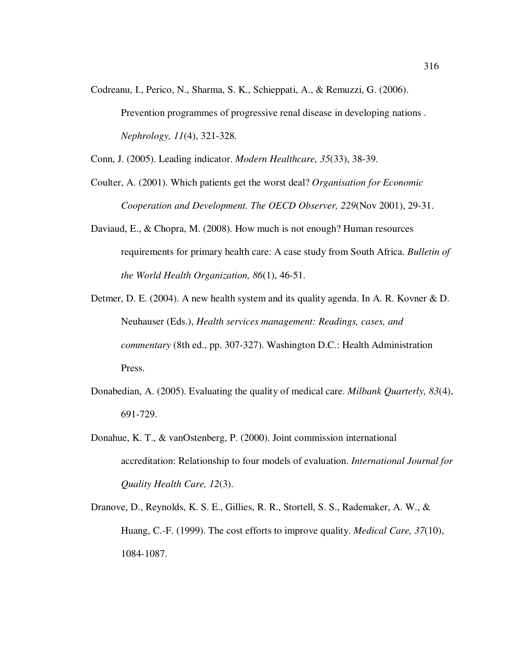Codreanu, I., Perico, N., Sharma, S. K., Schieppati, A., & Remuzzi, G. (2006). Prevention programmes of progressive renal disease in developing nations . *Nephrology, 11*(4), 321-328.

Conn, J. (2005). Leading indicator. *Modern Healthcare, 35*(33), 38-39.

- Coulter, A. (2001). Which patients get the worst deal? *Organisation for Economic Cooperation and Development. The OECD Observer, 229*(Nov 2001), 29-31.
- Daviaud, E., & Chopra, M. (2008). How much is not enough? Human resources requirements for primary health care: A case study from South Africa. *Bulletin of the World Health Organization, 86*(1), 46-51.
- Detmer, D. E. (2004). A new health system and its quality agenda. In A. R. Kovner & D. Neuhauser (Eds.), *Health services management: Readings, cases, and commentary* (8th ed., pp. 307-327). Washington D.C.: Health Administration Press.
- Donabedian, A. (2005). Evaluating the quality of medical care. *Milbank Quarterly, 83*(4), 691-729.
- Donahue, K. T., & vanOstenberg, P. (2000). Joint commission international accreditation: Relationship to four models of evaluation. *International Journal for Quality Health Care, 12*(3).
- Dranove, D., Reynolds, K. S. E., Gillies, R. R., Stortell, S. S., Rademaker, A. W., & Huang, C.-F. (1999). The cost efforts to improve quality. *Medical Care, 37*(10), 1084-1087.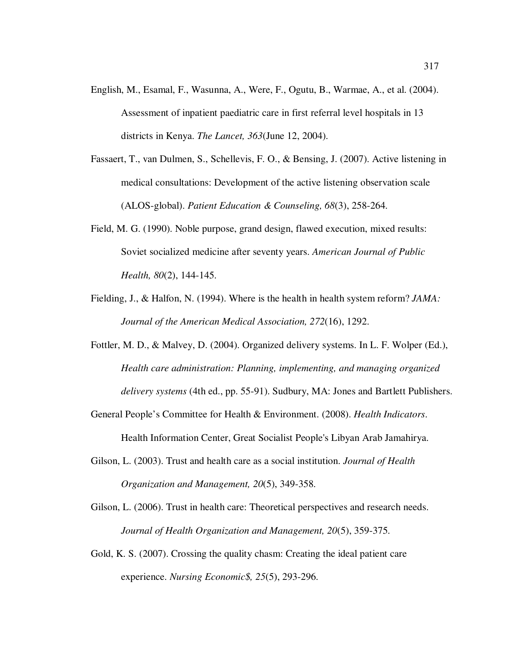- English, M., Esamal, F., Wasunna, A., Were, F., Ogutu, B., Warmae, A., et al. (2004). Assessment of inpatient paediatric care in first referral level hospitals in 13 districts in Kenya. *The Lancet, 363*(June 12, 2004).
- Fassaert, T., van Dulmen, S., Schellevis, F. O., & Bensing, J. (2007). Active listening in medical consultations: Development of the active listening observation scale (ALOS-global). *Patient Education & Counseling, 68*(3), 258-264.
- Field, M. G. (1990). Noble purpose, grand design, flawed execution, mixed results: Soviet socialized medicine after seventy years. *American Journal of Public Health, 80*(2), 144-145.
- Fielding, J., & Halfon, N. (1994). Where is the health in health system reform? *JAMA: Journal of the American Medical Association, 272*(16), 1292.
- Fottler, M. D., & Malvey, D. (2004). Organized delivery systems. In L. F. Wolper (Ed.), *Health care administration: Planning, implementing, and managing organized delivery systems* (4th ed., pp. 55-91). Sudbury, MA: Jones and Bartlett Publishers.
- General People's Committee for Health & Environment. (2008). *Health Indicators*. Health Information Center, Great Socialist People's Libyan Arab Jamahirya.
- Gilson, L. (2003). Trust and health care as a social institution. *Journal of Health Organization and Management, 20*(5), 349-358.
- Gilson, L. (2006). Trust in health care: Theoretical perspectives and research needs. *Journal of Health Organization and Management, 20*(5), 359-375.
- Gold, K. S. (2007). Crossing the quality chasm: Creating the ideal patient care experience. *Nursing Economic\$, 25*(5), 293-296.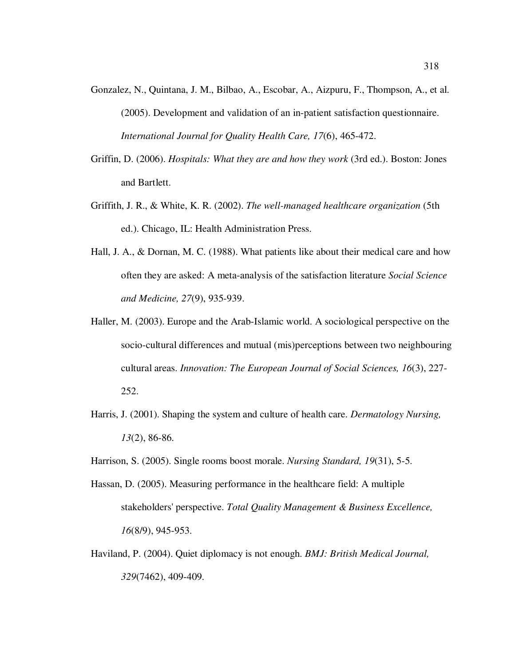- Gonzalez, N., Quintana, J. M., Bilbao, A., Escobar, A., Aizpuru, F., Thompson, A., et al. (2005). Development and validation of an in-patient satisfaction questionnaire. *International Journal for Quality Health Care, 17*(6), 465-472.
- Griffin, D. (2006). *Hospitals: What they are and how they work* (3rd ed.). Boston: Jones and Bartlett.
- Griffith, J. R., & White, K. R. (2002). *The well-managed healthcare organization* (5th ed.). Chicago, IL: Health Administration Press.
- Hall, J. A., & Dornan, M. C. (1988). What patients like about their medical care and how often they are asked: A meta-analysis of the satisfaction literature *Social Science and Medicine, 27*(9), 935-939.
- Haller, M. (2003). Europe and the Arab-Islamic world. A sociological perspective on the socio-cultural differences and mutual (mis)perceptions between two neighbouring cultural areas. *Innovation: The European Journal of Social Sciences, 16*(3), 227- 252.
- Harris, J. (2001). Shaping the system and culture of health care. *Dermatology Nursing, 13*(2), 86-86.
- Harrison, S. (2005). Single rooms boost morale. *Nursing Standard, 19*(31), 5-5.
- Hassan, D. (2005). Measuring performance in the healthcare field: A multiple stakeholders' perspective. *Total Quality Management & Business Excellence, 16*(8/9), 945-953.
- Haviland, P. (2004). Quiet diplomacy is not enough. *BMJ: British Medical Journal, 329*(7462), 409-409.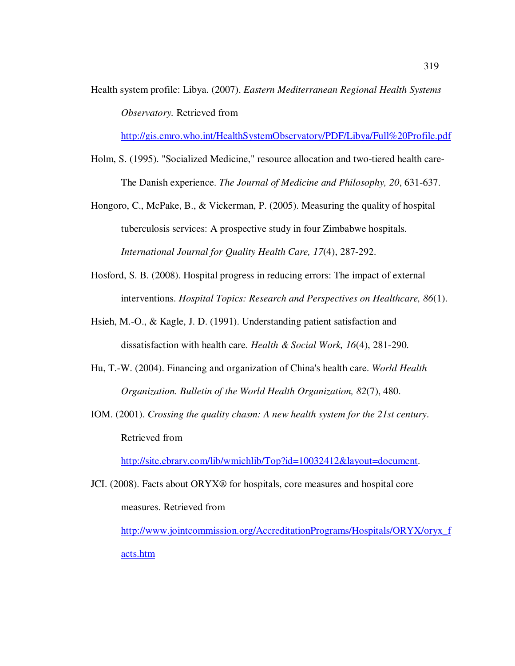Health system profile: Libya. (2007). *Eastern Mediterranean Regional Health Systems Observatory.* Retrieved from

http://gis.emro.who.int/HealthSystemObservatory/PDF/Libya/Full%20Profile.pdf

- Holm, S. (1995). "Socialized Medicine," resource allocation and two-tiered health care-The Danish experience. *The Journal of Medicine and Philosophy, 20*, 631-637.
- Hongoro, C., McPake, B., & Vickerman, P. (2005). Measuring the quality of hospital tuberculosis services: A prospective study in four Zimbabwe hospitals. *International Journal for Quality Health Care, 17*(4), 287-292.
- Hosford, S. B. (2008). Hospital progress in reducing errors: The impact of external interventions. *Hospital Topics: Research and Perspectives on Healthcare, 86*(1).
- Hsieh, M.-O., & Kagle, J. D. (1991). Understanding patient satisfaction and dissatisfaction with health care. *Health & Social Work, 16*(4), 281-290.
- Hu, T.-W. (2004). Financing and organization of China's health care. *World Health Organization. Bulletin of the World Health Organization, 82*(7), 480.
- IOM. (2001). *Crossing the quality chasm: A new health system for the 21st century*. Retrieved from

http://site.ebrary.com/lib/wmichlib/Top?id=10032412&layout=document.

JCI. (2008). Facts about ORYX® for hospitals, core measures and hospital core measures. Retrieved from

http://www.jointcommission.org/AccreditationPrograms/Hospitals/ORYX/oryx\_f acts.htm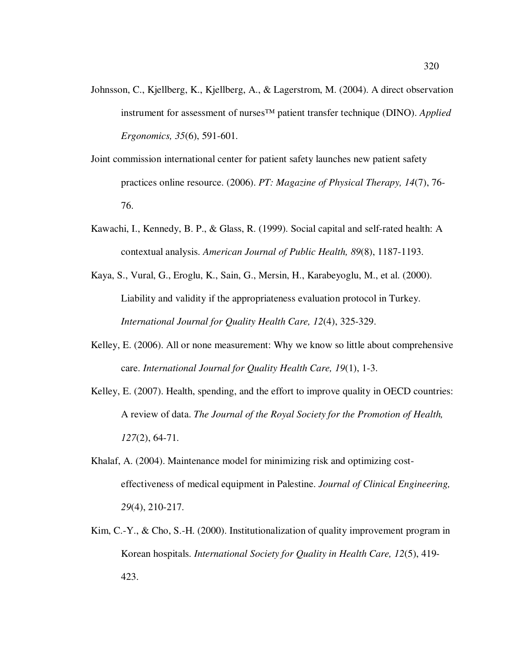- Johnsson, C., Kjellberg, K., Kjellberg, A., & Lagerstrom, M. (2004). A direct observation instrument for assessment of nurses™ patient transfer technique (DINO). *Applied Ergonomics, 35*(6), 591-601.
- Joint commission international center for patient safety launches new patient safety practices online resource. (2006). *PT: Magazine of Physical Therapy, 14*(7), 76- 76.
- Kawachi, I., Kennedy, B. P., & Glass, R. (1999). Social capital and self-rated health: A contextual analysis. *American Journal of Public Health, 89*(8), 1187-1193.
- Kaya, S., Vural, G., Eroglu, K., Sain, G., Mersin, H., Karabeyoglu, M., et al. (2000). Liability and validity if the appropriateness evaluation protocol in Turkey. *International Journal for Quality Health Care, 12*(4), 325-329.
- Kelley, E. (2006). All or none measurement: Why we know so little about comprehensive care. *International Journal for Quality Health Care, 19*(1), 1-3.
- Kelley, E. (2007). Health, spending, and the effort to improve quality in OECD countries: A review of data. *The Journal of the Royal Society for the Promotion of Health, 127*(2), 64-71.
- Khalaf, A. (2004). Maintenance model for minimizing risk and optimizing costeffectiveness of medical equipment in Palestine. *Journal of Clinical Engineering, 29*(4), 210-217.
- Kim, C.-Y., & Cho, S.-H. (2000). Institutionalization of quality improvement program in Korean hospitals. *International Society for Quality in Health Care, 12*(5), 419- 423.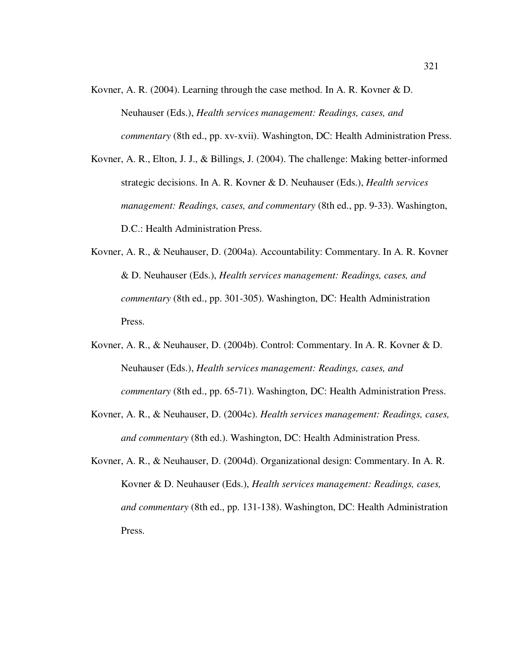- Kovner, A. R. (2004). Learning through the case method. In A. R. Kovner & D. Neuhauser (Eds.), *Health services management: Readings, cases, and commentary* (8th ed., pp. xv-xvii). Washington, DC: Health Administration Press.
- Kovner, A. R., Elton, J. J., & Billings, J. (2004). The challenge: Making better-informed strategic decisions. In A. R. Kovner & D. Neuhauser (Eds.), *Health services management: Readings, cases, and commentary* (8th ed., pp. 9-33). Washington, D.C.: Health Administration Press.
- Kovner, A. R., & Neuhauser, D. (2004a). Accountability: Commentary. In A. R. Kovner & D. Neuhauser (Eds.), *Health services management: Readings, cases, and commentary* (8th ed., pp. 301-305). Washington, DC: Health Administration Press.
- Kovner, A. R., & Neuhauser, D. (2004b). Control: Commentary. In A. R. Kovner & D. Neuhauser (Eds.), *Health services management: Readings, cases, and commentary* (8th ed., pp. 65-71). Washington, DC: Health Administration Press.
- Kovner, A. R., & Neuhauser, D. (2004c). *Health services management: Readings, cases, and commentary* (8th ed.). Washington, DC: Health Administration Press.
- Kovner, A. R., & Neuhauser, D. (2004d). Organizational design: Commentary. In A. R. Kovner & D. Neuhauser (Eds.), *Health services management: Readings, cases, and commentary* (8th ed., pp. 131-138). Washington, DC: Health Administration Press.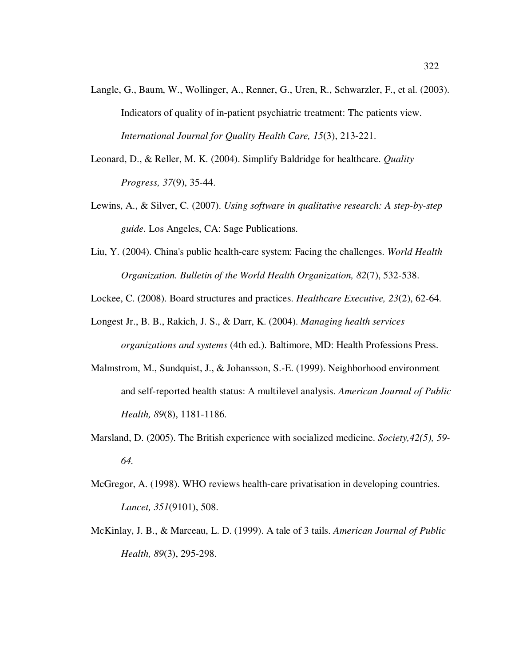- Langle, G., Baum, W., Wollinger, A., Renner, G., Uren, R., Schwarzler, F., et al. (2003). Indicators of quality of in-patient psychiatric treatment: The patients view. *International Journal for Quality Health Care, 15*(3), 213-221.
- Leonard, D., & Reller, M. K. (2004). Simplify Baldridge for healthcare. *Quality Progress, 37*(9), 35-44.
- Lewins, A., & Silver, C. (2007). *Using software in qualitative research: A step-by-step guide*. Los Angeles, CA: Sage Publications.
- Liu, Y. (2004). China's public health-care system: Facing the challenges. *World Health Organization. Bulletin of the World Health Organization, 82*(7), 532-538.

Lockee, C. (2008). Board structures and practices. *Healthcare Executive, 23*(2), 62-64.

- Longest Jr., B. B., Rakich, J. S., & Darr, K. (2004). *Managing health services organizations and systems* (4th ed.). Baltimore, MD: Health Professions Press.
- Malmstrom, M., Sundquist, J., & Johansson, S.-E. (1999). Neighborhood environment and self-reported health status: A multilevel analysis. *American Journal of Public Health, 89*(8), 1181-1186.
- Marsland, D. (2005). The British experience with socialized medicine. *Society,42(5), 59- 64.*
- McGregor, A. (1998). WHO reviews health-care privatisation in developing countries. *Lancet, 351*(9101), 508.
- McKinlay, J. B., & Marceau, L. D. (1999). A tale of 3 tails. *American Journal of Public Health, 89*(3), 295-298.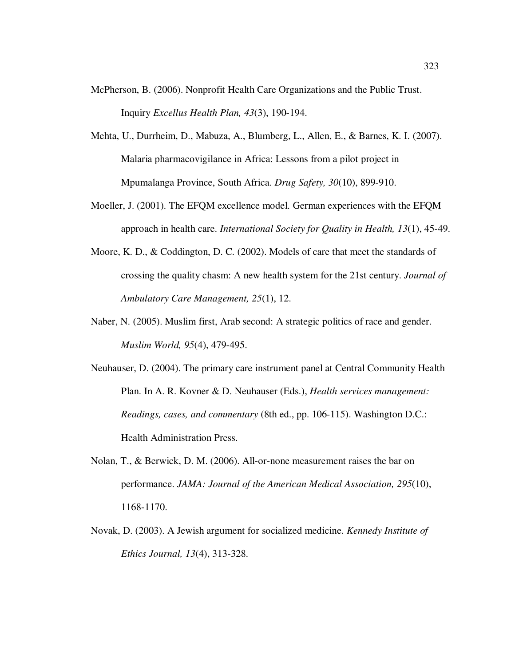- McPherson, B. (2006). Nonprofit Health Care Organizations and the Public Trust. Inquiry *Excellus Health Plan, 43*(3), 190-194.
- Mehta, U., Durrheim, D., Mabuza, A., Blumberg, L., Allen, E., & Barnes, K. I. (2007). Malaria pharmacovigilance in Africa: Lessons from a pilot project in Mpumalanga Province, South Africa. *Drug Safety, 30*(10), 899-910.
- Moeller, J. (2001). The EFQM excellence model. German experiences with the EFQM approach in health care. *International Society for Quality in Health, 13*(1), 45-49.
- Moore, K. D., & Coddington, D. C. (2002). Models of care that meet the standards of crossing the quality chasm: A new health system for the 21st century. *Journal of Ambulatory Care Management, 25*(1), 12.
- Naber, N. (2005). Muslim first, Arab second: A strategic politics of race and gender. *Muslim World, 95*(4), 479-495.
- Neuhauser, D. (2004). The primary care instrument panel at Central Community Health Plan. In A. R. Kovner & D. Neuhauser (Eds.), *Health services management: Readings, cases, and commentary* (8th ed., pp. 106-115). Washington D.C.: Health Administration Press.
- Nolan, T., & Berwick, D. M. (2006). All-or-none measurement raises the bar on performance. *JAMA: Journal of the American Medical Association, 295*(10), 1168-1170.
- Novak, D. (2003). A Jewish argument for socialized medicine. *Kennedy Institute of Ethics Journal, 13*(4), 313-328.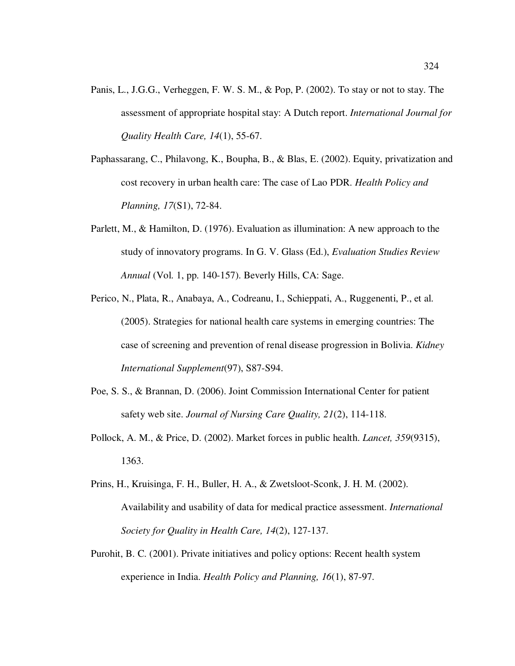- Panis, L., J.G.G., Verheggen, F. W. S. M., & Pop, P. (2002). To stay or not to stay. The assessment of appropriate hospital stay: A Dutch report. *International Journal for Quality Health Care, 14*(1), 55-67.
- Paphassarang, C., Philavong, K., Boupha, B., & Blas, E. (2002). Equity, privatization and cost recovery in urban health care: The case of Lao PDR. *Health Policy and Planning, 17*(S1), 72-84.
- Parlett, M., & Hamilton, D. (1976). Evaluation as illumination: A new approach to the study of innovatory programs. In G. V. Glass (Ed.), *Evaluation Studies Review Annual* (Vol. 1, pp. 140-157). Beverly Hills, CA: Sage.
- Perico, N., Plata, R., Anabaya, A., Codreanu, I., Schieppati, A., Ruggenenti, P., et al. (2005). Strategies for national health care systems in emerging countries: The case of screening and prevention of renal disease progression in Bolivia. *Kidney International Supplement*(97), S87-S94.
- Poe, S. S., & Brannan, D. (2006). Joint Commission International Center for patient safety web site. *Journal of Nursing Care Quality, 21*(2), 114-118.
- Pollock, A. M., & Price, D. (2002). Market forces in public health. *Lancet, 359*(9315), 1363.
- Prins, H., Kruisinga, F. H., Buller, H. A., & Zwetsloot-Sconk, J. H. M. (2002). Availability and usability of data for medical practice assessment. *International Society for Quality in Health Care, 14*(2), 127-137.
- Purohit, B. C. (2001). Private initiatives and policy options: Recent health system experience in India. *Health Policy and Planning, 16*(1), 87-97.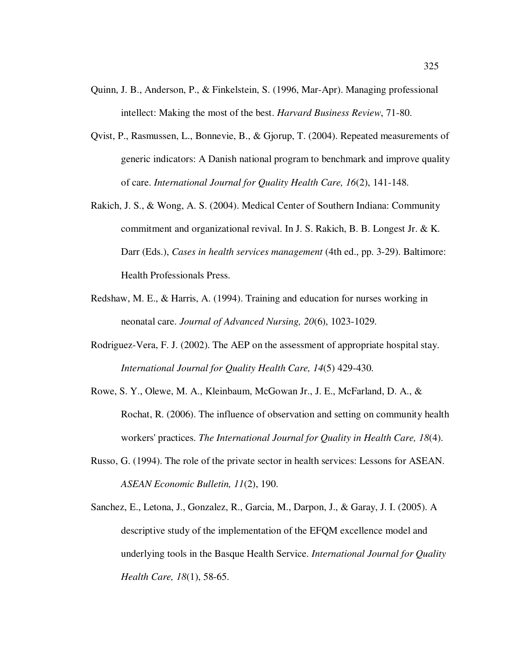- Quinn, J. B., Anderson, P., & Finkelstein, S. (1996, Mar-Apr). Managing professional intellect: Making the most of the best. *Harvard Business Review*, 71-80.
- Qvist, P., Rasmussen, L., Bonnevie, B., & Gjorup, T. (2004). Repeated measurements of generic indicators: A Danish national program to benchmark and improve quality of care. *International Journal for Quality Health Care, 16*(2), 141-148.
- Rakich, J. S., & Wong, A. S. (2004). Medical Center of Southern Indiana: Community commitment and organizational revival. In J. S. Rakich, B. B. Longest Jr. & K. Darr (Eds.), *Cases in health services management* (4th ed., pp. 3-29). Baltimore: Health Professionals Press.
- Redshaw, M. E., & Harris, A. (1994). Training and education for nurses working in neonatal care. *Journal of Advanced Nursing, 20*(6), 1023-1029.
- Rodriguez-Vera, F. J. (2002). The AEP on the assessment of appropriate hospital stay. *International Journal for Quality Health Care, 14*(5) 429-430.
- Rowe, S. Y., Olewe, M. A., Kleinbaum, McGowan Jr., J. E., McFarland, D. A., & Rochat, R. (2006). The influence of observation and setting on community health workers' practices. *The International Journal for Quality in Health Care, 18*(4).
- Russo, G. (1994). The role of the private sector in health services: Lessons for ASEAN. *ASEAN Economic Bulletin, 11*(2), 190.
- Sanchez, E., Letona, J., Gonzalez, R., Garcia, M., Darpon, J., & Garay, J. I. (2005). A descriptive study of the implementation of the EFQM excellence model and underlying tools in the Basque Health Service. *International Journal for Quality Health Care, 18*(1), 58-65.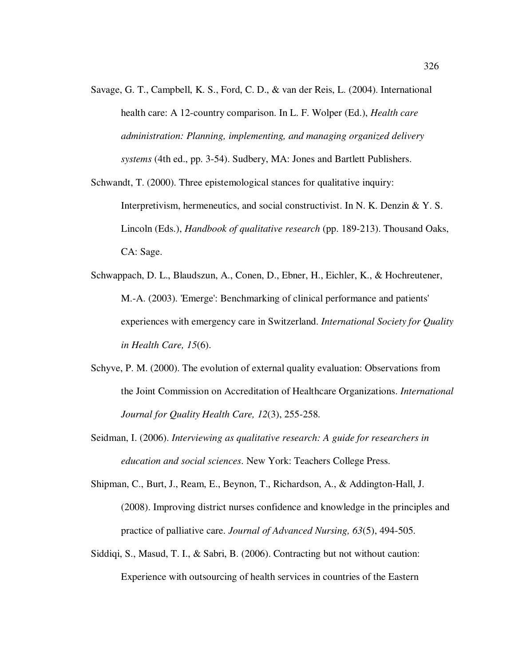- Savage, G. T., Campbell, K. S., Ford, C. D., & van der Reis, L. (2004). International health care: A 12-country comparison. In L. F. Wolper (Ed.), *Health care administration: Planning, implementing, and managing organized delivery systems* (4th ed., pp. 3-54). Sudbery, MA: Jones and Bartlett Publishers.
- Schwandt, T. (2000). Three epistemological stances for qualitative inquiry: Interpretivism, hermeneutics, and social constructivist. In N. K. Denzin & Y. S. Lincoln (Eds.), *Handbook of qualitative research* (pp. 189-213). Thousand Oaks, CA: Sage.
- Schwappach, D. L., Blaudszun, A., Conen, D., Ebner, H., Eichler, K., & Hochreutener, M.-A. (2003). 'Emerge': Benchmarking of clinical performance and patients' experiences with emergency care in Switzerland. *International Society for Quality in Health Care, 15*(6).
- Schyve, P. M. (2000). The evolution of external quality evaluation: Observations from the Joint Commission on Accreditation of Healthcare Organizations. *International Journal for Quality Health Care, 12*(3), 255-258.
- Seidman, I. (2006). *Interviewing as qualitative research: A guide for researchers in education and social sciences*. New York: Teachers College Press.
- Shipman, C., Burt, J., Ream, E., Beynon, T., Richardson, A., & Addington-Hall, J. (2008). Improving district nurses confidence and knowledge in the principles and practice of palliative care. *Journal of Advanced Nursing, 63*(5), 494-505.
- Siddiqi, S., Masud, T. I., & Sabri, B. (2006). Contracting but not without caution: Experience with outsourcing of health services in countries of the Eastern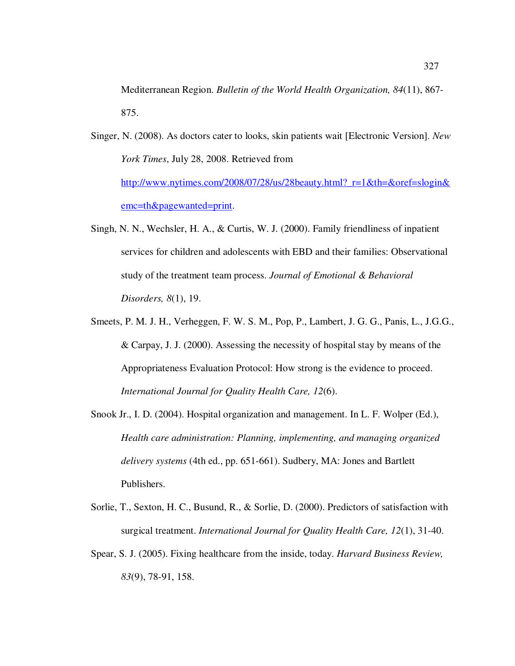Mediterranean Region. *Bulletin of the World Health Organization, 84*(11), 867- 875.

- Singer, N. (2008). As doctors cater to looks, skin patients wait [Electronic Version]. *New York Times*, July 28, 2008. Retrieved from http://www.nytimes.com/2008/07/28/us/28beauty.html?\_r=1&th=&oref=slogin& emc=th&pagewanted=print.
- Singh, N. N., Wechsler, H. A., & Curtis, W. J. (2000). Family friendliness of inpatient services for children and adolescents with EBD and their families: Observational study of the treatment team process. *Journal of Emotional & Behavioral Disorders, 8*(1), 19.
- Smeets, P. M. J. H., Verheggen, F. W. S. M., Pop, P., Lambert, J. G. G., Panis, L., J.G.G., & Carpay, J. J. (2000). Assessing the necessity of hospital stay by means of the Appropriateness Evaluation Protocol: How strong is the evidence to proceed. *International Journal for Quality Health Care, 12*(6).
- Snook Jr., I. D. (2004). Hospital organization and management. In L. F. Wolper (Ed.), *Health care administration: Planning, implementing, and managing organized delivery systems* (4th ed., pp. 651-661). Sudbery, MA: Jones and Bartlett Publishers.
- Sorlie, T., Sexton, H. C., Busund, R., & Sorlie, D. (2000). Predictors of satisfaction with surgical treatment. *International Journal for Quality Health Care, 12*(1), 31-40.
- Spear, S. J. (2005). Fixing healthcare from the inside, today. *Harvard Business Review, 83*(9), 78-91, 158.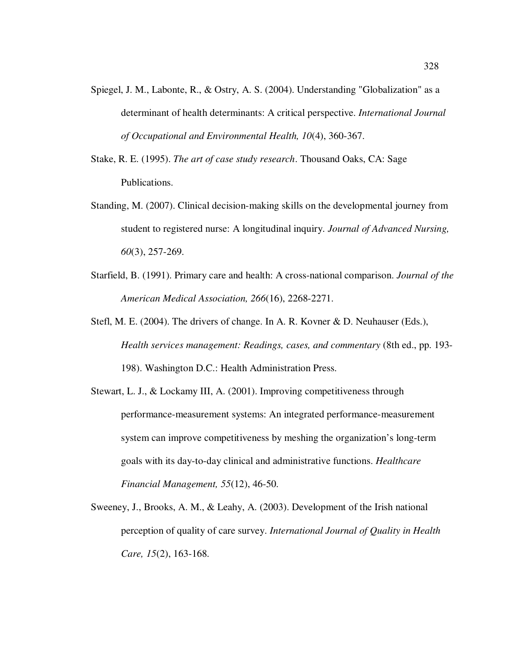- Spiegel, J. M., Labonte, R., & Ostry, A. S. (2004). Understanding "Globalization" as a determinant of health determinants: A critical perspective. *International Journal of Occupational and Environmental Health, 10*(4), 360-367.
- Stake, R. E. (1995). *The art of case study research*. Thousand Oaks, CA: Sage Publications.
- Standing, M. (2007). Clinical decision-making skills on the developmental journey from student to registered nurse: A longitudinal inquiry. *Journal of Advanced Nursing, 60*(3), 257-269.
- Starfield, B. (1991). Primary care and health: A cross-national comparison. *Journal of the American Medical Association, 266*(16), 2268-2271.
- Stefl, M. E. (2004). The drivers of change. In A. R. Kovner & D. Neuhauser (Eds.), *Health services management: Readings, cases, and commentary* (8th ed., pp. 193- 198). Washington D.C.: Health Administration Press.
- Stewart, L. J., & Lockamy III, A. (2001). Improving competitiveness through performance-measurement systems: An integrated performance-measurement system can improve competitiveness by meshing the organization's long-term goals with its day-to-day clinical and administrative functions. *Healthcare Financial Management, 55*(12), 46-50.
- Sweeney, J., Brooks, A. M., & Leahy, A. (2003). Development of the Irish national perception of quality of care survey. *International Journal of Quality in Health Care, 15*(2), 163-168.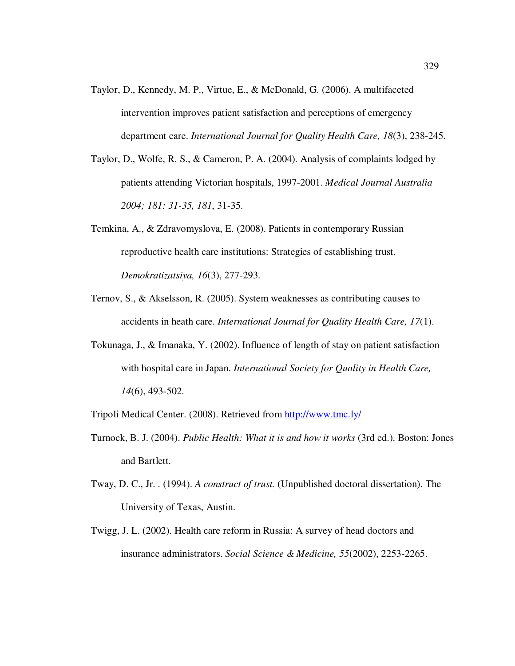- Taylor, D., Kennedy, M. P., Virtue, E., & McDonald, G. (2006). A multifaceted intervention improves patient satisfaction and perceptions of emergency department care. *International Journal for Quality Health Care, 18*(3), 238-245.
- Taylor, D., Wolfe, R. S., & Cameron, P. A. (2004). Analysis of complaints lodged by patients attending Victorian hospitals, 1997-2001. *Medical Journal Australia 2004; 181: 31-35, 181*, 31-35.
- Temkina, A., & Zdravomyslova, E. (2008). Patients in contemporary Russian reproductive health care institutions: Strategies of establishing trust. *Demokratizatsiya, 16*(3), 277-293.
- Ternov, S., & Akselsson, R. (2005). System weaknesses as contributing causes to accidents in heath care. *International Journal for Quality Health Care, 17*(1).
- Tokunaga, J., & Imanaka, Y. (2002). Influence of length of stay on patient satisfaction with hospital care in Japan. *International Society for Quality in Health Care, 14*(6), 493-502.

Tripoli Medical Center. (2008). Retrieved from http://www.tmc.ly/

- Turnock, B. J. (2004). *Public Health: What it is and how it works* (3rd ed.). Boston: Jones and Bartlett.
- Tway, D. C., Jr. . (1994). *A construct of trust.* (Unpublished doctoral dissertation). The University of Texas, Austin.
- Twigg, J. L. (2002). Health care reform in Russia: A survey of head doctors and insurance administrators. *Social Science & Medicine, 55*(2002), 2253-2265.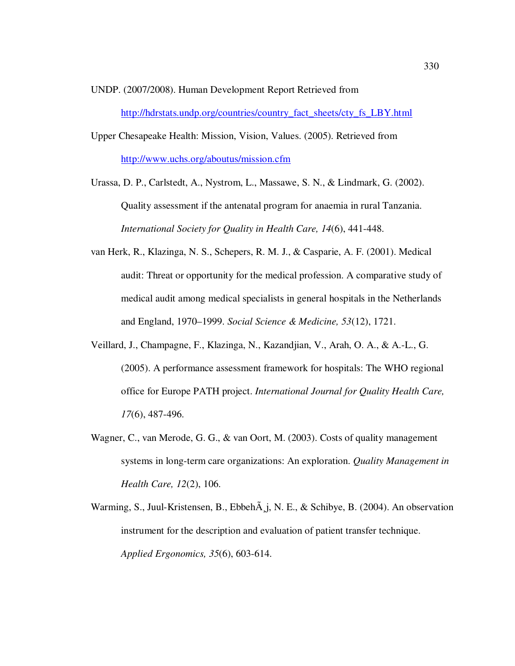UNDP. (2007/2008). Human Development Report Retrieved from http://hdrstats.undp.org/countries/country\_fact\_sheets/cty\_fs\_LBY.html

- Upper Chesapeake Health: Mission, Vision, Values. (2005). Retrieved from http://www.uchs.org/aboutus/mission.cfm
- Urassa, D. P., Carlstedt, A., Nystrom, L., Massawe, S. N., & Lindmark, G. (2002). Quality assessment if the antenatal program for anaemia in rural Tanzania. *International Society for Quality in Health Care, 14*(6), 441-448.
- van Herk, R., Klazinga, N. S., Schepers, R. M. J., & Casparie, A. F. (2001). Medical audit: Threat or opportunity for the medical profession. A comparative study of medical audit among medical specialists in general hospitals in the Netherlands and England, 1970–1999. *Social Science & Medicine, 53*(12), 1721.
- Veillard, J., Champagne, F., Klazinga, N., Kazandjian, V., Arah, O. A., & A.-L., G. (2005). A performance assessment framework for hospitals: The WHO regional office for Europe PATH project. *International Journal for Quality Health Care, 17*(6), 487-496.
- Wagner, C., van Merode, G. G., & van Oort, M. (2003). Costs of quality management systems in long-term care organizations: An exploration. *Quality Management in Health Care, 12*(2), 106.
- Warming, S., Juul-Kristensen, B., Ebbehà j, N. E., & Schibye, B. (2004). An observation instrument for the description and evaluation of patient transfer technique. *Applied Ergonomics, 35*(6), 603-614.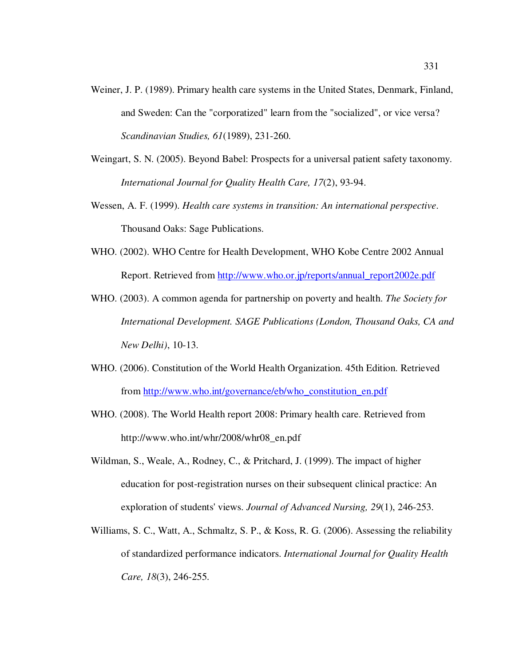- Weiner, J. P. (1989). Primary health care systems in the United States, Denmark, Finland, and Sweden: Can the "corporatized" learn from the "socialized", or vice versa? *Scandinavian Studies, 61*(1989), 231-260.
- Weingart, S. N. (2005). Beyond Babel: Prospects for a universal patient safety taxonomy. *International Journal for Quality Health Care, 17*(2), 93-94.
- Wessen, A. F. (1999). *Health care systems in transition: An international perspective*. Thousand Oaks: Sage Publications.
- WHO. (2002). WHO Centre for Health Development, WHO Kobe Centre 2002 Annual Report. Retrieved from http://www.who.or.jp/reports/annual\_report2002e.pdf
- WHO. (2003). A common agenda for partnership on poverty and health. *The Society for International Development. SAGE Publications (London, Thousand Oaks, CA and New Delhi)*, 10-13.
- WHO. (2006). Constitution of the World Health Organization. 45th Edition. Retrieved from http://www.who.int/governance/eb/who\_constitution\_en.pdf
- WHO. (2008). The World Health report 2008: Primary health care. Retrieved from http://www.who.int/whr/2008/whr08\_en.pdf
- Wildman, S., Weale, A., Rodney, C., & Pritchard, J. (1999). The impact of higher education for post-registration nurses on their subsequent clinical practice: An exploration of students' views. *Journal of Advanced Nursing, 29*(1), 246-253.
- Williams, S. C., Watt, A., Schmaltz, S. P., & Koss, R. G. (2006). Assessing the reliability of standardized performance indicators. *International Journal for Quality Health Care, 18*(3), 246-255.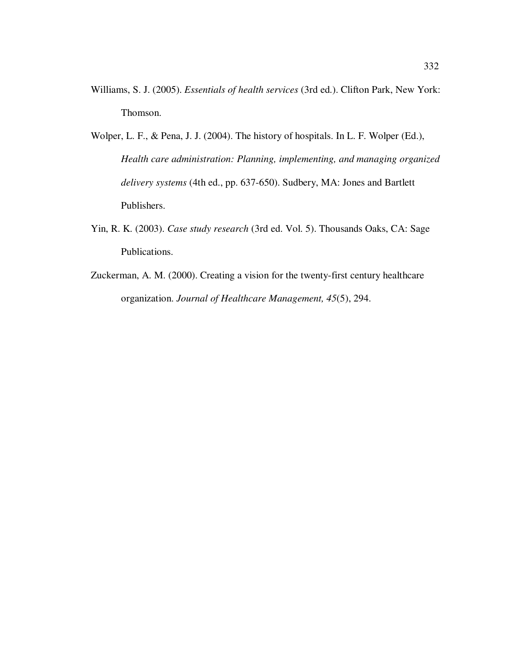- Williams, S. J. (2005). *Essentials of health services* (3rd ed.). Clifton Park, New York: Thomson.
- Wolper, L. F., & Pena, J. J. (2004). The history of hospitals. In L. F. Wolper (Ed.), *Health care administration: Planning, implementing, and managing organized delivery systems* (4th ed., pp. 637-650). Sudbery, MA: Jones and Bartlett Publishers.
- Yin, R. K. (2003). *Case study research* (3rd ed. Vol. 5). Thousands Oaks, CA: Sage Publications.
- Zuckerman, A. M. (2000). Creating a vision for the twenty-first century healthcare organization. *Journal of Healthcare Management, 45*(5), 294.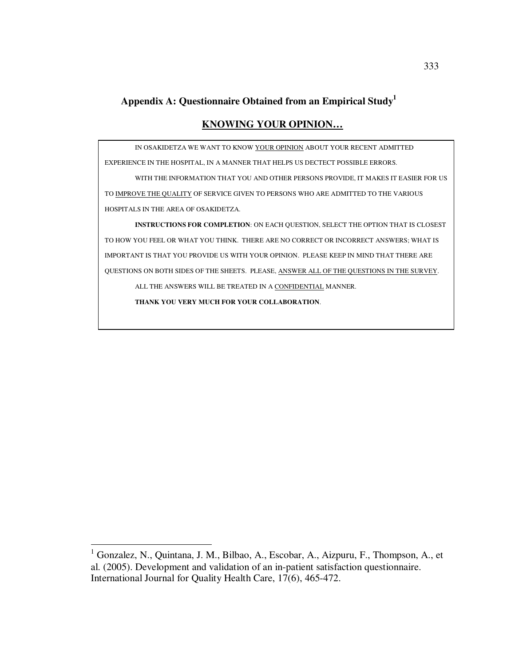# **Appendix A: Questionnaire Obtained from an Empirical Study<sup>1</sup>**

# **KNOWING YOUR OPINION…**

IN OSAKIDETZA WE WANT TO KNOW YOUR OPINION ABOUT YOUR RECENT ADMITTED

EXPERIENCE IN THE HOSPITAL, IN A MANNER THAT HELPS US DECTECT POSSIBLE ERRORS.

 WITH THE INFORMATION THAT YOU AND OTHER PERSONS PROVIDE, IT MAKES IT EASIER FOR US TO IMPROVE THE QUALITY OF SERVICE GIVEN TO PERSONS WHO ARE ADMITTED TO THE VARIOUS HOSPITALS IN THE AREA OF OSAKIDETZA.

**INSTRUCTIONS FOR COMPLETION**: ON EACH QUESTION, SELECT THE OPTION THAT IS CLOSEST TO HOW YOU FEEL OR WHAT YOU THINK. THERE ARE NO CORRECT OR INCORRECT ANSWERS; WHAT IS IMPORTANT IS THAT YOU PROVIDE US WITH YOUR OPINION. PLEASE KEEP IN MIND THAT THERE ARE QUESTIONS ON BOTH SIDES OF THE SHEETS. PLEASE, ANSWER ALL OF THE QUESTIONS IN THE SURVEY.

ALL THE ANSWERS WILL BE TREATED IN A CONFIDENTIAL MANNER.

**THANK YOU VERY MUCH FOR YOUR COLLABORATION**.

 1 Gonzalez, N., Quintana, J. M., Bilbao, A., Escobar, A., Aizpuru, F., Thompson, A., et al. (2005). Development and validation of an in-patient satisfaction questionnaire. International Journal for Quality Health Care, 17(6), 465-472.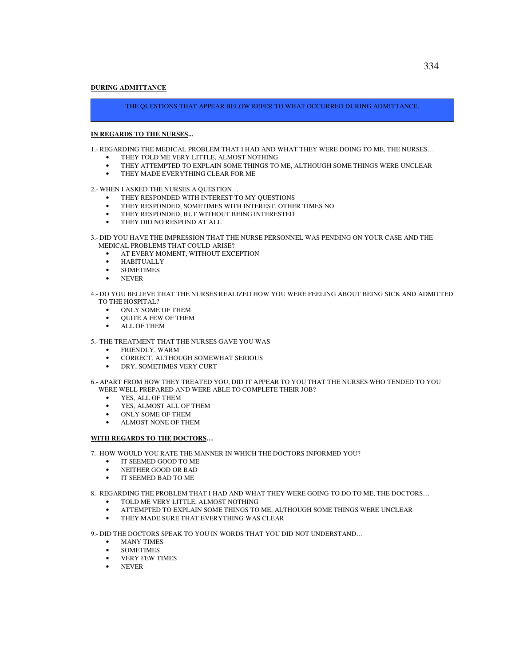## **DURING ADMITTANCE**

THE QUESTIONS THAT APPEAR BELOW REFER TO WHAT OCCURRED DURING ADMITTANCE.

## **IN REGARDS TO THE NURSES...**

1.- REGARDING THE MEDICAL PROBLEM THAT I HAD AND WHAT THEY WERE DOING TO ME, THE NURSES…

- THEY TOLD ME VERY LITTLE, ALMOST NOTHING
- THEY ATTEMPTED TO EXPLAIN SOME THINGS TO ME, ALTHOUGH SOME THINGS WERE UNCLEAR
- THEY MADE EVERYTHING CLEAR FOR ME

2.- WHEN I ASKED THE NURSES A QUESTION…

- THEY RESPONDED WITH INTEREST TO MY QUESTIONS
- THEY RESPONDED, SOMETIMES WITH INTEREST, OTHER TIMES NO
- THEY RESPONDED, BUT WITHOUT BEING INTERESTED
- THEY DID NO RESPOND AT ALL
- 3.- DID YOU HAVE THE IMPRESSION THAT THE NURSE PERSONNEL WAS PENDING ON YOUR CASE AND THE MEDICAL PROBLEMS THAT COULD ARISE?
	- AT EVERY MOMENT, WITHOUT EXCEPTION
	- HABITUALLY
	- SOMETIMES
	- NEVER
- 4.- DO YOU BELIEVE THAT THE NURSES REALIZED HOW YOU WERE FEELING ABOUT BEING SICK AND ADMITTED TO THE HOSPITAL?
	- ONLY SOME OF THEM
	- QUITE A FEW OF THEM
	- ALL OF THEM

# 5.- THE TREATMENT THAT THE NURSES GAVE YOU WAS

- FRIENDLY, WARM
- CORRECT, ALTHOUGH SOMEWHAT SERIOUS
- DRY, SOMETIMES VERY CURT
- 6.- APART FROM HOW THEY TREATED YOU, DID IT APPEAR TO YOU THAT THE NURSES WHO TENDED TO YOU WERE WELL PREPARED AND WERE ABLE TO COMPLETE THEIR JOB?
	- YES, ALL OF THEM
	- YES, ALMOST ALL OF THEM
	- ONLY SOME OF THEM
	- ALMOST NONE OF THEM

# **WITH REGARDS TO THE DOCTORS…**

7.- HOW WOULD YOU RATE THE MANNER IN WHICH THE DOCTORS INFORMED YOU?

- IT SEEMED GOOD TO ME
- NEITHER GOOD OR BAD
- IT SEEMED BAD TO ME

8.- REGARDING THE PROBLEM THAT I HAD AND WHAT THEY WERE GOING TO DO TO ME, THE DOCTORS…

- TOLD ME VERY LITTLE, ALMOST NOTHING
- ATTEMPTED TO EXPLAIN SOME THINGS TO ME, ALTHOUGH SOME THINGS WERE UNCLEAR
- THEY MADE SURE THAT EVERYTHING WAS CLEAR

9.- DID THE DOCTORS SPEAK TO YOU IN WORDS THAT YOU DID NOT UNDERSTAND…

- **MANY TIMES**
- SOMETIMES
- VERY FEW TIMES
- NEVER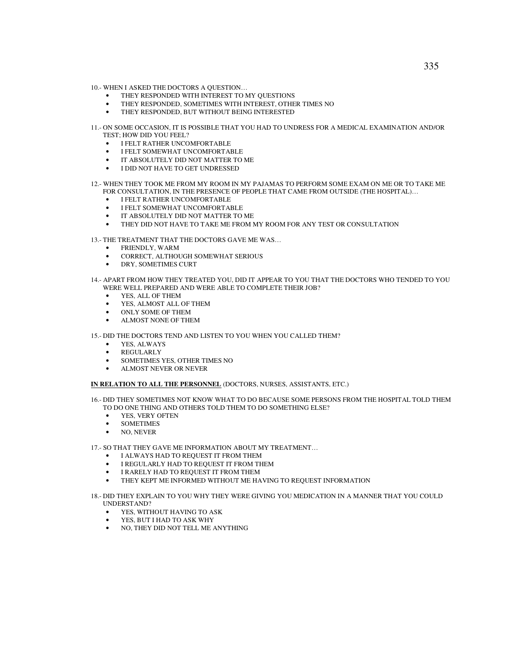- 10.- WHEN I ASKED THE DOCTORS A QUESTION…
	- THEY RESPONDED WITH INTEREST TO MY QUESTIONS
	- THEY RESPONDED, SOMETIMES WITH INTEREST, OTHER TIMES NO
	- THEY RESPONDED, BUT WITHOUT BEING INTERESTED
- 11.- ON SOME OCCASION, IT IS POSSIBLE THAT YOU HAD TO UNDRESS FOR A MEDICAL EXAMINATION AND/OR TEST; HOW DID YOU FEEL?
	- I FELT RATHER UNCOMFORTABLE
	- I FELT SOMEWHAT UNCOMFORTABLE
	- IT ABSOLUTELY DID NOT MATTER TO ME
	- I DID NOT HAVE TO GET UNDRESSED
- 12.- WHEN THEY TOOK ME FROM MY ROOM IN MY PAJAMAS TO PERFORM SOME EXAM ON ME OR TO TAKE ME FOR CONSULTATION, IN THE PRESENCE OF PEOPLE THAT CAME FROM OUTSIDE (THE HOSPITAL)…
	- I FELT RATHER UNCOMFORTABLE
	- I FELT SOMEWHAT UNCOMFORTABLE
	- IT ABSOLUTELY DID NOT MATTER TO ME
	- THEY DID NOT HAVE TO TAKE ME FROM MY ROOM FOR ANY TEST OR CONSULTATION
- 13.- THE TREATMENT THAT THE DOCTORS GAVE ME WAS…
	- FRIENDLY, WARM
	- CORRECT, ALTHOUGH SOMEWHAT SERIOUS
	- DRY, SOMETIMES CURT
- 14.- APART FROM HOW THEY TREATED YOU, DID IT APPEAR TO YOU THAT THE DOCTORS WHO TENDED TO YOU WERE WELL PREPARED AND WERE ABLE TO COMPLETE THEIR JOB?
	- YES, ALL OF THEM
	- YES, ALMOST ALL OF THEM
	- ONLY SOME OF THEM
	- ALMOST NONE OF THEM

15.- DID THE DOCTORS TEND AND LISTEN TO YOU WHEN YOU CALLED THEM?

- YES, ALWAYS
- **REGULARLY**
- SOMETIMES YES, OTHER TIMES NO
- ALMOST NEVER OR NEVER

# **IN RELATION TO ALL THE PERSONNEL** (DOCTORS, NURSES, ASSISTANTS, ETC.)

- 16.- DID THEY SOMETIMES NOT KNOW WHAT TO DO BECAUSE SOME PERSONS FROM THE HOSPITAL TOLD THEM TO DO ONE THING AND OTHERS TOLD THEM TO DO SOMETHING ELSE?
	- YES, VERY OFTEN
	- SOMETIMES
	- NO, NEVER

17.- SO THAT THEY GAVE ME INFORMATION ABOUT MY TREATMENT…

- I ALWAYS HAD TO REQUEST IT FROM THEM
- I REGULARLY HAD TO REQUEST IT FROM THEM
- I RARELY HAD TO REQUEST IT FROM THEM
- THEY KEPT ME INFORMED WITHOUT ME HAVING TO REQUEST INFORMATION

18.- DID THEY EXPLAIN TO YOU WHY THEY WERE GIVING YOU MEDICATION IN A MANNER THAT YOU COULD UNDERSTAND?

- YES, WITHOUT HAVING TO ASK
- YES, BUT I HAD TO ASK WHY
- NO, THEY DID NOT TELL ME ANYTHING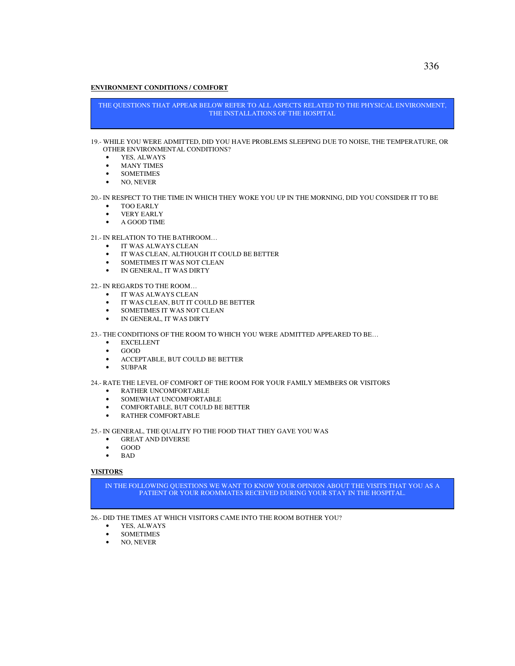# **ENVIRONMENT CONDITIONS / COMFORT**

THE QUESTIONS THAT APPEAR BELOW REFER TO ALL ASPECTS RELATED TO THE PHYSICAL ENVIRONMENT, THE INSTALLATIONS OF THE HOSPITAL

#### 19.- WHILE YOU WERE ADMITTED, DID YOU HAVE PROBLEMS SLEEPING DUE TO NOISE, THE TEMPERATURE, OR OTHER ENVIRONMENTAL CONDITIONS?

- YES, ALWAYS
- MANY TIMES
- SOMETIMES
- NO, NEVER

## 20.- IN RESPECT TO THE TIME IN WHICH THEY WOKE YOU UP IN THE MORNING, DID YOU CONSIDER IT TO BE

- TOO EARLY
- VERY EARLY
- A GOOD TIME

# 21.- IN RELATION TO THE BATHROOM…

- IT WAS ALWAYS CLEAN
- IT WAS CLEAN, ALTHOUGH IT COULD BE BETTER
- SOMETIMES IT WAS NOT CLEAN
- IN GENERAL, IT WAS DIRTY

# 22.- IN REGARDS TO THE ROOM…

- IT WAS ALWAYS CLEAN
- IT WAS CLEAN, BUT IT COULD BE BETTER
- SOMETIMES IT WAS NOT CLEAN
- IN GENERAL, IT WAS DIRTY

#### 23.- THE CONDITIONS OF THE ROOM TO WHICH YOU WERE ADMITTED APPEARED TO BE…

- EXCELLENT
- GOOD
- ACCEPTABLE, BUT COULD BE BETTER
- SUBPAR

## 24.- RATE THE LEVEL OF COMFORT OF THE ROOM FOR YOUR FAMILY MEMBERS OR VISITORS

- RATHER UNCOMFORTABLE
- SOMEWHAT UNCOMFORTABLE
- COMFORTABLE, BUT COULD BE BETTER
- RATHER COMFORTABLE

25.- IN GENERAL, THE QUALITY FO THE FOOD THAT THEY GAVE YOU WAS

- **GREAT AND DIVERSE**
- GOOD
- BAD

## **VISITORS**

IN THE FOLLOWING QUESTIONS WE WANT TO KNOW YOUR OPINION ABOUT THE VISITS THAT YOU AS A PATIENT OR YOUR ROOMMATES RECEIVED DURING YOUR STAY IN THE HOSPITAL.

26.- DID THE TIMES AT WHICH VISITORS CAME INTO THE ROOM BOTHER YOU?

- YES, ALWAYS
- SOMETIMES
- NO, NEVER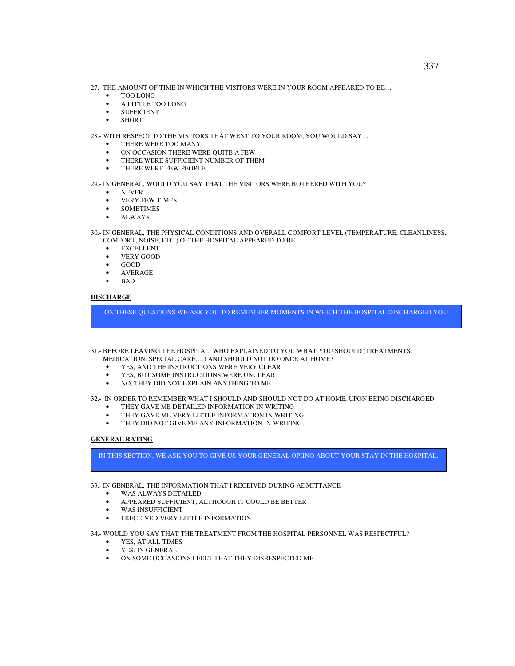- 27.- THE AMOUNT OF TIME IN WHICH THE VISITORS WERE IN YOUR ROOM APPEARED TO BE…
	- TOO LONG
	- A LITTLE TOO LONG
	- SUFFICIENT
	- SHORT

28.- WITH RESPECT TO THE VISITORS THAT WENT TO YOUR ROOM, YOU WOULD SAY…

- THERE WERE TOO MANY
- ON OCCASION THERE WERE QUITE A FEW
- THERE WERE SUFFICIENT NUMBER OF THEM
- THERE WERE FEW PEOPLE

29.- IN GENERAL, WOULD YOU SAY THAT THE VISITORS WERE BOTHERED WITH YOU?

- NEVER
- VERY FEW TIMES
- SOMETIMES
- ALWAYS

30.- IN GENERAL, THE PHYSICAL CONDITIONS AND OVERALL COMFORT LEVEL (TEMPERATURE, CLEANLINESS, COMFORT, NOISE, ETC.) OF THE HOSPITAL APPEARED TO BE…

- **EXCELLENT**
- VERY GOOD
- GOOD
- AVERAGE
- BAD

# **DISCHARGE**

ON THESE QUESTIONS WE ASK YOU TO REMEMBER MOMENTS IN WHICH THE HOSPITAL DISCHARGED YOU

31.- BEFORE LEAVING THE HOSPITAL, WHO EXPLAINED TO YOU WHAT YOU SHOULD (TREATMENTS,

- MEDICATION, SPECIAL CARE,…) AND SHOULD NOT DO ONCE AT HOME?
- YES, AND THE INSTRUCTIONS WERE VERY CLEAR
- YES, BUT SOME INSTRUCTIONS WERE UNCLEAR
- NO, THEY DID NOT EXPLAIN ANYTHING TO ME

# 32.- IN ORDER TO REMEMBER WHAT I SHOULD AND SHOULD NOT DO AT HOME, UPON BEING DISCHARGED

- THEY GAVE ME DETAILED INFORMATION IN WRITING
- THEY GAVE ME VERY LITTLE INFORMATION IN WRITING
- THEY DID NOT GIVE ME ANY INFORMATION IN WRITING

## **GENERAL RATING**

IN THIS SECTION, WE ASK YOU TO GIVE US YOUR GENERAL OPIINO ABOUT YOUR STAY IN THE HOSPITAL.

33.- IN GENERAL, THE INFORMATION THAT I RECEIVED DURING ADMITTANCE

- WAS ALWAYS DETAILED
- APPEARED SUFFICIENT, ALTHOUGH IT COULD BE BETTER
- WAS INSUFFICIENT
- I RECEIVED VERY LITTLE INFORMATION

34.- WOULD YOU SAY THAT THE TREATMENT FROM THE HOSPITAL PERSONNEL WAS RESPECTFUL?

- YES, AT ALL TIMES
- YES, IN GENERAL
- ON SOME OCCASIONS I FELT THAT THEY DISRESPECTED ME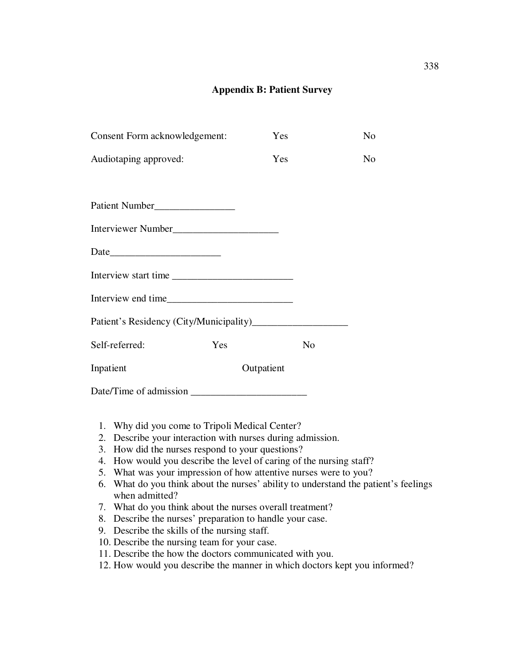# **Appendix B: Patient Survey**

| Consent Form acknowledgement: |            | Yes |                | N <sub>o</sub> |
|-------------------------------|------------|-----|----------------|----------------|
| Audiotaping approved:         |            | Yes |                | N <sub>0</sub> |
|                               |            |     |                |                |
| Patient Number                |            |     |                |                |
| Interviewer Number            |            |     |                |                |
|                               |            |     |                |                |
| Interview start time          |            |     |                |                |
|                               |            |     |                |                |
|                               |            |     |                |                |
| Self-referred:                | Yes        |     | N <sub>o</sub> |                |
| Inpatient                     | Outpatient |     |                |                |
|                               |            |     |                |                |

- 1. Why did you come to Tripoli Medical Center?
- 2. Describe your interaction with nurses during admission.
- 3. How did the nurses respond to your questions?
- 4. How would you describe the level of caring of the nursing staff?
- 5. What was your impression of how attentive nurses were to you?
- 6. What do you think about the nurses' ability to understand the patient's feelings when admitted?
- 7. What do you think about the nurses overall treatment?
- 8. Describe the nurses' preparation to handle your case.
- 9. Describe the skills of the nursing staff.
- 10. Describe the nursing team for your case.
- 11. Describe the how the doctors communicated with you.
- 12. How would you describe the manner in which doctors kept you informed?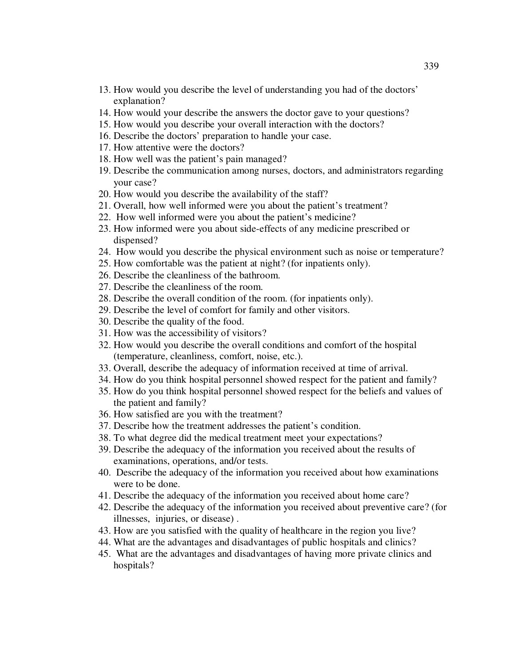- 13. How would you describe the level of understanding you had of the doctors' explanation?
- 14. How would your describe the answers the doctor gave to your questions?
- 15. How would you describe your overall interaction with the doctors?
- 16. Describe the doctors' preparation to handle your case.
- 17. How attentive were the doctors?
- 18. How well was the patient's pain managed?
- 19. Describe the communication among nurses, doctors, and administrators regarding your case?
- 20. How would you describe the availability of the staff?
- 21. Overall, how well informed were you about the patient's treatment?
- 22. How well informed were you about the patient's medicine?
- 23. How informed were you about side-effects of any medicine prescribed or dispensed?
- 24. How would you describe the physical environment such as noise or temperature?
- 25. How comfortable was the patient at night? (for inpatients only).
- 26. Describe the cleanliness of the bathroom.
- 27. Describe the cleanliness of the room.
- 28. Describe the overall condition of the room. (for inpatients only).
- 29. Describe the level of comfort for family and other visitors.
- 30. Describe the quality of the food.
- 31. How was the accessibility of visitors?
- 32. How would you describe the overall conditions and comfort of the hospital (temperature, cleanliness, comfort, noise, etc.).
- 33. Overall, describe the adequacy of information received at time of arrival.
- 34. How do you think hospital personnel showed respect for the patient and family?
- 35. How do you think hospital personnel showed respect for the beliefs and values of the patient and family?
- 36. How satisfied are you with the treatment?
- 37. Describe how the treatment addresses the patient's condition.
- 38. To what degree did the medical treatment meet your expectations?
- 39. Describe the adequacy of the information you received about the results of examinations, operations, and/or tests.
- 40. Describe the adequacy of the information you received about how examinations were to be done.
- 41. Describe the adequacy of the information you received about home care?
- 42. Describe the adequacy of the information you received about preventive care? (for illnesses, injuries, or disease) .
- 43. How are you satisfied with the quality of healthcare in the region you live?
- 44. What are the advantages and disadvantages of public hospitals and clinics?
- 45. What are the advantages and disadvantages of having more private clinics and hospitals?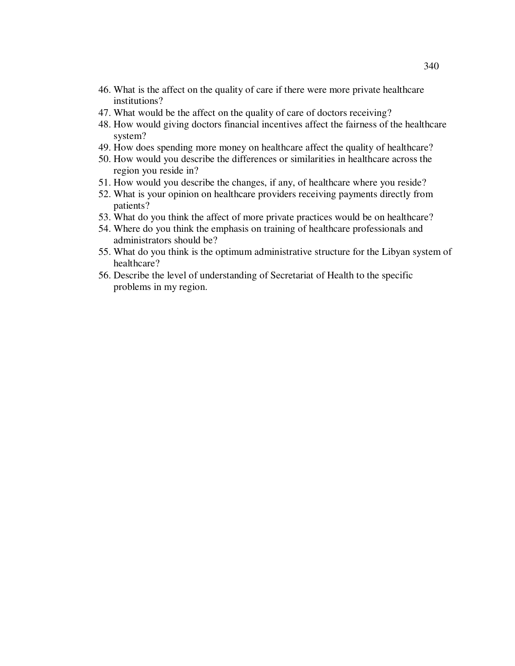- 46. What is the affect on the quality of care if there were more private healthcare institutions?
- 47. What would be the affect on the quality of care of doctors receiving?
- 48. How would giving doctors financial incentives affect the fairness of the healthcare system?
- 49. How does spending more money on healthcare affect the quality of healthcare?
- 50. How would you describe the differences or similarities in healthcare across the region you reside in?
- 51. How would you describe the changes, if any, of healthcare where you reside?
- 52. What is your opinion on healthcare providers receiving payments directly from patients?
- 53. What do you think the affect of more private practices would be on healthcare?
- 54. Where do you think the emphasis on training of healthcare professionals and administrators should be?
- 55. What do you think is the optimum administrative structure for the Libyan system of healthcare?
- 56. Describe the level of understanding of Secretariat of Health to the specific problems in my region.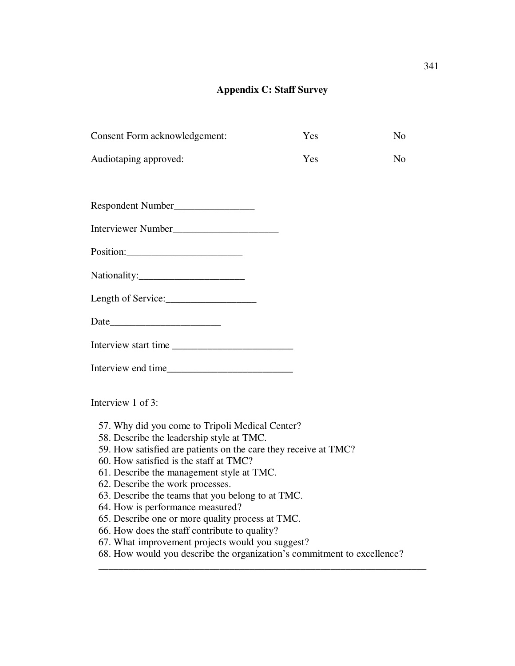# **Appendix C: Staff Survey**

| Consent Form acknowledgement:                                                                                                                                   | Yes | N <sub>0</sub> |
|-----------------------------------------------------------------------------------------------------------------------------------------------------------------|-----|----------------|
| Audiotaping approved:                                                                                                                                           | Yes | No.            |
| Respondent Number                                                                                                                                               |     |                |
| Interviewer Number                                                                                                                                              |     |                |
|                                                                                                                                                                 |     |                |
| Nationality:                                                                                                                                                    |     |                |
|                                                                                                                                                                 |     |                |
|                                                                                                                                                                 |     |                |
| Interview start time                                                                                                                                            |     |                |
|                                                                                                                                                                 |     |                |
| Interview 1 of 3:                                                                                                                                               |     |                |
| 57. Why did you come to Tripoli Medical Center?<br>58. Describe the leadership style at TMC.<br>59. How satisfied are patients on the care they receive at TMC? |     |                |

- 60. How satisfied is the staff at TMC?
- 61. Describe the management style at TMC.
- 62. Describe the work processes.
- 63. Describe the teams that you belong to at TMC.
- 64. How is performance measured?
- 65. Describe one or more quality process at TMC.
- 66. How does the staff contribute to quality?
- 67. What improvement projects would you suggest?
- 68. How would you describe the organization's commitment to excellence?

\_\_\_\_\_\_\_\_\_\_\_\_\_\_\_\_\_\_\_\_\_\_\_\_\_\_\_\_\_\_\_\_\_\_\_\_\_\_\_\_\_\_\_\_\_\_\_\_\_\_\_\_\_\_\_\_\_\_\_\_\_\_\_\_\_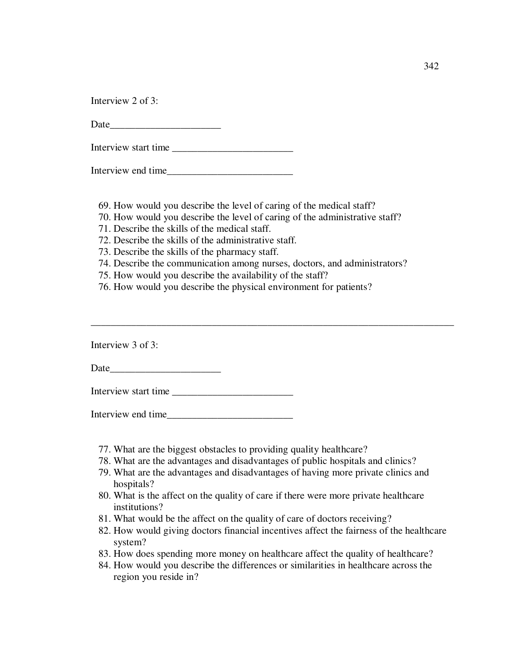Interview 2 of 3:

Date and the set of  $\sim$ 

Interview start time \_\_\_\_\_\_\_\_\_\_\_\_\_\_\_\_\_\_\_\_\_\_\_\_

Interview end time\_\_\_\_\_\_\_\_\_\_\_\_\_\_\_\_\_\_\_\_\_\_\_\_\_

69. How would you describe the level of caring of the medical staff?

70. How would you describe the level of caring of the administrative staff?

71. Describe the skills of the medical staff.

72. Describe the skills of the administrative staff.

73. Describe the skills of the pharmacy staff.

74. Describe the communication among nurses, doctors, and administrators?

\_\_\_\_\_\_\_\_\_\_\_\_\_\_\_\_\_\_\_\_\_\_\_\_\_\_\_\_\_\_\_\_\_\_\_\_\_\_\_\_\_\_\_\_\_\_\_\_\_\_\_\_\_\_\_\_\_\_\_\_\_\_\_\_\_\_\_\_\_\_\_\_

75. How would you describe the availability of the staff?

76. How would you describe the physical environment for patients?

Interview 3 of 3:

Date\_\_\_\_\_\_\_\_\_\_\_\_\_\_\_\_\_\_\_\_\_\_

Interview start time \_\_\_\_\_\_\_\_\_\_\_\_\_\_\_\_\_\_\_\_\_\_\_\_

Interview end time

- 77. What are the biggest obstacles to providing quality healthcare?
- 78. What are the advantages and disadvantages of public hospitals and clinics?
- 79. What are the advantages and disadvantages of having more private clinics and hospitals?
- 80. What is the affect on the quality of care if there were more private healthcare institutions?
- 81. What would be the affect on the quality of care of doctors receiving?
- 82. How would giving doctors financial incentives affect the fairness of the healthcare system?
- 83. How does spending more money on healthcare affect the quality of healthcare?
- 84. How would you describe the differences or similarities in healthcare across the region you reside in?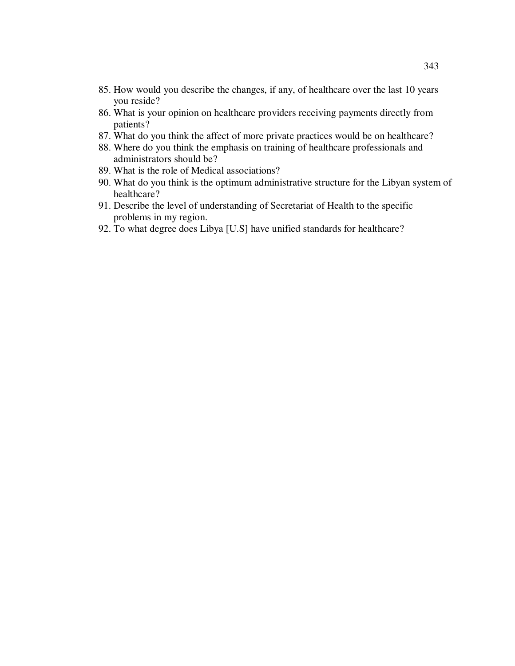- 85. How would you describe the changes, if any, of healthcare over the last 10 years you reside?
- 86. What is your opinion on healthcare providers receiving payments directly from patients?
- 87. What do you think the affect of more private practices would be on healthcare?
- 88. Where do you think the emphasis on training of healthcare professionals and administrators should be?
- 89. What is the role of Medical associations?
- 90. What do you think is the optimum administrative structure for the Libyan system of healthcare?
- 91. Describe the level of understanding of Secretariat of Health to the specific problems in my region.
- 92. To what degree does Libya [U.S] have unified standards for healthcare?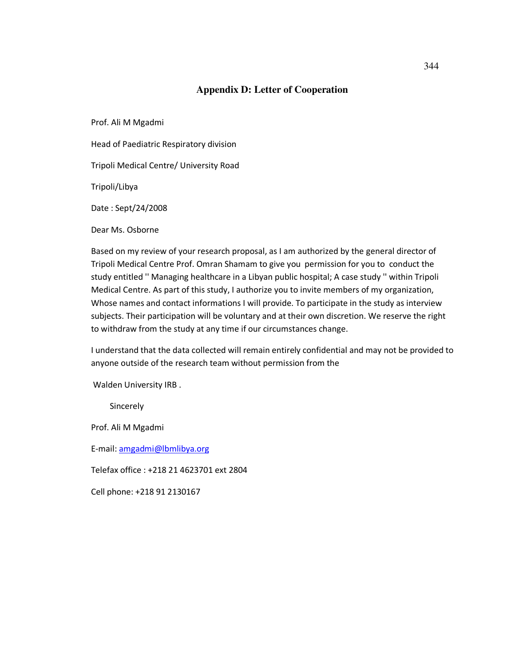# **Appendix D: Letter of Cooperation**

Prof. Ali M Mgadmi

Head of Paediatric Respiratory division

Tripoli Medical Centre/ University Road

Tripoli/Libya

Date : Sept/24/2008

Dear Ms. Osborne

Based on my review of your research proposal, as I am authorized by the general director of Tripoli Medical Centre Prof. Omran Shamam to give you permission for you to conduct the study entitled '' Managing healthcare in a Libyan public hospital; A case study '' within Tripoli Medical Centre. As part of this study, I authorize you to invite members of my organization, Whose names and contact informations I will provide. To participate in the study as interview subjects. Their participation will be voluntary and at their own discretion. We reserve the right to withdraw from the study at any time if our circumstances change.

I understand that the data collected will remain entirely confidential and may not be provided to anyone outside of the research team without permission from the

Walden University IRB .

**Sincerely** 

Prof. Ali M Mgadmi

E-mail: amgadmi@lbmlibya.org

Telefax office : +218 21 4623701 ext 2804

Cell phone: +218 91 2130167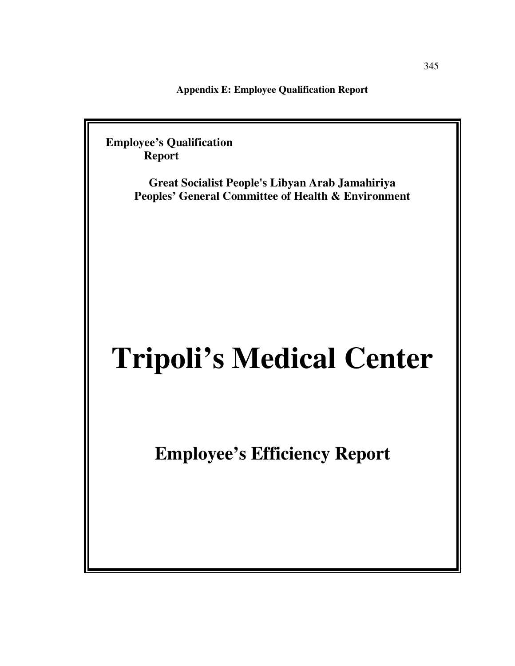**Appendix E: Employee Qualification Report** 

 **Employee's Qualification Report** 

> **Great Socialist People's Libyan Arab Jamahiriya Peoples' General Committee of Health & Environment**

# **Tripoli's Medical Center**

**Employee's Efficiency Report**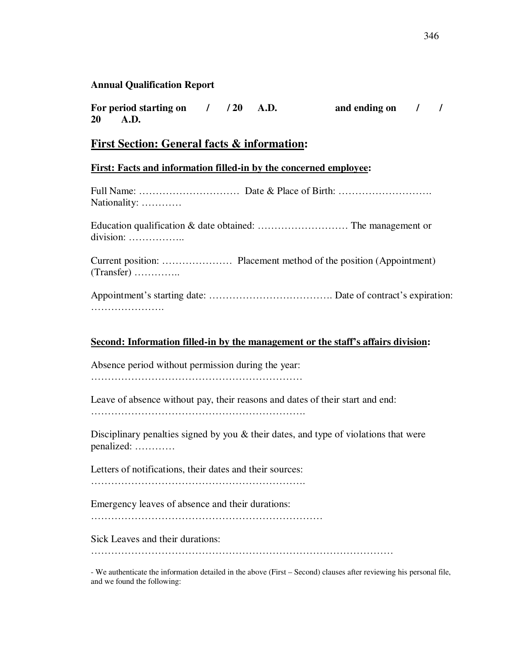## **Annual Qualification Report**

For period starting on  $/$  / 20 A.D. and ending on  $/$  / **20 A.D.** 

# **First Section: General facts & information:**

#### **First: Facts and information filled-in by the concerned employee:**

Full Name: ………………………… Date & Place of Birth: ………………………. Nationality: …………

Education qualification & date obtained: ……………………… The management or division: ……………..

Current position: ………………… Placement method of the position (Appointment) (Transfer) …………..

Appointment's starting date: ………………………………. Date of contract's expiration: ………………………

#### **Second: Information filled-in by the management or the staff's affairs division:**

Absence period without permission during the year:

………………………………………………………

Leave of absence without pay, their reasons and dates of their start and end:

……………………………………………………….

Disciplinary penalties signed by you & their dates, and type of violations that were penalized: …………

Letters of notifications, their dates and their sources:

……………………………………………………….

Emergency leaves of absence and their durations:

……………………………………………………………

Sick Leaves and their durations:

………………………………………………………………………………

- We authenticate the information detailed in the above (First – Second) clauses after reviewing his personal file, and we found the following: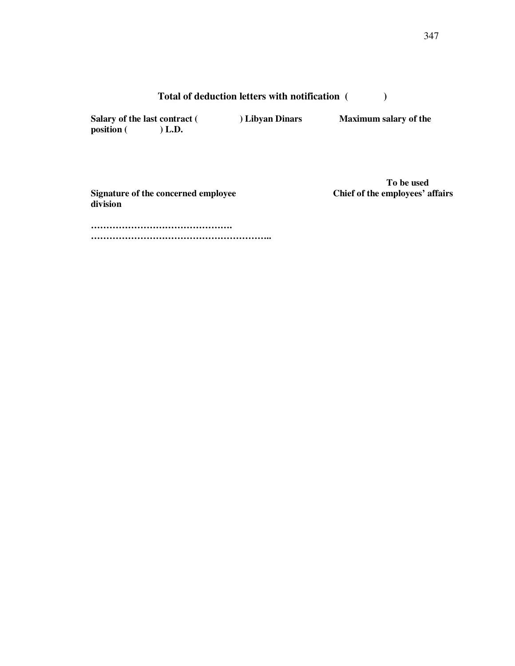# **Total of deduction letters with notification ( )**

Salary of the last contract ( ) Libyan Dinars Maximum salary of the **position ( ) L.D.** 

**Signature of the concerned employee division** 

**To be used**<br>Chief of the employees' affairs

**………………………………………. …………………………………………………..**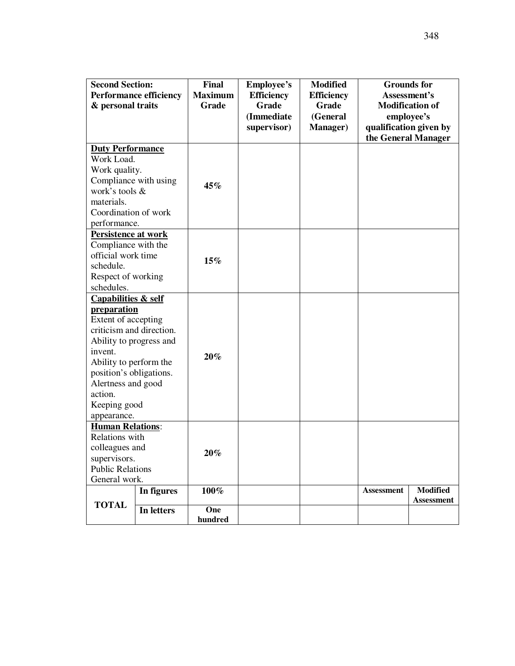| <b>Second Section:</b><br>& personal traits                                                                                                                                                                                                                        | <b>Performance efficiency</b> | <b>Final</b><br><b>Maximum</b><br>Grade | <b>Employee's</b><br><b>Efficiency</b><br><b>Grade</b><br>(Immediate<br>supervisor) | <b>Modified</b><br><b>Efficiency</b><br>Grade<br>(General<br><b>Manager</b> ) | employee's        | <b>Grounds</b> for<br>Assessment's<br><b>Modification of</b><br>qualification given by<br>the General Manager |
|--------------------------------------------------------------------------------------------------------------------------------------------------------------------------------------------------------------------------------------------------------------------|-------------------------------|-----------------------------------------|-------------------------------------------------------------------------------------|-------------------------------------------------------------------------------|-------------------|---------------------------------------------------------------------------------------------------------------|
| <b>Duty Performance</b><br>Work Load.<br>Work quality.<br>Compliance with using<br>work's tools &<br>materials.<br>Coordination of work<br>performance.                                                                                                            |                               | 45%                                     |                                                                                     |                                                                               |                   |                                                                                                               |
| Persistence at work<br>Compliance with the<br>official work time<br>schedule.<br>Respect of working<br>schedules.                                                                                                                                                  |                               | 15%                                     |                                                                                     |                                                                               |                   |                                                                                                               |
| <b>Capabilities &amp; self</b><br><b>preparation</b><br>Extent of accepting<br>criticism and direction.<br>Ability to progress and<br>invent.<br>Ability to perform the<br>position's obligations.<br>Alertness and good<br>action.<br>Keeping good<br>appearance. |                               | $20\%$                                  |                                                                                     |                                                                               |                   |                                                                                                               |
| <b>Human Relations:</b><br>Relations with<br>colleagues and<br>supervisors.<br><b>Public Relations</b><br>General work.                                                                                                                                            |                               | $20\%$                                  |                                                                                     |                                                                               |                   |                                                                                                               |
| <b>TOTAL</b>                                                                                                                                                                                                                                                       | In figures<br>In letters      | 100%<br>One<br>hundred                  |                                                                                     |                                                                               | <b>Assessment</b> | <b>Modified</b><br><b>Assessment</b>                                                                          |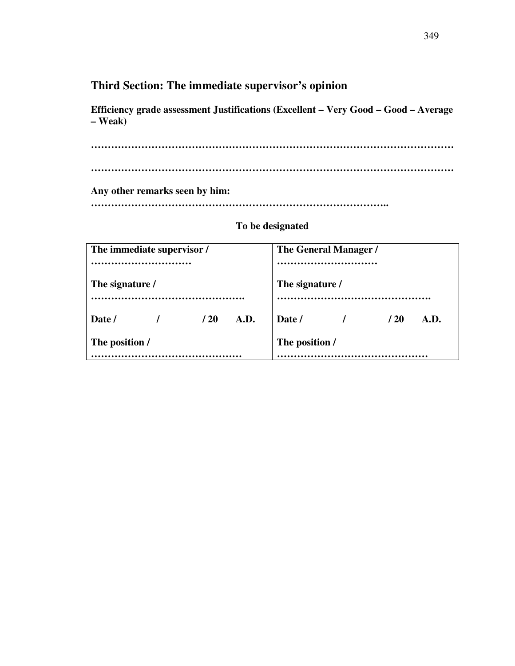# **Third Section: The immediate supervisor's opinion**

**Efficiency grade assessment Justifications (Excellent – Very Good – Good – Average – Weak)** 

**……………………………………………………………………………………………… ………………………………………………………………………………………………** 

**Any other remarks seen by him:** 

**……………………………………………………………………………..** 

| The immediate supervisor / | The General Manager /  |  |  |
|----------------------------|------------------------|--|--|
|                            |                        |  |  |
| The signature /            | The signature /        |  |  |
| A.D.<br>/20<br>Date /      | Date /<br>/ 20<br>A.D. |  |  |
| The position /             | The position /         |  |  |
|                            |                        |  |  |

## **To be designated**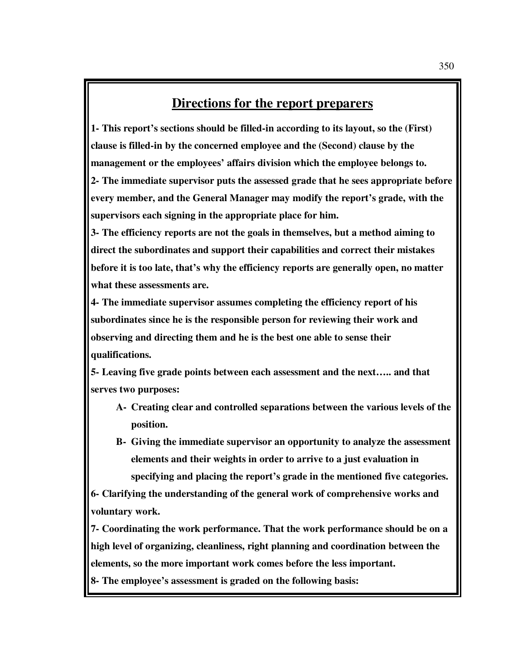# **Directions for the report preparers**

**1- This report's sections should be filled-in according to its layout, so the (First) clause is filled-in by the concerned employee and the (Second) clause by the management or the employees' affairs division which the employee belongs to. 2- The immediate supervisor puts the assessed grade that he sees appropriate before every member, and the General Manager may modify the report's grade, with the supervisors each signing in the appropriate place for him.** 

**3- The efficiency reports are not the goals in themselves, but a method aiming to direct the subordinates and support their capabilities and correct their mistakes before it is too late, that's why the efficiency reports are generally open, no matter what these assessments are.** 

**4- The immediate supervisor assumes completing the efficiency report of his subordinates since he is the responsible person for reviewing their work and observing and directing them and he is the best one able to sense their qualifications.** 

**5- Leaving five grade points between each assessment and the next….. and that serves two purposes:** 

- **A- Creating clear and controlled separations between the various levels of the position.**
- **B- Giving the immediate supervisor an opportunity to analyze the assessment elements and their weights in order to arrive to a just evaluation in specifying and placing the report's grade in the mentioned five categories.**

**6- Clarifying the understanding of the general work of comprehensive works and voluntary work.** 

**7- Coordinating the work performance. That the work performance should be on a high level of organizing, cleanliness, right planning and coordination between the elements, so the more important work comes before the less important.** 

**8- The employee's assessment is graded on the following basis:**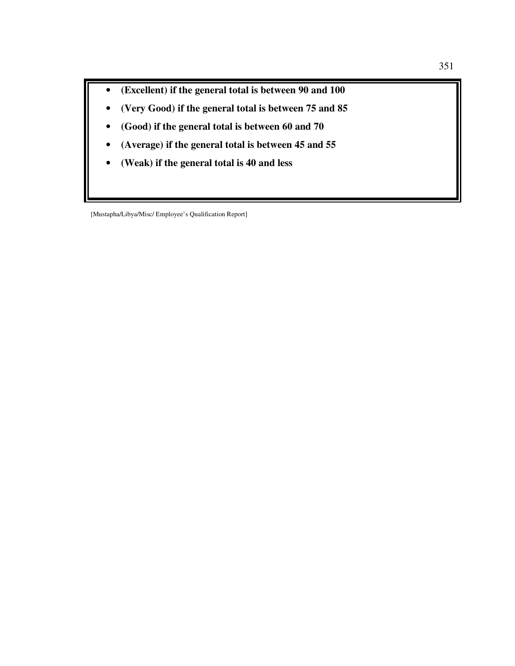- **(Excellent) if the general total is between 90 and 100**
- **(Very Good) if the general total is between 75 and 85**
- **(Good) if the general total is between 60 and 70**
- **(Average) if the general total is between 45 and 55**
- **(Weak) if the general total is 40 and less**

[Mustapha/Libya/Misc/ Employee's Qualification Report]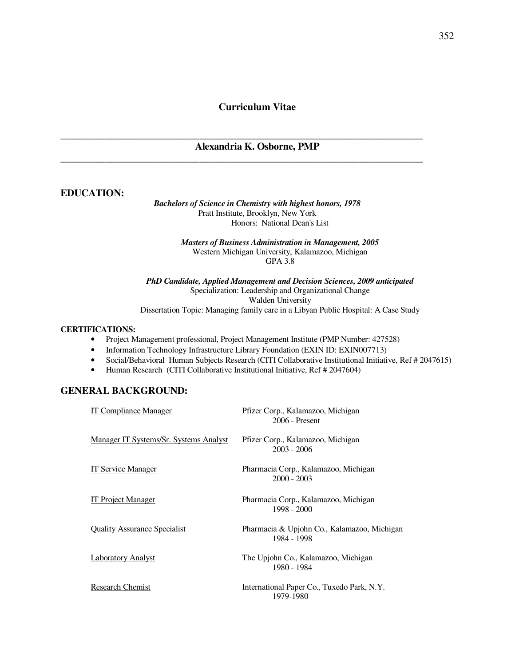## **Curriculum Vitae**

#### **Alexandria K. Osborne, PMP**

\_\_\_\_\_\_\_\_\_\_\_\_\_\_\_\_\_\_\_\_\_\_\_\_\_\_\_\_\_\_\_\_\_\_\_\_\_\_\_\_\_\_\_\_\_\_\_\_\_\_\_\_\_\_\_\_\_\_\_\_\_\_\_\_\_\_\_\_\_\_\_\_\_

\_\_\_\_\_\_\_\_\_\_\_\_\_\_\_\_\_\_\_\_\_\_\_\_\_\_\_\_\_\_\_\_\_\_\_\_\_\_\_\_\_\_\_\_\_\_\_\_\_\_\_\_\_\_\_\_\_\_\_\_\_\_\_\_\_\_\_\_\_\_\_\_\_

#### **EDUCATION:**

#### *Bachelors of Science in Chemistry with highest honors, 1978* Pratt Institute, Brooklyn, New York Honors: National Dean's List

*Masters of Business Administration in Management, 2005*  Western Michigan University, Kalamazoo, Michigan GPA 3.8

*PhD Candidate, Applied Management and Decision Sciences, 2009 anticipated*  Specialization: Leadership and Organizational Change Walden University Dissertation Topic: Managing family care in a Libyan Public Hospital: A Case Study

#### **CERTIFICATIONS:**

- Project Management professional, Project Management Institute (PMP Number: 427528)
- Information Technology Infrastructure Library Foundation (EXIN ID: EXIN007713)
- Social/Behavioral Human Subjects Research (CITI Collaborative Institutional Initiative, Ref # 2047615)
- Human Research (CITI Collaborative Institutional Initiative, Ref # 2047604)

## **GENERAL BACKGROUND:**

| IT Compliance Manager                         | Pfizer Corp., Kalamazoo, Michigan<br>$2006$ - Present      |
|-----------------------------------------------|------------------------------------------------------------|
| <u>Manager IT Systems/Sr. Systems Analyst</u> | Pfizer Corp., Kalamazoo, Michigan<br>$2003 - 2006$         |
| IT Service Manager                            | Pharmacia Corp., Kalamazoo, Michigan<br>$2000 - 2003$      |
| <b>IT Project Manager</b>                     | Pharmacia Corp., Kalamazoo, Michigan<br>1998 - 2000        |
| <b>Quality Assurance Specialist</b>           | Pharmacia & Upjohn Co., Kalamazoo, Michigan<br>1984 - 1998 |
| <b>Laboratory Analyst</b>                     | The Upjohn Co., Kalamazoo, Michigan<br>1980 - 1984         |
| Research Chemist                              | International Paper Co., Tuxedo Park, N.Y.<br>1979-1980    |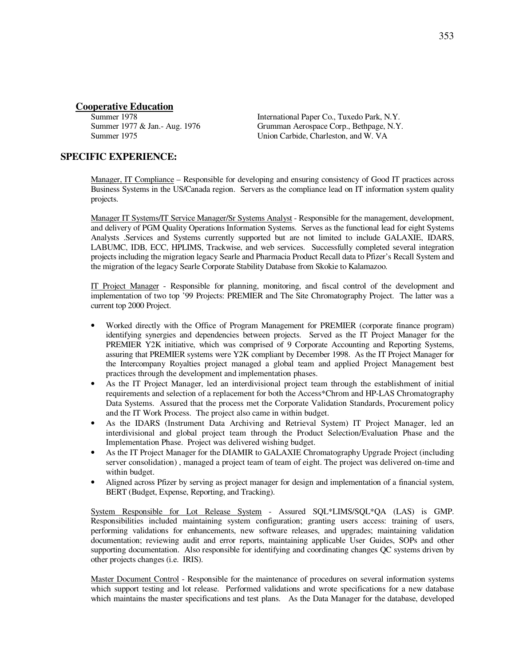# **Cooperative Education**<br>Summer 1978

International Paper Co., Tuxedo Park, N.Y. Summer 1977 & Jan.- Aug. 1976 Grumman Aerospace Corp., Bethpage, N.Y. Summer 1975 Union Carbide, Charleston, and W. VA

## **SPECIFIC EXPERIENCE:**

 Manager, IT Compliance – Responsible for developing and ensuring consistency of Good IT practices across Business Systems in the US/Canada region. Servers as the compliance lead on IT information system quality projects.

 Manager IT Systems/IT Service Manager/Sr Systems Analyst - Responsible for the management, development, and delivery of PGM Quality Operations Information Systems. Serves as the functional lead for eight Systems Analysts .Services and Systems currently supported but are not limited to include GALAXIE, IDARS, LABUMC, IDB, ECC, HPLIMS, Trackwise, and web services. Successfully completed several integration projects including the migration legacy Searle and Pharmacia Product Recall data to Pfizer's Recall System and the migration of the legacy Searle Corporate Stability Database from Skokie to Kalamazoo.

 IT Project Manager - Responsible for planning, monitoring, and fiscal control of the development and implementation of two top '99 Projects: PREMIER and The Site Chromatography Project. The latter was a current top 2000 Project.

- Worked directly with the Office of Program Management for PREMIER (corporate finance program) identifying synergies and dependencies between projects. Served as the IT Project Manager for the PREMIER Y2K initiative, which was comprised of 9 Corporate Accounting and Reporting Systems, assuring that PREMIER systems were Y2K compliant by December 1998. As the IT Project Manager for the Intercompany Royalties project managed a global team and applied Project Management best practices through the development and implementation phases.
- As the IT Project Manager, led an interdivisional project team through the establishment of initial requirements and selection of a replacement for both the Access\*Chrom and HP-LAS Chromatography Data Systems. Assured that the process met the Corporate Validation Standards, Procurement policy and the IT Work Process. The project also came in within budget.
- As the IDARS (Instrument Data Archiving and Retrieval System) IT Project Manager, led an interdivisional and global project team through the Product Selection/Evaluation Phase and the Implementation Phase. Project was delivered wishing budget.
- As the IT Project Manager for the DIAMIR to GALAXIE Chromatography Upgrade Project (including server consolidation) , managed a project team of team of eight. The project was delivered on-time and within budget.
- Aligned across Pfizer by serving as project manager for design and implementation of a financial system, BERT (Budget, Expense, Reporting, and Tracking).

 System Responsible for Lot Release System - Assured SQL\*LIMS/SQL\*QA (LAS) is GMP. Responsibilities included maintaining system configuration; granting users access: training of users, performing validations for enhancements, new software releases, and upgrades; maintaining validation documentation; reviewing audit and error reports, maintaining applicable User Guides, SOPs and other supporting documentation. Also responsible for identifying and coordinating changes QC systems driven by other projects changes (i.e. IRIS).

 Master Document Control - Responsible for the maintenance of procedures on several information systems which support testing and lot release. Performed validations and wrote specifications for a new database which maintains the master specifications and test plans. As the Data Manager for the database, developed